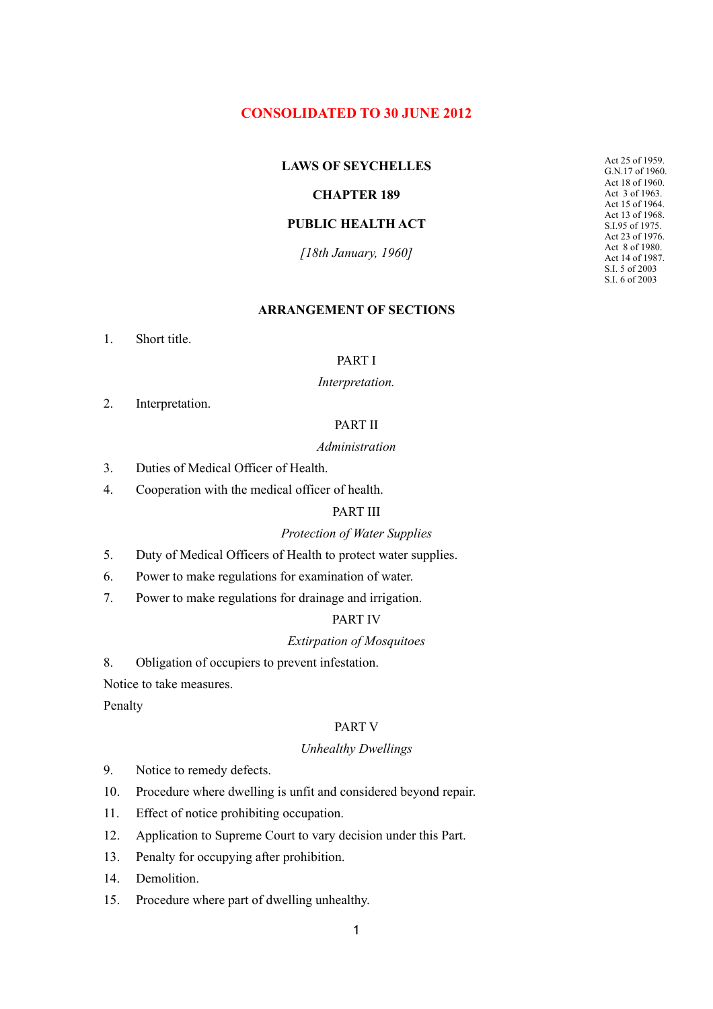# **CONSOLIDATED TO 30 JUNE 2012**

### **LAWS OF SEYCHELLES**

### **CHAPTER 189**

### **PUBLIC HEALTH ACT**

*[18th January, 1960]*

Act 25 of 1959. G.N.17 of 1960. Act 18 of 1960. Act 3 of 1963. Act 15 of 1964. Act 13 of 1968. S.I.95 of 1975. Act 23 of 1976. Act 8 of 1980. Act 14 of 1987. S.I. 5 of 2003 S.I. 6 of 2003

#### **ARRANGEMENT OF SECTIONS**

1. Short title.

### PART I

#### *Interpretation.*

2. Interpretation.

# PART II

#### *Administration*

- 3. Duties of Medical Officer of Health.
- 4. Cooperation with the medical officer of health.

### PART III

#### *Protection of Water Supplies*

- 5. Duty of Medical Officers of Health to protect water supplies.
- 6. Power to make regulations for examination of water.
- 7. Power to make regulations for drainage and irrigation.

### PART IV

### *Extirpation of Mosquitoes*

8. Obligation of occupiers to prevent infestation.

Notice to take measures.

Penalty

#### PART V

#### *Unhealthy Dwellings*

- 9. Notice to remedy defects.
- 10. Procedure where dwelling is unfit and considered beyond repair.
- 11. Effect of notice prohibiting occupation.
- 12. Application to Supreme Court to vary decision under this Part.
- 13. Penalty for occupying after prohibition.
- 14 Demolition
- 15. Procedure where part of dwelling unhealthy.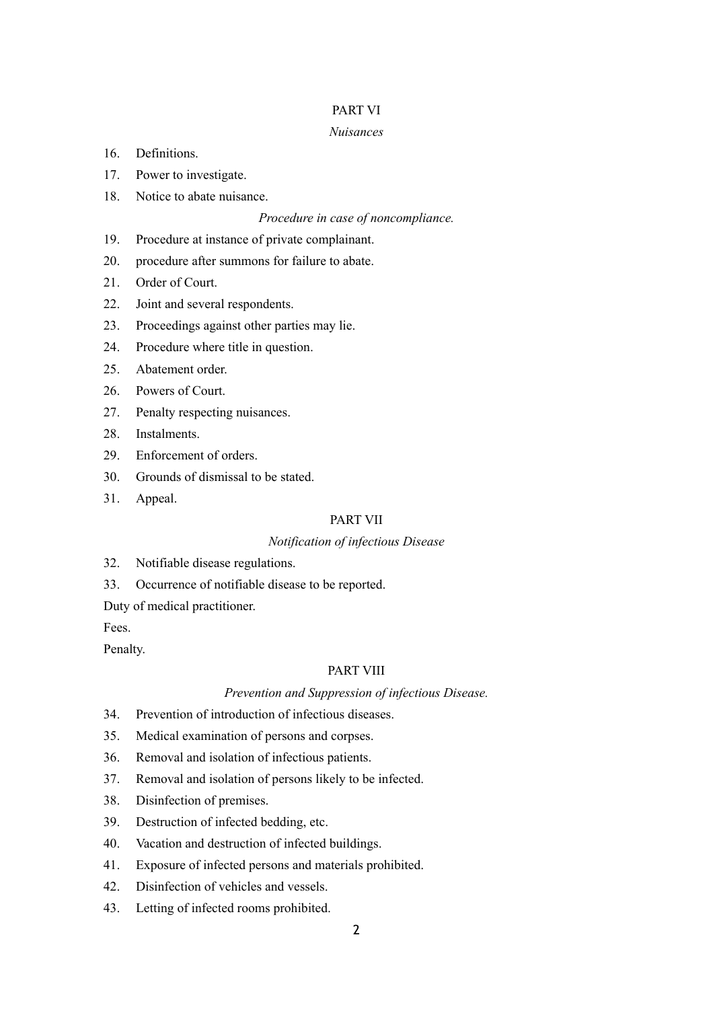### PART VI

#### *Nuisances*

- 16. Definitions.
- 17. Power to investigate.
- 18. Notice to abate nuisance.

### *Procedure in case of noncompliance.*

- 19. Procedure at instance of private complainant.
- 20. procedure after summons for failure to abate.
- 21. Order of Court.
- 22. Joint and several respondents.
- 23. Proceedings against other parties may lie.
- 24. Procedure where title in question.
- 25. Abatement order.
- 26. Powers of Court.
- 27. Penalty respecting nuisances.
- 28. Instalments.
- 29. Enforcement of orders.
- 30. Grounds of dismissal to be stated.
- 31. Appeal.

### PART VII

#### *Notification of infectious Disease*

- 32. Notifiable disease regulations.
- 33. Occurrence of notifiable disease to be reported.
- Duty of medical practitioner.

Fees.

# Penalty.

### PART VIII

### *Prevention and Suppression of infectious Disease.*

- 34. Prevention of introduction of infectious diseases.
- 35. Medical examination of persons and corpses.
- 36. Removal and isolation of infectious patients.
- 37. Removal and isolation of persons likely to be infected.
- 38. Disinfection of premises.
- 39. Destruction of infected bedding, etc.
- 40. Vacation and destruction of infected buildings.
- 41. Exposure of infected persons and materials prohibited.
- 42. Disinfection of vehicles and vessels.
- 43. Letting of infected rooms prohibited.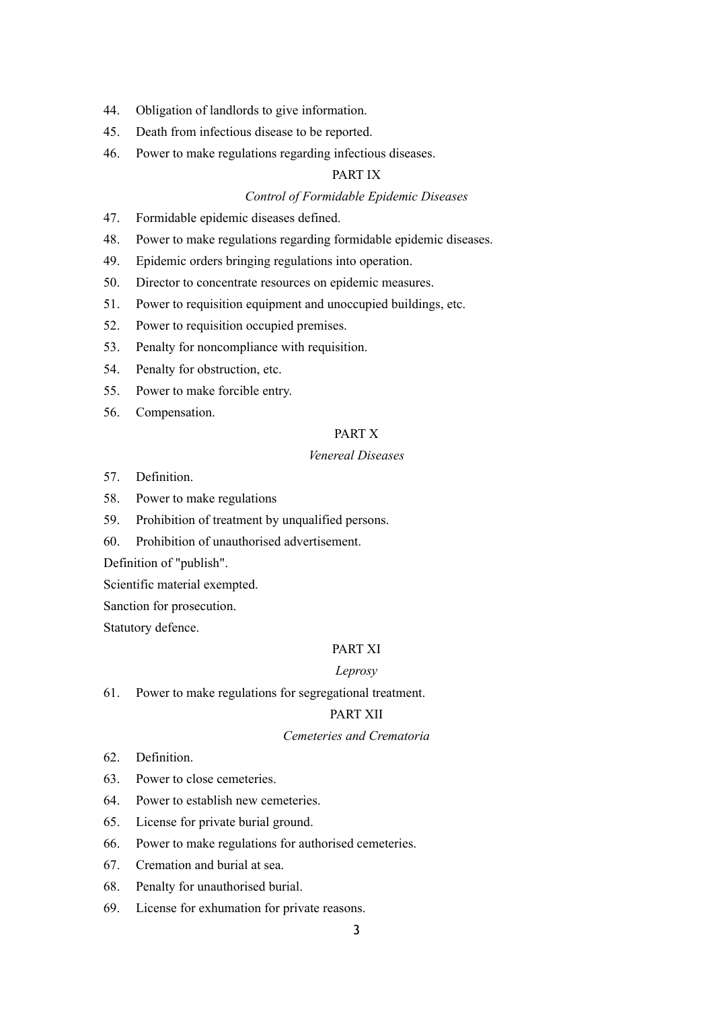- 44. Obligation of landlords to give information.
- 45. Death from infectious disease to be reported.
- 46. Power to make regulations regarding infectious diseases.

### PART IX

### *Control of Formidable Epidemic Diseases*

- 47. Formidable epidemic diseases defined.
- 48. Power to make regulations regarding formidable epidemic diseases.
- 49. Epidemic orders bringing regulations into operation.
- 50. Director to concentrate resources on epidemic measures.
- 51. Power to requisition equipment and unoccupied buildings, etc.
- 52. Power to requisition occupied premises.
- 53. Penalty for noncompliance with requisition.
- 54. Penalty for obstruction, etc.
- 55. Power to make forcible entry.
- 56. Compensation.

### PART X

### *Venereal Diseases*

- 57. Definition.
- 58. Power to make regulations
- 59. Prohibition of treatment by unqualified persons.
- 60. Prohibition of unauthorised advertisement.

Definition of "publish".

Scientific material exempted.

Sanction for prosecution.

Statutory defence.

### PART XI

#### *Leprosy*

61. Power to make regulations for segregational treatment.

# PART XII

### *Cemeteries and Crematoria*

- 62. Definition.
- 63. Power to close cemeteries.
- 64. Power to establish new cemeteries.
- 65. License for private burial ground.
- 66. Power to make regulations for authorised cemeteries.
- 67. Cremation and burial at sea.
- 68. Penalty for unauthorised burial.
- 69. License for exhumation for private reasons.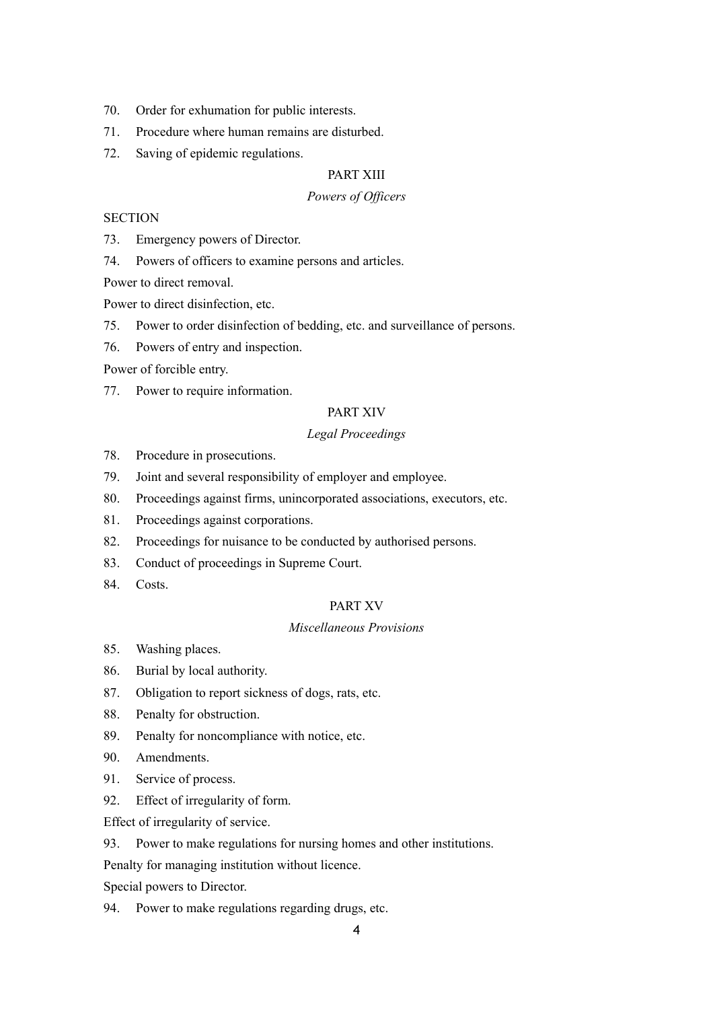- 70. Order for exhumation for public interests.
- 71. Procedure where human remains are disturbed.
- 72. Saving of epidemic regulations.

### PART XIII

#### *Powers of Officers*

### **SECTION**

73. Emergency powers of Director.

74. Powers of officers to examine persons and articles.

Power to direct removal.

Power to direct disinfection, etc.

- 75. Power to order disinfection of bedding, etc. and surveillance of persons.
- 76. Powers of entry and inspection.

Power of forcible entry.

77. Power to require information.

### PART XIV

#### *Legal Proceedings*

- 78. Procedure in prosecutions.
- 79. Joint and several responsibility of employer and employee.
- 80. Proceedings against firms, unincorporated associations, executors, etc.
- 81. Proceedings against corporations.
- 82. Proceedings for nuisance to be conducted by authorised persons.
- 83. Conduct of proceedings in Supreme Court.
- 84. Costs.

#### PART XV

### *Miscellaneous Provisions*

- 85. Washing places.
- 86. Burial by local authority.
- 87. Obligation to report sickness of dogs, rats, etc.
- 88. Penalty for obstruction.
- 89. Penalty for noncompliance with notice, etc.
- 90. Amendments.
- 91. Service of process.
- 92. Effect of irregularity of form.

Effect of irregularity of service.

93. Power to make regulations for nursing homes and other institutions.

Penalty for managing institution without licence.

Special powers to Director.

94. Power to make regulations regarding drugs, etc.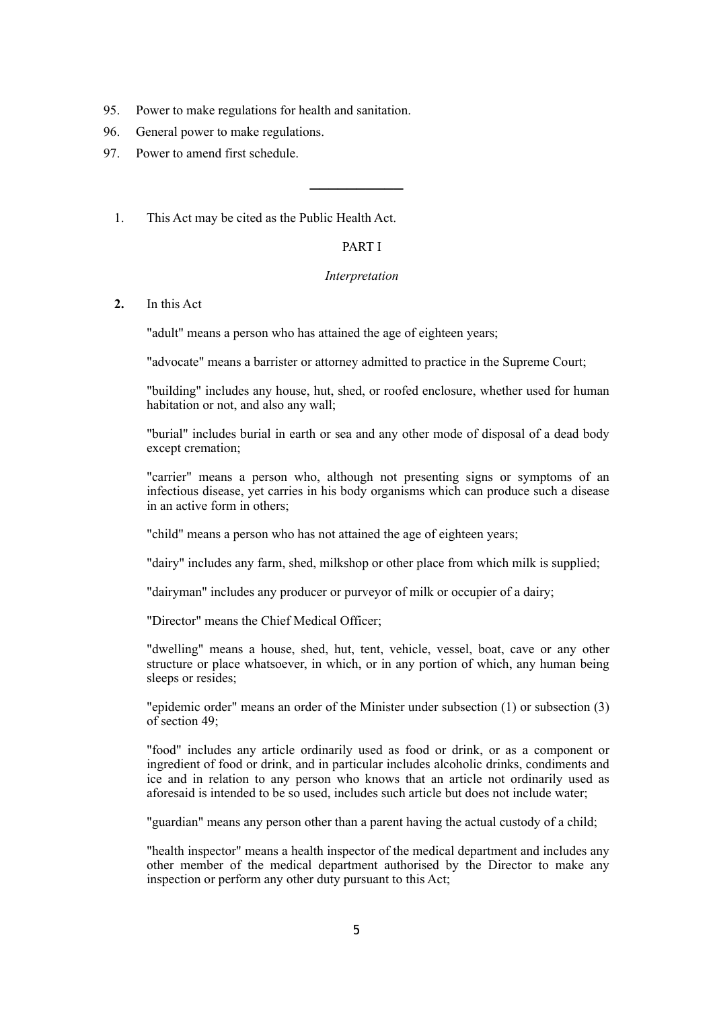- 95. Power to make regulations for health and sanitation.
- 96. General power to make regulations.
- 97. Power to amend first schedule.
	- 1. This Act may be cited as the Public Health Act.

### PART I

──────────

#### *Interpretation*

**2.** In this Act

"adult" means a person who has attained the age of eighteen years;

"advocate" means a barrister or attorney admitted to practice in the Supreme Court;

"building" includes any house, hut, shed, or roofed enclosure, whether used for human habitation or not, and also any wall;

"burial" includes burial in earth or sea and any other mode of disposal of a dead body except cremation;

"carrier" means a person who, although not presenting signs or symptoms of an infectious disease, yet carries in his body organisms which can produce such a disease in an active form in others;

"child" means a person who has not attained the age of eighteen years;

"dairy" includes any farm, shed, milkshop or other place from which milk is supplied;

"dairyman" includes any producer or purveyor of milk or occupier of a dairy;

"Director" means the Chief Medical Officer;

"dwelling" means a house, shed, hut, tent, vehicle, vessel, boat, cave or any other structure or place whatsoever, in which, or in any portion of which, any human being sleeps or resides;

"epidemic order" means an order of the Minister under subsection (1) or subsection (3) of section 49;

"food" includes any article ordinarily used as food or drink, or as a component or ingredient of food or drink, and in particular includes alcoholic drinks, condiments and ice and in relation to any person who knows that an article not ordinarily used as aforesaid is intended to be so used, includes such article but does not include water;

"guardian" means any person other than a parent having the actual custody of a child;

"health inspector" means a health inspector of the medical department and includes any other member of the medical department authorised by the Director to make any inspection or perform any other duty pursuant to this Act;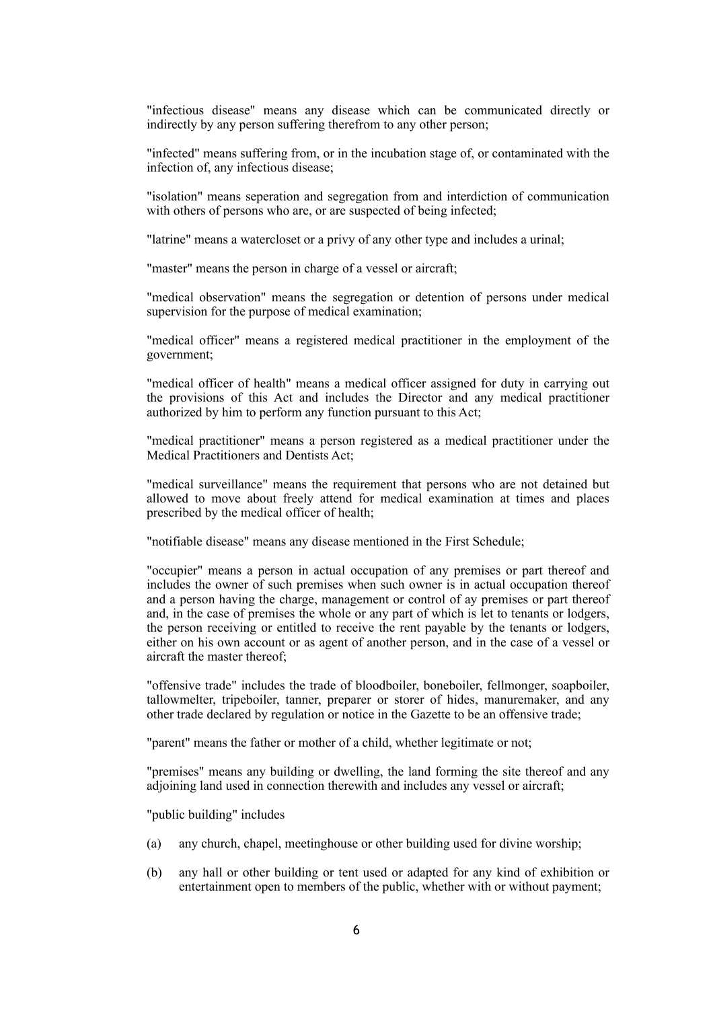"infectious disease" means any disease which can be communicated directly or indirectly by any person suffering therefrom to any other person;

"infected" means suffering from, or in the incubation stage of, or contaminated with the infection of, any infectious disease;

"isolation" means seperation and segregation from and interdiction of communication with others of persons who are, or are suspected of being infected;

"latrine" means a watercloset or a privy of any other type and includes a urinal;

"master" means the person in charge of a vessel or aircraft;

"medical observation" means the segregation or detention of persons under medical supervision for the purpose of medical examination;

"medical officer" means a registered medical practitioner in the employment of the government;

"medical officer of health" means a medical officer assigned for duty in carrying out the provisions of this Act and includes the Director and any medical practitioner authorized by him to perform any function pursuant to this Act;

"medical practitioner" means a person registered as a medical practitioner under the Medical Practitioners and Dentists Act;

"medical surveillance" means the requirement that persons who are not detained but allowed to move about freely attend for medical examination at times and places prescribed by the medical officer of health;

"notifiable disease" means any disease mentioned in the First Schedule;

"occupier" means a person in actual occupation of any premises or part thereof and includes the owner of such premises when such owner is in actual occupation thereof and a person having the charge, management or control of ay premises or part thereof and, in the case of premises the whole or any part of which is let to tenants or lodgers, the person receiving or entitled to receive the rent payable by the tenants or lodgers, either on his own account or as agent of another person, and in the case of a vessel or aircraft the master thereof;

"offensive trade" includes the trade of bloodboiler, boneboiler, fellmonger, soapboiler, tallowmelter, tripeboiler, tanner, preparer or storer of hides, manuremaker, and any other trade declared by regulation or notice in the Gazette to be an offensive trade;

"parent" means the father or mother of a child, whether legitimate or not;

"premises" means any building or dwelling, the land forming the site thereof and any adjoining land used in connection therewith and includes any vessel or aircraft;

"public building" includes

- (a) any church, chapel, meetinghouse or other building used for divine worship;
- (b) any hall or other building or tent used or adapted for any kind of exhibition or entertainment open to members of the public, whether with or without payment;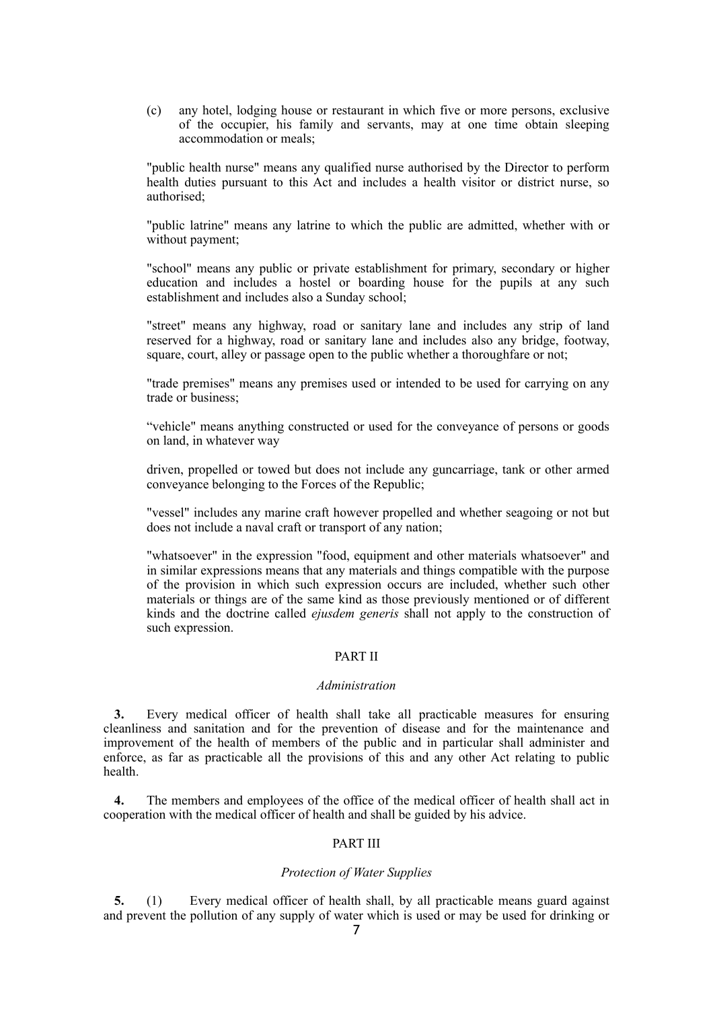(c) any hotel, lodging house or restaurant in which five or more persons, exclusive of the occupier, his family and servants, may at one time obtain sleeping accommodation or meals;

"public health nurse" means any qualified nurse authorised by the Director to perform health duties pursuant to this Act and includes a health visitor or district nurse, so authorised;

"public latrine" means any latrine to which the public are admitted, whether with or without payment;

"school" means any public or private establishment for primary, secondary or higher education and includes a hostel or boarding house for the pupils at any such establishment and includes also a Sunday school;

"street" means any highway, road or sanitary lane and includes any strip of land reserved for a highway, road or sanitary lane and includes also any bridge, footway, square, court, alley or passage open to the public whether a thoroughfare or not;

"trade premises" means any premises used or intended to be used for carrying on any trade or business;

"vehicle" means anything constructed or used for the conveyance of persons or goods on land, in whatever way

driven, propelled or towed but does not include any guncarriage, tank or other armed conveyance belonging to the Forces of the Republic;

"vessel" includes any marine craft however propelled and whether seagoing or not but does not include a naval craft or transport of any nation;

"whatsoever" in the expression "food, equipment and other materials whatsoever" and in similar expressions means that any materials and things compatible with the purpose of the provision in which such expression occurs are included, whether such other materials or things are of the same kind as those previously mentioned or of different kinds and the doctrine called *ejusdem generis* shall not apply to the construction of such expression.

### PART II

#### *Administration*

**3.** Every medical officer of health shall take all practicable measures for ensuring cleanliness and sanitation and for the prevention of disease and for the maintenance and improvement of the health of members of the public and in particular shall administer and enforce, as far as practicable all the provisions of this and any other Act relating to public health.

**4.** The members and employees of the office of the medical officer of health shall act in cooperation with the medical officer of health and shall be guided by his advice.

### PART III

### *Protection of Water Supplies*

**5.** (1) Every medical officer of health shall, by all practicable means guard against and prevent the pollution of any supply of water which is used or may be used for drinking or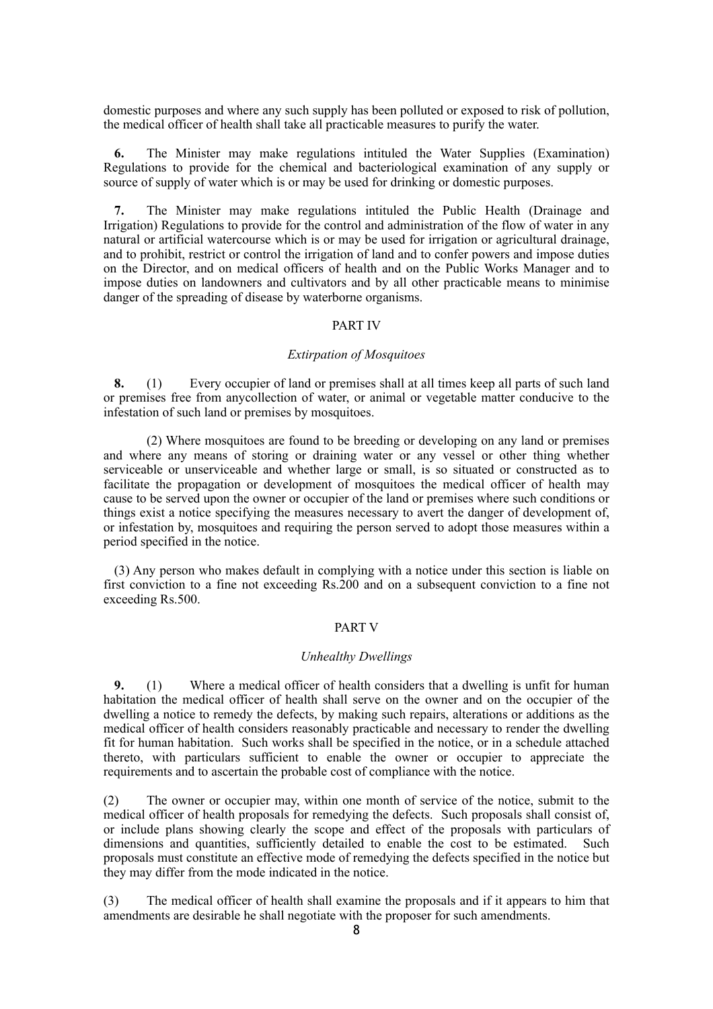domestic purposes and where any such supply has been polluted or exposed to risk of pollution, the medical officer of health shall take all practicable measures to purify the water.

**6.** The Minister may make regulations intituled the Water Supplies (Examination) Regulations to provide for the chemical and bacteriological examination of any supply or source of supply of water which is or may be used for drinking or domestic purposes.

**7.** The Minister may make regulations intituled the Public Health (Drainage and Irrigation) Regulations to provide for the control and administration of the flow of water in any natural or artificial watercourse which is or may be used for irrigation or agricultural drainage, and to prohibit, restrict or control the irrigation of land and to confer powers and impose duties on the Director, and on medical officers of health and on the Public Works Manager and to impose duties on landowners and cultivators and by all other practicable means to minimise danger of the spreading of disease by waterborne organisms.

### PART IV

#### *Extirpation of Mosquitoes*

**8.** (1) Every occupier of land or premises shall at all times keep all parts of such land or premises free from anycollection of water, or animal or vegetable matter conducive to the infestation of such land or premises by mosquitoes.

 (2) Where mosquitoes are found to be breeding or developing on any land or premises and where any means of storing or draining water or any vessel or other thing whether serviceable or unserviceable and whether large or small, is so situated or constructed as to facilitate the propagation or development of mosquitoes the medical officer of health may cause to be served upon the owner or occupier of the land or premises where such conditions or things exist a notice specifying the measures necessary to avert the danger of development of, or infestation by, mosquitoes and requiring the person served to adopt those measures within a period specified in the notice.

(3) Any person who makes default in complying with a notice under this section is liable on first conviction to a fine not exceeding Rs.200 and on a subsequent conviction to a fine not exceeding Rs.500.

#### PART V

### *Unhealthy Dwellings*

**9.** (1) Where a medical officer of health considers that a dwelling is unfit for human habitation the medical officer of health shall serve on the owner and on the occupier of the dwelling a notice to remedy the defects, by making such repairs, alterations or additions as the medical officer of health considers reasonably practicable and necessary to render the dwelling fit for human habitation. Such works shall be specified in the notice, or in a schedule attached thereto, with particulars sufficient to enable the owner or occupier to appreciate the requirements and to ascertain the probable cost of compliance with the notice.

(2) The owner or occupier may, within one month of service of the notice, submit to the medical officer of health proposals for remedying the defects. Such proposals shall consist of, or include plans showing clearly the scope and effect of the proposals with particulars of dimensions and quantities, sufficiently detailed to enable the cost to be estimated. Such proposals must constitute an effective mode of remedying the defects specified in the notice but they may differ from the mode indicated in the notice.

(3) The medical officer of health shall examine the proposals and if it appears to him that amendments are desirable he shall negotiate with the proposer for such amendments.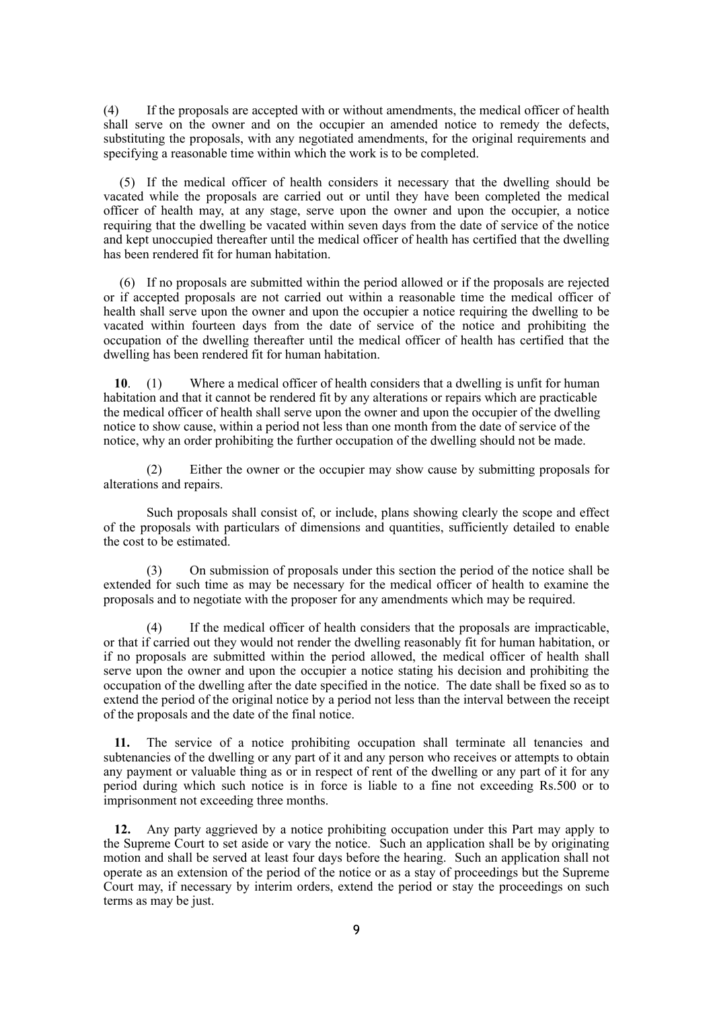(4) If the proposals are accepted with or without amendments, the medical officer of health shall serve on the owner and on the occupier an amended notice to remedy the defects, substituting the proposals, with any negotiated amendments, for the original requirements and specifying a reasonable time within which the work is to be completed.

(5) If the medical officer of health considers it necessary that the dwelling should be vacated while the proposals are carried out or until they have been completed the medical officer of health may, at any stage, serve upon the owner and upon the occupier, a notice requiring that the dwelling be vacated within seven days from the date of service of the notice and kept unoccupied thereafter until the medical officer of health has certified that the dwelling has been rendered fit for human habitation.

(6) If no proposals are submitted within the period allowed or if the proposals are rejected or if accepted proposals are not carried out within a reasonable time the medical officer of health shall serve upon the owner and upon the occupier a notice requiring the dwelling to be vacated within fourteen days from the date of service of the notice and prohibiting the occupation of the dwelling thereafter until the medical officer of health has certified that the dwelling has been rendered fit for human habitation.

**10**. (1) Where a medical officer of health considers that a dwelling is unfit for human habitation and that it cannot be rendered fit by any alterations or repairs which are practicable the medical officer of health shall serve upon the owner and upon the occupier of the dwelling notice to show cause, within a period not less than one month from the date of service of the notice, why an order prohibiting the further occupation of the dwelling should not be made.

(2) Either the owner or the occupier may show cause by submitting proposals for alterations and repairs.

Such proposals shall consist of, or include, plans showing clearly the scope and effect of the proposals with particulars of dimensions and quantities, sufficiently detailed to enable the cost to be estimated.

(3) On submission of proposals under this section the period of the notice shall be extended for such time as may be necessary for the medical officer of health to examine the proposals and to negotiate with the proposer for any amendments which may be required.

(4) If the medical officer of health considers that the proposals are impracticable, or that if carried out they would not render the dwelling reasonably fit for human habitation, or if no proposals are submitted within the period allowed, the medical officer of health shall serve upon the owner and upon the occupier a notice stating his decision and prohibiting the occupation of the dwelling after the date specified in the notice. The date shall be fixed so as to extend the period of the original notice by a period not less than the interval between the receipt of the proposals and the date of the final notice.

**11.** The service of a notice prohibiting occupation shall terminate all tenancies and subtenancies of the dwelling or any part of it and any person who receives or attempts to obtain any payment or valuable thing as or in respect of rent of the dwelling or any part of it for any period during which such notice is in force is liable to a fine not exceeding Rs.500 or to imprisonment not exceeding three months.

**12.** Any party aggrieved by a notice prohibiting occupation under this Part may apply to the Supreme Court to set aside or vary the notice. Such an application shall be by originating motion and shall be served at least four days before the hearing. Such an application shall not operate as an extension of the period of the notice or as a stay of proceedings but the Supreme Court may, if necessary by interim orders, extend the period or stay the proceedings on such terms as may be just.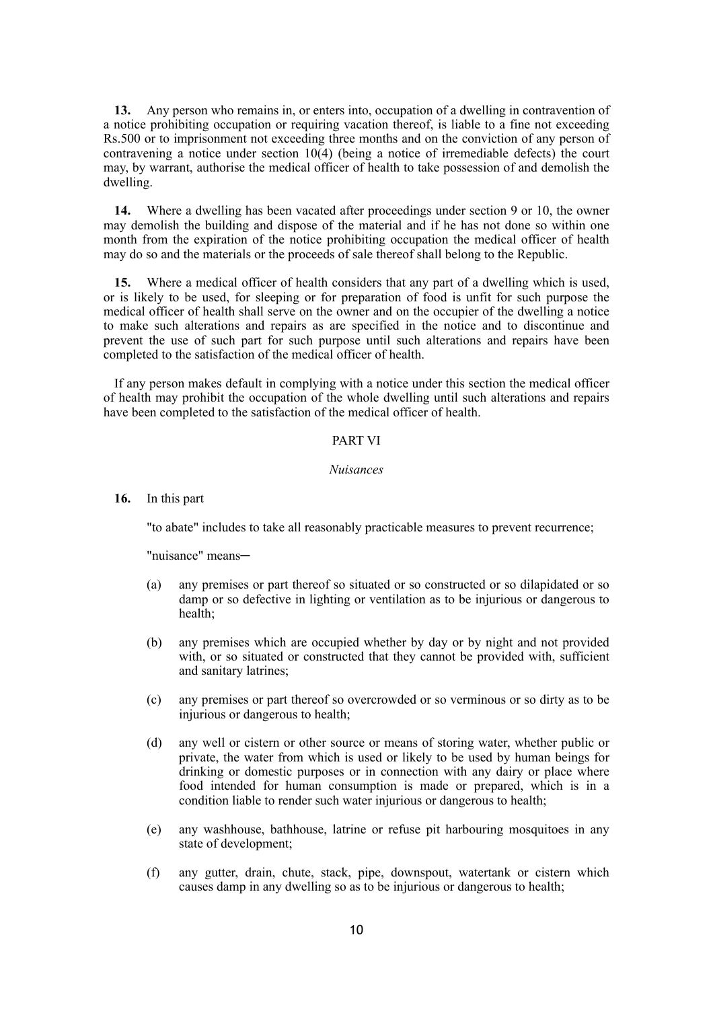**13.** Any person who remains in, or enters into, occupation of a dwelling in contravention of a notice prohibiting occupation or requiring vacation thereof, is liable to a fine not exceeding Rs.500 or to imprisonment not exceeding three months and on the conviction of any person of contravening a notice under section 10(4) (being a notice of irremediable defects) the court may, by warrant, authorise the medical officer of health to take possession of and demolish the dwelling.

**14.** Where a dwelling has been vacated after proceedings under section 9 or 10, the owner may demolish the building and dispose of the material and if he has not done so within one month from the expiration of the notice prohibiting occupation the medical officer of health may do so and the materials or the proceeds of sale thereof shall belong to the Republic.

**15.** Where a medical officer of health considers that any part of a dwelling which is used, or is likely to be used, for sleeping or for preparation of food is unfit for such purpose the medical officer of health shall serve on the owner and on the occupier of the dwelling a notice to make such alterations and repairs as are specified in the notice and to discontinue and prevent the use of such part for such purpose until such alterations and repairs have been completed to the satisfaction of the medical officer of health.

If any person makes default in complying with a notice under this section the medical officer of health may prohibit the occupation of the whole dwelling until such alterations and repairs have been completed to the satisfaction of the medical officer of health.

### PART VI

#### *Nuisances*

**16.** In this part

"to abate" includes to take all reasonably practicable measures to prevent recurrence;

"nuisance" means─

- (a) any premises or part thereof so situated or so constructed or so dilapidated or so damp or so defective in lighting or ventilation as to be injurious or dangerous to health;
- (b) any premises which are occupied whether by day or by night and not provided with, or so situated or constructed that they cannot be provided with, sufficient and sanitary latrines;
- (c) any premises or part thereof so overcrowded or so verminous or so dirty as to be injurious or dangerous to health;
- (d) any well or cistern or other source or means of storing water, whether public or private, the water from which is used or likely to be used by human beings for drinking or domestic purposes or in connection with any dairy or place where food intended for human consumption is made or prepared, which is in a condition liable to render such water injurious or dangerous to health;
- (e) any washhouse, bathhouse, latrine or refuse pit harbouring mosquitoes in any state of development;
- (f) any gutter, drain, chute, stack, pipe, downspout, watertank or cistern which causes damp in any dwelling so as to be injurious or dangerous to health;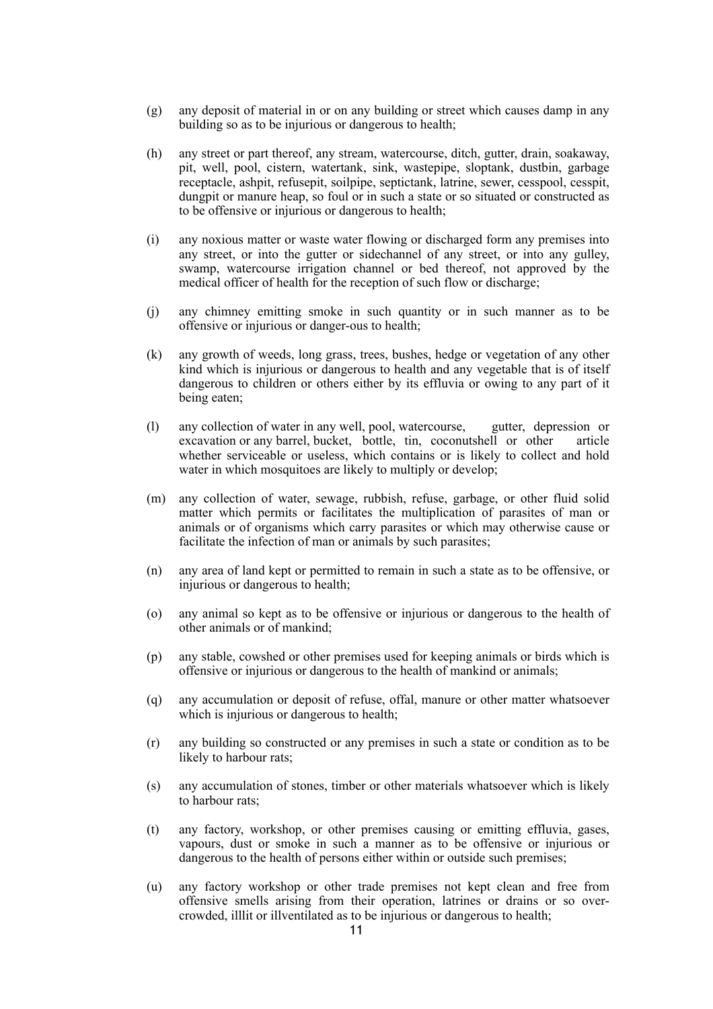- (g) any deposit of material in or on any building or street which causes damp in any building so as to be injurious or dangerous to health;
- (h) any street or part thereof, any stream, watercourse, ditch, gutter, drain, soakaway, pit, well, pool, cistern, watertank, sink, wastepipe, sloptank, dustbin, garbage receptacle, ashpit, refusepit, soilpipe, septictank, latrine, sewer, cesspool, cesspit, dungpit or manure heap, so foul or in such a state or so situated or constructed as to be offensive or injurious or dangerous to health;
- (i) any noxious matter or waste water flowing or discharged form any premises into any street, or into the gutter or sidechannel of any street, or into any gulley, swamp, watercourse irrigation channel or bed thereof, not approved by the medical officer of health for the reception of such flow or discharge;
- (j) any chimney emitting smoke in such quantity or in such manner as to be offensive or injurious or danger-ous to health;
- (k) any growth of weeds, long grass, trees, bushes, hedge or vegetation of any other kind which is injurious or dangerous to health and any vegetable that is of itself dangerous to children or others either by its effluvia or owing to any part of it being eaten;
- (l) any collection of water in any well, pool, watercourse, gutter, depression or excavation or any barrel, bucket, bottle, tin, coconutshell or other article whether serviceable or useless, which contains or is likely to collect and hold water in which mosquitoes are likely to multiply or develop;
- (m) any collection of water, sewage, rubbish, refuse, garbage, or other fluid solid matter which permits or facilitates the multiplication of parasites of man or animals or of organisms which carry parasites or which may otherwise cause or facilitate the infection of man or animals by such parasites;
- (n) any area of land kept or permitted to remain in such a state as to be offensive, or injurious or dangerous to health;
- (o) any animal so kept as to be offensive or injurious or dangerous to the health of other animals or of mankind;
- (p) any stable, cowshed or other premises used for keeping animals or birds which is offensive or injurious or dangerous to the health of mankind or animals;
- (q) any accumulation or deposit of refuse, offal, manure or other matter whatsoever which is injurious or dangerous to health;
- (r) any building so constructed or any premises in such a state or condition as to be likely to harbour rats;
- (s) any accumulation of stones, timber or other materials whatsoever which is likely to harbour rats;
- (t) any factory, workshop, or other premises causing or emitting effluvia, gases, vapours, dust or smoke in such a manner as to be offensive or injurious or dangerous to the health of persons either within or outside such premises;
- (u) any factory workshop or other trade premises not kept clean and free from offensive smells arising from their operation, latrines or drains or so overcrowded, illlit or illventilated as to be injurious or dangerous to health;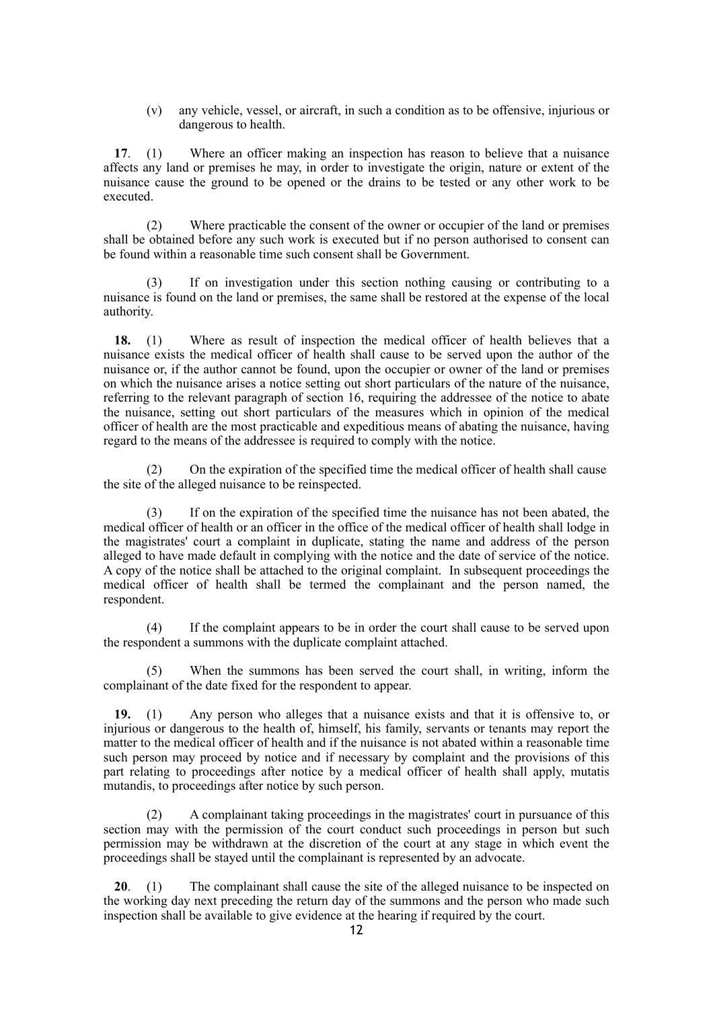(v) any vehicle, vessel, or aircraft, in such a condition as to be offensive, injurious or dangerous to health.

**17**. (1) Where an officer making an inspection has reason to believe that a nuisance affects any land or premises he may, in order to investigate the origin, nature or extent of the nuisance cause the ground to be opened or the drains to be tested or any other work to be executed.

(2) Where practicable the consent of the owner or occupier of the land or premises shall be obtained before any such work is executed but if no person authorised to consent can be found within a reasonable time such consent shall be Government.

(3) If on investigation under this section nothing causing or contributing to a nuisance is found on the land or premises, the same shall be restored at the expense of the local authority.

**18.** (1) Where as result of inspection the medical officer of health believes that a nuisance exists the medical officer of health shall cause to be served upon the author of the nuisance or, if the author cannot be found, upon the occupier or owner of the land or premises on which the nuisance arises a notice setting out short particulars of the nature of the nuisance, referring to the relevant paragraph of section 16, requiring the addressee of the notice to abate the nuisance, setting out short particulars of the measures which in opinion of the medical officer of health are the most practicable and expeditious means of abating the nuisance, having regard to the means of the addressee is required to comply with the notice.

(2) On the expiration of the specified time the medical officer of health shall cause the site of the alleged nuisance to be reinspected.

(3) If on the expiration of the specified time the nuisance has not been abated, the medical officer of health or an officer in the office of the medical officer of health shall lodge in the magistrates' court a complaint in duplicate, stating the name and address of the person alleged to have made default in complying with the notice and the date of service of the notice. A copy of the notice shall be attached to the original complaint. In subsequent proceedings the medical officer of health shall be termed the complainant and the person named, the respondent.

(4) If the complaint appears to be in order the court shall cause to be served upon the respondent a summons with the duplicate complaint attached.

(5) When the summons has been served the court shall, in writing, inform the complainant of the date fixed for the respondent to appear.

**19.** (1) Any person who alleges that a nuisance exists and that it is offensive to, or injurious or dangerous to the health of, himself, his family, servants or tenants may report the matter to the medical officer of health and if the nuisance is not abated within a reasonable time such person may proceed by notice and if necessary by complaint and the provisions of this part relating to proceedings after notice by a medical officer of health shall apply, mutatis mutandis, to proceedings after notice by such person.

(2) A complainant taking proceedings in the magistrates' court in pursuance of this section may with the permission of the court conduct such proceedings in person but such permission may be withdrawn at the discretion of the court at any stage in which event the proceedings shall be stayed until the complainant is represented by an advocate.

**20**. (1) The complainant shall cause the site of the alleged nuisance to be inspected on the working day next preceding the return day of the summons and the person who made such inspection shall be available to give evidence at the hearing if required by the court.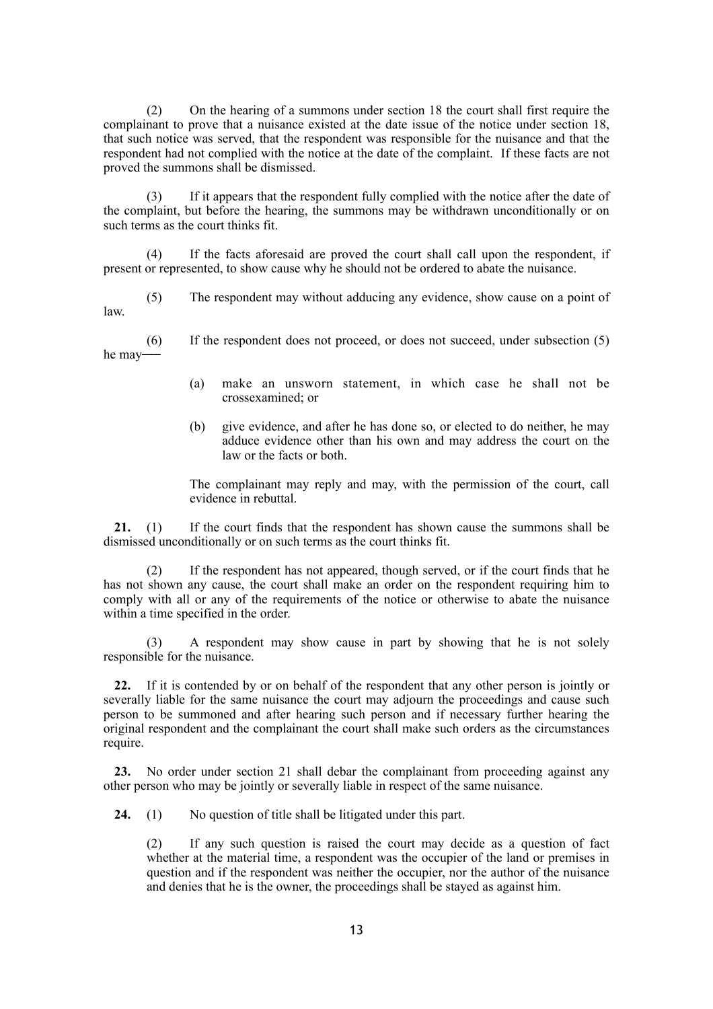(2) On the hearing of a summons under section 18 the court shall first require the complainant to prove that a nuisance existed at the date issue of the notice under section 18, that such notice was served, that the respondent was responsible for the nuisance and that the respondent had not complied with the notice at the date of the complaint. If these facts are not proved the summons shall be dismissed.

(3) If it appears that the respondent fully complied with the notice after the date of the complaint, but before the hearing, the summons may be withdrawn unconditionally or on such terms as the court thinks fit.

(4) If the facts aforesaid are proved the court shall call upon the respondent, if present or represented, to show cause why he should not be ordered to abate the nuisance.

(5) The respondent may without adducing any evidence, show cause on a point of law.

(6) If the respondent does not proceed, or does not succeed, under subsection (5) he may──

- (a) make an unsworn statement, in which case he shall not be crossexamined; or
- (b) give evidence, and after he has done so, or elected to do neither, he may adduce evidence other than his own and may address the court on the law or the facts or both.

The complainant may reply and may, with the permission of the court, call evidence in rebuttal.

**21.** (1) If the court finds that the respondent has shown cause the summons shall be dismissed unconditionally or on such terms as the court thinks fit.

(2) If the respondent has not appeared, though served, or if the court finds that he has not shown any cause, the court shall make an order on the respondent requiring him to comply with all or any of the requirements of the notice or otherwise to abate the nuisance within a time specified in the order.

(3) A respondent may show cause in part by showing that he is not solely responsible for the nuisance.

**22.** If it is contended by or on behalf of the respondent that any other person is jointly or severally liable for the same nuisance the court may adjourn the proceedings and cause such person to be summoned and after hearing such person and if necessary further hearing the original respondent and the complainant the court shall make such orders as the circumstances require.

**23.** No order under section 21 shall debar the complainant from proceeding against any other person who may be jointly or severally liable in respect of the same nuisance.

**24.** (1) No question of title shall be litigated under this part.

(2) If any such question is raised the court may decide as a question of fact whether at the material time, a respondent was the occupier of the land or premises in question and if the respondent was neither the occupier, nor the author of the nuisance and denies that he is the owner, the proceedings shall be stayed as against him.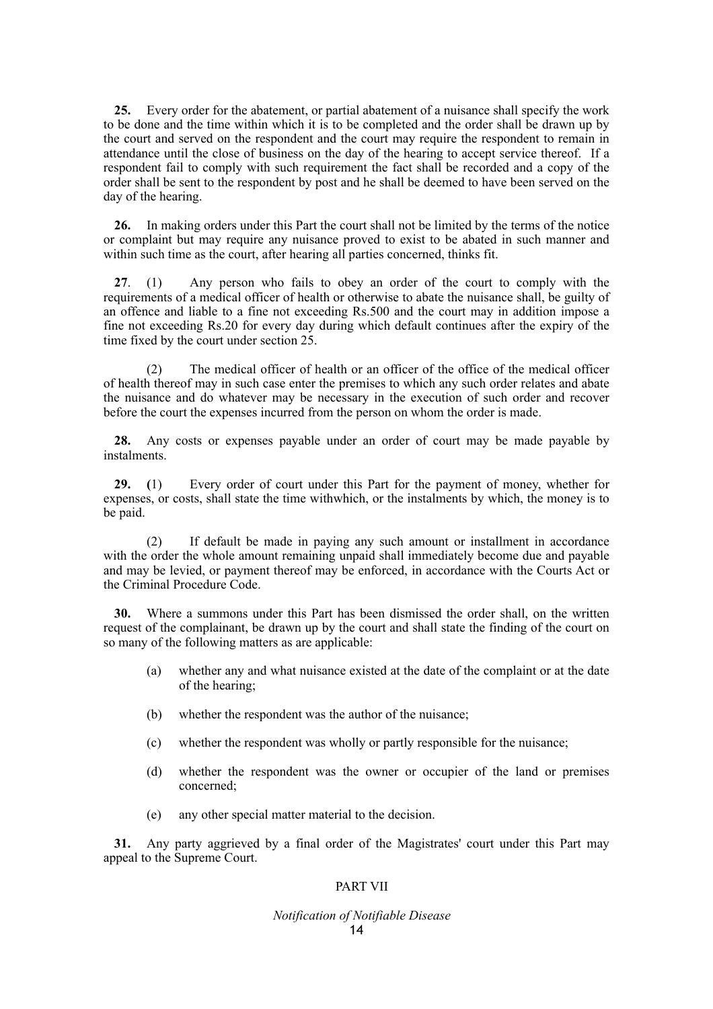**25.** Every order for the abatement, or partial abatement of a nuisance shall specify the work to be done and the time within which it is to be completed and the order shall be drawn up by the court and served on the respondent and the court may require the respondent to remain in attendance until the close of business on the day of the hearing to accept service thereof. If a respondent fail to comply with such requirement the fact shall be recorded and a copy of the order shall be sent to the respondent by post and he shall be deemed to have been served on the day of the hearing.

**26.** In making orders under this Part the court shall not be limited by the terms of the notice or complaint but may require any nuisance proved to exist to be abated in such manner and within such time as the court, after hearing all parties concerned, thinks fit.

**27**. (1) Any person who fails to obey an order of the court to comply with the requirements of a medical officer of health or otherwise to abate the nuisance shall, be guilty of an offence and liable to a fine not exceeding Rs.500 and the court may in addition impose a fine not exceeding Rs.20 for every day during which default continues after the expiry of the time fixed by the court under section 25.

(2) The medical officer of health or an officer of the office of the medical officer of health thereof may in such case enter the premises to which any such order relates and abate the nuisance and do whatever may be necessary in the execution of such order and recover before the court the expenses incurred from the person on whom the order is made.

**28.** Any costs or expenses payable under an order of court may be made payable by instalments.

**29. (**1) Every order of court under this Part for the payment of money, whether for expenses, or costs, shall state the time withwhich, or the instalments by which, the money is to be paid.

(2) If default be made in paying any such amount or installment in accordance with the order the whole amount remaining unpaid shall immediately become due and payable and may be levied, or payment thereof may be enforced, in accordance with the Courts Act or the Criminal Procedure Code.

**30.** Where a summons under this Part has been dismissed the order shall, on the written request of the complainant, be drawn up by the court and shall state the finding of the court on so many of the following matters as are applicable:

- (a) whether any and what nuisance existed at the date of the complaint or at the date of the hearing;
- (b) whether the respondent was the author of the nuisance;
- (c) whether the respondent was wholly or partly responsible for the nuisance;
- (d) whether the respondent was the owner or occupier of the land or premises concerned;
- (e) any other special matter material to the decision.

**31.** Any party aggrieved by a final order of the Magistrates' court under this Part may appeal to the Supreme Court.

# PART VII

# *Notification of Notifiable Disease*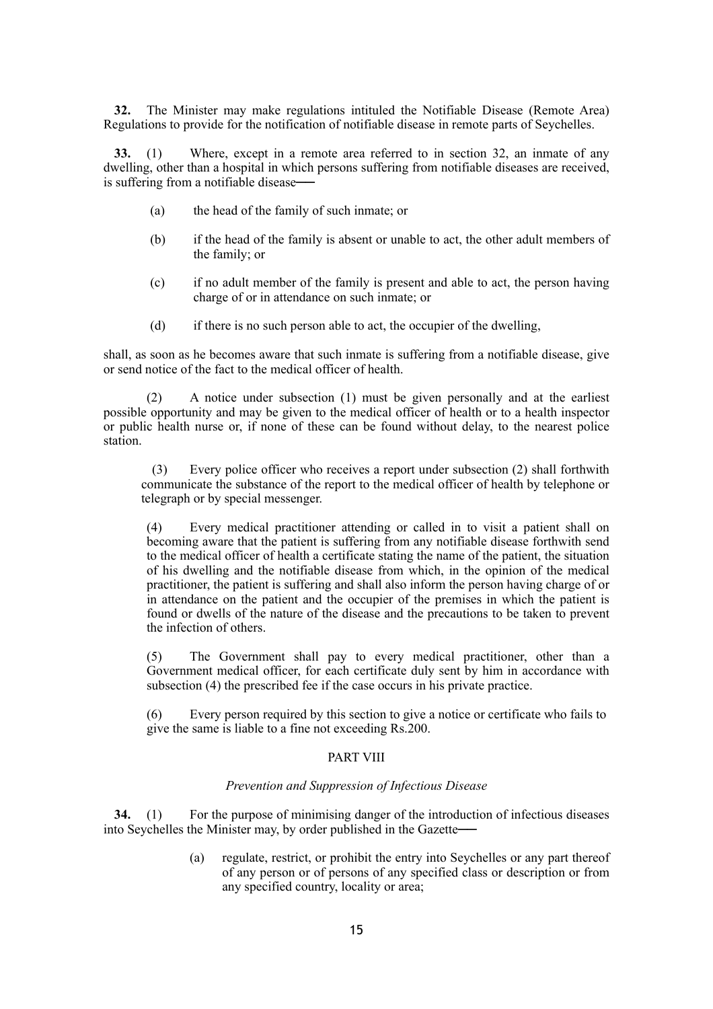**32.** The Minister may make regulations intituled the Notifiable Disease (Remote Area) Regulations to provide for the notification of notifiable disease in remote parts of Seychelles.

**33.** (1) Where, except in a remote area referred to in section 32, an inmate of any dwelling, other than a hospital in which persons suffering from notifiable diseases are received, is suffering from a notifiable disease

- (a) the head of the family of such inmate; or
- (b) if the head of the family is absent or unable to act, the other adult members of the family; or
- (c) if no adult member of the family is present and able to act, the person having charge of or in attendance on such inmate; or
- (d) if there is no such person able to act, the occupier of the dwelling,

shall, as soon as he becomes aware that such inmate is suffering from a notifiable disease, give or send notice of the fact to the medical officer of health.

(2) A notice under subsection (1) must be given personally and at the earliest possible opportunity and may be given to the medical officer of health or to a health inspector or public health nurse or, if none of these can be found without delay, to the nearest police station.

(3) Every police officer who receives a report under subsection (2) shall forthwith communicate the substance of the report to the medical officer of health by telephone or telegraph or by special messenger.

(4) Every medical practitioner attending or called in to visit a patient shall on becoming aware that the patient is suffering from any notifiable disease forthwith send to the medical officer of health a certificate stating the name of the patient, the situation of his dwelling and the notifiable disease from which, in the opinion of the medical practitioner, the patient is suffering and shall also inform the person having charge of or in attendance on the patient and the occupier of the premises in which the patient is found or dwells of the nature of the disease and the precautions to be taken to prevent the infection of others.

(5) The Government shall pay to every medical practitioner, other than a Government medical officer, for each certificate duly sent by him in accordance with subsection (4) the prescribed fee if the case occurs in his private practice.

(6) Every person required by this section to give a notice or certificate who fails to give the same is liable to a fine not exceeding Rs.200.

### PART VIII

#### *Prevention and Suppression of Infectious Disease*

**34.** (1) For the purpose of minimising danger of the introduction of infectious diseases into Seychelles the Minister may, by order published in the Gazette —

> (a) regulate, restrict, or prohibit the entry into Seychelles or any part thereof of any person or of persons of any specified class or description or from any specified country, locality or area;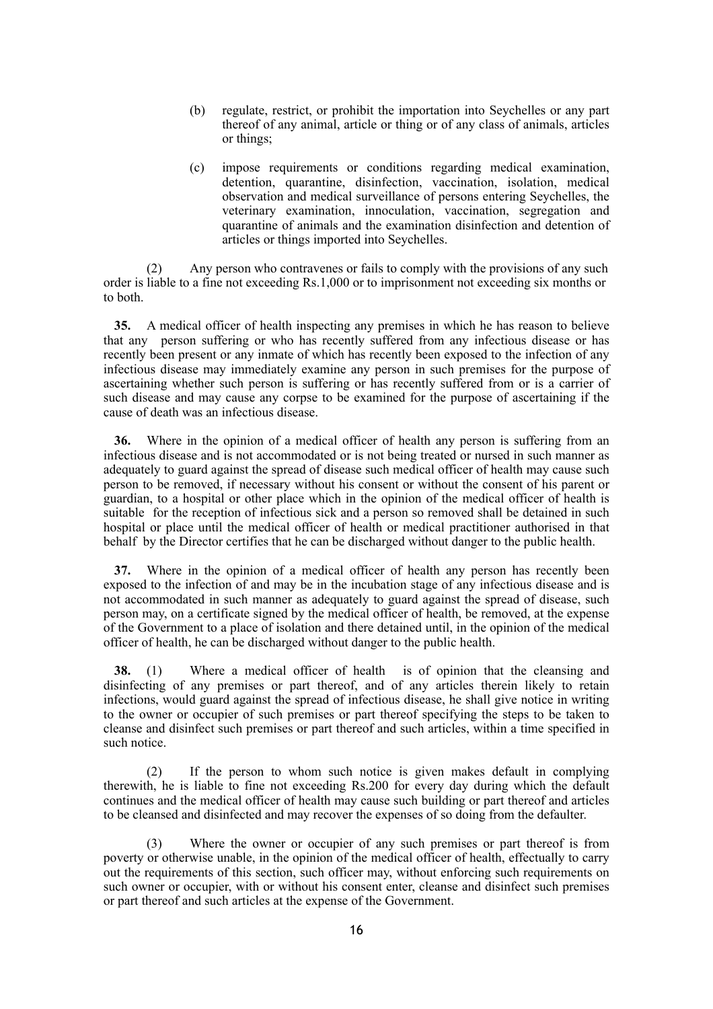- (b) regulate, restrict, or prohibit the importation into Seychelles or any part thereof of any animal, article or thing or of any class of animals, articles or things;
- (c) impose requirements or conditions regarding medical examination, detention, quarantine, disinfection, vaccination, isolation, medical observation and medical surveillance of persons entering Seychelles, the veterinary examination, innoculation, vaccination, segregation and quarantine of animals and the examination disinfection and detention of articles or things imported into Seychelles.

(2) Any person who contravenes or fails to comply with the provisions of any such order is liable to a fine not exceeding Rs.1,000 or to imprisonment not exceeding six months or to both.

**35.** A medical officer of health inspecting any premises in which he has reason to believe that any person suffering or who has recently suffered from any infectious disease or has recently been present or any inmate of which has recently been exposed to the infection of any infectious disease may immediately examine any person in such premises for the purpose of ascertaining whether such person is suffering or has recently suffered from or is a carrier of such disease and may cause any corpse to be examined for the purpose of ascertaining if the cause of death was an infectious disease.

**36.** Where in the opinion of a medical officer of health any person is suffering from an infectious disease and is not accommodated or is not being treated or nursed in such manner as adequately to guard against the spread of disease such medical officer of health may cause such person to be removed, if necessary without his consent or without the consent of his parent or guardian, to a hospital or other place which in the opinion of the medical officer of health is suitable for the reception of infectious sick and a person so removed shall be detained in such hospital or place until the medical officer of health or medical practitioner authorised in that behalf by the Director certifies that he can be discharged without danger to the public health.

**37.** Where in the opinion of a medical officer of health any person has recently been exposed to the infection of and may be in the incubation stage of any infectious disease and is not accommodated in such manner as adequately to guard against the spread of disease, such person may, on a certificate signed by the medical officer of health, be removed, at the expense of the Government to a place of isolation and there detained until, in the opinion of the medical officer of health, he can be discharged without danger to the public health.

**38.** (1) Where a medical officer of health is of opinion that the cleansing and disinfecting of any premises or part thereof, and of any articles therein likely to retain infections, would guard against the spread of infectious disease, he shall give notice in writing to the owner or occupier of such premises or part thereof specifying the steps to be taken to cleanse and disinfect such premises or part thereof and such articles, within a time specified in such notice.

(2) If the person to whom such notice is given makes default in complying therewith, he is liable to fine not exceeding Rs.200 for every day during which the default continues and the medical officer of health may cause such building or part thereof and articles to be cleansed and disinfected and may recover the expenses of so doing from the defaulter.

(3) Where the owner or occupier of any such premises or part thereof is from poverty or otherwise unable, in the opinion of the medical officer of health, effectually to carry out the requirements of this section, such officer may, without enforcing such requirements on such owner or occupier, with or without his consent enter, cleanse and disinfect such premises or part thereof and such articles at the expense of the Government.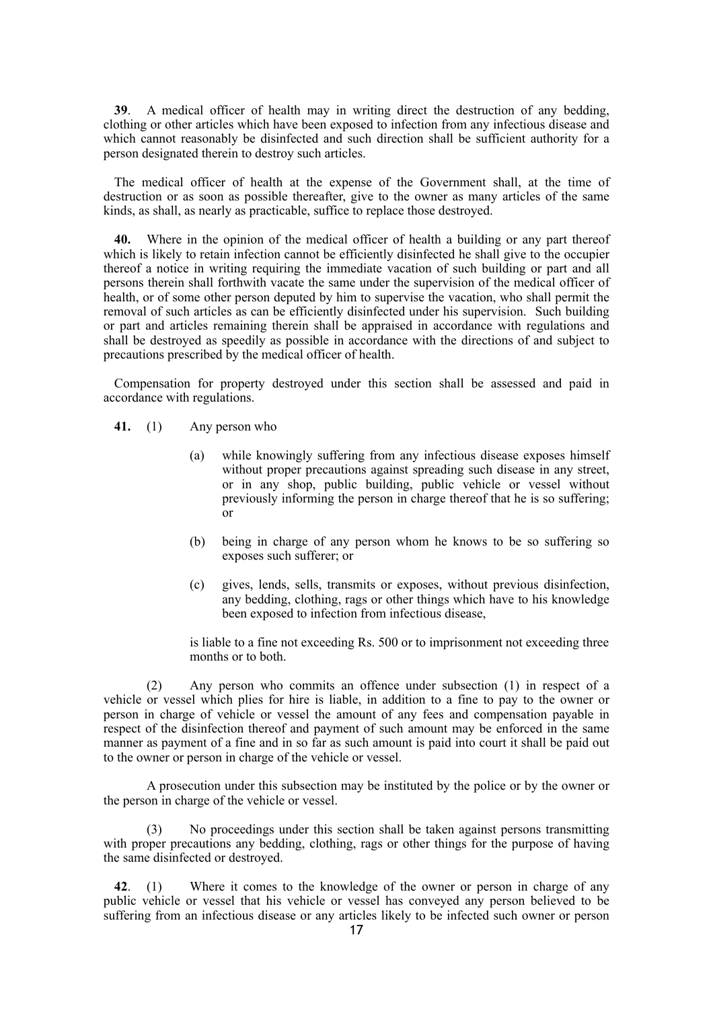**39**. A medical officer of health may in writing direct the destruction of any bedding, clothing or other articles which have been exposed to infection from any infectious disease and which cannot reasonably be disinfected and such direction shall be sufficient authority for a person designated therein to destroy such articles.

The medical officer of health at the expense of the Government shall, at the time of destruction or as soon as possible thereafter, give to the owner as many articles of the same kinds, as shall, as nearly as practicable, suffice to replace those destroyed.

**40.** Where in the opinion of the medical officer of health a building or any part thereof which is likely to retain infection cannot be efficiently disinfected he shall give to the occupier thereof a notice in writing requiring the immediate vacation of such building or part and all persons therein shall forthwith vacate the same under the supervision of the medical officer of health, or of some other person deputed by him to supervise the vacation, who shall permit the removal of such articles as can be efficiently disinfected under his supervision. Such building or part and articles remaining therein shall be appraised in accordance with regulations and shall be destroyed as speedily as possible in accordance with the directions of and subject to precautions prescribed by the medical officer of health.

Compensation for property destroyed under this section shall be assessed and paid in accordance with regulations.

- **41.** (1) Any person who
	- (a) while knowingly suffering from any infectious disease exposes himself without proper precautions against spreading such disease in any street, or in any shop, public building, public vehicle or vessel without previously informing the person in charge thereof that he is so suffering; or
	- (b) being in charge of any person whom he knows to be so suffering so exposes such sufferer; or
	- (c) gives, lends, sells, transmits or exposes, without previous disinfection, any bedding, clothing, rags or other things which have to his knowledge been exposed to infection from infectious disease,

is liable to a fine not exceeding Rs. 500 or to imprisonment not exceeding three months or to both.

(2) Any person who commits an offence under subsection (1) in respect of a vehicle or vessel which plies for hire is liable, in addition to a fine to pay to the owner or person in charge of vehicle or vessel the amount of any fees and compensation payable in respect of the disinfection thereof and payment of such amount may be enforced in the same manner as payment of a fine and in so far as such amount is paid into court it shall be paid out to the owner or person in charge of the vehicle or vessel.

A prosecution under this subsection may be instituted by the police or by the owner or the person in charge of the vehicle or vessel.

No proceedings under this section shall be taken against persons transmitting with proper precautions any bedding, clothing, rags or other things for the purpose of having the same disinfected or destroyed.

**42**. (1) Where it comes to the knowledge of the owner or person in charge of any public vehicle or vessel that his vehicle or vessel has conveyed any person believed to be suffering from an infectious disease or any articles likely to be infected such owner or person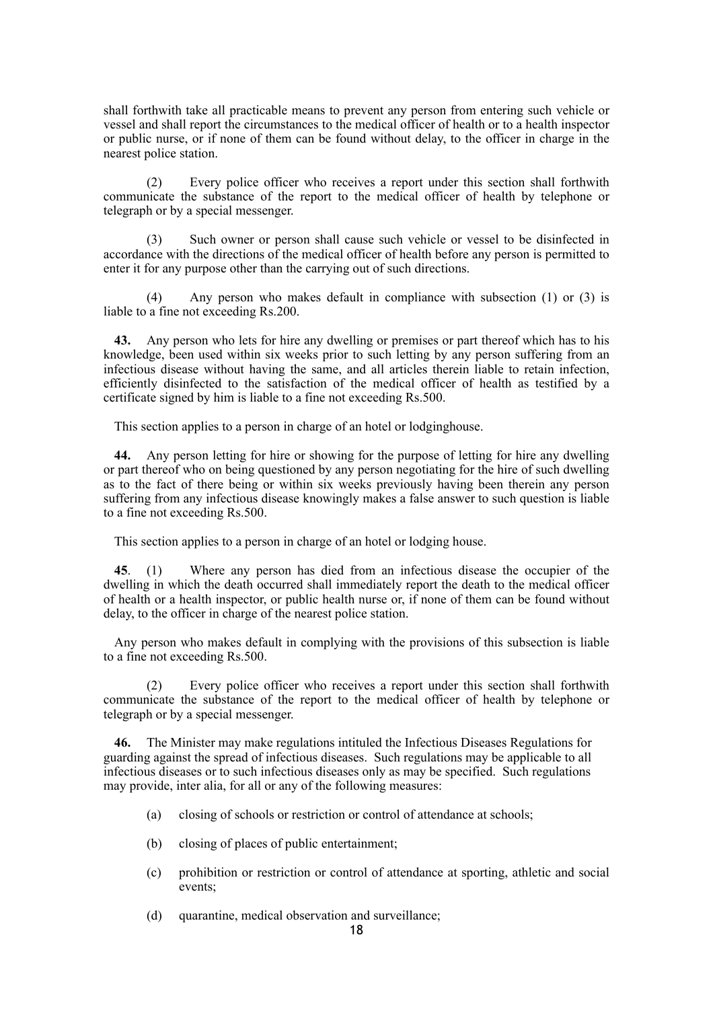shall forthwith take all practicable means to prevent any person from entering such vehicle or vessel and shall report the circumstances to the medical officer of health or to a health inspector or public nurse, or if none of them can be found without delay, to the officer in charge in the nearest police station.

(2) Every police officer who receives a report under this section shall forthwith communicate the substance of the report to the medical officer of health by telephone or telegraph or by a special messenger.

(3) Such owner or person shall cause such vehicle or vessel to be disinfected in accordance with the directions of the medical officer of health before any person is permitted to enter it for any purpose other than the carrying out of such directions.

(4) Any person who makes default in compliance with subsection (1) or (3) is liable to a fine not exceeding Rs.200.

**43.** Any person who lets for hire any dwelling or premises or part thereof which has to his knowledge, been used within six weeks prior to such letting by any person suffering from an infectious disease without having the same, and all articles therein liable to retain infection, efficiently disinfected to the satisfaction of the medical officer of health as testified by a certificate signed by him is liable to a fine not exceeding Rs.500.

This section applies to a person in charge of an hotel or lodginghouse.

**44.** Any person letting for hire or showing for the purpose of letting for hire any dwelling or part thereof who on being questioned by any person negotiating for the hire of such dwelling as to the fact of there being or within six weeks previously having been therein any person suffering from any infectious disease knowingly makes a false answer to such question is liable to a fine not exceeding Rs.500.

This section applies to a person in charge of an hotel or lodging house.

**45**. (1) Where any person has died from an infectious disease the occupier of the dwelling in which the death occurred shall immediately report the death to the medical officer of health or a health inspector, or public health nurse or, if none of them can be found without delay, to the officer in charge of the nearest police station.

Any person who makes default in complying with the provisions of this subsection is liable to a fine not exceeding Rs.500.

(2) Every police officer who receives a report under this section shall forthwith communicate the substance of the report to the medical officer of health by telephone or telegraph or by a special messenger.

**46.** The Minister may make regulations intituled the Infectious Diseases Regulations for guarding against the spread of infectious diseases. Such regulations may be applicable to all infectious diseases or to such infectious diseases only as may be specified. Such regulations may provide, inter alia, for all or any of the following measures:

- (a) closing of schools or restriction or control of attendance at schools;
- (b) closing of places of public entertainment;
- (c) prohibition or restriction or control of attendance at sporting, athletic and social events;
- (d) quarantine, medical observation and surveillance;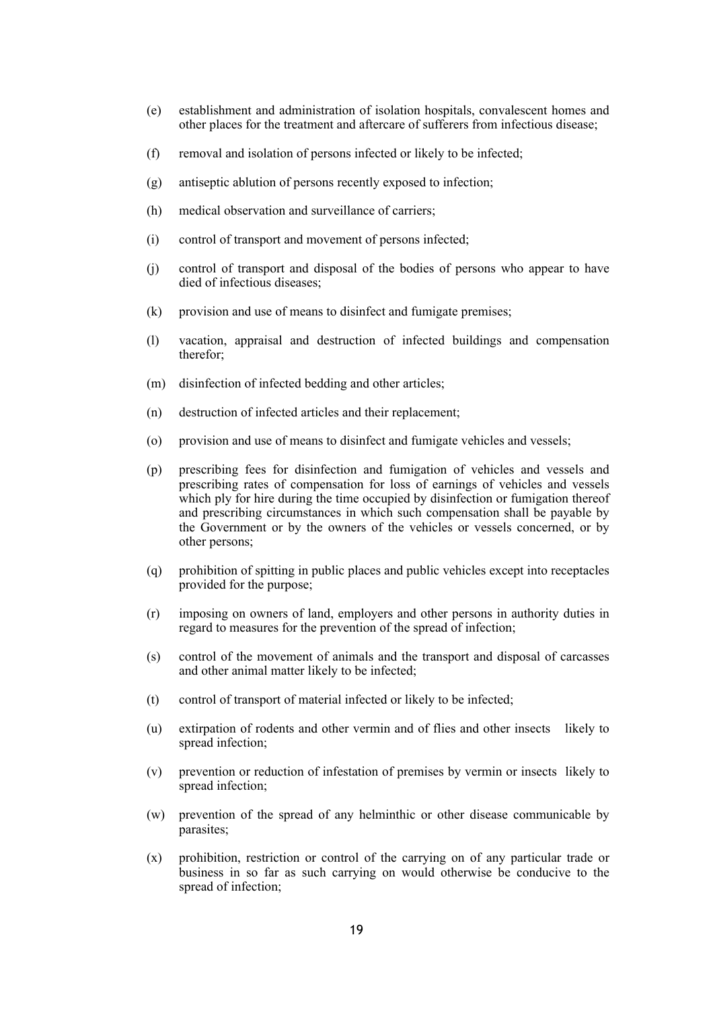- (e) establishment and administration of isolation hospitals, convalescent homes and other places for the treatment and aftercare of sufferers from infectious disease;
- (f) removal and isolation of persons infected or likely to be infected;
- (g) antiseptic ablution of persons recently exposed to infection;
- (h) medical observation and surveillance of carriers;
- (i) control of transport and movement of persons infected;
- (j) control of transport and disposal of the bodies of persons who appear to have died of infectious diseases;
- (k) provision and use of means to disinfect and fumigate premises;
- (l) vacation, appraisal and destruction of infected buildings and compensation therefor;
- (m) disinfection of infected bedding and other articles;
- (n) destruction of infected articles and their replacement;
- (o) provision and use of means to disinfect and fumigate vehicles and vessels;
- (p) prescribing fees for disinfection and fumigation of vehicles and vessels and prescribing rates of compensation for loss of earnings of vehicles and vessels which ply for hire during the time occupied by disinfection or fumigation thereof and prescribing circumstances in which such compensation shall be payable by the Government or by the owners of the vehicles or vessels concerned, or by other persons;
- (q) prohibition of spitting in public places and public vehicles except into receptacles provided for the purpose;
- (r) imposing on owners of land, employers and other persons in authority duties in regard to measures for the prevention of the spread of infection;
- (s) control of the movement of animals and the transport and disposal of carcasses and other animal matter likely to be infected;
- (t) control of transport of material infected or likely to be infected;
- (u) extirpation of rodents and other vermin and of flies and other insects likely to spread infection;
- (v) prevention or reduction of infestation of premises by vermin or insects likely to spread infection;
- (w) prevention of the spread of any helminthic or other disease communicable by parasites;
- (x) prohibition, restriction or control of the carrying on of any particular trade or business in so far as such carrying on would otherwise be conducive to the spread of infection;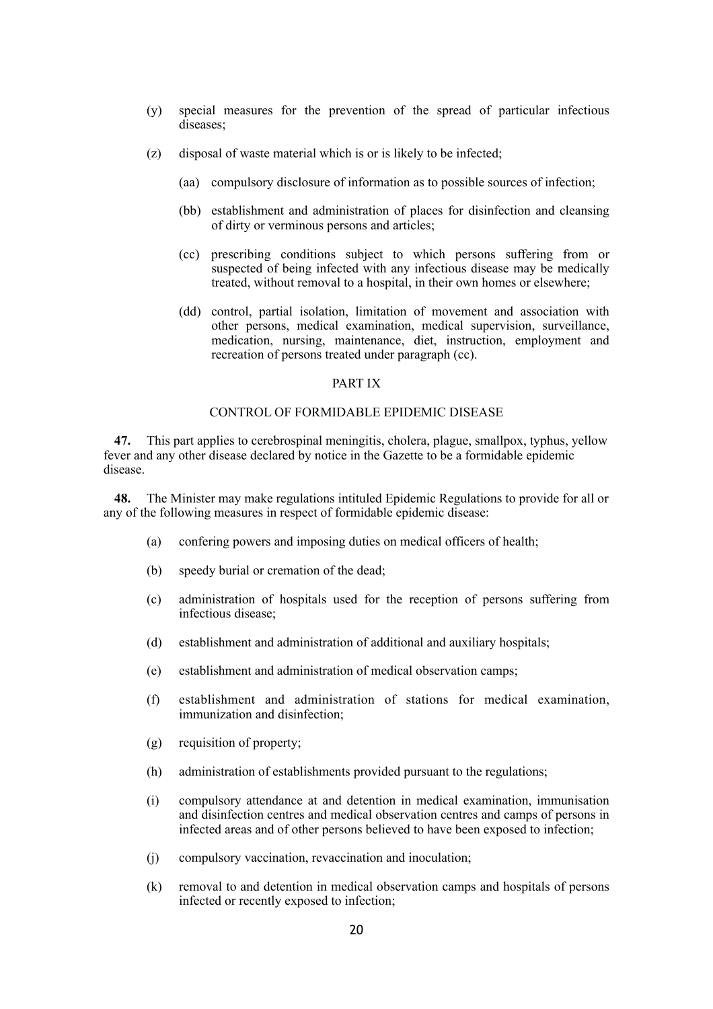- (y) special measures for the prevention of the spread of particular infectious diseases;
- (z) disposal of waste material which is or is likely to be infected;
	- (aa) compulsory disclosure of information as to possible sources of infection;
	- (bb) establishment and administration of places for disinfection and cleansing of dirty or verminous persons and articles;
	- (cc) prescribing conditions subject to which persons suffering from or suspected of being infected with any infectious disease may be medically treated, without removal to a hospital, in their own homes or elsewhere;
	- (dd) control, partial isolation, limitation of movement and association with other persons, medical examination, medical supervision, surveillance, medication, nursing, maintenance, diet, instruction, employment and recreation of persons treated under paragraph (cc).

#### PART IX

### CONTROL OF FORMIDABLE EPIDEMIC DISEASE

**47.** This part applies to cerebrospinal meningitis, cholera, plague, smallpox, typhus, yellow fever and any other disease declared by notice in the Gazette to be a formidable epidemic disease.

**48.** The Minister may make regulations intituled Epidemic Regulations to provide for all or any of the following measures in respect of formidable epidemic disease:

- (a) confering powers and imposing duties on medical officers of health;
- (b) speedy burial or cremation of the dead;
- (c) administration of hospitals used for the reception of persons suffering from infectious disease;
- (d) establishment and administration of additional and auxiliary hospitals;
- (e) establishment and administration of medical observation camps;
- (f) establishment and administration of stations for medical examination, immunization and disinfection;
- (g) requisition of property;
- (h) administration of establishments provided pursuant to the regulations;
- (i) compulsory attendance at and detention in medical examination, immunisation and disinfection centres and medical observation centres and camps of persons in infected areas and of other persons believed to have been exposed to infection;
- (j) compulsory vaccination, revaccination and inoculation;
- (k) removal to and detention in medical observation camps and hospitals of persons infected or recently exposed to infection;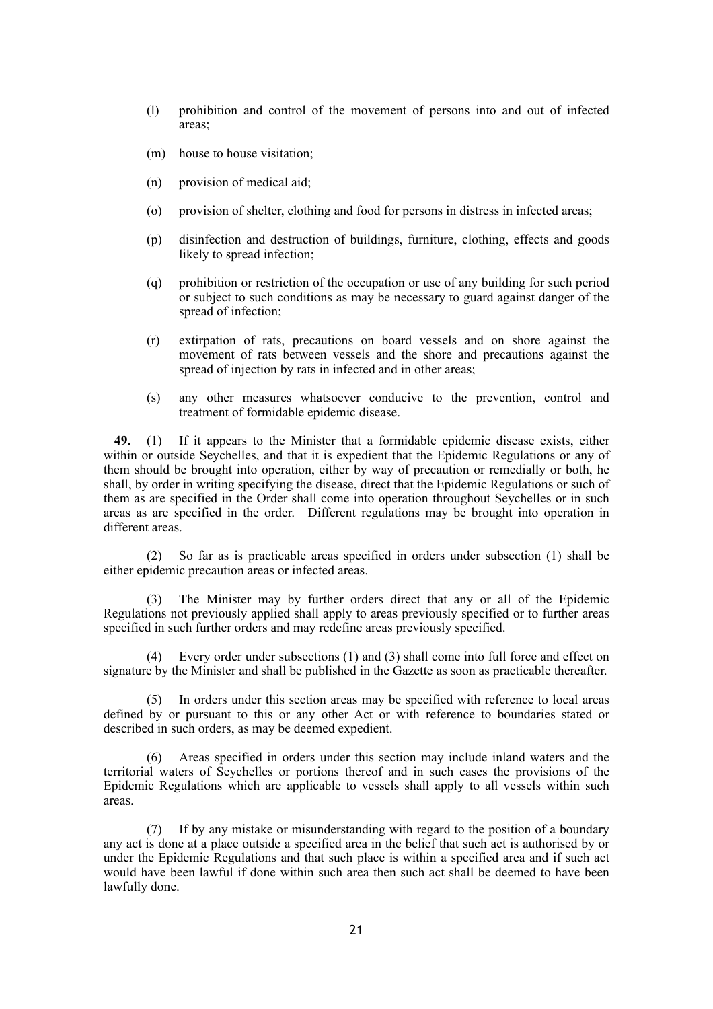- (l) prohibition and control of the movement of persons into and out of infected areas;
- (m) house to house visitation;
- (n) provision of medical aid;
- (o) provision of shelter, clothing and food for persons in distress in infected areas;
- (p) disinfection and destruction of buildings, furniture, clothing, effects and goods likely to spread infection;
- (q) prohibition or restriction of the occupation or use of any building for such period or subject to such conditions as may be necessary to guard against danger of the spread of infection;
- (r) extirpation of rats, precautions on board vessels and on shore against the movement of rats between vessels and the shore and precautions against the spread of injection by rats in infected and in other areas;
- (s) any other measures whatsoever conducive to the prevention, control and treatment of formidable epidemic disease.

**49.** (1) If it appears to the Minister that a formidable epidemic disease exists, either within or outside Seychelles, and that it is expedient that the Epidemic Regulations or any of them should be brought into operation, either by way of precaution or remedially or both, he shall, by order in writing specifying the disease, direct that the Epidemic Regulations or such of them as are specified in the Order shall come into operation throughout Seychelles or in such areas as are specified in the order. Different regulations may be brought into operation in different areas.

(2) So far as is practicable areas specified in orders under subsection (1) shall be either epidemic precaution areas or infected areas.

(3) The Minister may by further orders direct that any or all of the Epidemic Regulations not previously applied shall apply to areas previously specified or to further areas specified in such further orders and may redefine areas previously specified.

(4) Every order under subsections (1) and (3) shall come into full force and effect on signature by the Minister and shall be published in the Gazette as soon as practicable thereafter.

(5) In orders under this section areas may be specified with reference to local areas defined by or pursuant to this or any other Act or with reference to boundaries stated or described in such orders, as may be deemed expedient.

(6) Areas specified in orders under this section may include inland waters and the territorial waters of Seychelles or portions thereof and in such cases the provisions of the Epidemic Regulations which are applicable to vessels shall apply to all vessels within such areas.

(7) If by any mistake or misunderstanding with regard to the position of a boundary any act is done at a place outside a specified area in the belief that such act is authorised by or under the Epidemic Regulations and that such place is within a specified area and if such act would have been lawful if done within such area then such act shall be deemed to have been lawfully done.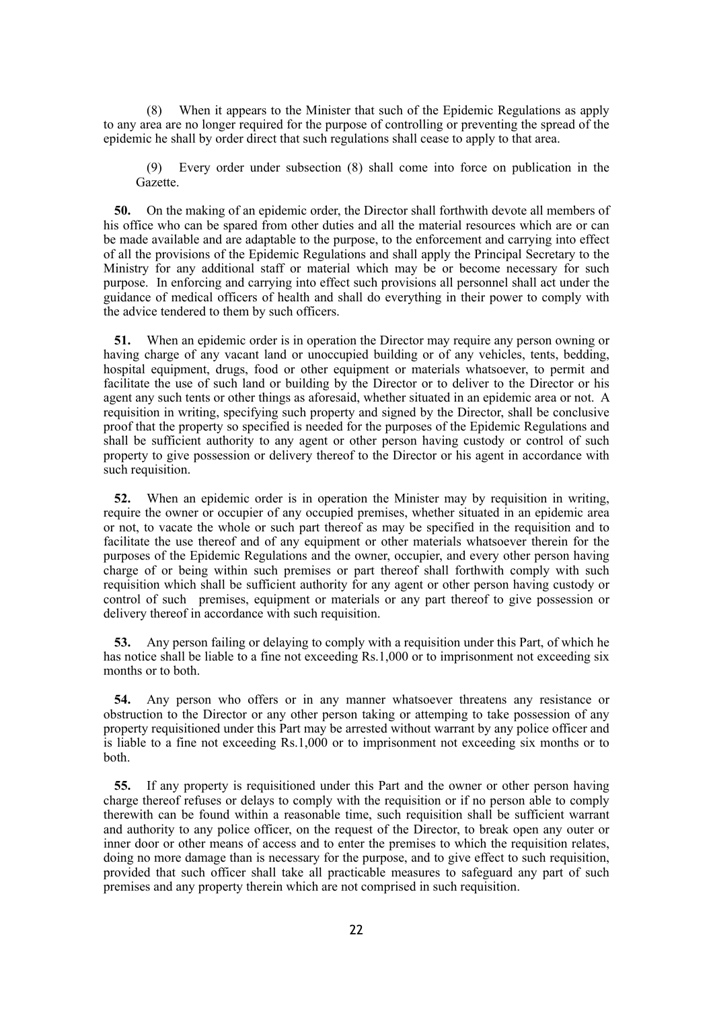(8) When it appears to the Minister that such of the Epidemic Regulations as apply to any area are no longer required for the purpose of controlling or preventing the spread of the epidemic he shall by order direct that such regulations shall cease to apply to that area.

(9) Every order under subsection (8) shall come into force on publication in the Gazette.

**50.** On the making of an epidemic order, the Director shall forthwith devote all members of his office who can be spared from other duties and all the material resources which are or can be made available and are adaptable to the purpose, to the enforcement and carrying into effect of all the provisions of the Epidemic Regulations and shall apply the Principal Secretary to the Ministry for any additional staff or material which may be or become necessary for such purpose. In enforcing and carrying into effect such provisions all personnel shall act under the guidance of medical officers of health and shall do everything in their power to comply with the advice tendered to them by such officers.

**51.** When an epidemic order is in operation the Director may require any person owning or having charge of any vacant land or unoccupied building or of any vehicles, tents, bedding, hospital equipment, drugs, food or other equipment or materials whatsoever, to permit and facilitate the use of such land or building by the Director or to deliver to the Director or his agent any such tents or other things as aforesaid, whether situated in an epidemic area or not. A requisition in writing, specifying such property and signed by the Director, shall be conclusive proof that the property so specified is needed for the purposes of the Epidemic Regulations and shall be sufficient authority to any agent or other person having custody or control of such property to give possession or delivery thereof to the Director or his agent in accordance with such requisition.

**52.** When an epidemic order is in operation the Minister may by requisition in writing, require the owner or occupier of any occupied premises, whether situated in an epidemic area or not, to vacate the whole or such part thereof as may be specified in the requisition and to facilitate the use thereof and of any equipment or other materials whatsoever therein for the purposes of the Epidemic Regulations and the owner, occupier, and every other person having charge of or being within such premises or part thereof shall forthwith comply with such requisition which shall be sufficient authority for any agent or other person having custody or control of such premises, equipment or materials or any part thereof to give possession or delivery thereof in accordance with such requisition.

**53.** Any person failing or delaying to comply with a requisition under this Part, of which he has notice shall be liable to a fine not exceeding Rs.1,000 or to imprisonment not exceeding six months or to both.

**54.** Any person who offers or in any manner whatsoever threatens any resistance or obstruction to the Director or any other person taking or attemping to take possession of any property requisitioned under this Part may be arrested without warrant by any police officer and is liable to a fine not exceeding Rs.1,000 or to imprisonment not exceeding six months or to both.

**55.** If any property is requisitioned under this Part and the owner or other person having charge thereof refuses or delays to comply with the requisition or if no person able to comply therewith can be found within a reasonable time, such requisition shall be sufficient warrant and authority to any police officer, on the request of the Director, to break open any outer or inner door or other means of access and to enter the premises to which the requisition relates, doing no more damage than is necessary for the purpose, and to give effect to such requisition, provided that such officer shall take all practicable measures to safeguard any part of such premises and any property therein which are not comprised in such requisition.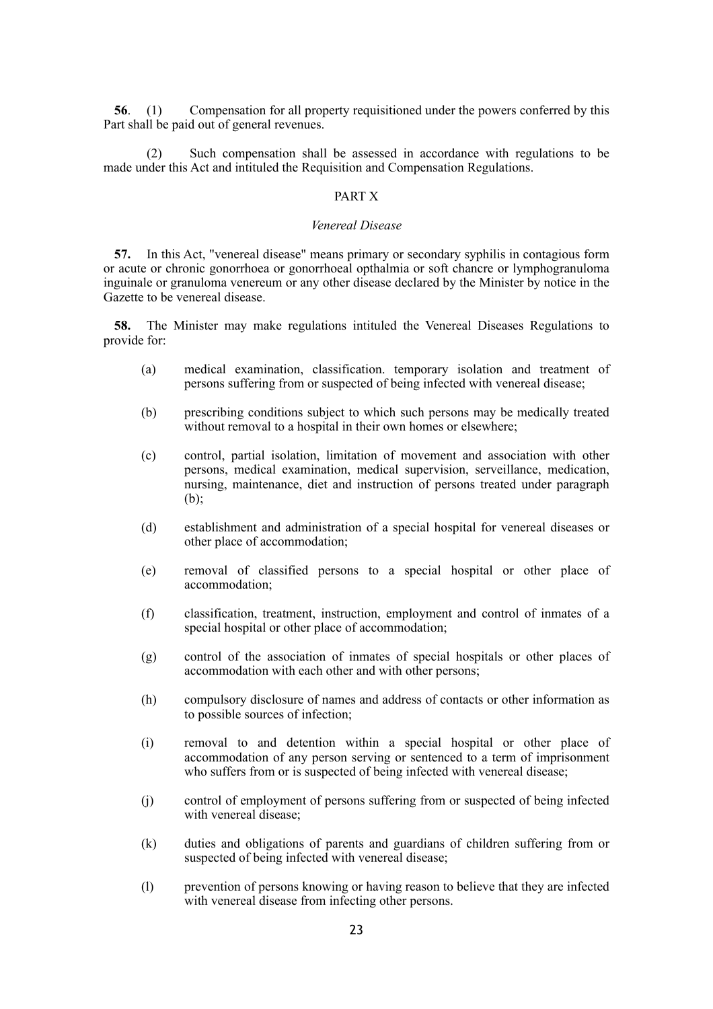**56**. (1) Compensation for all property requisitioned under the powers conferred by this Part shall be paid out of general revenues.

(2) Such compensation shall be assessed in accordance with regulations to be made under this Act and intituled the Requisition and Compensation Regulations.

### PART X

#### *Venereal Disease*

**57.** In this Act, "venereal disease" means primary or secondary syphilis in contagious form or acute or chronic gonorrhoea or gonorrhoeal opthalmia or soft chancre or lymphogranuloma inguinale or granuloma venereum or any other disease declared by the Minister by notice in the Gazette to be venereal disease.

**58.** The Minister may make regulations intituled the Venereal Diseases Regulations to provide for:

- (a) medical examination, classification. temporary isolation and treatment of persons suffering from or suspected of being infected with venereal disease;
- (b) prescribing conditions subject to which such persons may be medically treated without removal to a hospital in their own homes or elsewhere;
- (c) control, partial isolation, limitation of movement and association with other persons, medical examination, medical supervision, serveillance, medication, nursing, maintenance, diet and instruction of persons treated under paragraph (b);
- (d) establishment and administration of a special hospital for venereal diseases or other place of accommodation;
- (e) removal of classified persons to a special hospital or other place of accommodation;
- (f) classification, treatment, instruction, employment and control of inmates of a special hospital or other place of accommodation;
- (g) control of the association of inmates of special hospitals or other places of accommodation with each other and with other persons;
- (h) compulsory disclosure of names and address of contacts or other information as to possible sources of infection;
- (i) removal to and detention within a special hospital or other place of accommodation of any person serving or sentenced to a term of imprisonment who suffers from or is suspected of being infected with venereal disease;
- (j) control of employment of persons suffering from or suspected of being infected with venereal disease;
- (k) duties and obligations of parents and guardians of children suffering from or suspected of being infected with venereal disease;
- (l) prevention of persons knowing or having reason to believe that they are infected with venereal disease from infecting other persons.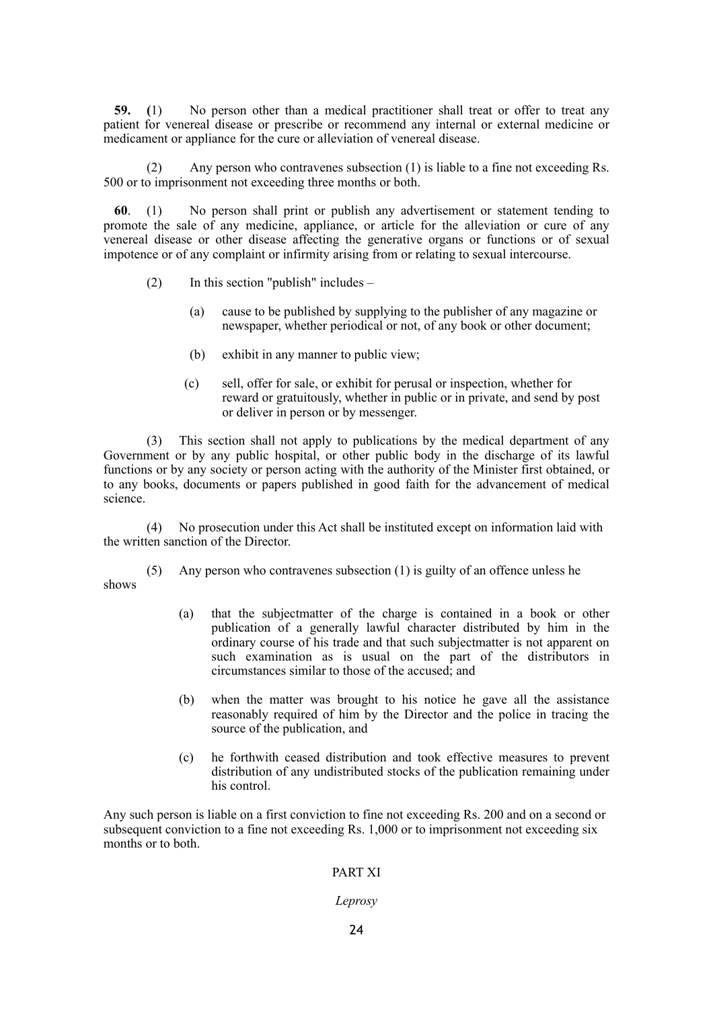**59. (**1) No person other than a medical practitioner shall treat or offer to treat any patient for venereal disease or prescribe or recommend any internal or external medicine or medicament or appliance for the cure or alleviation of venereal disease.

(2) Any person who contravenes subsection (1) is liable to a fine not exceeding Rs. 500 or to imprisonment not exceeding three months or both.

**60**. (1) No person shall print or publish any advertisement or statement tending to promote the sale of any medicine, appliance, or article for the alleviation or cure of any venereal disease or other disease affecting the generative organs or functions or of sexual impotence or of any complaint or infirmity arising from or relating to sexual intercourse.

- (2) In this section "publish" includes  $-$ 
	- (a) cause to be published by supplying to the publisher of any magazine or newspaper, whether periodical or not, of any book or other document;
	- (b) exhibit in any manner to public view;
	- (c) sell, offer for sale, or exhibit for perusal or inspection, whether for reward or gratuitously, whether in public or in private, and send by post or deliver in person or by messenger.

(3) This section shall not apply to publications by the medical department of any Government or by any public hospital, or other public body in the discharge of its lawful functions or by any society or person acting with the authority of the Minister first obtained, or to any books, documents or papers published in good faith for the advancement of medical science.

(4) No prosecution under this Act shall be instituted except on information laid with the written sanction of the Director.

(5) Any person who contravenes subsection (1) is guilty of an offence unless he

shows

- (a) that the subjectmatter of the charge is contained in a book or other publication of a generally lawful character distributed by him in the ordinary course of his trade and that such subjectmatter is not apparent on such examination as is usual on the part of the distributors in circumstances similar to those of the accused; and
- (b) when the matter was brought to his notice he gave all the assistance reasonably required of him by the Director and the police in tracing the source of the publication, and
- (c) he forthwith ceased distribution and took effective measures to prevent distribution of any undistributed stocks of the publication remaining under his control.

Any such person is liable on a first conviction to fine not exceeding Rs. 200 and on a second or subsequent conviction to a fine not exceeding Rs. 1,000 or to imprisonment not exceeding six months or to both.

### PART XI

#### *Leprosy*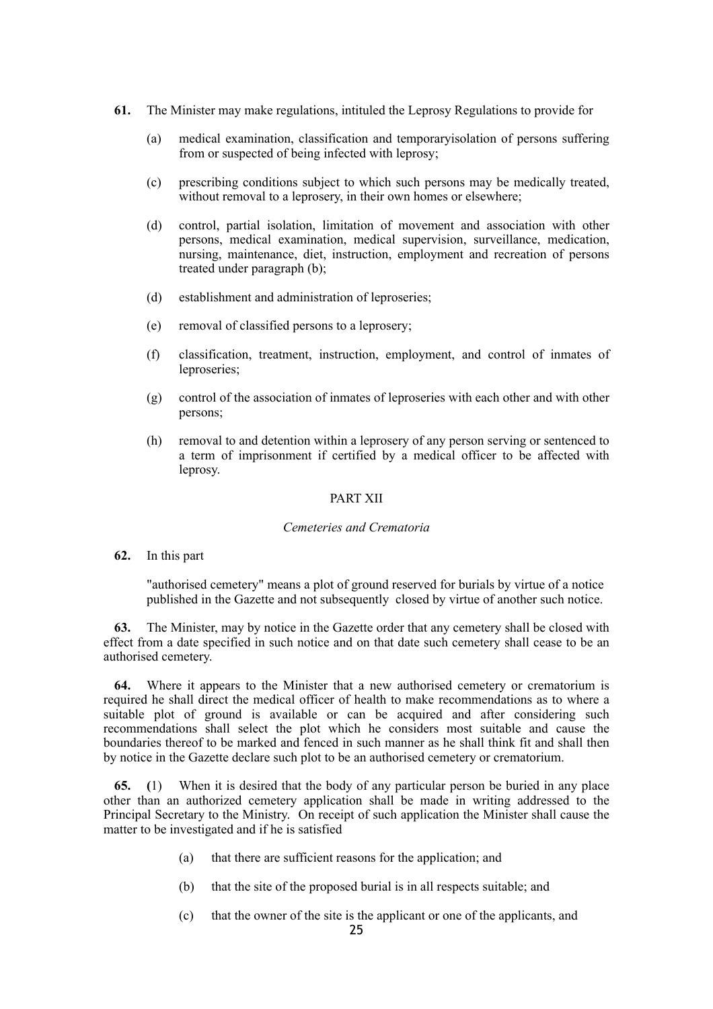- **61.** The Minister may make regulations, intituled the Leprosy Regulations to provide for
	- (a) medical examination, classification and temporaryisolation of persons suffering from or suspected of being infected with leprosy;
	- (c) prescribing conditions subject to which such persons may be medically treated, without removal to a leprosery, in their own homes or elsewhere;
	- (d) control, partial isolation, limitation of movement and association with other persons, medical examination, medical supervision, surveillance, medication, nursing, maintenance, diet, instruction, employment and recreation of persons treated under paragraph (b);
	- (d) establishment and administration of leproseries;
	- (e) removal of classified persons to a leprosery;
	- (f) classification, treatment, instruction, employment, and control of inmates of leproseries;
	- (g) control of the association of inmates of leproseries with each other and with other persons;
	- (h) removal to and detention within a leprosery of any person serving or sentenced to a term of imprisonment if certified by a medical officer to be affected with leprosy.

#### PART XII

#### *Cemeteries and Crematoria*

**62.** In this part

"authorised cemetery" means a plot of ground reserved for burials by virtue of a notice published in the Gazette and not subsequently closed by virtue of another such notice.

**63.** The Minister, may by notice in the Gazette order that any cemetery shall be closed with effect from a date specified in such notice and on that date such cemetery shall cease to be an authorised cemetery.

**64.** Where it appears to the Minister that a new authorised cemetery or crematorium is required he shall direct the medical officer of health to make recommendations as to where a suitable plot of ground is available or can be acquired and after considering such recommendations shall select the plot which he considers most suitable and cause the boundaries thereof to be marked and fenced in such manner as he shall think fit and shall then by notice in the Gazette declare such plot to be an authorised cemetery or crematorium.

**65. (**1) When it is desired that the body of any particular person be buried in any place other than an authorized cemetery application shall be made in writing addressed to the Principal Secretary to the Ministry. On receipt of such application the Minister shall cause the matter to be investigated and if he is satisfied

- (a) that there are sufficient reasons for the application; and
- (b) that the site of the proposed burial is in all respects suitable; and
- (c) that the owner of the site is the applicant or one of the applicants, and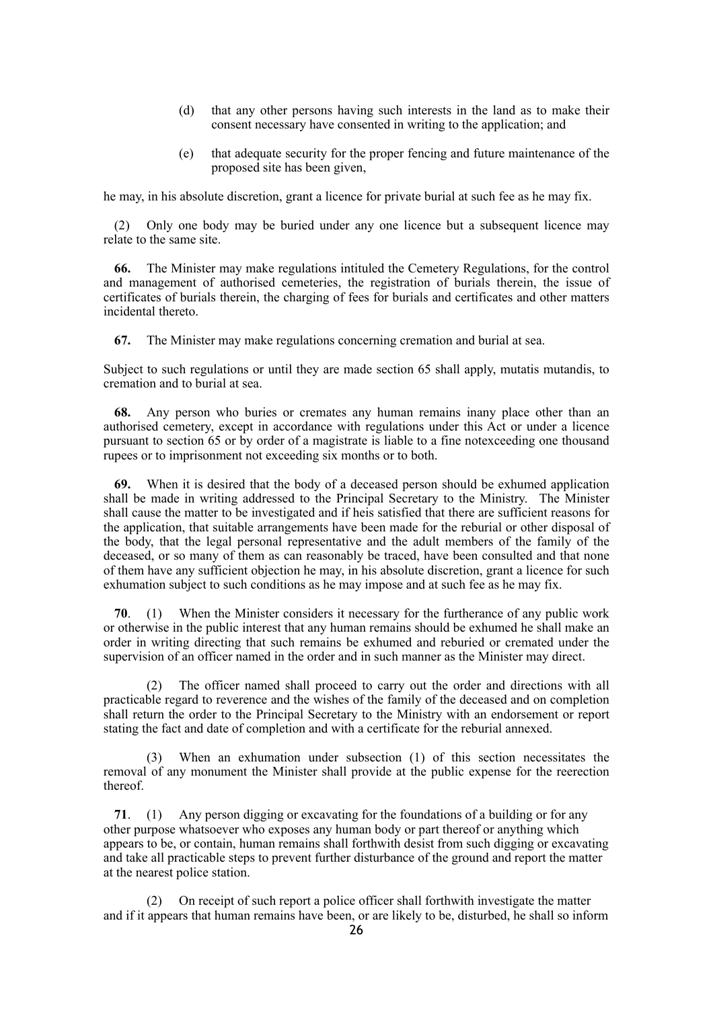- (d) that any other persons having such interests in the land as to make their consent necessary have consented in writing to the application; and
- (e) that adequate security for the proper fencing and future maintenance of the proposed site has been given,

he may, in his absolute discretion, grant a licence for private burial at such fee as he may fix.

(2) Only one body may be buried under any one licence but a subsequent licence may relate to the same site.

**66.** The Minister may make regulations intituled the Cemetery Regulations, for the control and management of authorised cemeteries, the registration of burials therein, the issue of certificates of burials therein, the charging of fees for burials and certificates and other matters incidental thereto.

**67.** The Minister may make regulations concerning cremation and burial at sea.

Subject to such regulations or until they are made section 65 shall apply, mutatis mutandis, to cremation and to burial at sea.

**68.** Any person who buries or cremates any human remains inany place other than an authorised cemetery, except in accordance with regulations under this Act or under a licence pursuant to section 65 or by order of a magistrate is liable to a fine notexceeding one thousand rupees or to imprisonment not exceeding six months or to both.

**69.** When it is desired that the body of a deceased person should be exhumed application shall be made in writing addressed to the Principal Secretary to the Ministry. The Minister shall cause the matter to be investigated and if heis satisfied that there are sufficient reasons for the application, that suitable arrangements have been made for the reburial or other disposal of the body, that the legal personal representative and the adult members of the family of the deceased, or so many of them as can reasonably be traced, have been consulted and that none of them have any sufficient objection he may, in his absolute discretion, grant a licence for such exhumation subject to such conditions as he may impose and at such fee as he may fix.

**70**. (1) When the Minister considers it necessary for the furtherance of any public work or otherwise in the public interest that any human remains should be exhumed he shall make an order in writing directing that such remains be exhumed and reburied or cremated under the supervision of an officer named in the order and in such manner as the Minister may direct.

(2) The officer named shall proceed to carry out the order and directions with all practicable regard to reverence and the wishes of the family of the deceased and on completion shall return the order to the Principal Secretary to the Ministry with an endorsement or report stating the fact and date of completion and with a certificate for the reburial annexed.

(3) When an exhumation under subsection (1) of this section necessitates the removal of any monument the Minister shall provide at the public expense for the reerection thereof.

**71**. (1) Any person digging or excavating for the foundations of a building or for any other purpose whatsoever who exposes any human body or part thereof or anything which appears to be, or contain, human remains shall forthwith desist from such digging or excavating and take all practicable steps to prevent further disturbance of the ground and report the matter at the nearest police station.

(2) On receipt of such report a police officer shall forthwith investigate the matter and if it appears that human remains have been, or are likely to be, disturbed, he shall so inform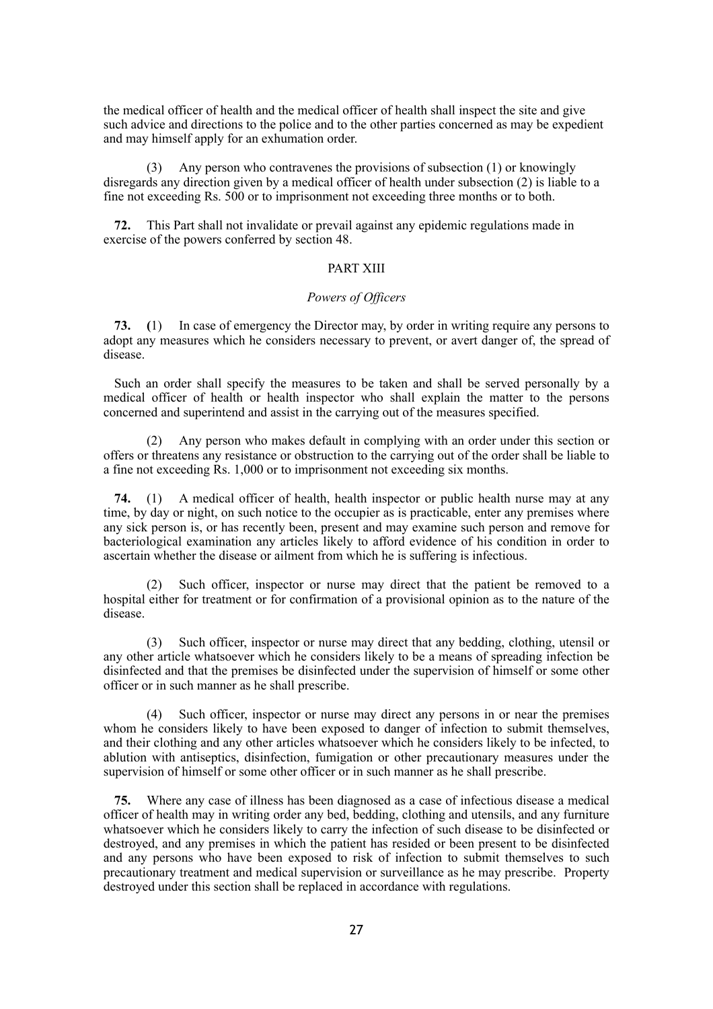the medical officer of health and the medical officer of health shall inspect the site and give such advice and directions to the police and to the other parties concerned as may be expedient and may himself apply for an exhumation order.

(3) Any person who contravenes the provisions of subsection (1) or knowingly disregards any direction given by a medical officer of health under subsection (2) is liable to a fine not exceeding Rs. 500 or to imprisonment not exceeding three months or to both.

**72.** This Part shall not invalidate or prevail against any epidemic regulations made in exercise of the powers conferred by section 48.

### PART XIII

### *Powers of Officers*

**73. (**1) In case of emergency the Director may, by order in writing require any persons to adopt any measures which he considers necessary to prevent, or avert danger of, the spread of disease.

Such an order shall specify the measures to be taken and shall be served personally by a medical officer of health or health inspector who shall explain the matter to the persons concerned and superintend and assist in the carrying out of the measures specified.

(2) Any person who makes default in complying with an order under this section or offers or threatens any resistance or obstruction to the carrying out of the order shall be liable to a fine not exceeding Rs. 1,000 or to imprisonment not exceeding six months.

**74.** (1) A medical officer of health, health inspector or public health nurse may at any time, by day or night, on such notice to the occupier as is practicable, enter any premises where any sick person is, or has recently been, present and may examine such person and remove for bacteriological examination any articles likely to afford evidence of his condition in order to ascertain whether the disease or ailment from which he is suffering is infectious.

(2) Such officer, inspector or nurse may direct that the patient be removed to a hospital either for treatment or for confirmation of a provisional opinion as to the nature of the disease.

(3) Such officer, inspector or nurse may direct that any bedding, clothing, utensil or any other article whatsoever which he considers likely to be a means of spreading infection be disinfected and that the premises be disinfected under the supervision of himself or some other officer or in such manner as he shall prescribe.

(4) Such officer, inspector or nurse may direct any persons in or near the premises whom he considers likely to have been exposed to danger of infection to submit themselves, and their clothing and any other articles whatsoever which he considers likely to be infected, to ablution with antiseptics, disinfection, fumigation or other precautionary measures under the supervision of himself or some other officer or in such manner as he shall prescribe.

**75.** Where any case of illness has been diagnosed as a case of infectious disease a medical officer of health may in writing order any bed, bedding, clothing and utensils, and any furniture whatsoever which he considers likely to carry the infection of such disease to be disinfected or destroyed, and any premises in which the patient has resided or been present to be disinfected and any persons who have been exposed to risk of infection to submit themselves to such precautionary treatment and medical supervision or surveillance as he may prescribe. Property destroyed under this section shall be replaced in accordance with regulations.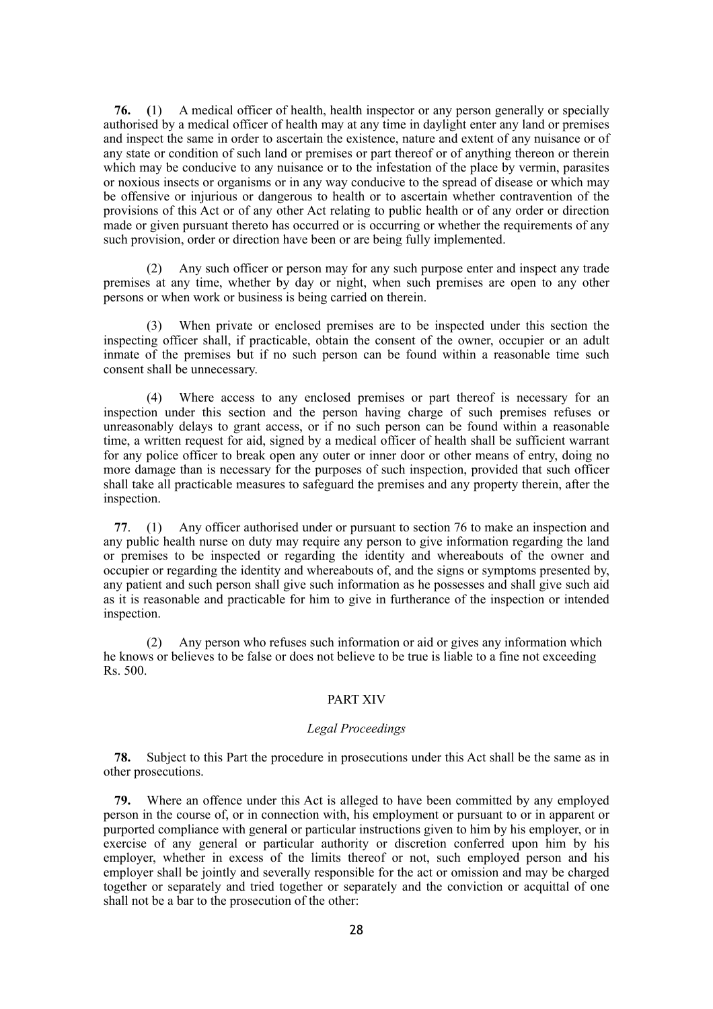**76. (**1) A medical officer of health, health inspector or any person generally or specially authorised by a medical officer of health may at any time in daylight enter any land or premises and inspect the same in order to ascertain the existence, nature and extent of any nuisance or of any state or condition of such land or premises or part thereof or of anything thereon or therein which may be conducive to any nuisance or to the infestation of the place by vermin, parasites or noxious insects or organisms or in any way conducive to the spread of disease or which may be offensive or injurious or dangerous to health or to ascertain whether contravention of the provisions of this Act or of any other Act relating to public health or of any order or direction made or given pursuant thereto has occurred or is occurring or whether the requirements of any such provision, order or direction have been or are being fully implemented.

(2) Any such officer or person may for any such purpose enter and inspect any trade premises at any time, whether by day or night, when such premises are open to any other persons or when work or business is being carried on therein.

(3) When private or enclosed premises are to be inspected under this section the inspecting officer shall, if practicable, obtain the consent of the owner, occupier or an adult inmate of the premises but if no such person can be found within a reasonable time such consent shall be unnecessary.

(4) Where access to any enclosed premises or part thereof is necessary for an inspection under this section and the person having charge of such premises refuses or unreasonably delays to grant access, or if no such person can be found within a reasonable time, a written request for aid, signed by a medical officer of health shall be sufficient warrant for any police officer to break open any outer or inner door or other means of entry, doing no more damage than is necessary for the purposes of such inspection, provided that such officer shall take all practicable measures to safeguard the premises and any property therein, after the inspection.

**77**. (1) Any officer authorised under or pursuant to section 76 to make an inspection and any public health nurse on duty may require any person to give information regarding the land or premises to be inspected or regarding the identity and whereabouts of the owner and occupier or regarding the identity and whereabouts of, and the signs or symptoms presented by, any patient and such person shall give such information as he possesses and shall give such aid as it is reasonable and practicable for him to give in furtherance of the inspection or intended inspection.

(2) Any person who refuses such information or aid or gives any information which he knows or believes to be false or does not believe to be true is liable to a fine not exceeding Rs. 500.

#### PART XIV

#### *Legal Proceedings*

**78.** Subject to this Part the procedure in prosecutions under this Act shall be the same as in other prosecutions.

**79.** Where an offence under this Act is alleged to have been committed by any employed person in the course of, or in connection with, his employment or pursuant to or in apparent or purported compliance with general or particular instructions given to him by his employer, or in exercise of any general or particular authority or discretion conferred upon him by his employer, whether in excess of the limits thereof or not, such employed person and his employer shall be jointly and severally responsible for the act or omission and may be charged together or separately and tried together or separately and the conviction or acquittal of one shall not be a bar to the prosecution of the other: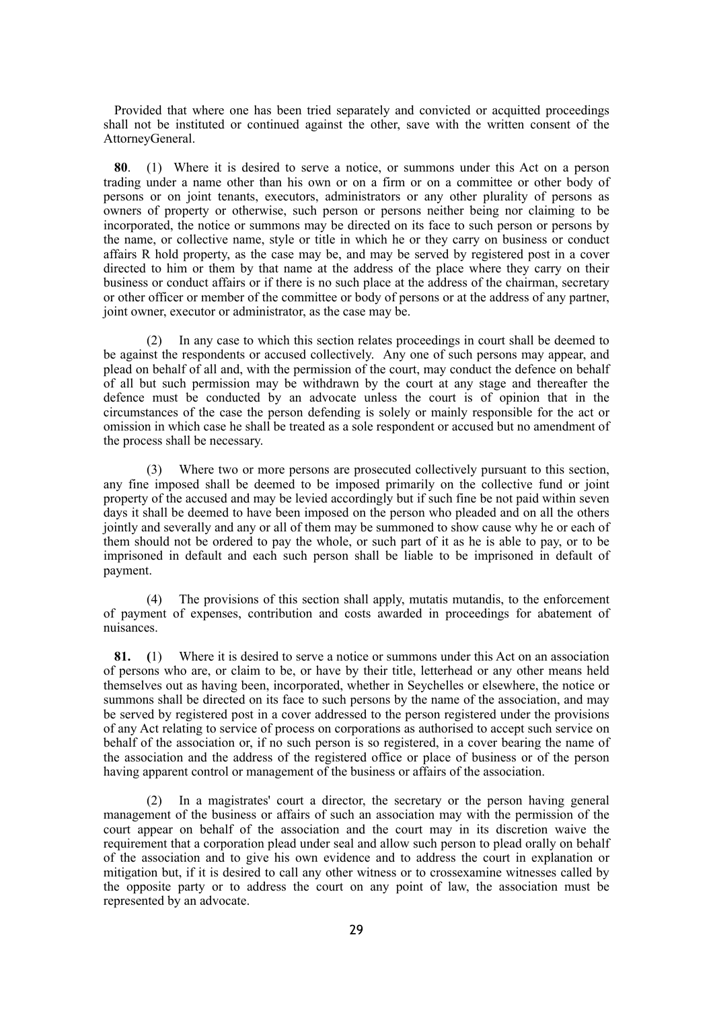Provided that where one has been tried separately and convicted or acquitted proceedings shall not be instituted or continued against the other, save with the written consent of the AttorneyGeneral.

**80**. (1) Where it is desired to serve a notice, or summons under this Act on a person trading under a name other than his own or on a firm or on a committee or other body of persons or on joint tenants, executors, administrators or any other plurality of persons as owners of property or otherwise, such person or persons neither being nor claiming to be incorporated, the notice or summons may be directed on its face to such person or persons by the name, or collective name, style or title in which he or they carry on business or conduct affairs R hold property, as the case may be, and may be served by registered post in a cover directed to him or them by that name at the address of the place where they carry on their business or conduct affairs or if there is no such place at the address of the chairman, secretary or other officer or member of the committee or body of persons or at the address of any partner, joint owner, executor or administrator, as the case may be.

(2) In any case to which this section relates proceedings in court shall be deemed to be against the respondents or accused collectively. Any one of such persons may appear, and plead on behalf of all and, with the permission of the court, may conduct the defence on behalf of all but such permission may be withdrawn by the court at any stage and thereafter the defence must be conducted by an advocate unless the court is of opinion that in the circumstances of the case the person defending is solely or mainly responsible for the act or omission in which case he shall be treated as a sole respondent or accused but no amendment of the process shall be necessary.

(3) Where two or more persons are prosecuted collectively pursuant to this section, any fine imposed shall be deemed to be imposed primarily on the collective fund or joint property of the accused and may be levied accordingly but if such fine be not paid within seven days it shall be deemed to have been imposed on the person who pleaded and on all the others jointly and severally and any or all of them may be summoned to show cause why he or each of them should not be ordered to pay the whole, or such part of it as he is able to pay, or to be imprisoned in default and each such person shall be liable to be imprisoned in default of payment.

(4) The provisions of this section shall apply, mutatis mutandis, to the enforcement of payment of expenses, contribution and costs awarded in proceedings for abatement of nuisances.

**81. (**1) Where it is desired to serve a notice or summons under this Act on an association of persons who are, or claim to be, or have by their title, letterhead or any other means held themselves out as having been, incorporated, whether in Seychelles or elsewhere, the notice or summons shall be directed on its face to such persons by the name of the association, and may be served by registered post in a cover addressed to the person registered under the provisions of any Act relating to service of process on corporations as authorised to accept such service on behalf of the association or, if no such person is so registered, in a cover bearing the name of the association and the address of the registered office or place of business or of the person having apparent control or management of the business or affairs of the association.

(2) In a magistrates' court a director, the secretary or the person having general management of the business or affairs of such an association may with the permission of the court appear on behalf of the association and the court may in its discretion waive the requirement that a corporation plead under seal and allow such person to plead orally on behalf of the association and to give his own evidence and to address the court in explanation or mitigation but, if it is desired to call any other witness or to crossexamine witnesses called by the opposite party or to address the court on any point of law, the association must be represented by an advocate.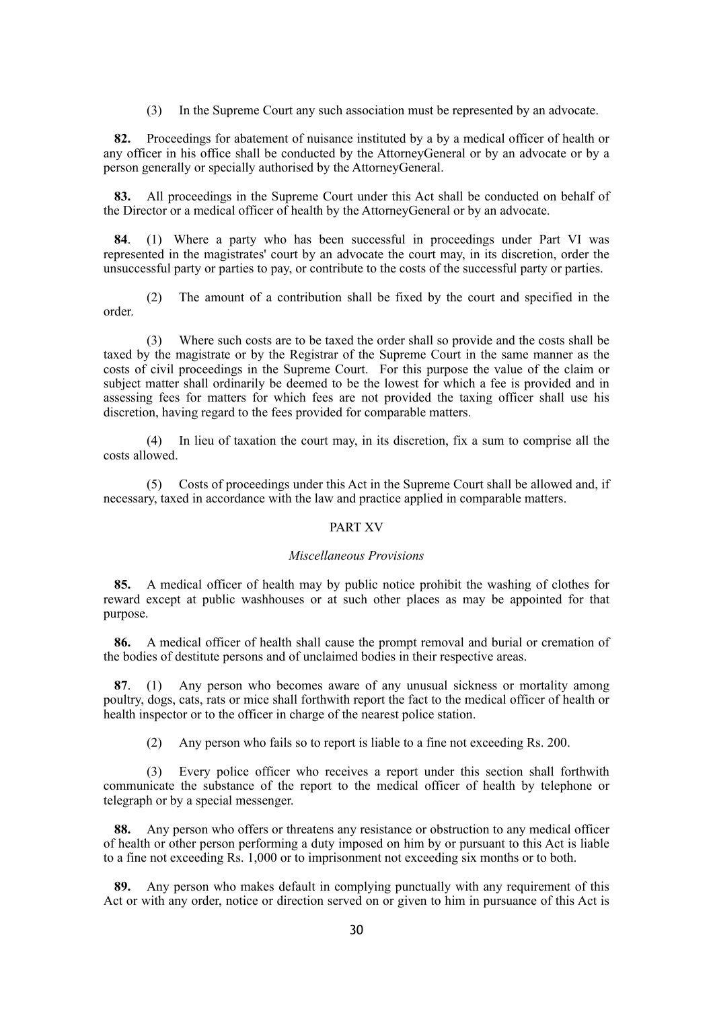(3) In the Supreme Court any such association must be represented by an advocate.

**82.** Proceedings for abatement of nuisance instituted by a by a medical officer of health or any officer in his office shall be conducted by the AttorneyGeneral or by an advocate or by a person generally or specially authorised by the AttorneyGeneral.

83. All proceedings in the Supreme Court under this Act shall be conducted on behalf of the Director or a medical officer of health by the AttorneyGeneral or by an advocate.

**84**. (1) Where a party who has been successful in proceedings under Part VI was represented in the magistrates' court by an advocate the court may, in its discretion, order the unsuccessful party or parties to pay, or contribute to the costs of the successful party or parties.

(2) The amount of a contribution shall be fixed by the court and specified in the order.

(3) Where such costs are to be taxed the order shall so provide and the costs shall be taxed by the magistrate or by the Registrar of the Supreme Court in the same manner as the costs of civil proceedings in the Supreme Court. For this purpose the value of the claim or subject matter shall ordinarily be deemed to be the lowest for which a fee is provided and in assessing fees for matters for which fees are not provided the taxing officer shall use his discretion, having regard to the fees provided for comparable matters.

(4) In lieu of taxation the court may, in its discretion, fix a sum to comprise all the costs allowed.

(5) Costs of proceedings under this Act in the Supreme Court shall be allowed and, if necessary, taxed in accordance with the law and practice applied in comparable matters.

#### PART XV

### *Miscellaneous Provisions*

**85.** A medical officer of health may by public notice prohibit the washing of clothes for reward except at public washhouses or at such other places as may be appointed for that purpose.

**86.** A medical officer of health shall cause the prompt removal and burial or cremation of the bodies of destitute persons and of unclaimed bodies in their respective areas.

**87**. (1) Any person who becomes aware of any unusual sickness or mortality among poultry, dogs, cats, rats or mice shall forthwith report the fact to the medical officer of health or health inspector or to the officer in charge of the nearest police station.

(2) Any person who fails so to report is liable to a fine not exceeding Rs. 200.

(3) Every police officer who receives a report under this section shall forthwith communicate the substance of the report to the medical officer of health by telephone or telegraph or by a special messenger.

**88.** Any person who offers or threatens any resistance or obstruction to any medical officer of health or other person performing a duty imposed on him by or pursuant to this Act is liable to a fine not exceeding Rs. 1,000 or to imprisonment not exceeding six months or to both.

**89.** Any person who makes default in complying punctually with any requirement of this Act or with any order, notice or direction served on or given to him in pursuance of this Act is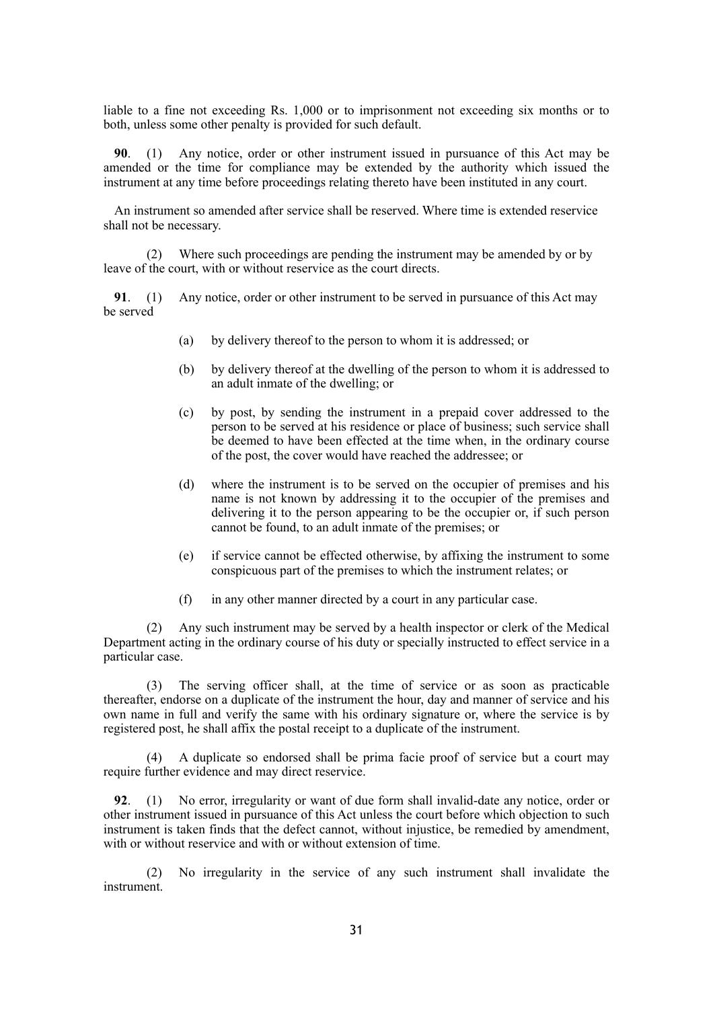liable to a fine not exceeding Rs. 1,000 or to imprisonment not exceeding six months or to both, unless some other penalty is provided for such default.

**90**. (1) Any notice, order or other instrument issued in pursuance of this Act may be amended or the time for compliance may be extended by the authority which issued the instrument at any time before proceedings relating thereto have been instituted in any court.

An instrument so amended after service shall be reserved. Where time is extended reservice shall not be necessary.

(2) Where such proceedings are pending the instrument may be amended by or by leave of the court, with or without reservice as the court directs.

**91**. (1) Any notice, order or other instrument to be served in pursuance of this Act may be served

- (a) by delivery thereof to the person to whom it is addressed; or
- (b) by delivery thereof at the dwelling of the person to whom it is addressed to an adult inmate of the dwelling; or
- (c) by post, by sending the instrument in a prepaid cover addressed to the person to be served at his residence or place of business; such service shall be deemed to have been effected at the time when, in the ordinary course of the post, the cover would have reached the addressee; or
- (d) where the instrument is to be served on the occupier of premises and his name is not known by addressing it to the occupier of the premises and delivering it to the person appearing to be the occupier or, if such person cannot be found, to an adult inmate of the premises; or
- (e) if service cannot be effected otherwise, by affixing the instrument to some conspicuous part of the premises to which the instrument relates; or
- (f) in any other manner directed by a court in any particular case.

(2) Any such instrument may be served by a health inspector or clerk of the Medical Department acting in the ordinary course of his duty or specially instructed to effect service in a particular case.

(3) The serving officer shall, at the time of service or as soon as practicable thereafter, endorse on a duplicate of the instrument the hour, day and manner of service and his own name in full and verify the same with his ordinary signature or, where the service is by registered post, he shall affix the postal receipt to a duplicate of the instrument.

(4) A duplicate so endorsed shall be prima facie proof of service but a court may require further evidence and may direct reservice.

**92**. (1) No error, irregularity or want of due form shall invalid-date any notice, order or other instrument issued in pursuance of this Act unless the court before which objection to such instrument is taken finds that the defect cannot, without injustice, be remedied by amendment, with or without reservice and with or without extension of time.

(2) No irregularity in the service of any such instrument shall invalidate the instrument.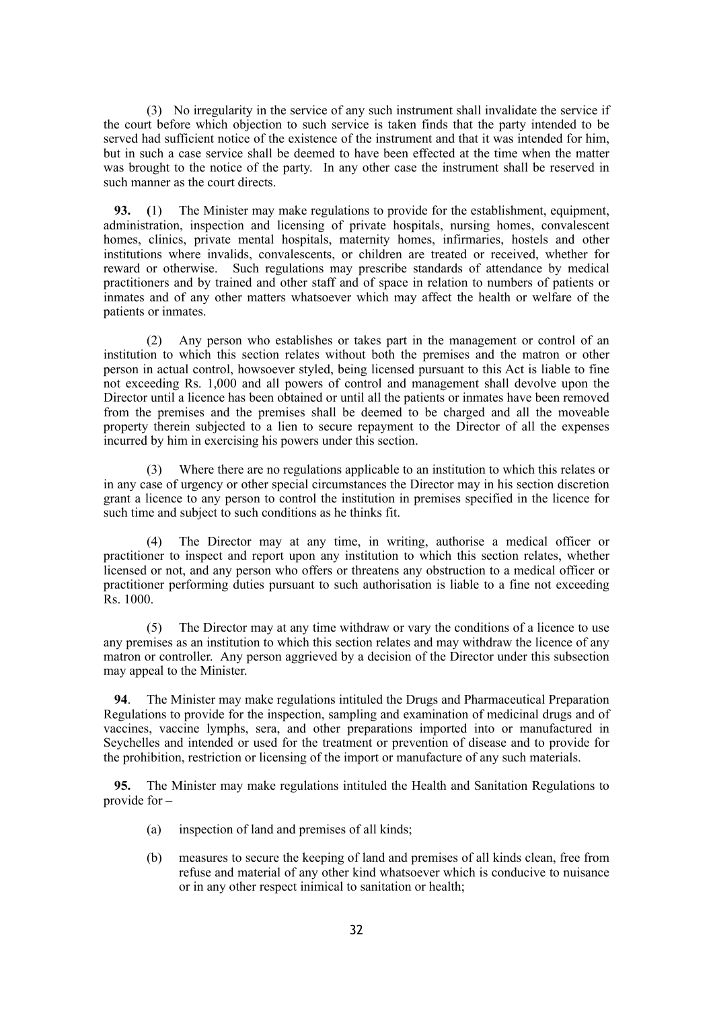(3) No irregularity in the service of any such instrument shall invalidate the service if the court before which objection to such service is taken finds that the party intended to be served had sufficient notice of the existence of the instrument and that it was intended for him, but in such a case service shall be deemed to have been effected at the time when the matter was brought to the notice of the party. In any other case the instrument shall be reserved in such manner as the court directs.

**93. (**1) The Minister may make regulations to provide for the establishment, equipment, administration, inspection and licensing of private hospitals, nursing homes, convalescent homes, clinics, private mental hospitals, maternity homes, infirmaries, hostels and other institutions where invalids, convalescents, or children are treated or received, whether for reward or otherwise. Such regulations may prescribe standards of attendance by medical practitioners and by trained and other staff and of space in relation to numbers of patients or inmates and of any other matters whatsoever which may affect the health or welfare of the patients or inmates.

(2) Any person who establishes or takes part in the management or control of an institution to which this section relates without both the premises and the matron or other person in actual control, howsoever styled, being licensed pursuant to this Act is liable to fine not exceeding Rs. 1,000 and all powers of control and management shall devolve upon the Director until a licence has been obtained or until all the patients or inmates have been removed from the premises and the premises shall be deemed to be charged and all the moveable property therein subjected to a lien to secure repayment to the Director of all the expenses incurred by him in exercising his powers under this section.

(3) Where there are no regulations applicable to an institution to which this relates or in any case of urgency or other special circumstances the Director may in his section discretion grant a licence to any person to control the institution in premises specified in the licence for such time and subject to such conditions as he thinks fit.

(4) The Director may at any time, in writing, authorise a medical officer or practitioner to inspect and report upon any institution to which this section relates, whether licensed or not, and any person who offers or threatens any obstruction to a medical officer or practitioner performing duties pursuant to such authorisation is liable to a fine not exceeding Rs. 1000.

(5) The Director may at any time withdraw or vary the conditions of a licence to use any premises as an institution to which this section relates and may withdraw the licence of any matron or controller. Any person aggrieved by a decision of the Director under this subsection may appeal to the Minister.

**94**. The Minister may make regulations intituled the Drugs and Pharmaceutical Preparation Regulations to provide for the inspection, sampling and examination of medicinal drugs and of vaccines, vaccine lymphs, sera, and other preparations imported into or manufactured in Seychelles and intended or used for the treatment or prevention of disease and to provide for the prohibition, restriction or licensing of the import or manufacture of any such materials.

**95.** The Minister may make regulations intituled the Health and Sanitation Regulations to provide for –

- (a) inspection of land and premises of all kinds;
- (b) measures to secure the keeping of land and premises of all kinds clean, free from refuse and material of any other kind whatsoever which is conducive to nuisance or in any other respect inimical to sanitation or health;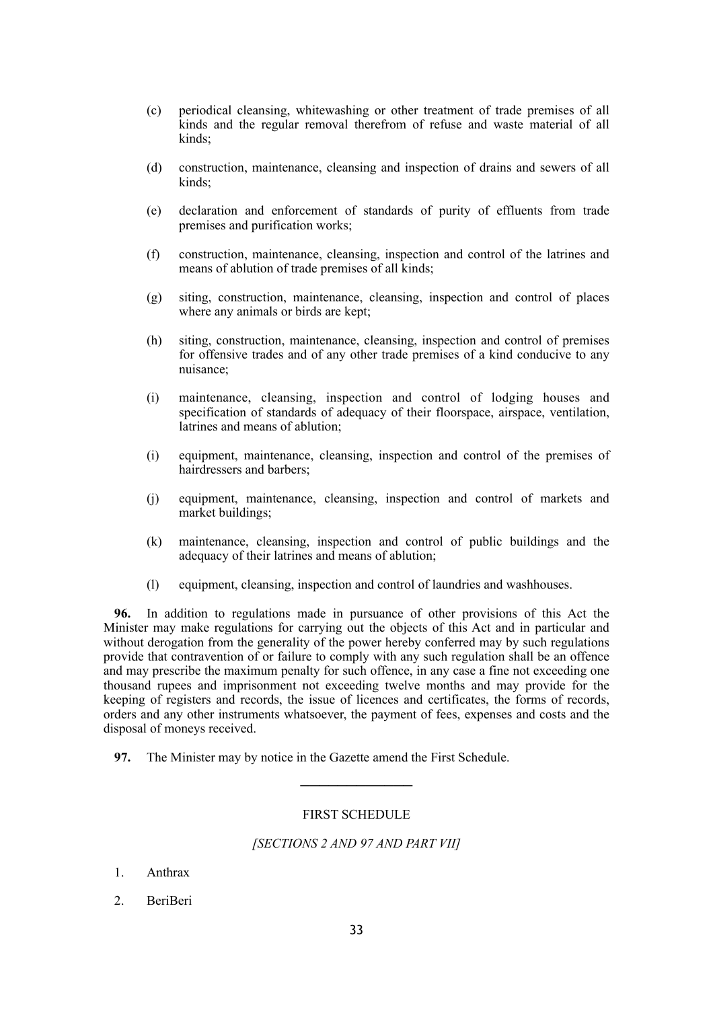- (c) periodical cleansing, whitewashing or other treatment of trade premises of all kinds and the regular removal therefrom of refuse and waste material of all kinds<sup>-</sup>
- (d) construction, maintenance, cleansing and inspection of drains and sewers of all kinds:
- (e) declaration and enforcement of standards of purity of effluents from trade premises and purification works;
- (f) construction, maintenance, cleansing, inspection and control of the latrines and means of ablution of trade premises of all kinds;
- (g) siting, construction, maintenance, cleansing, inspection and control of places where any animals or birds are kept;
- (h) siting, construction, maintenance, cleansing, inspection and control of premises for offensive trades and of any other trade premises of a kind conducive to any nuisance;
- (i) maintenance, cleansing, inspection and control of lodging houses and specification of standards of adequacy of their floorspace, airspace, ventilation, latrines and means of ablution;
- (i) equipment, maintenance, cleansing, inspection and control of the premises of hairdressers and barbers;
- (j) equipment, maintenance, cleansing, inspection and control of markets and market buildings;
- (k) maintenance, cleansing, inspection and control of public buildings and the adequacy of their latrines and means of ablution;
- (l) equipment, cleansing, inspection and control of laundries and washhouses.

**96.** In addition to regulations made in pursuance of other provisions of this Act the Minister may make regulations for carrying out the objects of this Act and in particular and without derogation from the generality of the power hereby conferred may by such regulations provide that contravention of or failure to comply with any such regulation shall be an offence and may prescribe the maximum penalty for such offence, in any case a fine not exceeding one thousand rupees and imprisonment not exceeding twelve months and may provide for the keeping of registers and records, the issue of licences and certificates, the forms of records, orders and any other instruments whatsoever, the payment of fees, expenses and costs and the disposal of moneys received.

**97.** The Minister may by notice in the Gazette amend the First Schedule.

#### FIRST SCHEDULE

────────────

#### *[SECTIONS 2 AND 97 AND PART VII]*

- 1. Anthrax
- 2. BeriBeri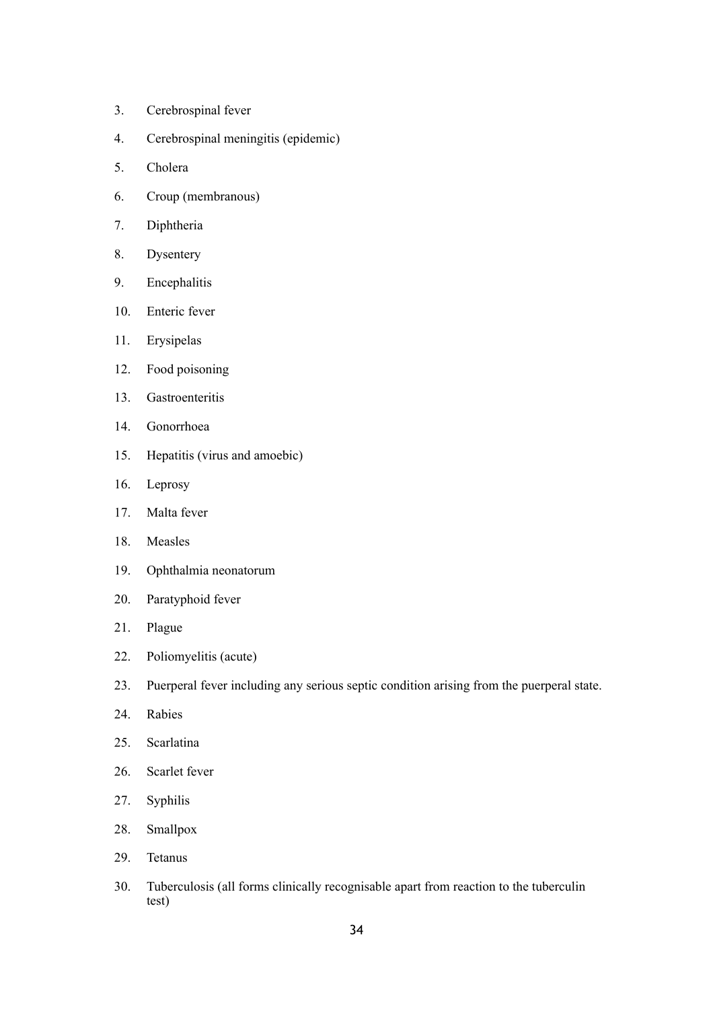- 3. Cerebrospinal fever
- 4. Cerebrospinal meningitis (epidemic)
- 5. Cholera
- 6. Croup (membranous)
- 7. Diphtheria
- 8. Dysentery
- 9. Encephalitis
- 10. Enteric fever
- 11. Erysipelas
- 12. Food poisoning
- 13. Gastroenteritis
- 14. Gonorrhoea
- 15. Hepatitis (virus and amoebic)
- 16. Leprosy
- 17. Malta fever
- 18. Measles
- 19. Ophthalmia neonatorum
- 20. Paratyphoid fever
- 21. Plague
- 22. Poliomyelitis (acute)
- 23. Puerperal fever including any serious septic condition arising from the puerperal state.
- 24. Rabies
- 25. Scarlatina
- 26. Scarlet fever
- 27. Syphilis
- 28. Smallpox
- 29. Tetanus
- 30. Tuberculosis (all forms clinically recognisable apart from reaction to the tuberculin test)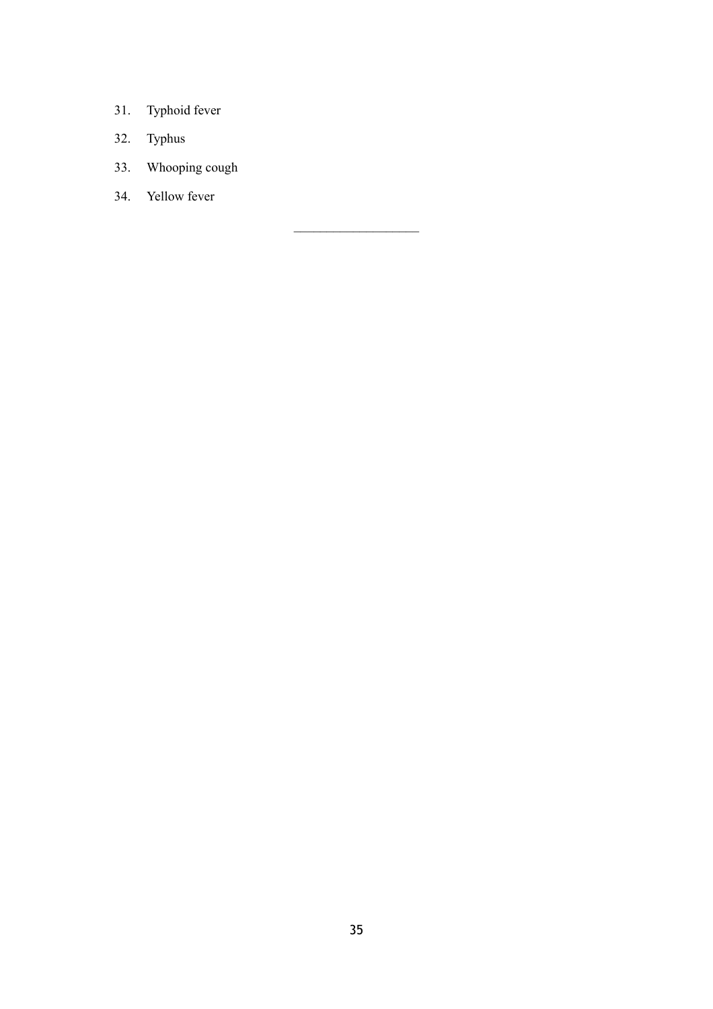- 31. Typhoid fever
- 32. Typhus
- 33. Whooping cough
- 34. Yellow fever

 $\mathcal{L}_\text{max}$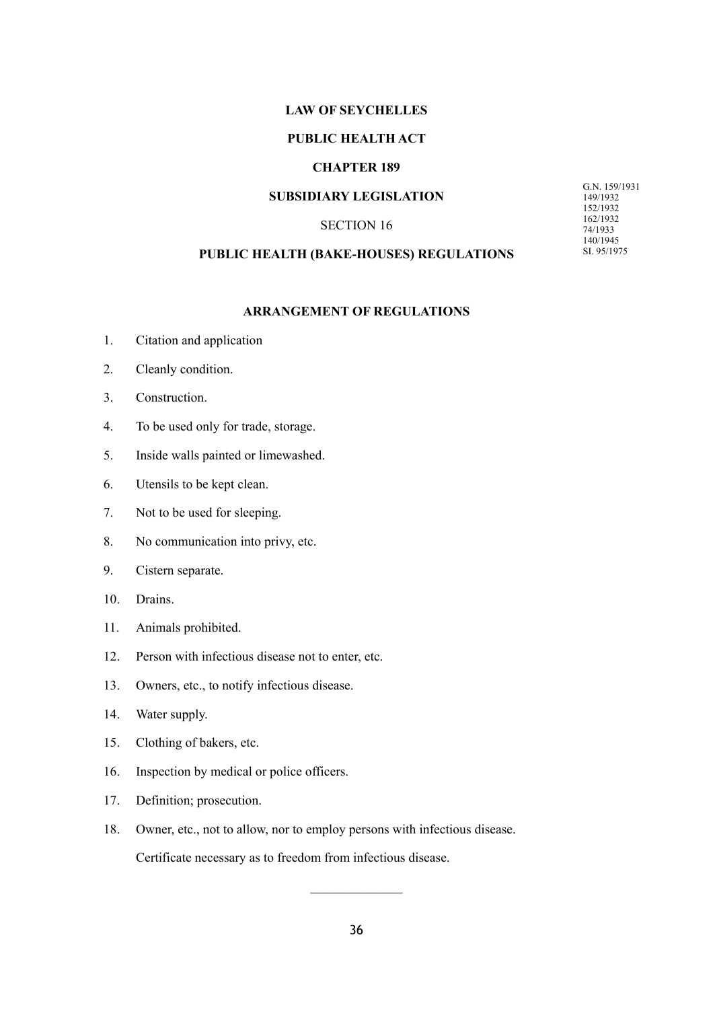### **LAW OF SEYCHELLES**

### **PUBLIC HEALTH ACT**

# **CHAPTER 189**

### **SUBSIDIARY LEGISLATION**

### SECTION 16

G.N. 159/1931 149/1932 152/1932 162/1932 74/1933 140/1945 SI. 95/1975

# **PUBLIC HEALTH (BAKE-HOUSES) REGULATIONS**

### **ARRANGEMENT OF REGULATIONS**

- 1. Citation and application
- 2. Cleanly condition.
- 3. Construction.
- 4. To be used only for trade, storage.
- 5. Inside walls painted or limewashed.
- 6. Utensils to be kept clean.
- 7. Not to be used for sleeping.
- 8. No communication into privy, etc.
- 9. Cistern separate.
- 10. Drains.
- 11. Animals prohibited.
- 12. Person with infectious disease not to enter, etc.
- 13. Owners, etc., to notify infectious disease.
- 14. Water supply.
- 15. Clothing of bakers, etc.
- 16. Inspection by medical or police officers.
- 17. Definition; prosecution.
- 18. Owner, etc., not to allow, nor to employ persons with infectious disease.

Certificate necessary as to freedom from infectious disease.

 $\frac{1}{2}$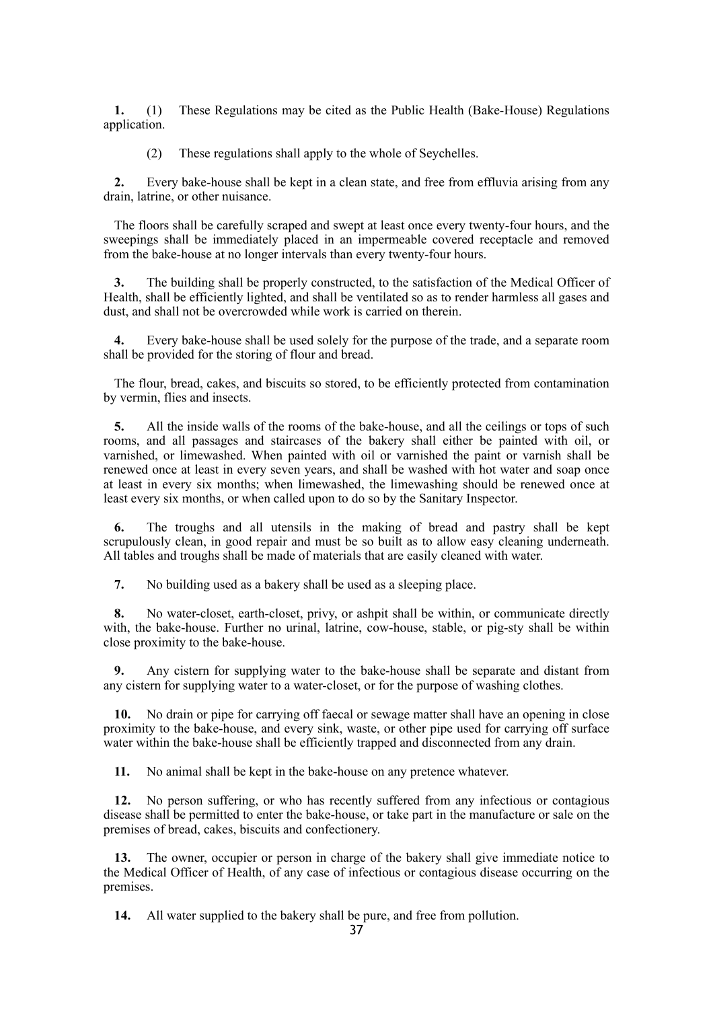**1.** (1) These Regulations may be cited as the Public Health (Bake-House) Regulations application.

(2) These regulations shall apply to the whole of Seychelles.

**2.** Every bake-house shall be kept in a clean state, and free from effluvia arising from any drain, latrine, or other nuisance.

The floors shall be carefully scraped and swept at least once every twenty-four hours, and the sweepings shall be immediately placed in an impermeable covered receptacle and removed from the bake-house at no longer intervals than every twenty-four hours.

**3.** The building shall be properly constructed, to the satisfaction of the Medical Officer of Health, shall be efficiently lighted, and shall be ventilated so as to render harmless all gases and dust, and shall not be overcrowded while work is carried on therein.

**4.** Every bake-house shall be used solely for the purpose of the trade, and a separate room shall be provided for the storing of flour and bread.

The flour, bread, cakes, and biscuits so stored, to be efficiently protected from contamination by vermin, flies and insects.

**5.** All the inside walls of the rooms of the bake-house, and all the ceilings or tops of such rooms, and all passages and staircases of the bakery shall either be painted with oil, or varnished, or limewashed. When painted with oil or varnished the paint or varnish shall be renewed once at least in every seven years, and shall be washed with hot water and soap once at least in every six months; when limewashed, the limewashing should be renewed once at least every six months, or when called upon to do so by the Sanitary Inspector.

**6.** The troughs and all utensils in the making of bread and pastry shall be kept scrupulously clean, in good repair and must be so built as to allow easy cleaning underneath. All tables and troughs shall be made of materials that are easily cleaned with water.

**7.** No building used as a bakery shall be used as a sleeping place.

**8.** No water-closet, earth-closet, privy, or ashpit shall be within, or communicate directly with, the bake-house. Further no urinal, latrine, cow-house, stable, or pig-sty shall be within close proximity to the bake-house.

**9.** Any cistern for supplying water to the bake-house shall be separate and distant from any cistern for supplying water to a water-closet, or for the purpose of washing clothes.

**10.** No drain or pipe for carrying off faecal or sewage matter shall have an opening in close proximity to the bake-house, and every sink, waste, or other pipe used for carrying off surface water within the bake-house shall be efficiently trapped and disconnected from any drain.

**11.** No animal shall be kept in the bake-house on any pretence whatever.

**12.** No person suffering, or who has recently suffered from any infectious or contagious disease shall be permitted to enter the bake-house, or take part in the manufacture or sale on the premises of bread, cakes, biscuits and confectionery.

**13.** The owner, occupier or person in charge of the bakery shall give immediate notice to the Medical Officer of Health, of any case of infectious or contagious disease occurring on the premises.

**14.** All water supplied to the bakery shall be pure, and free from pollution.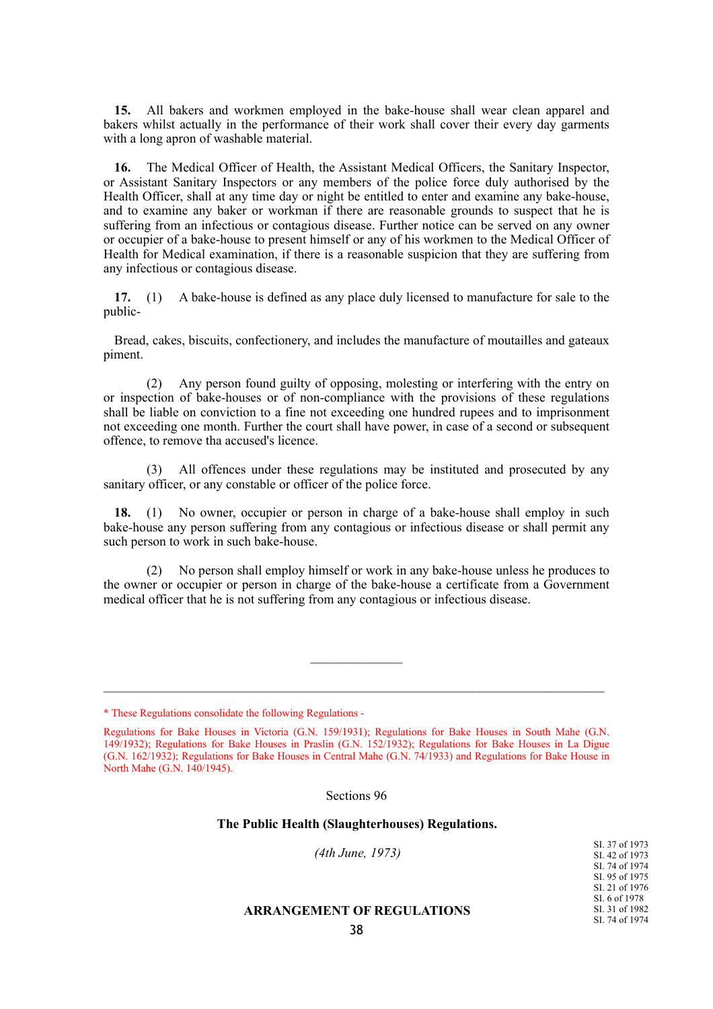**15.** All bakers and workmen employed in the bake-house shall wear clean apparel and bakers whilst actually in the performance of their work shall cover their every day garments with a long apron of washable material.

**16.** The Medical Officer of Health, the Assistant Medical Officers, the Sanitary Inspector, or Assistant Sanitary Inspectors or any members of the police force duly authorised by the Health Officer, shall at any time day or night be entitled to enter and examine any bake-house, and to examine any baker or workman if there are reasonable grounds to suspect that he is suffering from an infectious or contagious disease. Further notice can be served on any owner or occupier of a bake-house to present himself or any of his workmen to the Medical Officer of Health for Medical examination, if there is a reasonable suspicion that they are suffering from any infectious or contagious disease.

**17.** (1) A bake-house is defined as any place duly licensed to manufacture for sale to the public-

Bread, cakes, biscuits, confectionery, and includes the manufacture of moutailles and gateaux piment.

(2) Any person found guilty of opposing, molesting or interfering with the entry on or inspection of bake-houses or of non-compliance with the provisions of these regulations shall be liable on conviction to a fine not exceeding one hundred rupees and to imprisonment not exceeding one month. Further the court shall have power, in case of a second or subsequent offence, to remove tha accused's licence.

(3) All offences under these regulations may be instituted and prosecuted by any sanitary officer, or any constable or officer of the police force.

**18.** (1) No owner, occupier or person in charge of a bake-house shall employ in such bake-house any person suffering from any contagious or infectious disease or shall permit any such person to work in such bake-house.

(2) No person shall employ himself or work in any bake-house unless he produces to the owner or occupier or person in charge of the bake-house a certificate from a Government medical officer that he is not suffering from any contagious or infectious disease.

Sections 96

#### **The Public Health (Slaughterhouses) Regulations.**

| (4th June, 1973)                  | SI, 37 of 1973<br>SI, 42 of 1973 |
|-----------------------------------|----------------------------------|
|                                   | SL 74 of 1974                    |
|                                   | SI, 95 of 1975                   |
|                                   | SI, 21 of 1976                   |
|                                   | SI, 6 of 1978                    |
| <b>ARRANGEMENT OF REGULATIONS</b> | SI, 31 of 1982                   |
|                                   | SI, 74 of 1974                   |

<sup>\*</sup> These Regulations consolidate the following Regulations -

Regulations for Bake Houses in Victoria (G.N. 159/1931); Regulations for Bake Houses in South Mahe (G.N. 149/1932); Regulations for Bake Houses in Praslin (G.N. 152/1932); Regulations for Bake Houses in La Digue (G.N. 162/1932); Regulations for Bake Houses in Central Mahe (G.N. 74/1933) and Regulations for Bake House in North Mahe (G.N. 140/1945).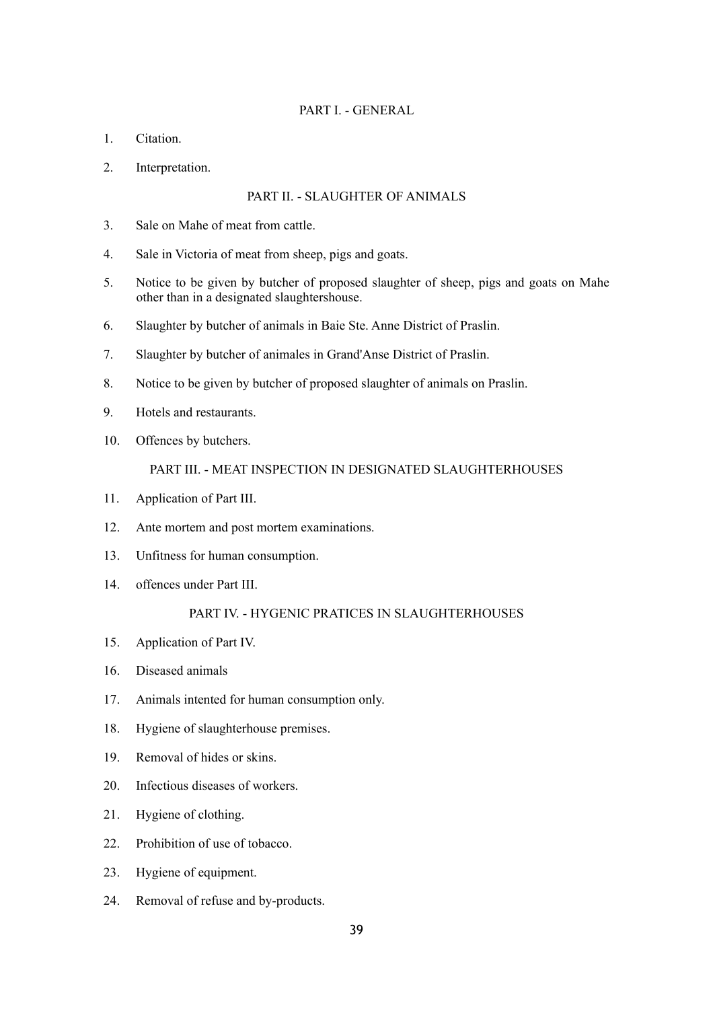## PART I. - GENERAL

- 1. Citation.
- 2. Interpretation.

## PART II. - SLAUGHTER OF ANIMALS

- 3. Sale on Mahe of meat from cattle.
- 4. Sale in Victoria of meat from sheep, pigs and goats.
- 5. Notice to be given by butcher of proposed slaughter of sheep, pigs and goats on Mahe other than in a designated slaughtershouse.
- 6. Slaughter by butcher of animals in Baie Ste. Anne District of Praslin.
- 7. Slaughter by butcher of animales in Grand'Anse District of Praslin.
- 8. Notice to be given by butcher of proposed slaughter of animals on Praslin.
- 9. Hotels and restaurants.
- 10. Offences by butchers.

PART III. - MEAT INSPECTION IN DESIGNATED SLAUGHTERHOUSES

- 11. Application of Part III.
- 12. Ante mortem and post mortem examinations.
- 13. Unfitness for human consumption.
- 14. offences under Part III.

## PART IV. - HYGENIC PRATICES IN SLAUGHTERHOUSES

- 15. Application of Part IV.
- 16. Diseased animals
- 17. Animals intented for human consumption only.
- 18. Hygiene of slaughterhouse premises.
- 19. Removal of hides or skins.
- 20. Infectious diseases of workers.
- 21. Hygiene of clothing.
- 22. Prohibition of use of tobacco.
- 23. Hygiene of equipment.
- 24. Removal of refuse and by-products.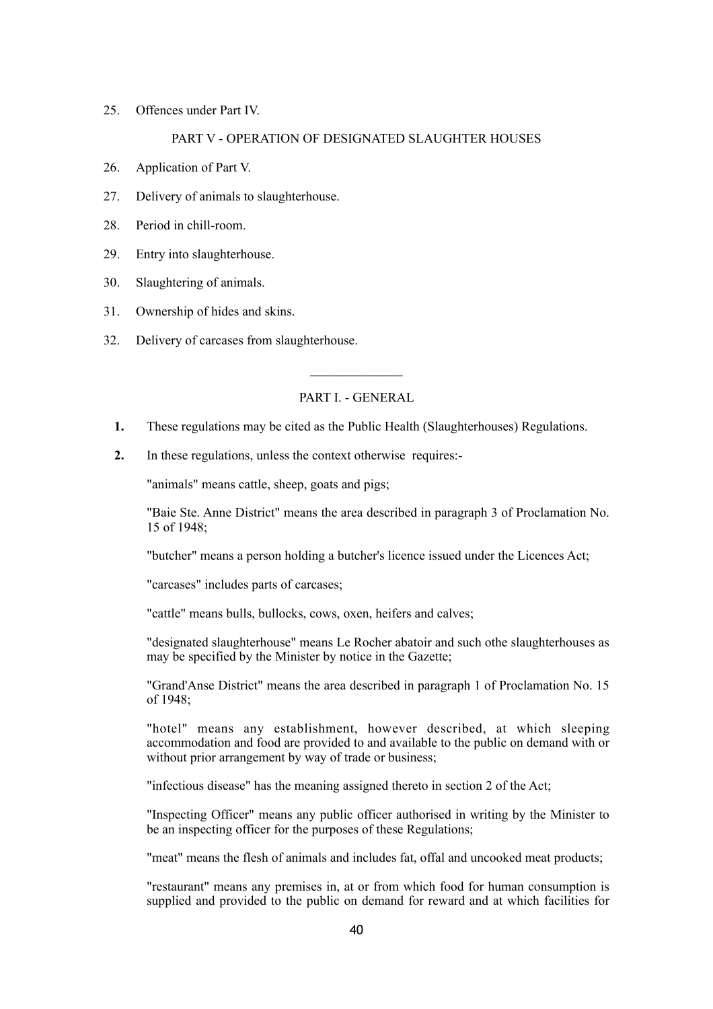25. Offences under Part IV.

## PART V - OPERATION OF DESIGNATED SLAUGHTER HOUSES

- 26. Application of Part V.
- 27. Delivery of animals to slaughterhouse.
- 28. Period in chill-room.
- 29. Entry into slaughterhouse.
- 30. Slaughtering of animals.
- 31. Ownership of hides and skins.
- 32. Delivery of carcases from slaughterhouse.

## PART I. - GENERAL

- **1.** These regulations may be cited as the Public Health (Slaughterhouses) Regulations.
- **2.** In these regulations, unless the context otherwise requires:-

"animals" means cattle, sheep, goats and pigs;

"Baie Ste. Anne District" means the area described in paragraph 3 of Proclamation No. 15 of 1948;

"butcher" means a person holding a butcher's licence issued under the Licences Act;

"carcases" includes parts of carcases;

"cattle" means bulls, bullocks, cows, oxen, heifers and calves;

"designated slaughterhouse" means Le Rocher abatoir and such othe slaughterhouses as may be specified by the Minister by notice in the Gazette;

"Grand'Anse District" means the area described in paragraph 1 of Proclamation No. 15 of 1948;

"hotel" means any establishment, however described, at which sleeping accommodation and food are provided to and available to the public on demand with or without prior arrangement by way of trade or business;

"infectious disease" has the meaning assigned thereto in section 2 of the Act;

"Inspecting Officer" means any public officer authorised in writing by the Minister to be an inspecting officer for the purposes of these Regulations;

"meat" means the flesh of animals and includes fat, offal and uncooked meat products;

"restaurant" means any premises in, at or from which food for human consumption is supplied and provided to the public on demand for reward and at which facilities for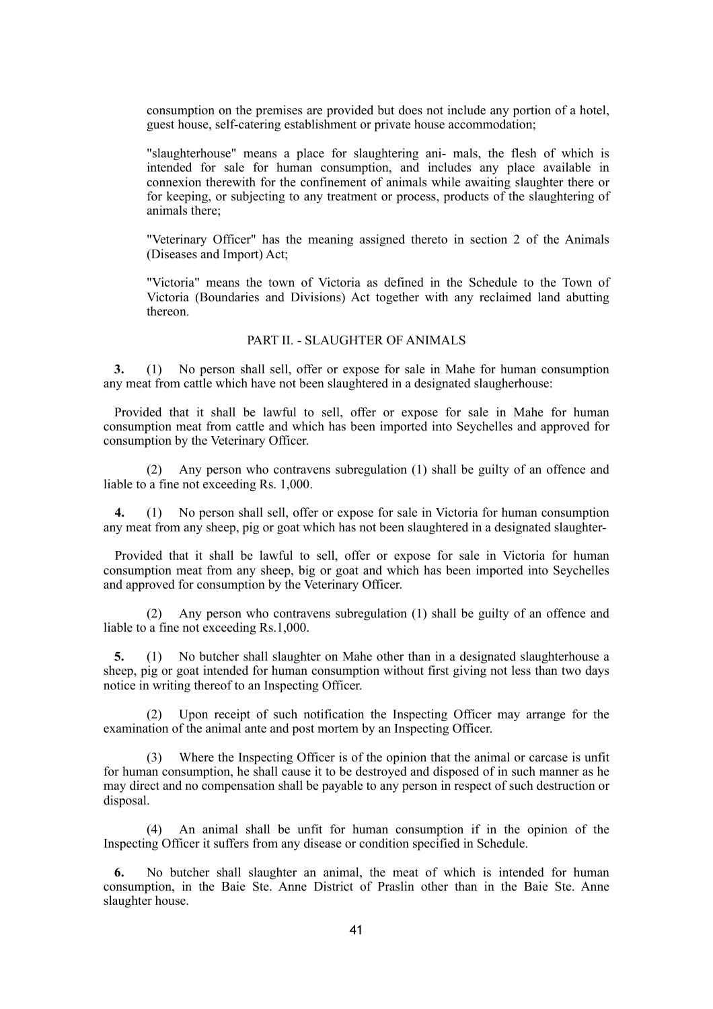consumption on the premises are provided but does not include any portion of a hotel, guest house, self-catering establishment or private house accommodation;

"slaughterhouse" means a place for slaughtering ani- mals, the flesh of which is intended for sale for human consumption, and includes any place available in connexion therewith for the confinement of animals while awaiting slaughter there or for keeping, or subjecting to any treatment or process, products of the slaughtering of animals there;

"Veterinary Officer" has the meaning assigned thereto in section 2 of the Animals (Diseases and Import) Act;

"Victoria" means the town of Victoria as defined in the Schedule to the Town of Victoria (Boundaries and Divisions) Act together with any reclaimed land abutting thereon.

## PART II. - SLAUGHTER OF ANIMALS

**3.** (1) No person shall sell, offer or expose for sale in Mahe for human consumption any meat from cattle which have not been slaughtered in a designated slaugherhouse:

Provided that it shall be lawful to sell, offer or expose for sale in Mahe for human consumption meat from cattle and which has been imported into Seychelles and approved for consumption by the Veterinary Officer.

(2) Any person who contravens subregulation (1) shall be guilty of an offence and liable to a fine not exceeding Rs. 1,000.

**4.** (1) No person shall sell, offer or expose for sale in Victoria for human consumption any meat from any sheep, pig or goat which has not been slaughtered in a designated slaughter-

Provided that it shall be lawful to sell, offer or expose for sale in Victoria for human consumption meat from any sheep, big or goat and which has been imported into Seychelles and approved for consumption by the Veterinary Officer.

Any person who contravens subregulation (1) shall be guilty of an offence and liable to a fine not exceeding Rs.1,000.

**5.** (1) No butcher shall slaughter on Mahe other than in a designated slaughterhouse a sheep, pig or goat intended for human consumption without first giving not less than two days notice in writing thereof to an Inspecting Officer.

(2) Upon receipt of such notification the Inspecting Officer may arrange for the examination of the animal ante and post mortem by an Inspecting Officer.

(3) Where the Inspecting Officer is of the opinion that the animal or carcase is unfit for human consumption, he shall cause it to be destroyed and disposed of in such manner as he may direct and no compensation shall be payable to any person in respect of such destruction or disposal.

An animal shall be unfit for human consumption if in the opinion of the Inspecting Officer it suffers from any disease or condition specified in Schedule.

**6.** No butcher shall slaughter an animal, the meat of which is intended for human consumption, in the Baie Ste. Anne District of Praslin other than in the Baie Ste. Anne slaughter house.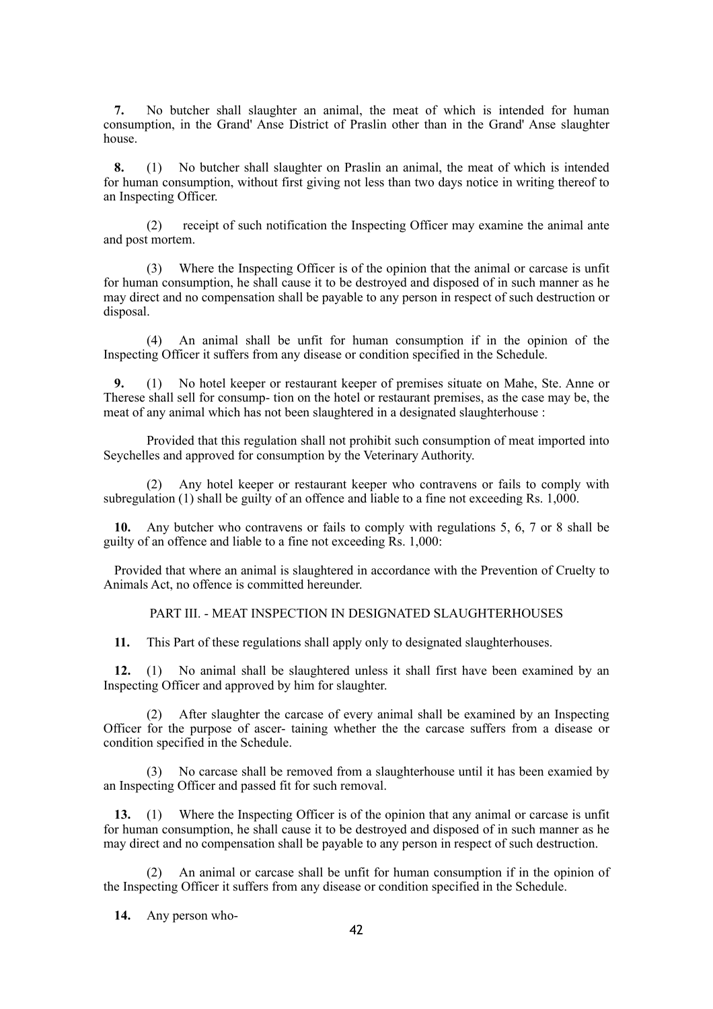**7.** No butcher shall slaughter an animal, the meat of which is intended for human consumption, in the Grand' Anse District of Praslin other than in the Grand' Anse slaughter house.

**8.** (1) No butcher shall slaughter on Praslin an animal, the meat of which is intended for human consumption, without first giving not less than two days notice in writing thereof to an Inspecting Officer.

(2) receipt of such notification the Inspecting Officer may examine the animal ante and post mortem.

(3) Where the Inspecting Officer is of the opinion that the animal or carcase is unfit for human consumption, he shall cause it to be destroyed and disposed of in such manner as he may direct and no compensation shall be payable to any person in respect of such destruction or disposal.

(4) An animal shall be unfit for human consumption if in the opinion of the Inspecting Officer it suffers from any disease or condition specified in the Schedule.

**9.** (1) No hotel keeper or restaurant keeper of premises situate on Mahe, Ste. Anne or Therese shall sell for consump- tion on the hotel or restaurant premises, as the case may be, the meat of any animal which has not been slaughtered in a designated slaughterhouse :

Provided that this regulation shall not prohibit such consumption of meat imported into Seychelles and approved for consumption by the Veterinary Authority.

(2) Any hotel keeper or restaurant keeper who contravens or fails to comply with subregulation (1) shall be guilty of an offence and liable to a fine not exceeding Rs. 1,000.

**10.** Any butcher who contravens or fails to comply with regulations 5, 6, 7 or 8 shall be guilty of an offence and liable to a fine not exceeding Rs. 1,000:

Provided that where an animal is slaughtered in accordance with the Prevention of Cruelty to Animals Act, no offence is committed hereunder.

PART III. - MEAT INSPECTION IN DESIGNATED SLAUGHTERHOUSES

**11.** This Part of these regulations shall apply only to designated slaughterhouses.

**12.** (1) No animal shall be slaughtered unless it shall first have been examined by an Inspecting Officer and approved by him for slaughter.

(2) After slaughter the carcase of every animal shall be examined by an Inspecting Officer for the purpose of ascer- taining whether the the carcase suffers from a disease or condition specified in the Schedule.

(3) No carcase shall be removed from a slaughterhouse until it has been examied by an Inspecting Officer and passed fit for such removal.

**13.** (1) Where the Inspecting Officer is of the opinion that any animal or carcase is unfit for human consumption, he shall cause it to be destroyed and disposed of in such manner as he may direct and no compensation shall be payable to any person in respect of such destruction.

(2) An animal or carcase shall be unfit for human consumption if in the opinion of the Inspecting Officer it suffers from any disease or condition specified in the Schedule.

**14.** Any person who-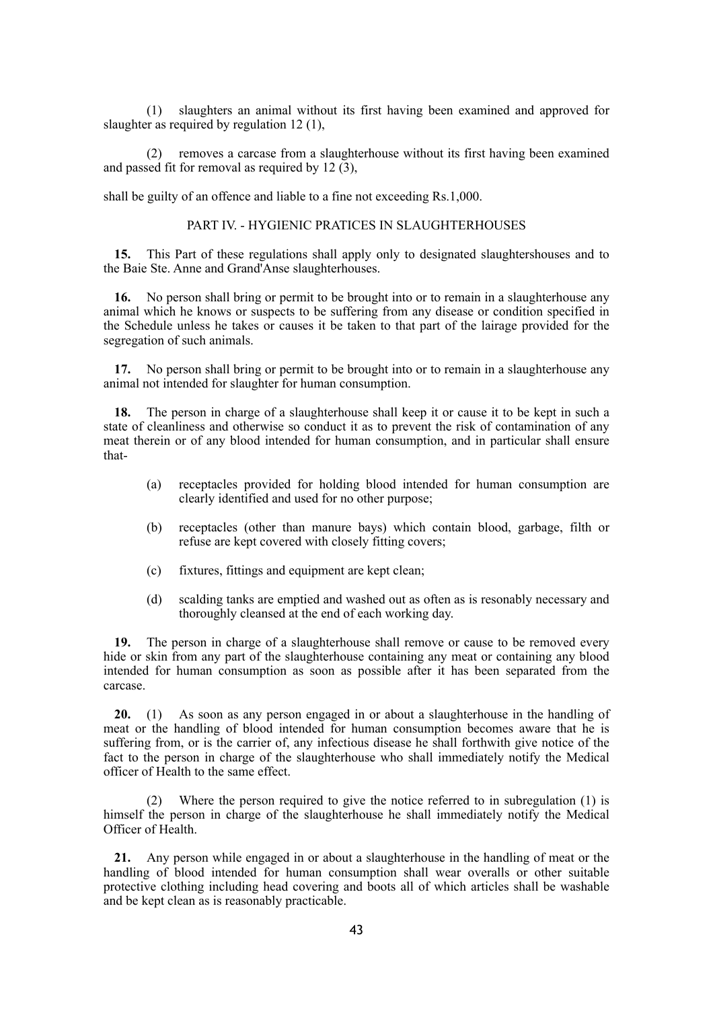(1) slaughters an animal without its first having been examined and approved for slaughter as required by regulation 12 (1),

(2) removes a carcase from a slaughterhouse without its first having been examined and passed fit for removal as required by 12  $(3)$ .

shall be guilty of an offence and liable to a fine not exceeding Rs.1,000.

#### PART IV. - HYGIENIC PRATICES IN SLAUGHTERHOUSES

**15.** This Part of these regulations shall apply only to designated slaughtershouses and to the Baie Ste. Anne and Grand'Anse slaughterhouses.

**16.** No person shall bring or permit to be brought into or to remain in a slaughterhouse any animal which he knows or suspects to be suffering from any disease or condition specified in the Schedule unless he takes or causes it be taken to that part of the lairage provided for the segregation of such animals.

**17.** No person shall bring or permit to be brought into or to remain in a slaughterhouse any animal not intended for slaughter for human consumption.

**18.** The person in charge of a slaughterhouse shall keep it or cause it to be kept in such a state of cleanliness and otherwise so conduct it as to prevent the risk of contamination of any meat therein or of any blood intended for human consumption, and in particular shall ensure that-

- (a) receptacles provided for holding blood intended for human consumption are clearly identified and used for no other purpose;
- (b) receptacles (other than manure bays) which contain blood, garbage, filth or refuse are kept covered with closely fitting covers;
- (c) fixtures, fittings and equipment are kept clean;
- (d) scalding tanks are emptied and washed out as often as is resonably necessary and thoroughly cleansed at the end of each working day.

**19.** The person in charge of a slaughterhouse shall remove or cause to be removed every hide or skin from any part of the slaughterhouse containing any meat or containing any blood intended for human consumption as soon as possible after it has been separated from the carcase.

**20.** (1) As soon as any person engaged in or about a slaughterhouse in the handling of meat or the handling of blood intended for human consumption becomes aware that he is suffering from, or is the carrier of, any infectious disease he shall forthwith give notice of the fact to the person in charge of the slaughterhouse who shall immediately notify the Medical officer of Health to the same effect.

(2) Where the person required to give the notice referred to in subregulation (1) is himself the person in charge of the slaughterhouse he shall immediately notify the Medical Officer of Health.

**21.** Any person while engaged in or about a slaughterhouse in the handling of meat or the handling of blood intended for human consumption shall wear overalls or other suitable protective clothing including head covering and boots all of which articles shall be washable and be kept clean as is reasonably practicable.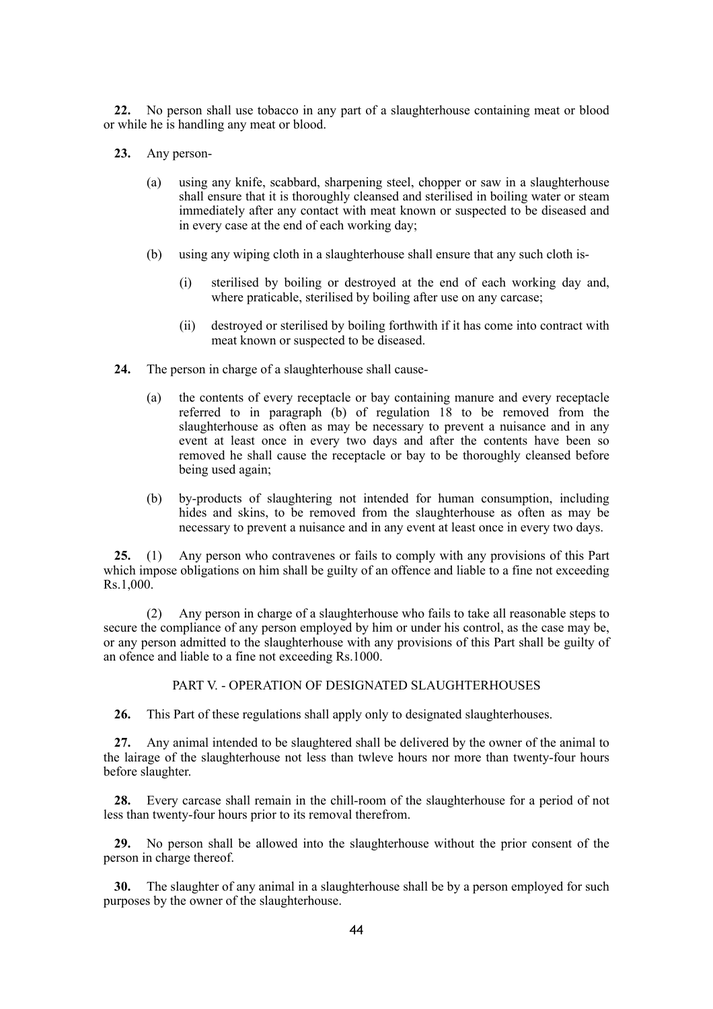**22.** No person shall use tobacco in any part of a slaughterhouse containing meat or blood or while he is handling any meat or blood.

- **23.** Any person-
	- (a) using any knife, scabbard, sharpening steel, chopper or saw in a slaughterhouse shall ensure that it is thoroughly cleansed and sterilised in boiling water or steam immediately after any contact with meat known or suspected to be diseased and in every case at the end of each working day;
	- (b) using any wiping cloth in a slaughterhouse shall ensure that any such cloth is-
		- (i) sterilised by boiling or destroyed at the end of each working day and, where praticable, sterilised by boiling after use on any carcase;
		- (ii) destroyed or sterilised by boiling forthwith if it has come into contract with meat known or suspected to be diseased.
- **24.** The person in charge of a slaughterhouse shall cause-
	- (a) the contents of every receptacle or bay containing manure and every receptacle referred to in paragraph (b) of regulation 18 to be removed from the slaughterhouse as often as may be necessary to prevent a nuisance and in any event at least once in every two days and after the contents have been so removed he shall cause the receptacle or bay to be thoroughly cleansed before being used again;
	- (b) by-products of slaughtering not intended for human consumption, including hides and skins, to be removed from the slaughterhouse as often as may be necessary to prevent a nuisance and in any event at least once in every two days.

**25.** (1) Any person who contravenes or fails to comply with any provisions of this Part which impose obligations on him shall be guilty of an offence and liable to a fine not exceeding Rs.1,000.

(2) Any person in charge of a slaughterhouse who fails to take all reasonable steps to secure the compliance of any person employed by him or under his control, as the case may be, or any person admitted to the slaughterhouse with any provisions of this Part shall be guilty of an ofence and liable to a fine not exceeding Rs.1000.

## PART V. - OPERATION OF DESIGNATED SLAUGHTERHOUSES

**26.** This Part of these regulations shall apply only to designated slaughterhouses.

**27.** Any animal intended to be slaughtered shall be delivered by the owner of the animal to the lairage of the slaughterhouse not less than twleve hours nor more than twenty-four hours before slaughter.

**28.** Every carcase shall remain in the chill-room of the slaughterhouse for a period of not less than twenty-four hours prior to its removal therefrom.

**29.** No person shall be allowed into the slaughterhouse without the prior consent of the person in charge thereof.

**30.** The slaughter of any animal in a slaughterhouse shall be by a person employed for such purposes by the owner of the slaughterhouse.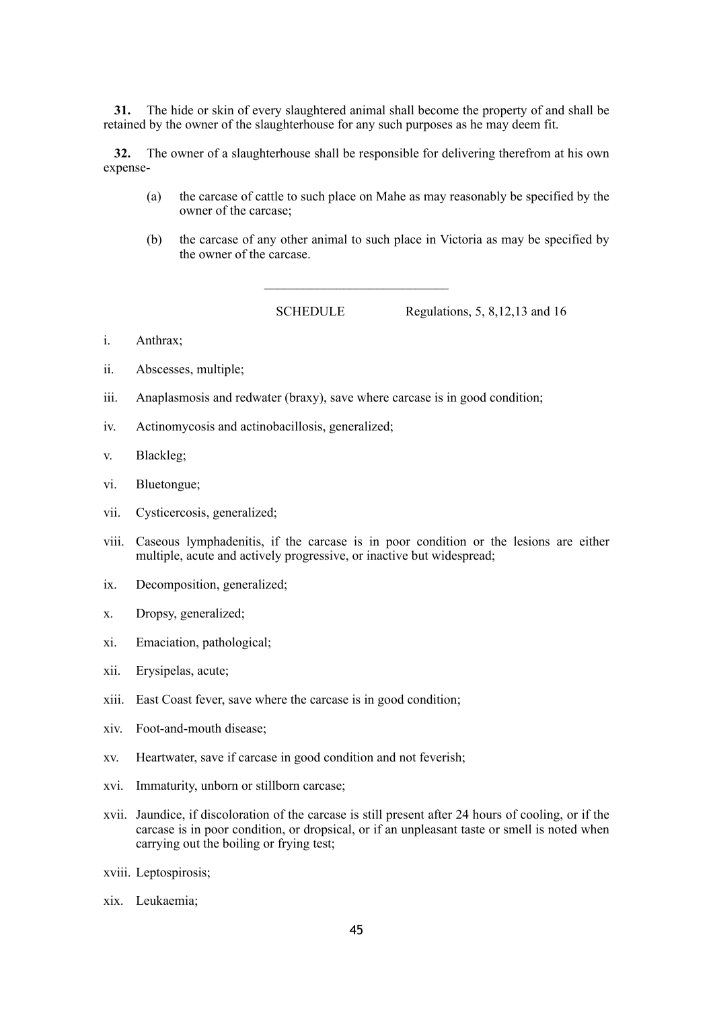**31.** The hide or skin of every slaughtered animal shall become the property of and shall be retained by the owner of the slaughterhouse for any such purposes as he may deem fit.

**32.** The owner of a slaughterhouse shall be responsible for delivering therefrom at his own expense-

 $\mathcal{L}_\text{max}$ 

- (a) the carcase of cattle to such place on Mahe as may reasonably be specified by the owner of the carcase;
- (b) the carcase of any other animal to such place in Victoria as may be specified by the owner of the carcase.

SCHEDULE Regulations, 5, 8, 12, 13 and 16

- i. Anthrax;
- ii. Abscesses, multiple;
- iii. Anaplasmosis and redwater (braxy), save where carcase is in good condition;
- iv. Actinomycosis and actinobacillosis, generalized;
- v. Blackleg;
- vi. Bluetongue;
- vii. Cysticercosis, generalized;
- viii. Caseous lymphadenitis, if the carcase is in poor condition or the lesions are either multiple, acute and actively progressive, or inactive but widespread;
- ix. Decomposition, generalized;
- x. Dropsy, generalized;
- xi. Emaciation, pathological;
- xii. Erysipelas, acute;
- xiii. East Coast fever, save where the carcase is in good condition;
- xiv. Foot-and-mouth disease;
- xv. Heartwater, save if carcase in good condition and not feverish;
- xvi. Immaturity, unborn or stillborn carcase;
- xvii. Jaundice, if discoloration of the carcase is still present after 24 hours of cooling, or if the carcase is in poor condition, or dropsical, or if an unpleasant taste or smell is noted when carrying out the boiling or frying test;
- xviii. Leptospirosis;
- xix. Leukaemia;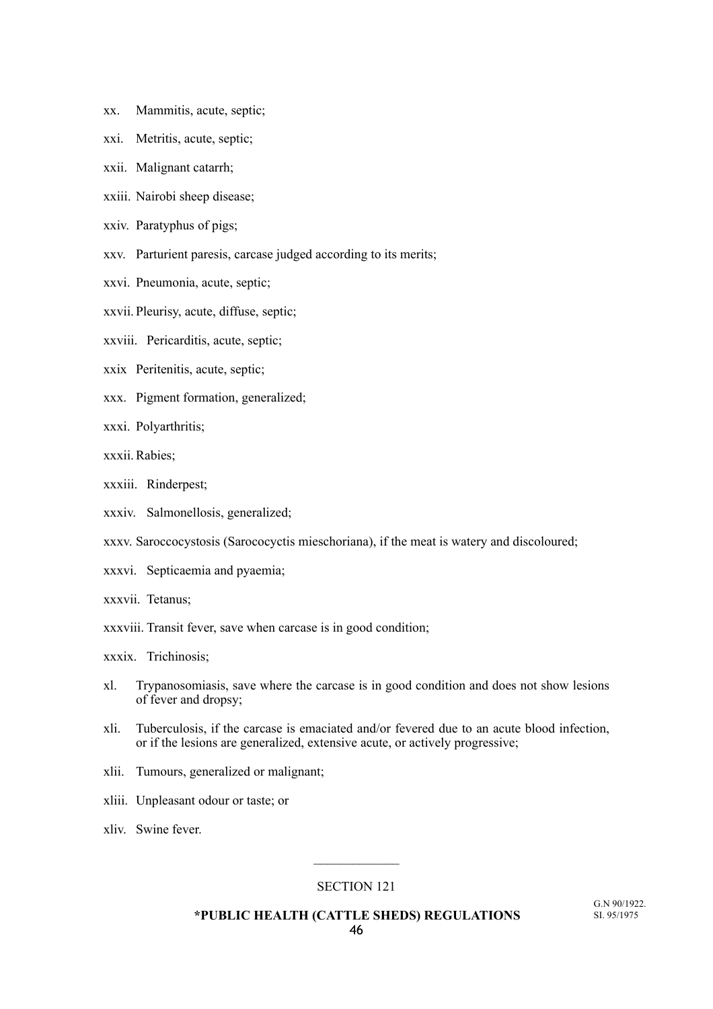- xx. Mammitis, acute, septic;
- xxi. Metritis, acute, septic;
- xxii. Malignant catarrh;
- xxiii. Nairobi sheep disease;
- xxiv. Paratyphus of pigs;
- xxv. Parturient paresis, carcase judged according to its merits;
- xxvi. Pneumonia, acute, septic;
- xxvii. Pleurisy, acute, diffuse, septic;
- xxviii. Pericarditis, acute, septic;
- xxix Peritenitis, acute, septic;
- xxx. Pigment formation, generalized;
- xxxi. Polyarthritis;
- xxxii. Rabies;
- xxxiii. Rinderpest;
- xxxiv. Salmonellosis, generalized;
- xxxv. Saroccocystosis (Sarococyctis mieschoriana), if the meat is watery and discoloured;
- xxxvi. Septicaemia and pyaemia;
- xxxvii. Tetanus;
- xxxviii. Transit fever, save when carcase is in good condition;
- xxxix. Trichinosis;
- xl. Trypanosomiasis, save where the carcase is in good condition and does not show lesions of fever and dropsy;
- xli. Tuberculosis, if the carcase is emaciated and/or fevered due to an acute blood infection, or if the lesions are generalized, extensive acute, or actively progressive;
- xlii. Tumours, generalized or malignant;
- xliii. Unpleasant odour or taste; or
- xliv. Swine fever.

## SECTION 121

 $\frac{1}{2}$ 

 **\*PUBLIC HEALTH (CATTLE SHEDS) REGULATIONS**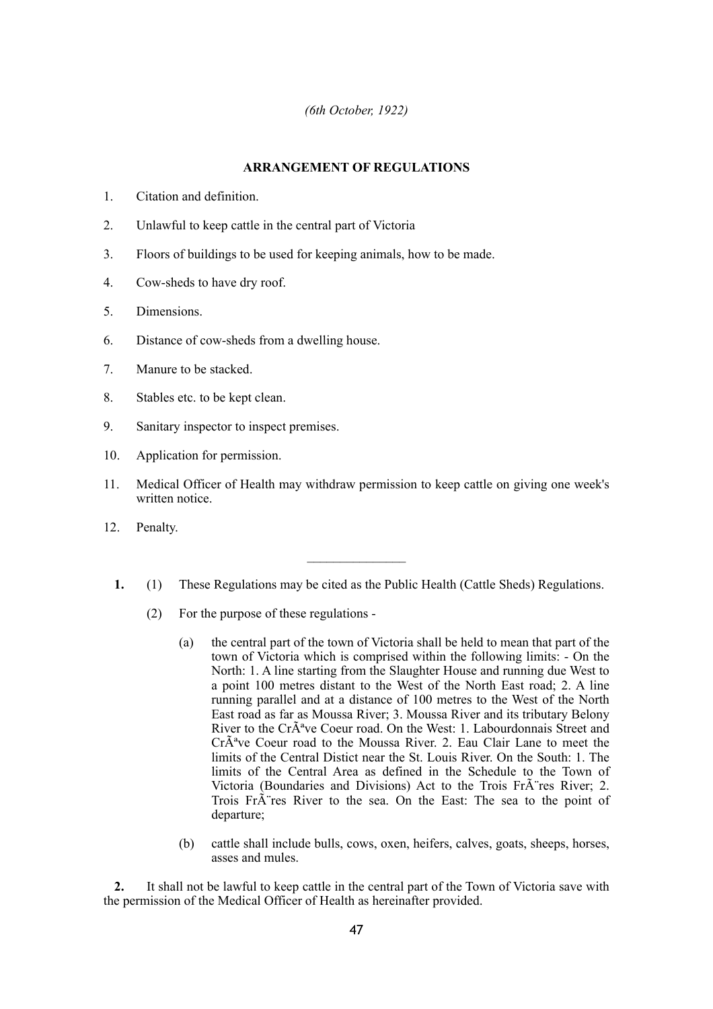## *(6th October, 1922)*

## **ARRANGEMENT OF REGULATIONS**

- 1. Citation and definition.
- 2. Unlawful to keep cattle in the central part of Victoria
- 3. Floors of buildings to be used for keeping animals, how to be made.
- 4. Cow-sheds to have dry roof.
- 5. Dimensions.
- 6. Distance of cow-sheds from a dwelling house.
- 7. Manure to be stacked.
- 8. Stables etc. to be kept clean.
- 9. Sanitary inspector to inspect premises.
- 10. Application for permission.
- 11. Medical Officer of Health may withdraw permission to keep cattle on giving one week's written notice.
- 12. Penalty.
	- **1.** (1) These Regulations may be cited as the Public Health (Cattle Sheds) Regulations.
		- (2) For the purpose of these regulations
			- (a) the central part of the town of Victoria shall be held to mean that part of the town of Victoria which is comprised within the following limits: - On the North: 1. A line starting from the Slaughter House and running due West to a point 100 metres distant to the West of the North East road; 2. A line running parallel and at a distance of 100 metres to the West of the North East road as far as Moussa River; 3. Moussa River and its tributary Belony River to the Cr $\tilde{A}^a$ ve Coeur road. On the West: 1. Labourdonnais Street and  $Cr\tilde{A}^a$ ve Coeur road to the Moussa River. 2. Eau Clair Lane to meet the limits of the Central Distict near the St. Louis River. On the South: 1. The limits of the Central Area as defined in the Schedule to the Town of Victoria (Boundaries and Divisions) Act to the Trois Fr $\tilde{A}$  res River; 2. Trois Fr $\tilde{A}$  res River to the sea. On the East: The sea to the point of departure;
			- (b) cattle shall include bulls, cows, oxen, heifers, calves, goats, sheeps, horses, asses and mules.

**2.** It shall not be lawful to keep cattle in the central part of the Town of Victoria save with the permission of the Medical Officer of Health as hereinafter provided.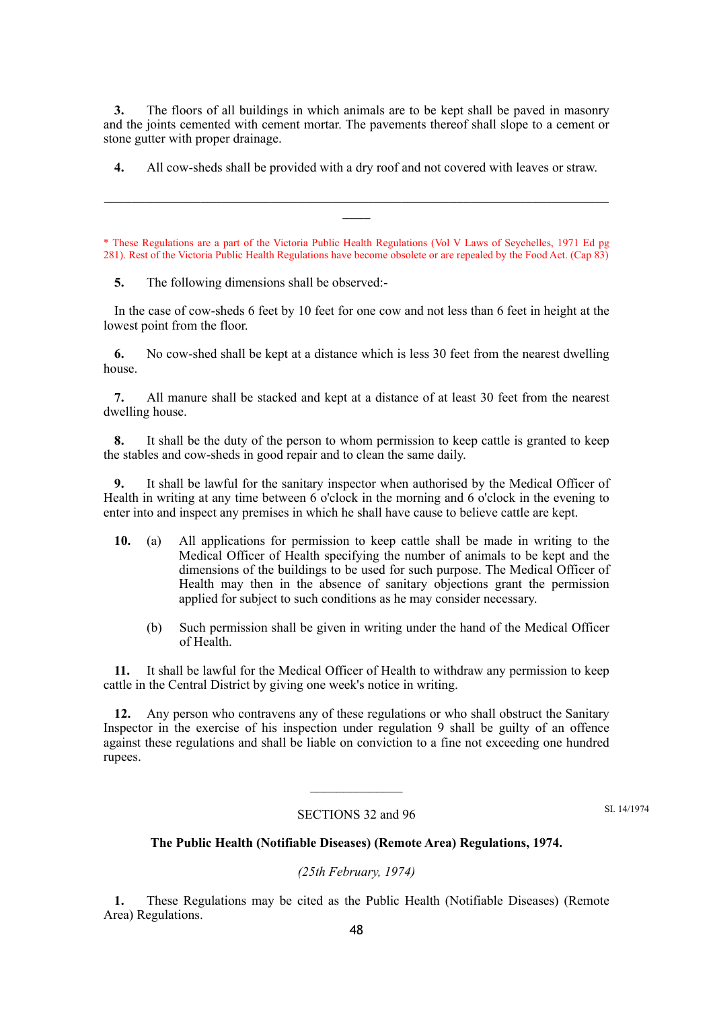**3.** The floors of all buildings in which animals are to be kept shall be paved in masonry and the joints cemented with cement mortar. The pavements thereof shall slope to a cement or stone gutter with proper drainage.

**4.** All cow-sheds shall be provided with a dry roof and not covered with leaves or straw.

\_\_\_\_\_\_\_\_\_\_\_\_\_\_\_\_\_\_\_\_\_\_\_\_\_\_\_\_\_\_\_\_\_\_\_\_\_\_\_\_\_\_\_\_\_\_\_\_\_\_\_\_\_\_\_\_\_\_\_\_\_\_\_\_\_\_\_\_\_\_\_\_\_  $\overline{\phantom{a}}$ 

\* These Regulations are a part of the Victoria Public Health Regulations (Vol V Laws of Seychelles, 1971 Ed pg 281). Rest of the Victoria Public Health Regulations have become obsolete or are repealed by the Food Act. (Cap 83)

**5.** The following dimensions shall be observed:-

In the case of cow-sheds 6 feet by 10 feet for one cow and not less than 6 feet in height at the lowest point from the floor.

**6.** No cow-shed shall be kept at a distance which is less 30 feet from the nearest dwelling house.

**7.** All manure shall be stacked and kept at a distance of at least 30 feet from the nearest dwelling house.

**8.** It shall be the duty of the person to whom permission to keep cattle is granted to keep the stables and cow-sheds in good repair and to clean the same daily.

**9.** It shall be lawful for the sanitary inspector when authorised by the Medical Officer of Health in writing at any time between 6 o'clock in the morning and 6 o'clock in the evening to enter into and inspect any premises in which he shall have cause to believe cattle are kept.

- **10.** (a) All applications for permission to keep cattle shall be made in writing to the Medical Officer of Health specifying the number of animals to be kept and the dimensions of the buildings to be used for such purpose. The Medical Officer of Health may then in the absence of sanitary objections grant the permission applied for subject to such conditions as he may consider necessary.
	- (b) Such permission shall be given in writing under the hand of the Medical Officer of Health.

**11.** It shall be lawful for the Medical Officer of Health to withdraw any permission to keep cattle in the Central District by giving one week's notice in writing.

**12.** Any person who contravens any of these regulations or who shall obstruct the Sanitary Inspector in the exercise of his inspection under regulation 9 shall be guilty of an offence against these regulations and shall be liable on conviction to a fine not exceeding one hundred rupees.

#### SECTIONS 32 and 96

 $\mathcal{L}_\text{max}$ 

SI. 14/1974

## **The Public Health (Notifiable Diseases) (Remote Area) Regulations, 1974.**

## *(25th February, 1974)*

**1.** These Regulations may be cited as the Public Health (Notifiable Diseases) (Remote Area) Regulations.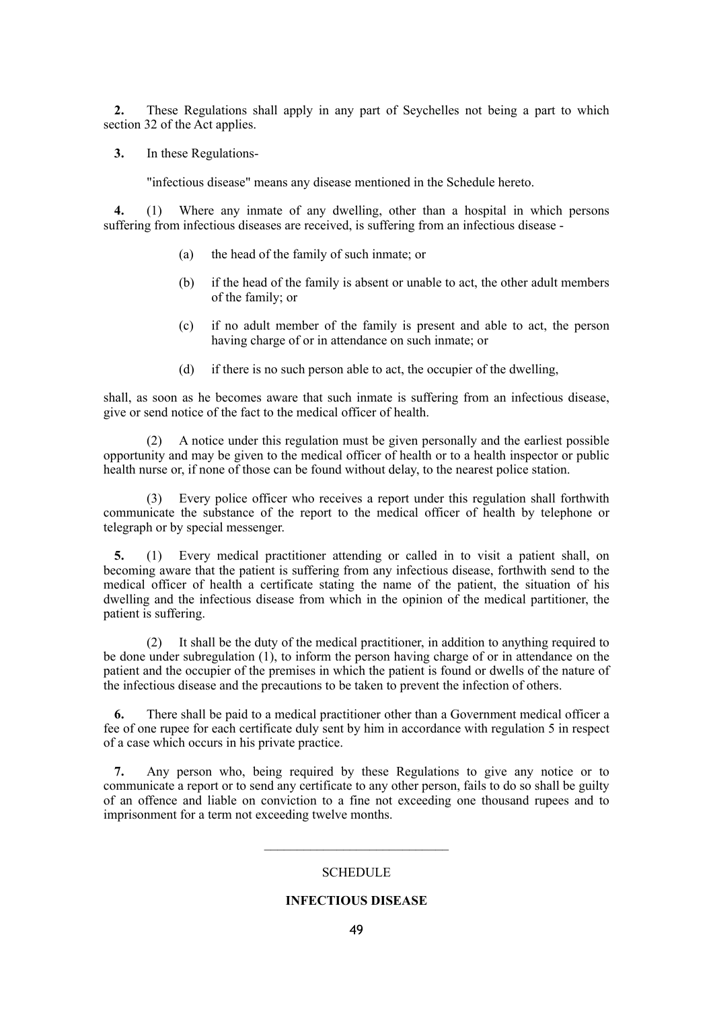**2.** These Regulations shall apply in any part of Seychelles not being a part to which section 32 of the Act applies.

**3.** In these Regulations-

"infectious disease" means any disease mentioned in the Schedule hereto.

**4.** (1) Where any inmate of any dwelling, other than a hospital in which persons suffering from infectious diseases are received, is suffering from an infectious disease -

- (a) the head of the family of such inmate; or
- (b) if the head of the family is absent or unable to act, the other adult members of the family; or
- (c) if no adult member of the family is present and able to act, the person having charge of or in attendance on such inmate; or
- (d) if there is no such person able to act, the occupier of the dwelling,

shall, as soon as he becomes aware that such inmate is suffering from an infectious disease, give or send notice of the fact to the medical officer of health.

(2) A notice under this regulation must be given personally and the earliest possible opportunity and may be given to the medical officer of health or to a health inspector or public health nurse or, if none of those can be found without delay, to the nearest police station.

(3) Every police officer who receives a report under this regulation shall forthwith communicate the substance of the report to the medical officer of health by telephone or telegraph or by special messenger.

**5.** (1) Every medical practitioner attending or called in to visit a patient shall, on becoming aware that the patient is suffering from any infectious disease, forthwith send to the medical officer of health a certificate stating the name of the patient, the situation of his dwelling and the infectious disease from which in the opinion of the medical partitioner, the patient is suffering.

(2) It shall be the duty of the medical practitioner, in addition to anything required to be done under subregulation (1), to inform the person having charge of or in attendance on the patient and the occupier of the premises in which the patient is found or dwells of the nature of the infectious disease and the precautions to be taken to prevent the infection of others.

**6.** There shall be paid to a medical practitioner other than a Government medical officer a fee of one rupee for each certificate duly sent by him in accordance with regulation 5 in respect of a case which occurs in his private practice.

**7.** Any person who, being required by these Regulations to give any notice or to communicate a report or to send any certificate to any other person, fails to do so shall be guilty of an offence and liable on conviction to a fine not exceeding one thousand rupees and to imprisonment for a term not exceeding twelve months.

## **SCHEDULE**

 $\mathcal{L}_\text{max}$  , where  $\mathcal{L}_\text{max}$  is the set of the set of the set of the set of the set of the set of the set of the set of the set of the set of the set of the set of the set of the set of the set of the set of the se

## **INFECTIOUS DISEASE**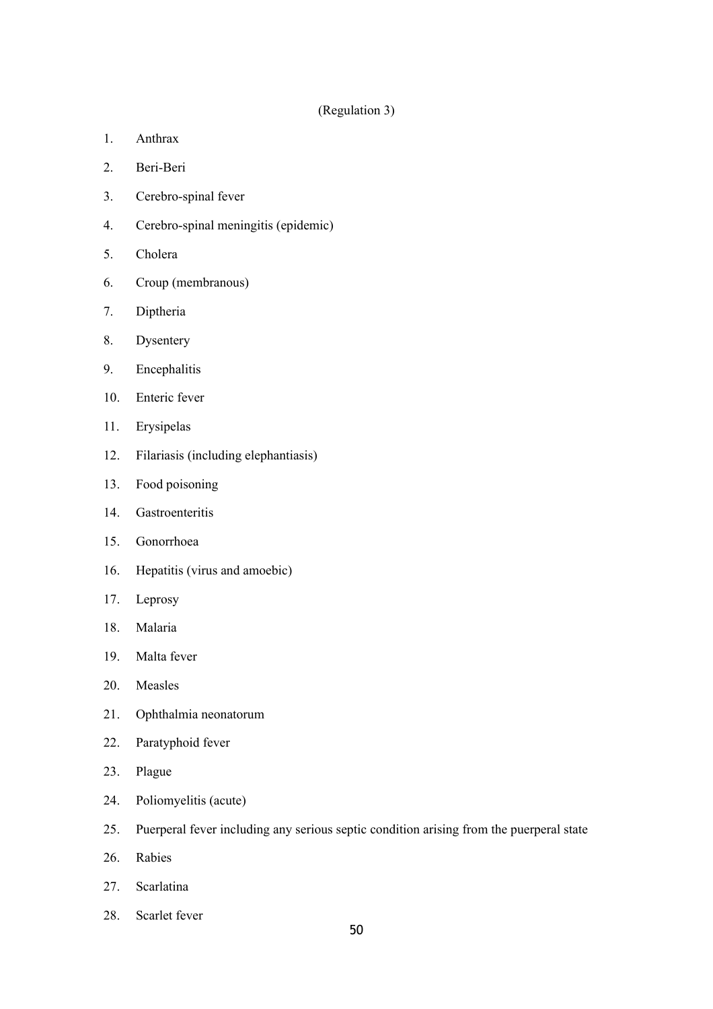## (Regulation 3)

- 1. Anthrax
- 2. Beri-Beri
- 3. Cerebro-spinal fever
- 4. Cerebro-spinal meningitis (epidemic)
- 5. Cholera
- 6. Croup (membranous)
- 7. Diptheria
- 8. Dysentery
- 9. Encephalitis
- 10. Enteric fever
- 11. Erysipelas
- 12. Filariasis (including elephantiasis)
- 13. Food poisoning
- 14. Gastroenteritis
- 15. Gonorrhoea
- 16. Hepatitis (virus and amoebic)
- 17. Leprosy
- 18. Malaria
- 19. Malta fever
- 20. Measles
- 21. Ophthalmia neonatorum
- 22. Paratyphoid fever
- 23. Plague
- 24. Poliomyelitis (acute)
- 25. Puerperal fever including any serious septic condition arising from the puerperal state
- 26. Rabies
- 27. Scarlatina
- 28. Scarlet fever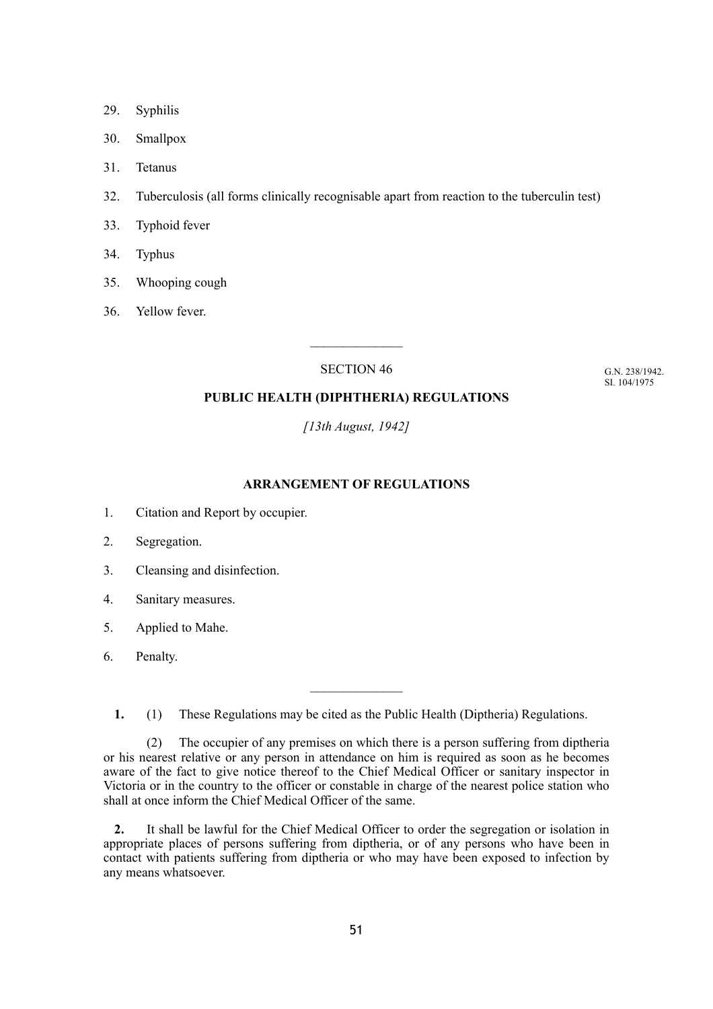- 29. Syphilis
- 30. Smallpox
- 31. Tetanus
- 32. Tuberculosis (all forms clinically recognisable apart from reaction to the tuberculin test)
- 33. Typhoid fever
- 34. Typhus
- 35. Whooping cough
- 36. Yellow fever.

SECTION 46

G.N. 238/1942. SI. 104/1975

## **PUBLIC HEALTH (DIPHTHERIA) REGULATIONS**

*[13th August, 1942]*

## **ARRANGEMENT OF REGULATIONS**

- 1. Citation and Report by occupier.
- 2. Segregation.
- 3. Cleansing and disinfection.
- 4. Sanitary measures.
- 5. Applied to Mahe.
- 6. Penalty.

**1.** (1) These Regulations may be cited as the Public Health (Diptheria) Regulations.

(2) The occupier of any premises on which there is a person suffering from diptheria or his nearest relative or any person in attendance on him is required as soon as he becomes aware of the fact to give notice thereof to the Chief Medical Officer or sanitary inspector in Victoria or in the country to the officer or constable in charge of the nearest police station who shall at once inform the Chief Medical Officer of the same.

**2.** It shall be lawful for the Chief Medical Officer to order the segregation or isolation in appropriate places of persons suffering from diptheria, or of any persons who have been in contact with patients suffering from diptheria or who may have been exposed to infection by any means whatsoever.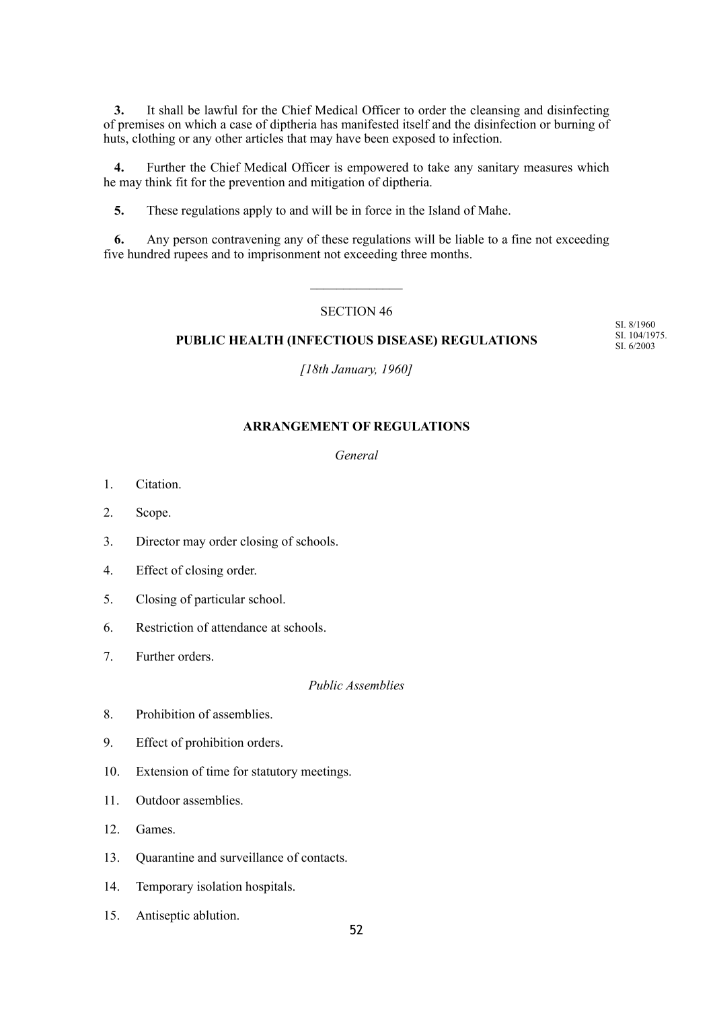**3.** It shall be lawful for the Chief Medical Officer to order the cleansing and disinfecting of premises on which a case of diptheria has manifested itself and the disinfection or burning of huts, clothing or any other articles that may have been exposed to infection.

**4.** Further the Chief Medical Officer is empowered to take any sanitary measures which he may think fit for the prevention and mitigation of diptheria.

**5.** These regulations apply to and will be in force in the Island of Mahe.

**6.** Any person contravening any of these regulations will be liable to a fine not exceeding five hundred rupees and to imprisonment not exceeding three months.

 $\mathcal{L}_\text{max}$ 

## SECTION 46

## **PUBLIC HEALTH (INFECTIOUS DISEASE) REGULATIONS**

SI. 8/1960 SI. 104/1975. SI. 6/2003

*[18th January, 1960]*

## **ARRANGEMENT OF REGULATIONS**

## *General*

- 1. Citation.
- 2. Scope.
- 3. Director may order closing of schools.
- 4. Effect of closing order.
- 5. Closing of particular school.
- 6. Restriction of attendance at schools.
- 7. Further orders.

## *Public Assemblies*

- 8. Prohibition of assemblies.
- 9. Effect of prohibition orders.
- 10. Extension of time for statutory meetings.
- 11. Outdoor assemblies.
- 12. Games.
- 13. Quarantine and surveillance of contacts.
- 14. Temporary isolation hospitals.
- 15. Antiseptic ablution.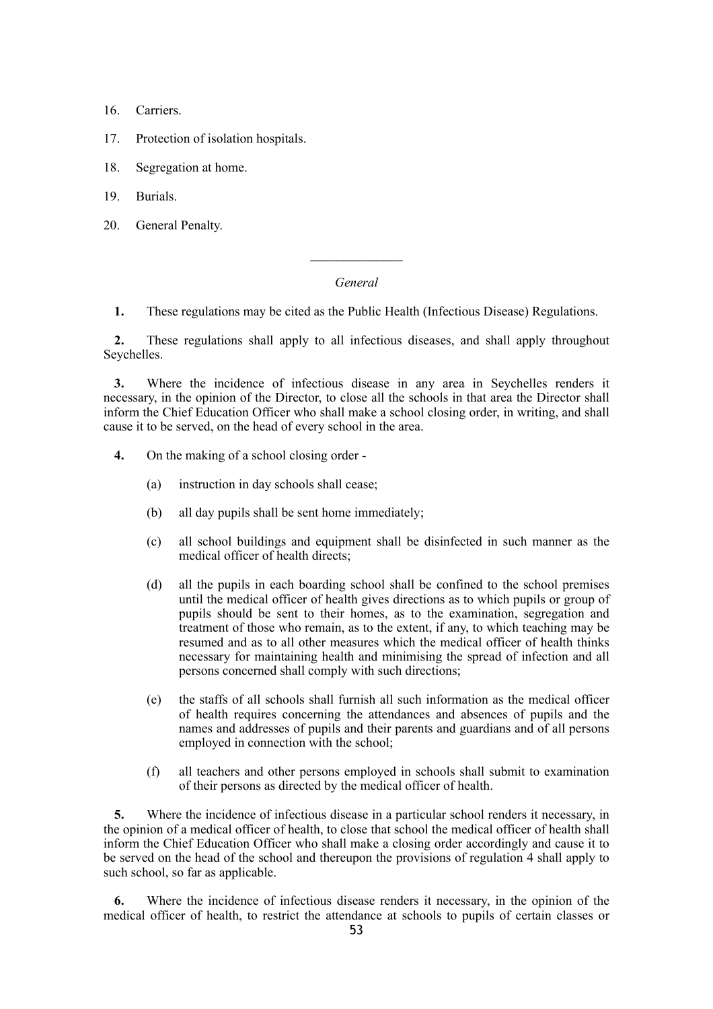- 16. Carriers.
- 17. Protection of isolation hospitals.
- 18. Segregation at home.
- 19. Burials.
- 20. General Penalty.

## *General*

 $\mathcal{L}_\text{max}$ 

**1.** These regulations may be cited as the Public Health (Infectious Disease) Regulations.

**2.** These regulations shall apply to all infectious diseases, and shall apply throughout Seychelles.

**3.** Where the incidence of infectious disease in any area in Seychelles renders it necessary, in the opinion of the Director, to close all the schools in that area the Director shall inform the Chief Education Officer who shall make a school closing order, in writing, and shall cause it to be served, on the head of every school in the area.

- **4.** On the making of a school closing order
	- (a) instruction in day schools shall cease;
	- (b) all day pupils shall be sent home immediately;
	- (c) all school buildings and equipment shall be disinfected in such manner as the medical officer of health directs;
	- (d) all the pupils in each boarding school shall be confined to the school premises until the medical officer of health gives directions as to which pupils or group of pupils should be sent to their homes, as to the examination, segregation and treatment of those who remain, as to the extent, if any, to which teaching may be resumed and as to all other measures which the medical officer of health thinks necessary for maintaining health and minimising the spread of infection and all persons concerned shall comply with such directions;
	- (e) the staffs of all schools shall furnish all such information as the medical officer of health requires concerning the attendances and absences of pupils and the names and addresses of pupils and their parents and guardians and of all persons employed in connection with the school;
	- (f) all teachers and other persons employed in schools shall submit to examination of their persons as directed by the medical officer of health.

**5.** Where the incidence of infectious disease in a particular school renders it necessary, in the opinion of a medical officer of health, to close that school the medical officer of health shall inform the Chief Education Officer who shall make a closing order accordingly and cause it to be served on the head of the school and thereupon the provisions of regulation 4 shall apply to such school, so far as applicable.

**6.** Where the incidence of infectious disease renders it necessary, in the opinion of the medical officer of health, to restrict the attendance at schools to pupils of certain classes or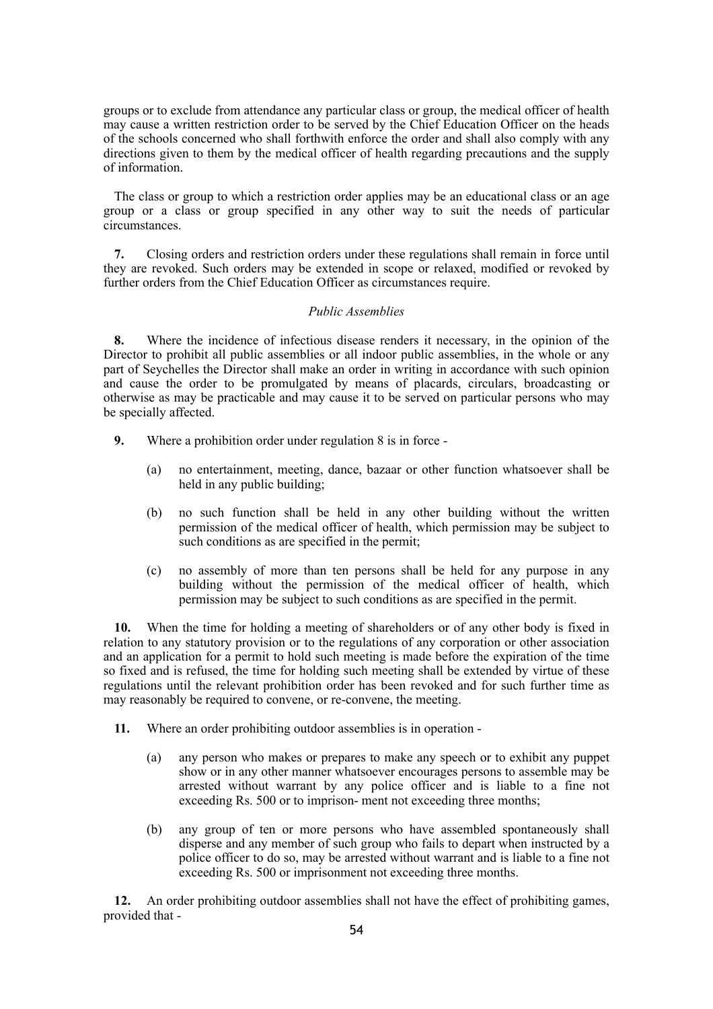groups or to exclude from attendance any particular class or group, the medical officer of health may cause a written restriction order to be served by the Chief Education Officer on the heads of the schools concerned who shall forthwith enforce the order and shall also comply with any directions given to them by the medical officer of health regarding precautions and the supply of information.

The class or group to which a restriction order applies may be an educational class or an age group or a class or group specified in any other way to suit the needs of particular circumstances.

**7.** Closing orders and restriction orders under these regulations shall remain in force until they are revoked. Such orders may be extended in scope or relaxed, modified or revoked by further orders from the Chief Education Officer as circumstances require.

## *Public Assemblies*

**8.** Where the incidence of infectious disease renders it necessary, in the opinion of the Director to prohibit all public assemblies or all indoor public assemblies, in the whole or any part of Seychelles the Director shall make an order in writing in accordance with such opinion and cause the order to be promulgated by means of placards, circulars, broadcasting or otherwise as may be practicable and may cause it to be served on particular persons who may be specially affected.

- **9.** Where a prohibition order under regulation 8 is in force
	- (a) no entertainment, meeting, dance, bazaar or other function whatsoever shall be held in any public building;
	- (b) no such function shall be held in any other building without the written permission of the medical officer of health, which permission may be subject to such conditions as are specified in the permit;
	- (c) no assembly of more than ten persons shall be held for any purpose in any building without the permission of the medical officer of health, which permission may be subject to such conditions as are specified in the permit.

**10.** When the time for holding a meeting of shareholders or of any other body is fixed in relation to any statutory provision or to the regulations of any corporation or other association and an application for a permit to hold such meeting is made before the expiration of the time so fixed and is refused, the time for holding such meeting shall be extended by virtue of these regulations until the relevant prohibition order has been revoked and for such further time as may reasonably be required to convene, or re-convene, the meeting.

- **11.** Where an order prohibiting outdoor assemblies is in operation
	- (a) any person who makes or prepares to make any speech or to exhibit any puppet show or in any other manner whatsoever encourages persons to assemble may be arrested without warrant by any police officer and is liable to a fine not exceeding Rs. 500 or to imprison- ment not exceeding three months;
	- (b) any group of ten or more persons who have assembled spontaneously shall disperse and any member of such group who fails to depart when instructed by a police officer to do so, may be arrested without warrant and is liable to a fine not exceeding Rs. 500 or imprisonment not exceeding three months.

**12.** An order prohibiting outdoor assemblies shall not have the effect of prohibiting games, provided that -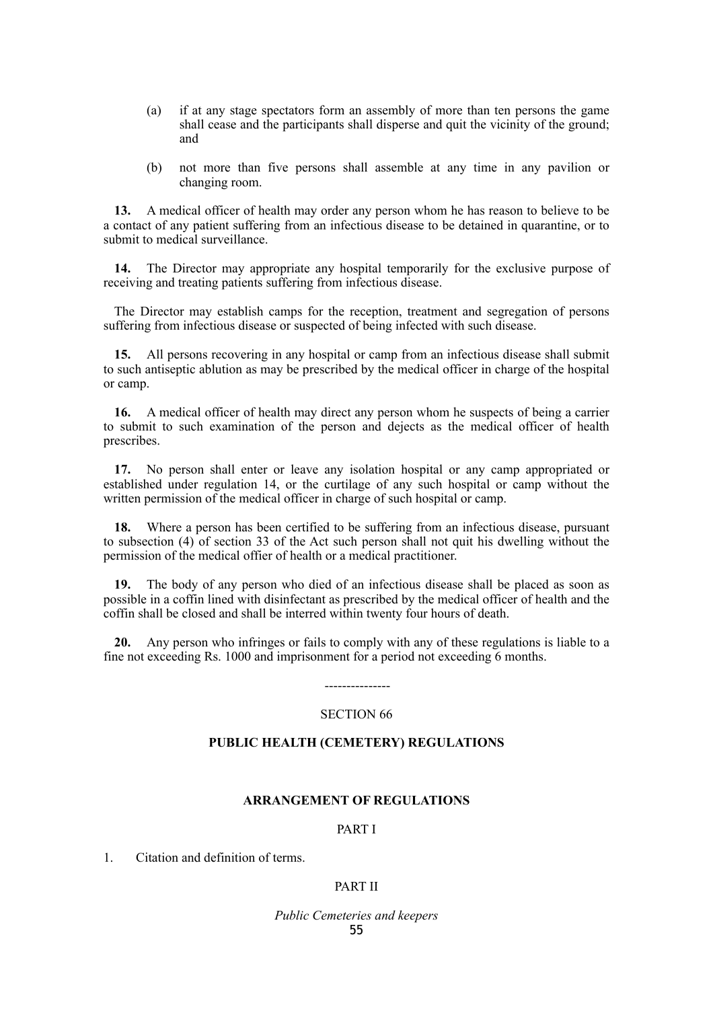- (a) if at any stage spectators form an assembly of more than ten persons the game shall cease and the participants shall disperse and quit the vicinity of the ground; and
- (b) not more than five persons shall assemble at any time in any pavilion or changing room.

**13.** A medical officer of health may order any person whom he has reason to believe to be a contact of any patient suffering from an infectious disease to be detained in quarantine, or to submit to medical surveillance.

**14.** The Director may appropriate any hospital temporarily for the exclusive purpose of receiving and treating patients suffering from infectious disease.

The Director may establish camps for the reception, treatment and segregation of persons suffering from infectious disease or suspected of being infected with such disease.

**15.** All persons recovering in any hospital or camp from an infectious disease shall submit to such antiseptic ablution as may be prescribed by the medical officer in charge of the hospital or camp.

**16.** A medical officer of health may direct any person whom he suspects of being a carrier to submit to such examination of the person and dejects as the medical officer of health prescribes.

**17.** No person shall enter or leave any isolation hospital or any camp appropriated or established under regulation 14, or the curtilage of any such hospital or camp without the written permission of the medical officer in charge of such hospital or camp.

**18.** Where a person has been certified to be suffering from an infectious disease, pursuant to subsection (4) of section 33 of the Act such person shall not quit his dwelling without the permission of the medical offier of health or a medical practitioner.

**19.** The body of any person who died of an infectious disease shall be placed as soon as possible in a coffin lined with disinfectant as prescribed by the medical officer of health and the coffin shall be closed and shall be interred within twenty four hours of death.

**20.** Any person who infringes or fails to comply with any of these regulations is liable to a fine not exceeding Rs. 1000 and imprisonment for a period not exceeding 6 months.

# --------------- SECTION 66

## **PUBLIC HEALTH (CEMETERY) REGULATIONS**

## **ARRANGEMENT OF REGULATIONS**

## PART I

1. Citation and definition of terms.

## PART II

*Public Cemeteries and keepers* 55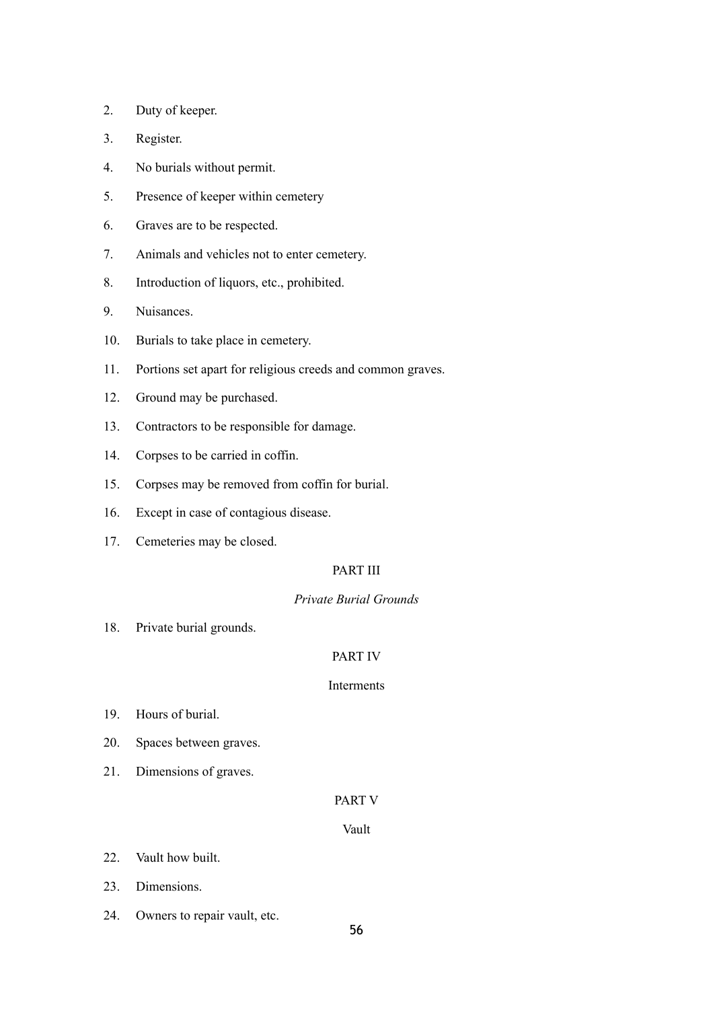- 2. Duty of keeper.
- 3. Register.
- 4. No burials without permit.
- 5. Presence of keeper within cemetery
- 6. Graves are to be respected.
- 7. Animals and vehicles not to enter cemetery.
- 8. Introduction of liquors, etc., prohibited.
- 9. Nuisances.
- 10. Burials to take place in cemetery.
- 11. Portions set apart for religious creeds and common graves.
- 12. Ground may be purchased.
- 13. Contractors to be responsible for damage.
- 14. Corpses to be carried in coffin.
- 15. Corpses may be removed from coffin for burial.
- 16. Except in case of contagious disease.
- 17. Cemeteries may be closed.

## PART III

## *Private Burial Grounds*

18. Private burial grounds.

## PART IV

## Interments

- 19. Hours of burial.
- 20. Spaces between graves.
- 21. Dimensions of graves.

## PART V

## Vault

- 22. Vault how built.
- 23. Dimensions.
- 24. Owners to repair vault, etc.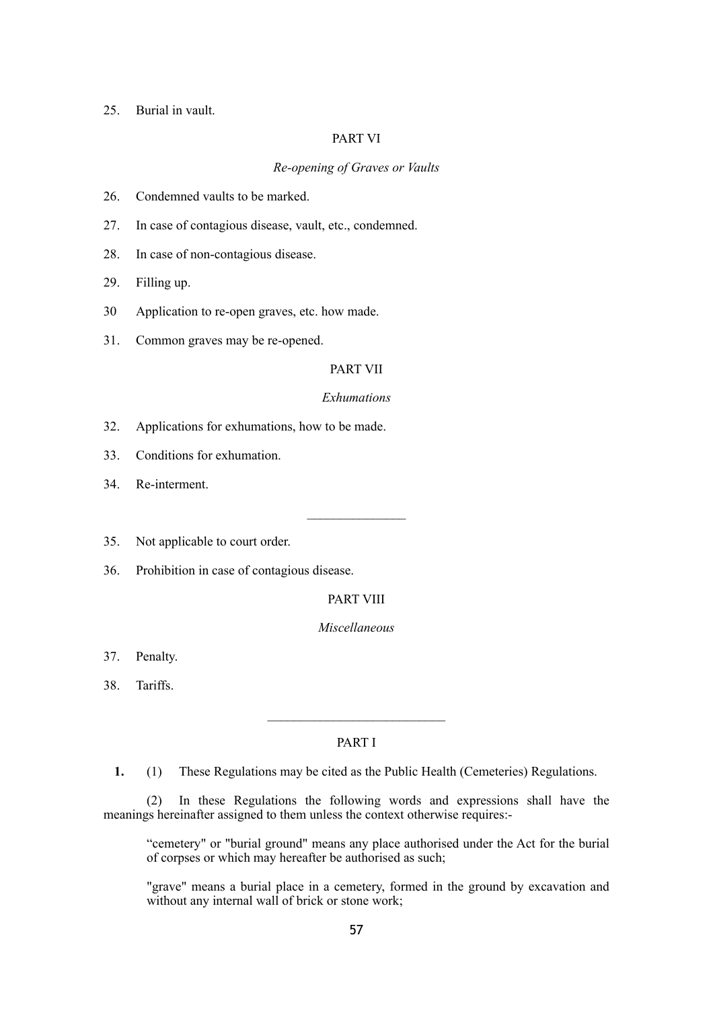#### 25. Burial in vault.

## PART VI

## *Re-opening of Graves or Vaults*

- 26. Condemned vaults to be marked.
- 27. In case of contagious disease, vault, etc., condemned.
- 28. In case of non-contagious disease.
- 29. Filling up.
- 30 Application to re-open graves, etc. how made.
- 31. Common graves may be re-opened.

### PART VII

#### *Exhumations*

- 32. Applications for exhumations, how to be made.
- 33. Conditions for exhumation.
- 34. Re-interment.
- 35. Not applicable to court order.
- 36. Prohibition in case of contagious disease.

## PART VIII

## *Miscellaneous*

- 37. Penalty.
- 38. Tariffs.

## PART I

 $\mathcal{L}=\mathcal{L}^{\mathcal{L}}$ 

**1.** (1) These Regulations may be cited as the Public Health (Cemeteries) Regulations.

(2) In these Regulations the following words and expressions shall have the meanings hereinafter assigned to them unless the context otherwise requires:-

"cemetery" or "burial ground" means any place authorised under the Act for the burial of corpses or which may hereafter be authorised as such;

"grave" means a burial place in a cemetery, formed in the ground by excavation and without any internal wall of brick or stone work;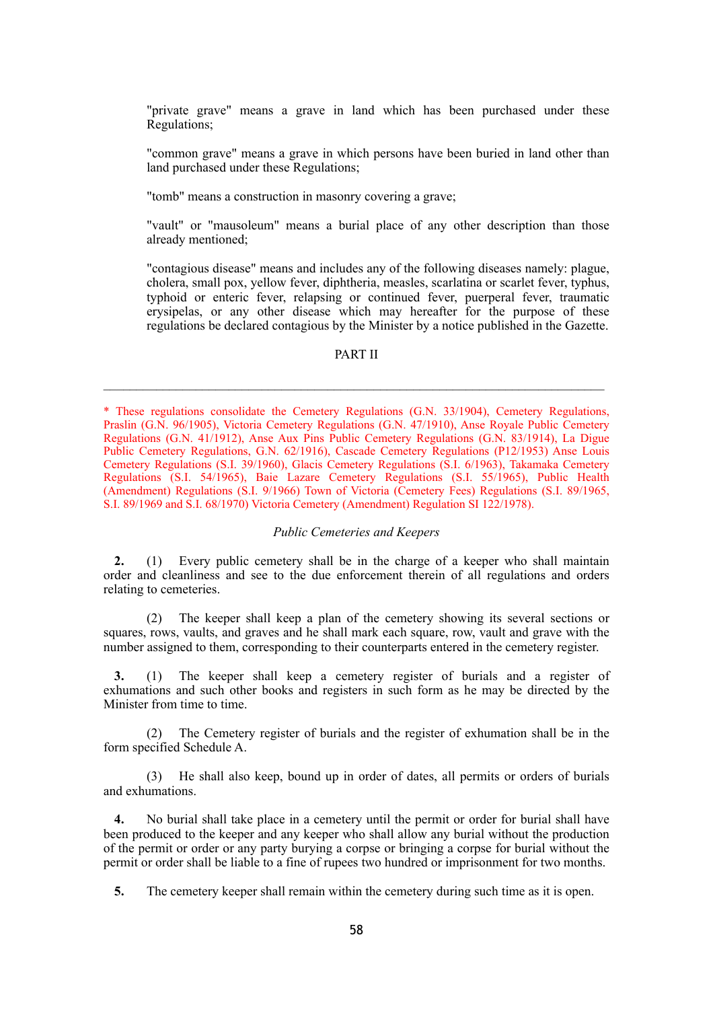"private grave" means a grave in land which has been purchased under these Regulations;

"common grave" means a grave in which persons have been buried in land other than land purchased under these Regulations;

"tomb" means a construction in masonry covering a grave;

"vault" or "mausoleum" means a burial place of any other description than those already mentioned;

"contagious disease" means and includes any of the following diseases namely: plague, cholera, small pox, yellow fever, diphtheria, measles, scarlatina or scarlet fever, typhus, typhoid or enteric fever, relapsing or continued fever, puerperal fever, traumatic erysipelas, or any other disease which may hereafter for the purpose of these regulations be declared contagious by the Minister by a notice published in the Gazette.

## PART II

## *Public Cemeteries and Keepers*

**2.** (1) Every public cemetery shall be in the charge of a keeper who shall maintain order and cleanliness and see to the due enforcement therein of all regulations and orders relating to cemeteries.

(2) The keeper shall keep a plan of the cemetery showing its several sections or squares, rows, vaults, and graves and he shall mark each square, row, vault and grave with the number assigned to them, corresponding to their counterparts entered in the cemetery register.

**3.** (1) The keeper shall keep a cemetery register of burials and a register of exhumations and such other books and registers in such form as he may be directed by the Minister from time to time.

(2) The Cemetery register of burials and the register of exhumation shall be in the form specified Schedule A.

(3) He shall also keep, bound up in order of dates, all permits or orders of burials and exhumations.

**4.** No burial shall take place in a cemetery until the permit or order for burial shall have been produced to the keeper and any keeper who shall allow any burial without the production of the permit or order or any party burying a corpse or bringing a corpse for burial without the permit or order shall be liable to a fine of rupees two hundred or imprisonment for two months.

**5.** The cemetery keeper shall remain within the cemetery during such time as it is open.

<sup>\*</sup> These regulations consolidate the Cemetery Regulations (G.N. 33/1904), Cemetery Regulations, Praslin (G.N. 96/1905), Victoria Cemetery Regulations (G.N. 47/1910), Anse Royale Public Cemetery Regulations (G.N. 41/1912), Anse Aux Pins Public Cemetery Regulations (G.N. 83/1914), La Digue Public Cemetery Regulations, G.N. 62/1916), Cascade Cemetery Regulations (P12/1953) Anse Louis Cemetery Regulations (S.I. 39/1960), Glacis Cemetery Regulations (S.I. 6/1963), Takamaka Cemetery Regulations (S.I. 54/1965), Baie Lazare Cemetery Regulations (S.I. 55/1965), Public Health (Amendment) Regulations (S.I. 9/1966) Town of Victoria (Cemetery Fees) Regulations (S.I. 89/1965, S.I. 89/1969 and S.I. 68/1970) Victoria Cemetery (Amendment) Regulation SI 122/1978).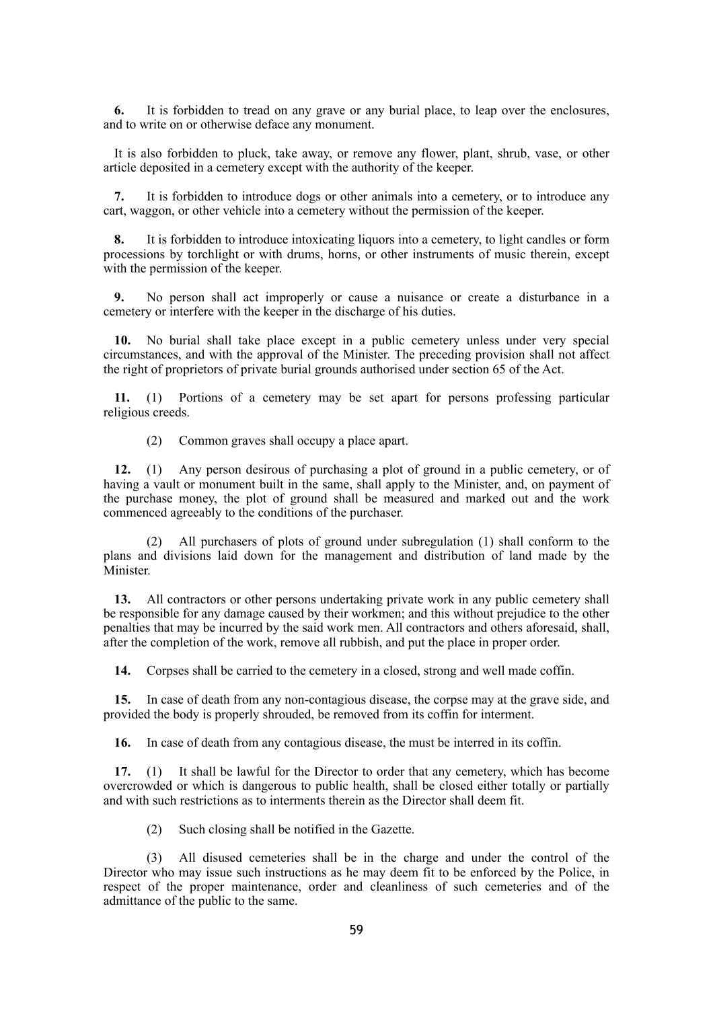**6.** It is forbidden to tread on any grave or any burial place, to leap over the enclosures, and to write on or otherwise deface any monument.

It is also forbidden to pluck, take away, or remove any flower, plant, shrub, vase, or other article deposited in a cemetery except with the authority of the keeper.

**7.** It is forbidden to introduce dogs or other animals into a cemetery, or to introduce any cart, waggon, or other vehicle into a cemetery without the permission of the keeper.

**8.** It is forbidden to introduce intoxicating liquors into a cemetery, to light candles or form processions by torchlight or with drums, horns, or other instruments of music therein, except with the permission of the keeper.

**9.** No person shall act improperly or cause a nuisance or create a disturbance in a cemetery or interfere with the keeper in the discharge of his duties.

**10.** No burial shall take place except in a public cemetery unless under very special circumstances, and with the approval of the Minister. The preceding provision shall not affect the right of proprietors of private burial grounds authorised under section 65 of the Act.

**11.** (1) Portions of a cemetery may be set apart for persons professing particular religious creeds.

(2) Common graves shall occupy a place apart.

**12.** (1) Any person desirous of purchasing a plot of ground in a public cemetery, or of having a vault or monument built in the same, shall apply to the Minister, and, on payment of the purchase money, the plot of ground shall be measured and marked out and the work commenced agreeably to the conditions of the purchaser.

(2) All purchasers of plots of ground under subregulation (1) shall conform to the plans and divisions laid down for the management and distribution of land made by the Minister.

**13.** All contractors or other persons undertaking private work in any public cemetery shall be responsible for any damage caused by their workmen; and this without prejudice to the other penalties that may be incurred by the said work men. All contractors and others aforesaid, shall, after the completion of the work, remove all rubbish, and put the place in proper order.

**14.** Corpses shall be carried to the cemetery in a closed, strong and well made coffin.

**15.** In case of death from any non-contagious disease, the corpse may at the grave side, and provided the body is properly shrouded, be removed from its coffin for interment.

**16.** In case of death from any contagious disease, the must be interred in its coffin.

**17.** (1) It shall be lawful for the Director to order that any cemetery, which has become overcrowded or which is dangerous to public health, shall be closed either totally or partially and with such restrictions as to interments therein as the Director shall deem fit.

(2) Such closing shall be notified in the Gazette.

(3) All disused cemeteries shall be in the charge and under the control of the Director who may issue such instructions as he may deem fit to be enforced by the Police, in respect of the proper maintenance, order and cleanliness of such cemeteries and of the admittance of the public to the same.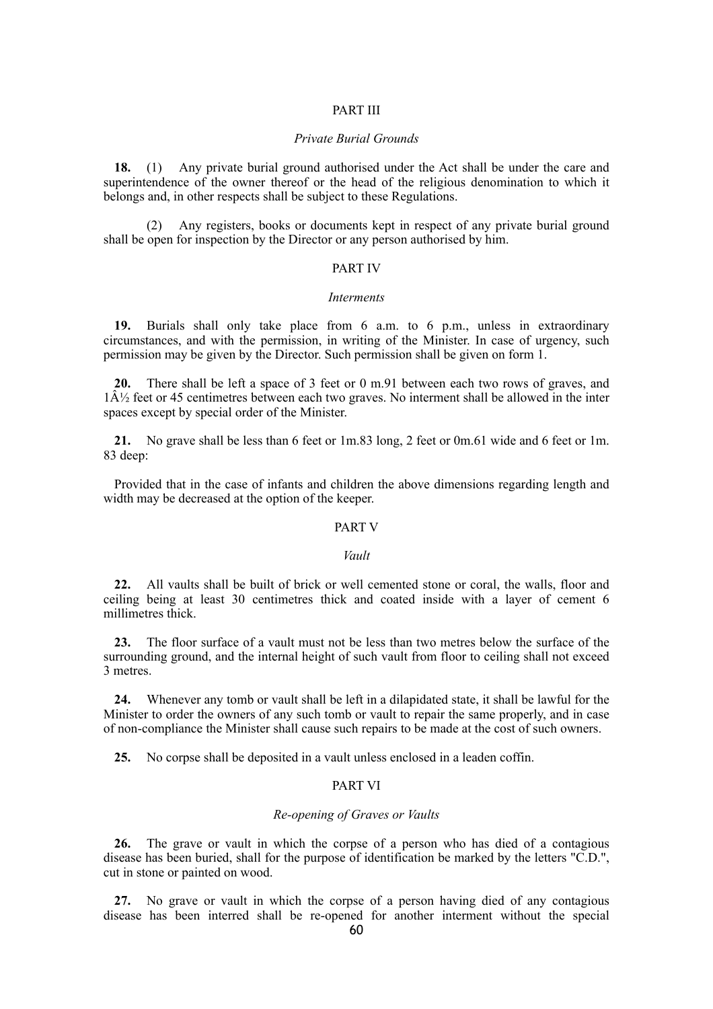#### PART III

## *Private Burial Grounds*

**18.** (1) Any private burial ground authorised under the Act shall be under the care and superintendence of the owner thereof or the head of the religious denomination to which it belongs and, in other respects shall be subject to these Regulations.

(2) Any registers, books or documents kept in respect of any private burial ground shall be open for inspection by the Director or any person authorised by him.

#### PART IV

#### *Interments*

**19.** Burials shall only take place from 6 a.m. to 6 p.m., unless in extraordinary circumstances, and with the permission, in writing of the Minister. In case of urgency, such permission may be given by the Director. Such permission shall be given on form 1.

**20.** There shall be left a space of 3 feet or 0 m.91 between each two rows of graves, and  $1\hat{A}\frac{1}{2}$  feet or 45 centimetres between each two graves. No interment shall be allowed in the inter spaces except by special order of the Minister.

**21.** No grave shall be less than 6 feet or 1m.83 long, 2 feet or 0m.61 wide and 6 feet or 1m. 83 deep:

Provided that in the case of infants and children the above dimensions regarding length and width may be decreased at the option of the keeper.

#### PART V

#### *Vault*

**22.** All vaults shall be built of brick or well cemented stone or coral, the walls, floor and ceiling being at least 30 centimetres thick and coated inside with a layer of cement 6 millimetres thick.

**23.** The floor surface of a vault must not be less than two metres below the surface of the surrounding ground, and the internal height of such vault from floor to ceiling shall not exceed 3 metres.

**24.** Whenever any tomb or vault shall be left in a dilapidated state, it shall be lawful for the Minister to order the owners of any such tomb or vault to repair the same properly, and in case of non-compliance the Minister shall cause such repairs to be made at the cost of such owners.

**25.** No corpse shall be deposited in a vault unless enclosed in a leaden coffin.

## PART VI

#### *Re-opening of Graves or Vaults*

**26.** The grave or vault in which the corpse of a person who has died of a contagious disease has been buried, shall for the purpose of identification be marked by the letters "C.D.", cut in stone or painted on wood.

**27.** No grave or vault in which the corpse of a person having died of any contagious disease has been interred shall be re-opened for another interment without the special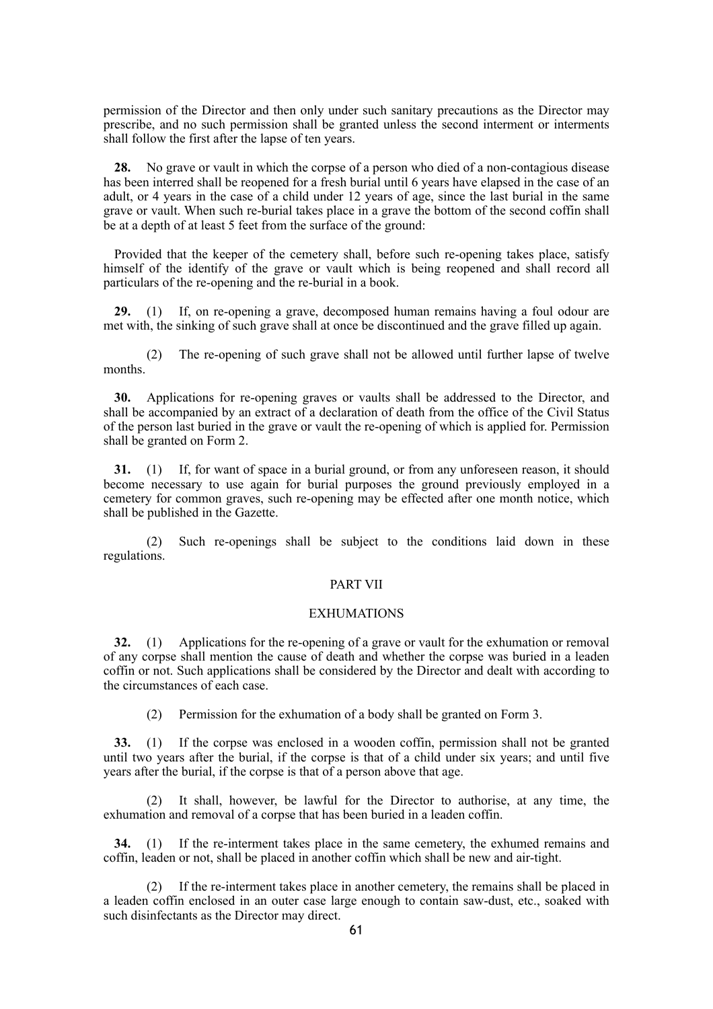permission of the Director and then only under such sanitary precautions as the Director may prescribe, and no such permission shall be granted unless the second interment or interments shall follow the first after the lapse of ten years.

**28.** No grave or vault in which the corpse of a person who died of a non-contagious disease has been interred shall be reopened for a fresh burial until 6 years have elapsed in the case of an adult, or 4 years in the case of a child under 12 years of age, since the last burial in the same grave or vault. When such re-burial takes place in a grave the bottom of the second coffin shall be at a depth of at least 5 feet from the surface of the ground:

Provided that the keeper of the cemetery shall, before such re-opening takes place, satisfy himself of the identify of the grave or vault which is being reopened and shall record all particulars of the re-opening and the re-burial in a book.

**29.** (1) If, on re-opening a grave, decomposed human remains having a foul odour are met with, the sinking of such grave shall at once be discontinued and the grave filled up again.

(2) The re-opening of such grave shall not be allowed until further lapse of twelve months.

**30.** Applications for re-opening graves or vaults shall be addressed to the Director, and shall be accompanied by an extract of a declaration of death from the office of the Civil Status of the person last buried in the grave or vault the re-opening of which is applied for. Permission shall be granted on Form 2.

**31.** (1) If, for want of space in a burial ground, or from any unforeseen reason, it should become necessary to use again for burial purposes the ground previously employed in a cemetery for common graves, such re-opening may be effected after one month notice, which shall be published in the Gazette.

(2) Such re-openings shall be subject to the conditions laid down in these regulations.

## PART VII

## EXHUMATIONS

**32.** (1) Applications for the re-opening of a grave or vault for the exhumation or removal of any corpse shall mention the cause of death and whether the corpse was buried in a leaden coffin or not. Such applications shall be considered by the Director and dealt with according to the circumstances of each case.

(2) Permission for the exhumation of a body shall be granted on Form 3.

**33.** (1) If the corpse was enclosed in a wooden coffin, permission shall not be granted until two years after the burial, if the corpse is that of a child under six years; and until five years after the burial, if the corpse is that of a person above that age.

(2) It shall, however, be lawful for the Director to authorise, at any time, the exhumation and removal of a corpse that has been buried in a leaden coffin.

**34.** (1) If the re-interment takes place in the same cemetery, the exhumed remains and coffin, leaden or not, shall be placed in another coffin which shall be new and air-tight.

(2) If the re-interment takes place in another cemetery, the remains shall be placed in a leaden coffin enclosed in an outer case large enough to contain saw-dust, etc., soaked with such disinfectants as the Director may direct.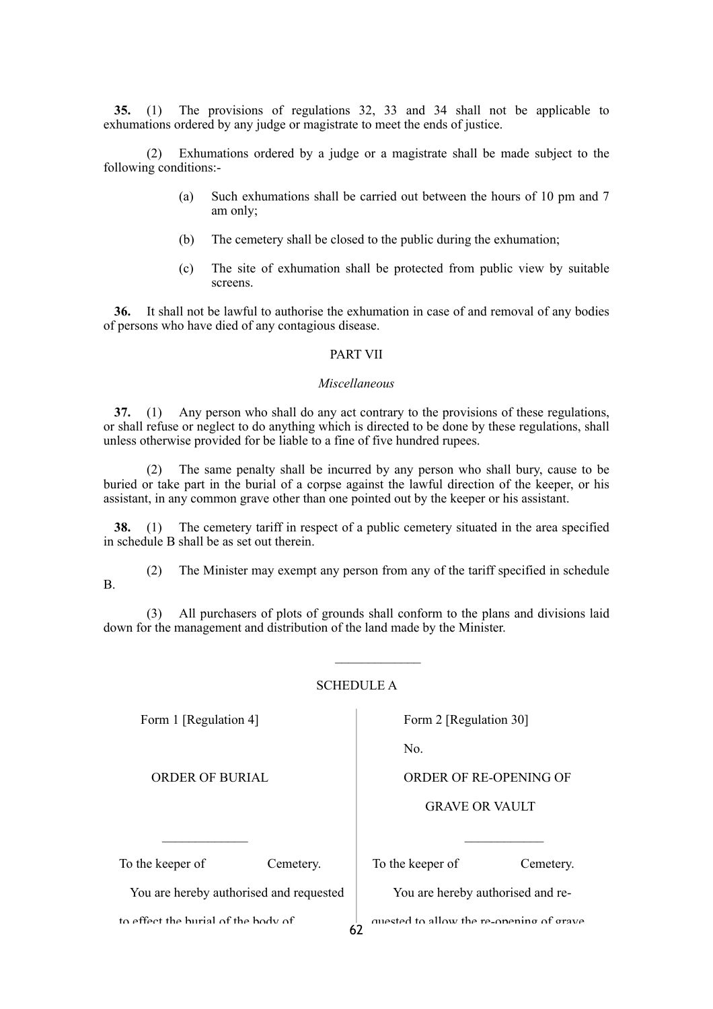**35.** (1) The provisions of regulations 32, 33 and 34 shall not be applicable to exhumations ordered by any judge or magistrate to meet the ends of justice.

(2) Exhumations ordered by a judge or a magistrate shall be made subject to the following conditions:-

- (a) Such exhumations shall be carried out between the hours of 10 pm and 7 am only;
- (b) The cemetery shall be closed to the public during the exhumation;
- (c) The site of exhumation shall be protected from public view by suitable screens.

**36.** It shall not be lawful to authorise the exhumation in case of and removal of any bodies of persons who have died of any contagious disease.

## PART VII

#### *Miscellaneous*

**37.** (1) Any person who shall do any act contrary to the provisions of these regulations, or shall refuse or neglect to do anything which is directed to be done by these regulations, shall unless otherwise provided for be liable to a fine of five hundred rupees.

(2) The same penalty shall be incurred by any person who shall bury, cause to be buried or take part in the burial of a corpse against the lawful direction of the keeper, or his assistant, in any common grave other than one pointed out by the keeper or his assistant.

**38.** (1) The cemetery tariff in respect of a public cemetery situated in the area specified in schedule B shall be as set out therein.

B.

(2) The Minister may exempt any person from any of the tariff specified in schedule

(3) All purchasers of plots of grounds shall conform to the plans and divisions laid down for the management and distribution of the land made by the Minister.

## SCHEDULE A

Form 1 [Regulation 4]

ORDER OF BURIAL

 $\mathcal{L}_\text{max}$ 

To the keeper of Cemetery.

You are hereby authorised and requested

to effect the burial of the body of

To the keeper of Cemetery.

You are hereby authorised and re-

quested to allow the re-opening of grave  $62$ 

Form 2 [Regulation 30]

No.

ORDER OF RE-OPENING OF

GRAVE OR VAULT

 $\mathcal{L}_\text{max}$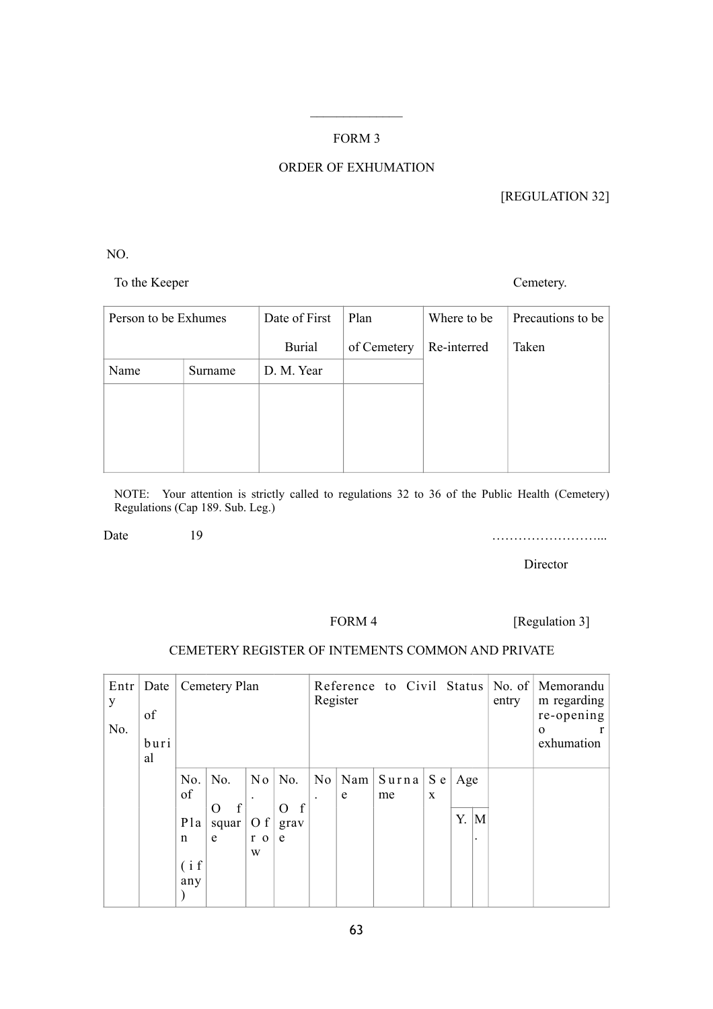## FORM 3

 $\mathcal{L}_\text{max}$ 

# ORDER OF EXHUMATION

[REGULATION 32]

NO.

To the Keeper Cemetery.

| Person to be Exhumes |         | Date of First | Plan        | Where to be | Precautions to be |
|----------------------|---------|---------------|-------------|-------------|-------------------|
|                      |         | <b>Burial</b> | of Cemetery | Re-interred | Taken             |
| Name                 | Surname | D. M. Year    |             |             |                   |
|                      |         |               |             |             |                   |
|                      |         |               |             |             |                   |
|                      |         |               |             |             |                   |
|                      |         |               |             |             |                   |

NOTE: Your attention is strictly called to regulations 32 to 36 of the Public Health (Cemetery) Regulations (Cap 189. Sub. Leg.)

Date 19 19

**Director** 

FORM 4 [Regulation 3]

## CEMETERY REGISTER OF INTEMENTS COMMON AND PRIVATE

| $Ent$ Date<br>y<br>No. | of<br>buri<br>al |                                       | Cemetery Plan                                     |                                         |                                   | Register                   |   |                        | entry    | Reference to Civil Status No. of Memorandu<br>m regarding<br>re-opening<br>$\Omega$<br>exhumation |                                           |  |  |
|------------------------|------------------|---------------------------------------|---------------------------------------------------|-----------------------------------------|-----------------------------------|----------------------------|---|------------------------|----------|---------------------------------------------------------------------------------------------------|-------------------------------------------|--|--|
|                        |                  | No.<br>of<br>Pla<br>n<br>(i f)<br>any | No.<br>$\boldsymbol{f}$<br>$\Omega$<br>squar<br>e | N <sub>o</sub><br>O f<br>$r \circ$<br>W | No.<br>f<br>$\Omega$<br>grav<br>e | No<br>$\ddot{\phantom{a}}$ | e | $Nam \mid Surna$<br>me | S e<br>X | Age<br>Y.                                                                                         | $\overline{\mathbf{M}}$<br>$\blacksquare$ |  |  |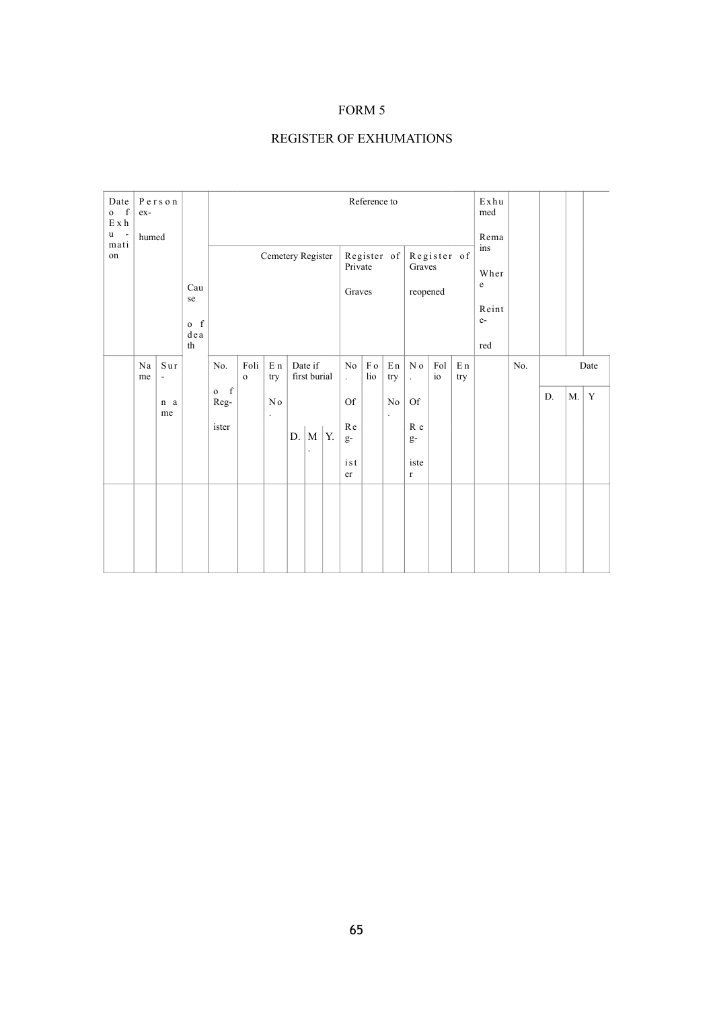## FORM 5

# REGISTER OF EXHUMATIONS

| Date<br>$-f$<br>$\mathbf{o}$<br>E x h<br>u<br>$\overline{\phantom{a}}$<br>mati | ex-<br>humed                                   | Person |                                                                  |                                                 |                     |                                        |    |                                   |    |                                                   | Reference to            |                                  |                                           |                      |                       | Exhu<br>med<br>Rema                                |     |    |             |             |
|--------------------------------------------------------------------------------|------------------------------------------------|--------|------------------------------------------------------------------|-------------------------------------------------|---------------------|----------------------------------------|----|-----------------------------------|----|---------------------------------------------------|-------------------------|----------------------------------|-------------------------------------------|----------------------|-----------------------|----------------------------------------------------|-----|----|-------------|-------------|
| on                                                                             |                                                |        | Cau<br>se<br>$o$ f<br>$\mathrm{d}\,\mathrm{e}\,\mathrm{a}$<br>th |                                                 |                     | Cemetery Register                      |    |                                   |    | Private<br>Graves                                 |                         | Register of                      | Graves<br>reopened                        | Register of          |                       | ins<br>Wher<br>$\mathbf e$<br>Reint<br>$e-$<br>red |     |    |             |             |
|                                                                                | $S$ ur<br>Na<br>me<br>$\overline{\phantom{a}}$ |        |                                                                  | No.                                             | Foli<br>$\mathbf 0$ | ${\bf E}$ n<br>try                     |    | Date if<br>first burial           |    | No<br>$\ddot{\phantom{0}}$                        | $\rm F$ o<br>$\rm{lio}$ | En<br>try                        | $\mathbf N$ o<br>$\ddot{\phantom{a}}$     | Fol<br>$\rm i\sigma$ | E <sub>n</sub><br>try |                                                    | No. |    |             | Date        |
|                                                                                | n a<br>me                                      |        |                                                                  | $$\mbox{\,f}$$<br>$\mathbf{O}$<br>Reg-<br>ister |                     | N <sub>0</sub><br>$\ddot{\phantom{0}}$ | D. | $\vert$ M<br>$\ddot{\phantom{0}}$ | Y. | $\mathop{\rm Of}\nolimits$<br>${\bf R}$ e<br>$g-$ |                         | $\rm No$<br>$\ddot{\phantom{0}}$ | $\mathop{\rm Of}\nolimits$<br>R e<br>$g-$ |                      |                       |                                                    |     | D. | $M_{\cdot}$ | $\mathbf Y$ |
|                                                                                |                                                |        |                                                                  |                                                 |                     |                                        |    |                                   |    | ist<br>$\rm{er}$                                  |                         |                                  | iste<br>$\Gamma$                          |                      |                       |                                                    |     |    |             |             |
|                                                                                |                                                |        |                                                                  |                                                 |                     |                                        |    |                                   |    |                                                   |                         |                                  |                                           |                      |                       |                                                    |     |    |             |             |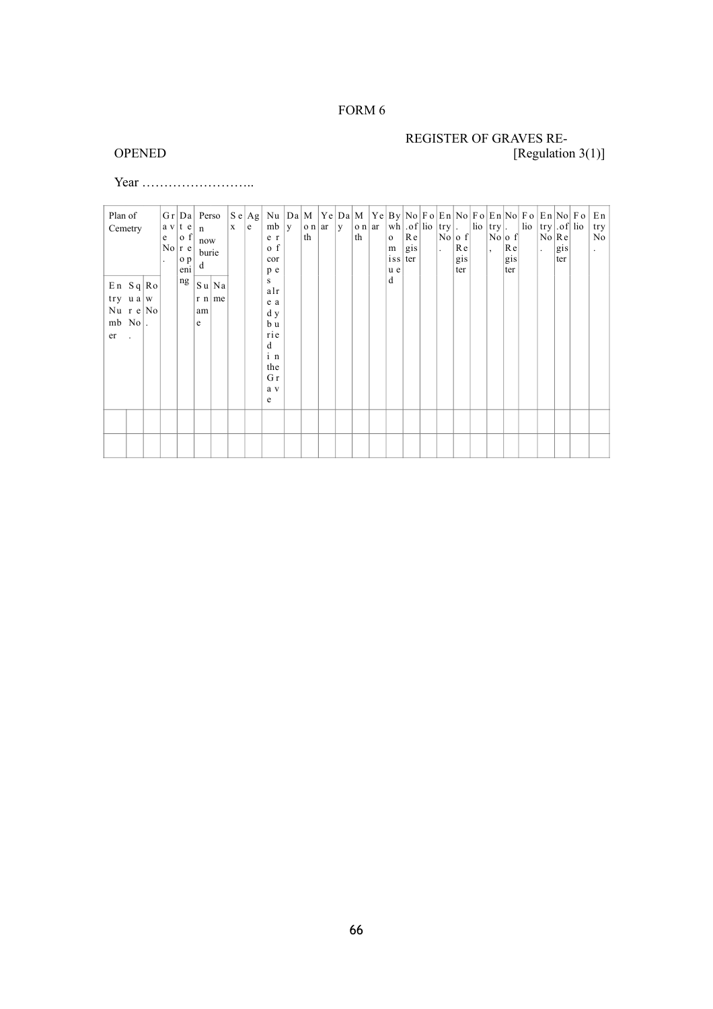## FORM 6

# REGISTER OF GRAVES RE-<br>
(Regulation [Regulation 3(1)]

Year ……………………..

| Plan of<br>Cemetry                                                                          | e | a v t e<br> 0 f <br>$\mathrm{No} \mathrm{r}\,\mathrm{e} $<br>o p<br>eni | G r   Da   Person<br>n<br>now<br>burie<br>d                                        | $\mathbf{x}$ | e | $ S\,e\, $ Ag $ $ Nu $ Da\, $ $M$ $ Ye\, Da\, $ $M$ $ Ye\, By\, No\, Fo\, En\, No\, Fo\, En\, No\, Fo\, En\, No\,  Fo\, En\, No\,  Fo\,  En\, No\,  Fo\, En\, No\,  Fo\, En\, No\,  Fo\, En\, No\,  Fo\, En\, No\,  Fo\, En\, No\,  Fo\, En\, No\,  Fo\, En\, No\,  Fo\, En\, No\,  Fo\$<br>mb   $y$<br>e <sub>r</sub><br>o f<br>cor<br>p e | $ o n $ ar  <br>th | y | th | $  \circ n  $ ar $  \wedge n   \circ f  $ lio $  \text{try}  $ . $  \text{lio}   \text{try}  $ .<br>$\mathbf{o}$<br>m<br>$ $ is s<br>u e | Re<br>gis<br>ter | $\Box$ | $\vert$ No $\vert$ o f $\vert$<br>Re<br>gis<br>ter | $ No $ o f $ $<br>$\vert$ , | $ R$ e<br>gis<br>ter | $\frac{1}{\log  \text{try}  \cdot \text{of}  \text{lio} }$ | $\vert$ No $\vert$ R e $\vert$<br>$\ddot{\phantom{a}}$ | gis<br>ter | try<br>No<br>$\ddot{\phantom{a}}$ |
|---------------------------------------------------------------------------------------------|---|-------------------------------------------------------------------------|------------------------------------------------------------------------------------|--------------|---|---------------------------------------------------------------------------------------------------------------------------------------------------------------------------------------------------------------------------------------------------------------------------------------------------------------------------------------------|--------------------|---|----|------------------------------------------------------------------------------------------------------------------------------------------|------------------|--------|----------------------------------------------------|-----------------------------|----------------------|------------------------------------------------------------|--------------------------------------------------------|------------|-----------------------------------|
| $E \nvert n \nvert S q \nvert Ro$<br>try $u a w$<br>$Nu$ r e $No$<br>$mb \text{No}$ .<br>er |   | ng                                                                      | $ S u $ Na<br>$\left  \mathbf{r} \right $ n $\left  \mathbf{m} \right $<br>am<br>e |              |   | S.<br>alr<br>e a<br>d y<br>b u<br>rie<br>d<br>$i$ n<br>the<br>G r<br>a v<br>e                                                                                                                                                                                                                                                               |                    |   |    | d                                                                                                                                        |                  |        |                                                    |                             |                      |                                                            |                                                        |            |                                   |
|                                                                                             |   |                                                                         |                                                                                    |              |   |                                                                                                                                                                                                                                                                                                                                             |                    |   |    |                                                                                                                                          |                  |        |                                                    |                             |                      |                                                            |                                                        |            |                                   |
|                                                                                             |   |                                                                         |                                                                                    |              |   |                                                                                                                                                                                                                                                                                                                                             |                    |   |    |                                                                                                                                          |                  |        |                                                    |                             |                      |                                                            |                                                        |            |                                   |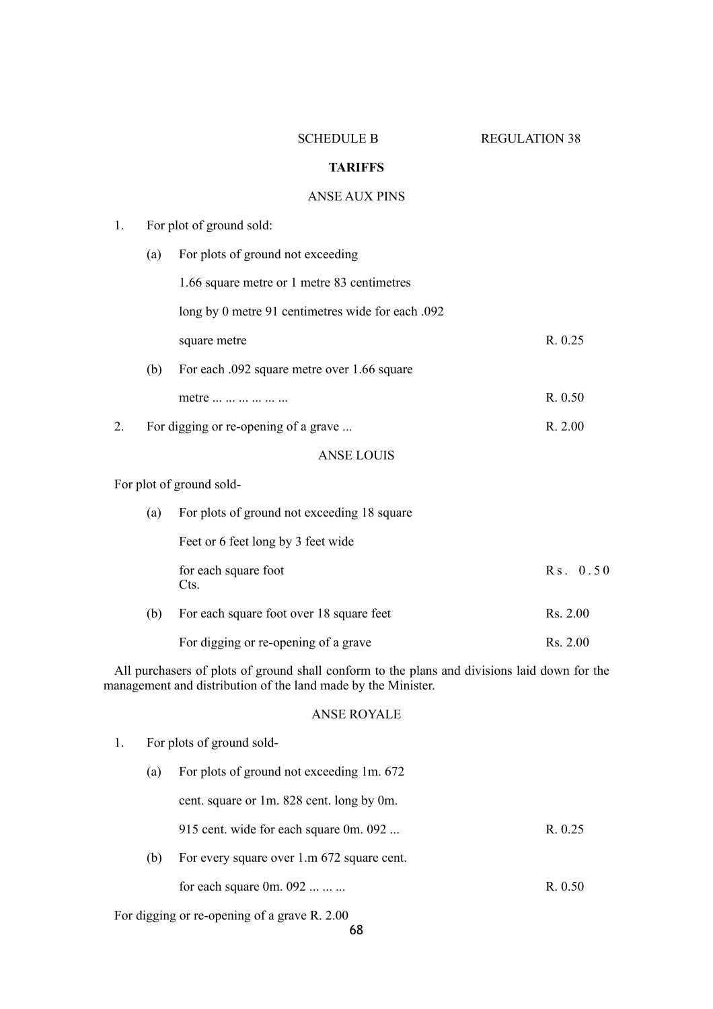SCHEDULE B REGULATION 38

## **TARIFFS**

## ANSE AUX PINS

| 1. |     | For plot of ground sold:                                                                                                                                      |          |
|----|-----|---------------------------------------------------------------------------------------------------------------------------------------------------------------|----------|
|    | (a) | For plots of ground not exceeding                                                                                                                             |          |
|    |     | 1.66 square metre or 1 metre 83 centimetres                                                                                                                   |          |
|    |     | long by 0 metre 91 centimetres wide for each .092                                                                                                             |          |
|    |     | square metre                                                                                                                                                  | R. 0.25  |
|    | (b) | For each .092 square metre over 1.66 square                                                                                                                   |          |
|    |     | metre                                                                                                                                                         | R. 0.50  |
| 2. |     | For digging or re-opening of a grave                                                                                                                          | R. 2.00  |
|    |     | <b>ANSE LOUIS</b>                                                                                                                                             |          |
|    |     | For plot of ground sold-                                                                                                                                      |          |
|    | (a) | For plots of ground not exceeding 18 square                                                                                                                   |          |
|    |     | Feet or 6 feet long by 3 feet wide                                                                                                                            |          |
|    |     | for each square foot<br>Cts.                                                                                                                                  | Rs. 0.50 |
|    | (b) | For each square foot over 18 square feet                                                                                                                      | Rs. 2.00 |
|    |     | For digging or re-opening of a grave                                                                                                                          | Rs. 2.00 |
|    |     | All purchasers of plots of ground shall conform to the plans and divisions laid down for the<br>management and distribution of the land made by the Minister. |          |
|    |     | <b>ANSE ROYALE</b>                                                                                                                                            |          |

1. For plots of ground sold- (a) For plots of ground not exceeding 1m. 672 cent. square or 1m. 828 cent. long by 0m. 915 cent. wide for each square 0m. 092 ... R. 0.25 (b) For every square over 1.m 672 square cent. for each square 0m. 092 ... ... ... R. 0.50

For digging or re-opening of a grave R. 2.00

68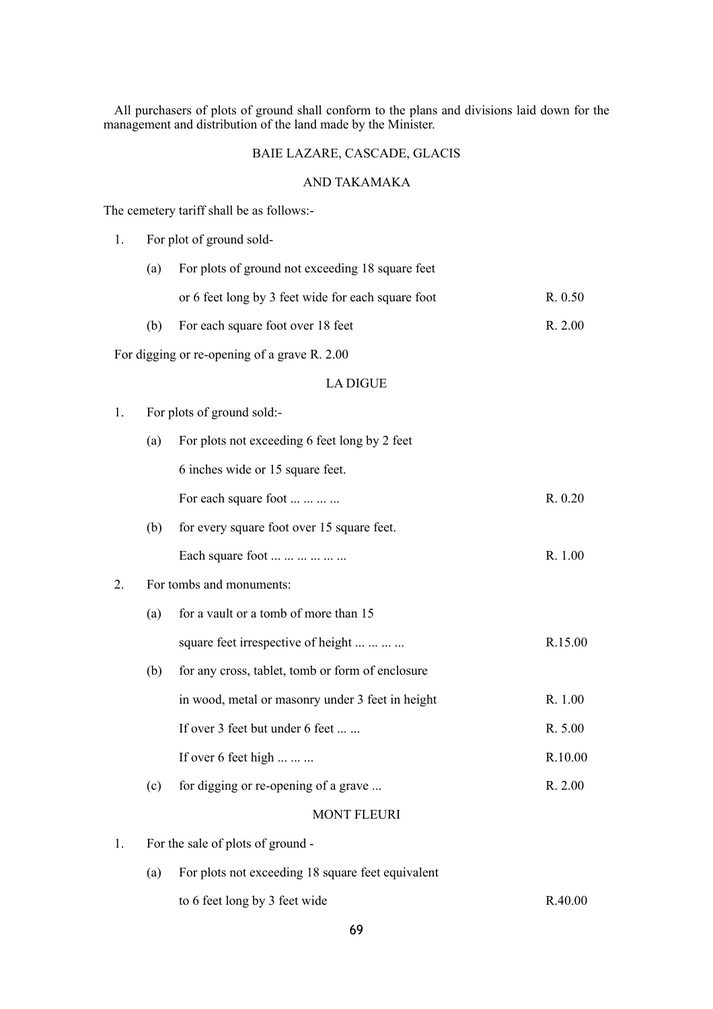All purchasers of plots of ground shall conform to the plans and divisions laid down for the management and distribution of the land made by the Minister.

# BAIE LAZARE, CASCADE, GLACIS

## AND TAKAMAKA

The cemetery tariff shall be as follows:-

| 1. |     | For plot of ground sold-                           |         |
|----|-----|----------------------------------------------------|---------|
|    | (a) | For plots of ground not exceeding 18 square feet   |         |
|    |     | or 6 feet long by 3 feet wide for each square foot | R. 0.50 |
|    | (b) | For each square foot over 18 feet                  | R. 2.00 |
|    |     | For digging or re-opening of a grave R. 2.00       |         |
|    |     | <b>LA DIGUE</b>                                    |         |
| 1. |     | For plots of ground sold:-                         |         |
|    | (a) | For plots not exceeding 6 feet long by 2 feet      |         |
|    |     | 6 inches wide or 15 square feet.                   |         |
|    |     | For each square foot                               | R. 0.20 |
|    | (b) | for every square foot over 15 square feet.         |         |
|    |     | Each square foot                                   | R. 1.00 |
| 2. |     | For tombs and monuments:                           |         |
|    | (a) | for a vault or a tomb of more than 15              |         |
|    |     | square feet irrespective of height                 | R.15.00 |
|    | (b) | for any cross, tablet, tomb or form of enclosure   |         |
|    |     | in wood, metal or masonry under 3 feet in height   | R. 1.00 |
|    |     | If over 3 feet but under 6 feet                    | R. 5.00 |
|    |     | If over 6 feet high                                | R.10.00 |
|    | (c) | for digging or re-opening of a grave               | R. 2.00 |
|    |     | <b>MONT FLEURI</b>                                 |         |
| 1. |     | For the sale of plots of ground -                  |         |
|    | (a) | For plots not exceeding 18 square feet equivalent  |         |
|    |     | to 6 feet long by 3 feet wide                      | R.40.00 |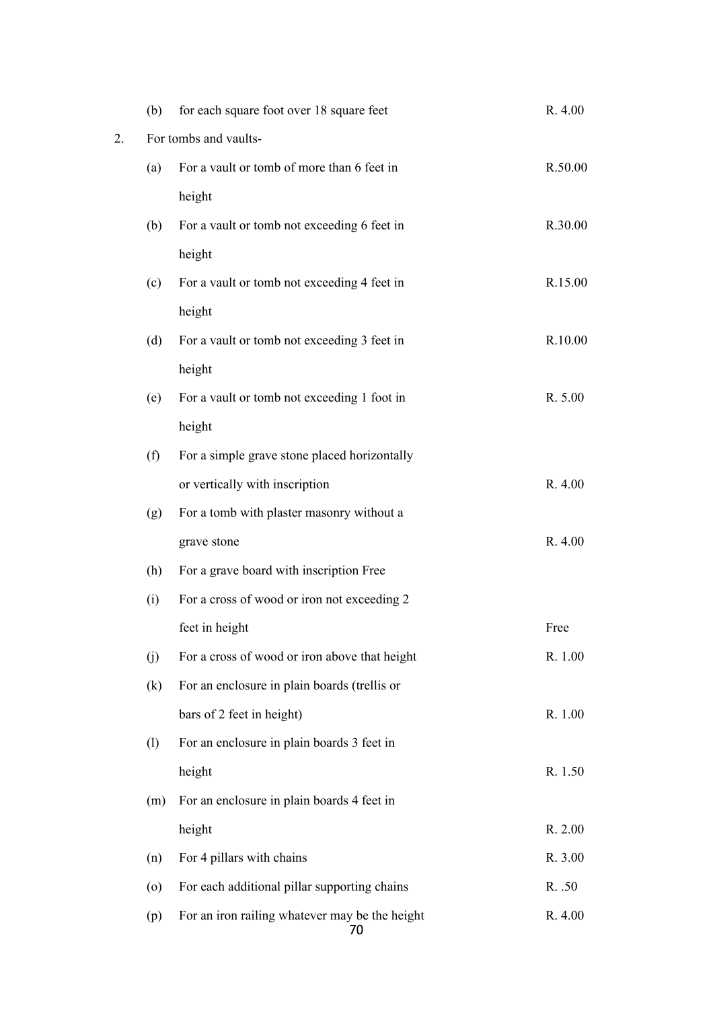|    | (b)     | for each square foot over 18 square feet             | R. 4.00 |
|----|---------|------------------------------------------------------|---------|
| 2. |         | For tombs and vaults-                                |         |
|    | (a)     | For a vault or tomb of more than 6 feet in           | R.50.00 |
|    |         | height                                               |         |
|    | (b)     | For a vault or tomb not exceeding 6 feet in          | R.30.00 |
|    |         | height                                               |         |
|    | (c)     | For a vault or tomb not exceeding 4 feet in          | R.15.00 |
|    |         | height                                               |         |
|    | (d)     | For a vault or tomb not exceeding 3 feet in          | R.10.00 |
|    |         | height                                               |         |
|    | (e)     | For a vault or tomb not exceeding 1 foot in          | R. 5.00 |
|    |         | height                                               |         |
|    | (f)     | For a simple grave stone placed horizontally         |         |
|    |         | or vertically with inscription                       | R. 4.00 |
|    | (g)     | For a tomb with plaster masonry without a            |         |
|    |         | grave stone                                          | R. 4.00 |
|    | (h)     | For a grave board with inscription Free              |         |
|    | (i)     | For a cross of wood or iron not exceeding 2          |         |
|    |         | feet in height                                       | Free    |
|    | (j)     | For a cross of wood or iron above that height        | R. 1.00 |
|    | (k)     | For an enclosure in plain boards (trellis or         |         |
|    |         | bars of 2 feet in height)                            | R. 1.00 |
|    | (1)     | For an enclosure in plain boards 3 feet in           |         |
|    |         | height                                               | R. 1.50 |
|    | (m)     | For an enclosure in plain boards 4 feet in           |         |
|    |         | height                                               | R. 2.00 |
|    | (n)     | For 4 pillars with chains                            | R. 3.00 |
|    | $\circ$ | For each additional pillar supporting chains         | R. .50  |
|    | (p)     | For an iron railing whatever may be the height<br>70 | R. 4.00 |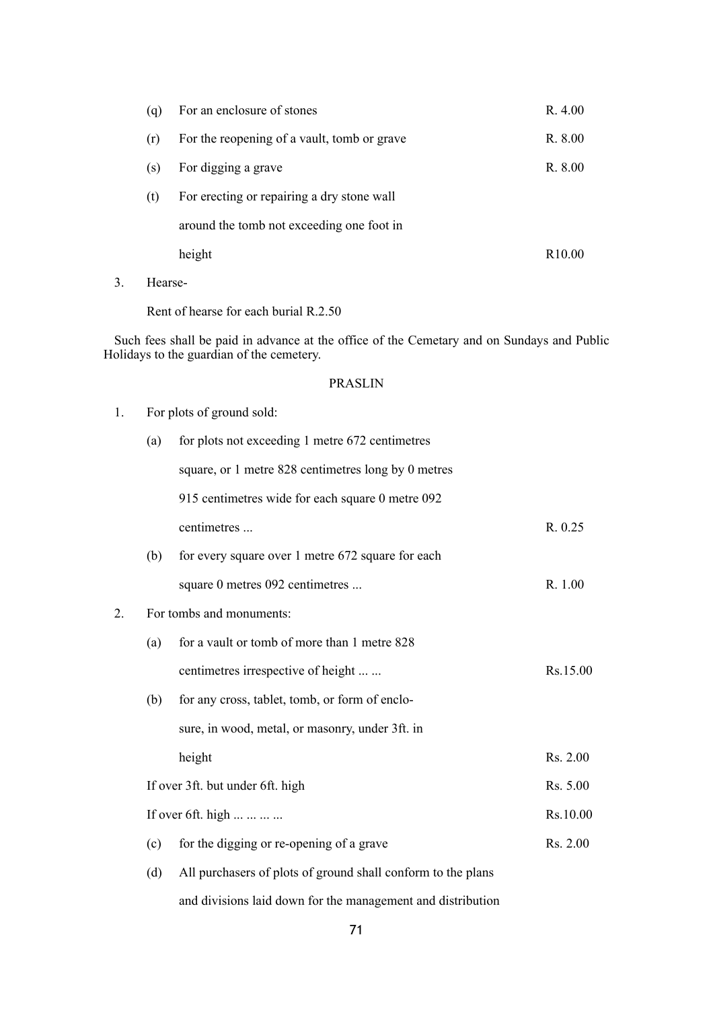|     | height                                      | R <sub>10.00</sub> |
|-----|---------------------------------------------|--------------------|
|     | around the tomb not exceeding one foot in   |                    |
| (t) | For erecting or repairing a dry stone wall  |                    |
| (S) | For digging a grave                         | R. 8.00            |
| (r) | For the reopening of a vault, tomb or grave | R. 8.00            |
| (q) | For an enclosure of stones                  | R. 4.00            |

3. Hearse-

Rent of hearse for each burial R.2.50

Such fees shall be paid in advance at the office of the Cemetary and on Sundays and Public Holidays to the guardian of the cemetery.

#### PRASLIN

| 1. |     | For plots of ground sold:                                    |          |
|----|-----|--------------------------------------------------------------|----------|
|    | (a) | for plots not exceeding 1 metre 672 centimetres              |          |
|    |     | square, or 1 metre 828 centimetres long by 0 metres          |          |
|    |     | 915 centimetres wide for each square 0 metre 092             |          |
|    |     | centimetres                                                  | R. 0.25  |
|    | (b) | for every square over 1 metre 672 square for each            |          |
|    |     | square 0 metres 092 centimetres                              | R. 1.00  |
| 2. |     | For tombs and monuments:                                     |          |
|    | (a) | for a vault or tomb of more than 1 metre 828                 |          |
|    |     | centimetres irrespective of height                           | Rs.15.00 |
|    | (b) | for any cross, tablet, tomb, or form of enclo-               |          |
|    |     | sure, in wood, metal, or masonry, under 3ft. in              |          |
|    |     | height                                                       | Rs. 2.00 |
|    |     | If over 3ft. but under 6ft. high                             | Rs. 5.00 |
|    |     | If over 6ft. high                                            | Rs.10.00 |
|    | (c) | for the digging or re-opening of a grave                     | Rs. 2.00 |
|    | (d) | All purchasers of plots of ground shall conform to the plans |          |

and divisions laid down for the management and distribution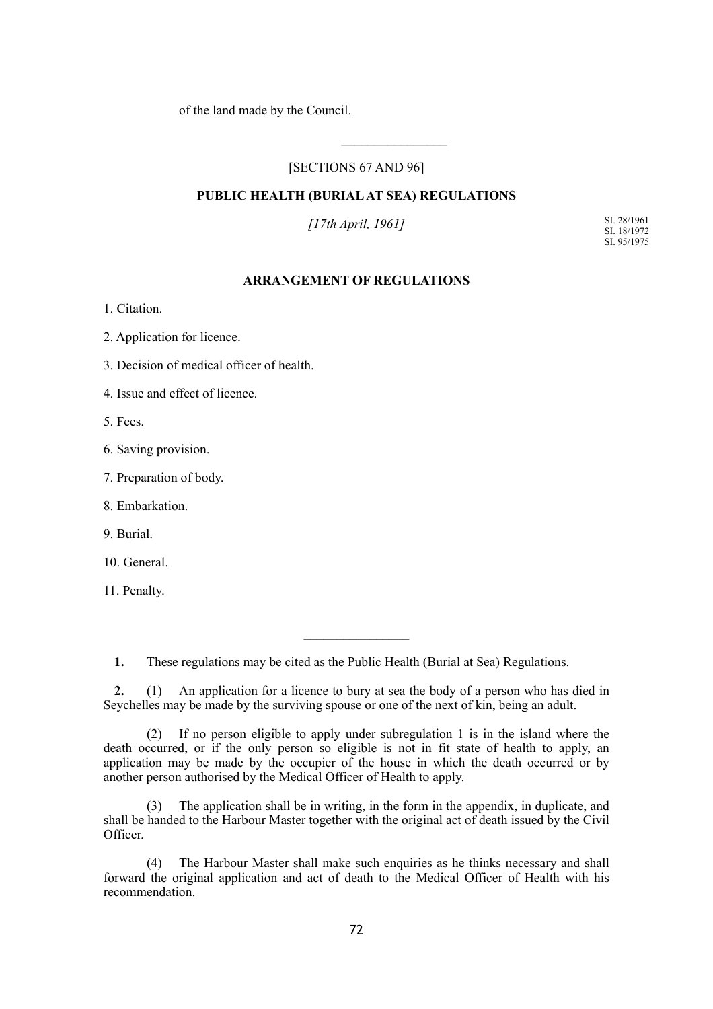of the land made by the Council.

## [SECTIONS 67 AND 96]

 $\mathcal{L}_\text{max}$ 

## **PUBLIC HEALTH (BURIAL AT SEA) REGULATIONS**

*[17th April, 1961]*

SI. 28/1961 SI. 18/1972 SI. 95/1975

## **ARRANGEMENT OF REGULATIONS**

1. Citation.

2. Application for licence.

3. Decision of medical officer of health.

4. Issue and effect of licence.

5. Fees.

6. Saving provision.

7. Preparation of body.

8. Embarkation.

9. Burial.

10. General.

11. Penalty.

**1.** These regulations may be cited as the Public Health (Burial at Sea) Regulations.

**2.** (1) An application for a licence to bury at sea the body of a person who has died in Seychelles may be made by the surviving spouse or one of the next of kin, being an adult.

 $\frac{1}{2}$ 

(2) If no person eligible to apply under subregulation 1 is in the island where the death occurred, or if the only person so eligible is not in fit state of health to apply, an application may be made by the occupier of the house in which the death occurred or by another person authorised by the Medical Officer of Health to apply.

The application shall be in writing, in the form in the appendix, in duplicate, and shall be handed to the Harbour Master together with the original act of death issued by the Civil Officer.

(4) The Harbour Master shall make such enquiries as he thinks necessary and shall forward the original application and act of death to the Medical Officer of Health with his recommendation.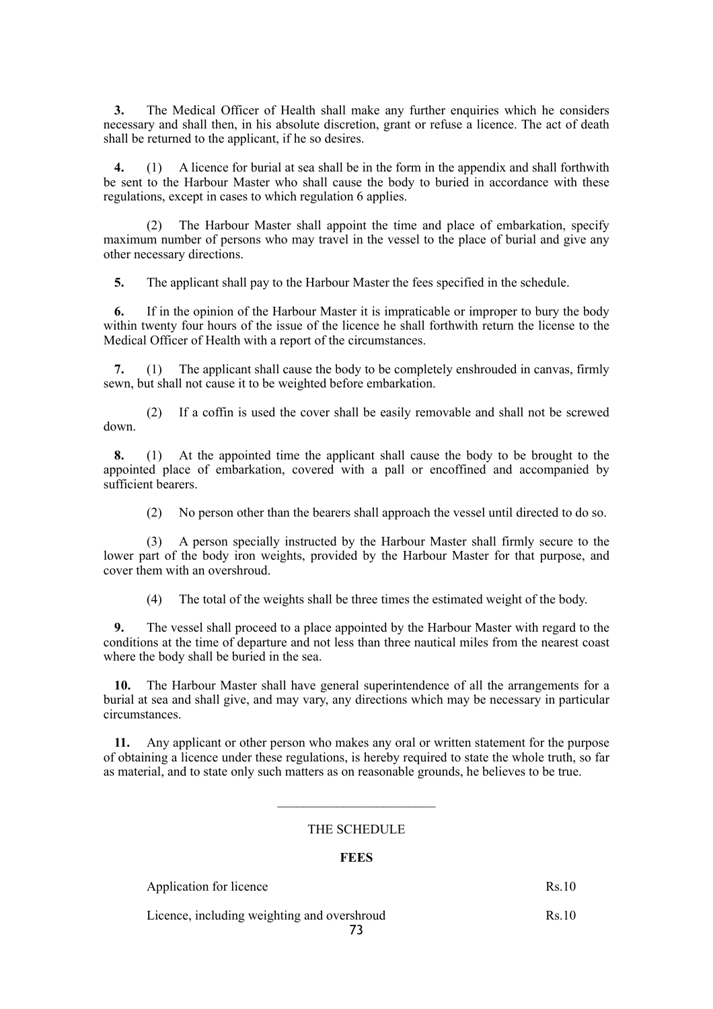**3.** The Medical Officer of Health shall make any further enquiries which he considers necessary and shall then, in his absolute discretion, grant or refuse a licence. The act of death shall be returned to the applicant, if he so desires.

**4.** (1) A licence for burial at sea shall be in the form in the appendix and shall forthwith be sent to the Harbour Master who shall cause the body to buried in accordance with these regulations, except in cases to which regulation 6 applies.

(2) The Harbour Master shall appoint the time and place of embarkation, specify maximum number of persons who may travel in the vessel to the place of burial and give any other necessary directions.

**5.** The applicant shall pay to the Harbour Master the fees specified in the schedule.

**6.** If in the opinion of the Harbour Master it is impraticable or improper to bury the body within twenty four hours of the issue of the licence he shall forthwith return the license to the Medical Officer of Health with a report of the circumstances.

**7.** (1) The applicant shall cause the body to be completely enshrouded in canvas, firmly sewn, but shall not cause it to be weighted before embarkation.

(2) If a coffin is used the cover shall be easily removable and shall not be screwed down.

**8.** (1) At the appointed time the applicant shall cause the body to be brought to the appointed place of embarkation, covered with a pall or encoffined and accompanied by sufficient bearers.

(2) No person other than the bearers shall approach the vessel until directed to do so.

(3) A person specially instructed by the Harbour Master shall firmly secure to the lower part of the body iron weights, provided by the Harbour Master for that purpose, and cover them with an overshroud.

(4) The total of the weights shall be three times the estimated weight of the body.

**9.** The vessel shall proceed to a place appointed by the Harbour Master with regard to the conditions at the time of departure and not less than three nautical miles from the nearest coast where the body shall be buried in the sea.

**10.** The Harbour Master shall have general superintendence of all the arrangements for a burial at sea and shall give, and may vary, any directions which may be necessary in particular circumstances.

**11.** Any applicant or other person who makes any oral or written statement for the purpose of obtaining a licence under these regulations, is hereby required to state the whole truth, so far as material, and to state only such matters as on reasonable grounds, he believes to be true.

### THE SCHEDULE

 $\mathcal{L}=\{1,2,3,4,5\}$ 

### **FEES**

Application for licence Rs.10

Licence, including weighting and overshroud Rs.10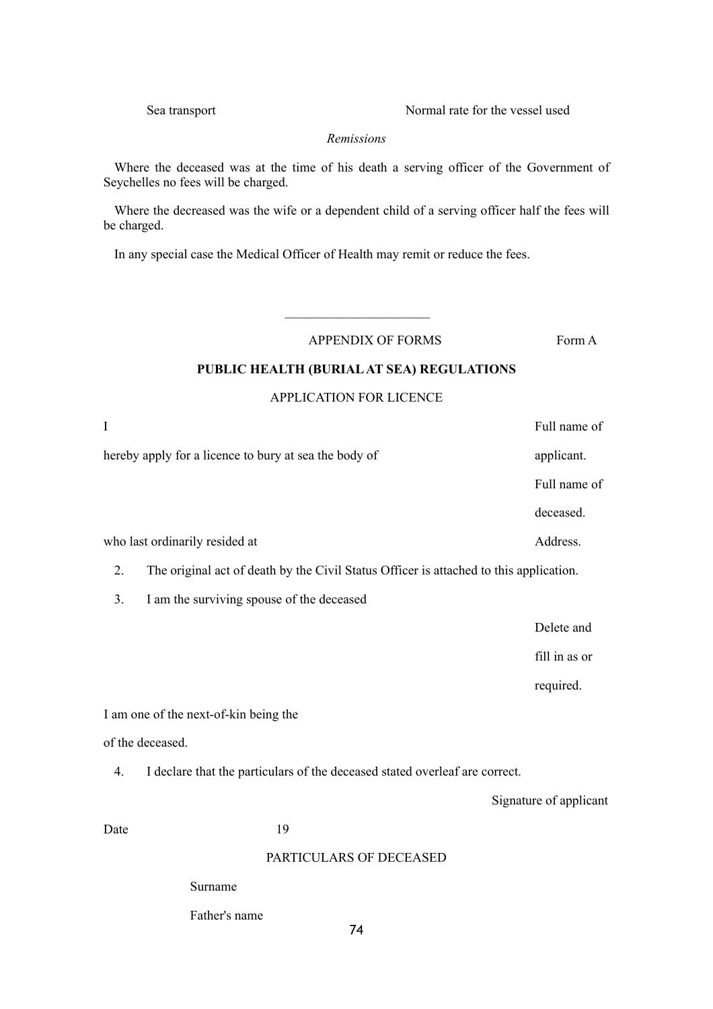Sea transport Normal rate for the vessel used

### *Remissions*

Where the deceased was at the time of his death a serving officer of the Government of Seychelles no fees will be charged.

Where the decreased was the wife or a dependent child of a serving officer half the fees will be charged.

In any special case the Medical Officer of Health may remit or reduce the fees.

APPENDIX OF FORMS Form A

### **PUBLIC HEALTH (BURIAL AT SEA) REGULATIONS**

### APPLICATION FOR LICENCE

| I    |                                                                                        | Full name of           |
|------|----------------------------------------------------------------------------------------|------------------------|
|      | hereby apply for a licence to bury at sea the body of                                  | applicant.             |
|      |                                                                                        | Full name of           |
|      |                                                                                        | deceased.              |
|      | who last ordinarily resided at                                                         | Address.               |
| 2.   | The original act of death by the Civil Status Officer is attached to this application. |                        |
| 3.   | I am the surviving spouse of the deceased                                              |                        |
|      |                                                                                        | Delete and             |
|      |                                                                                        | fill in as or          |
|      |                                                                                        | required.              |
|      | I am one of the next-of-kin being the                                                  |                        |
|      | of the deceased.                                                                       |                        |
| 4.   | I declare that the particulars of the deceased stated overleaf are correct.            |                        |
|      |                                                                                        | Signature of applicant |
| Date | 19                                                                                     |                        |
|      | PARTICULARS OF DECEASED                                                                |                        |
|      | Surname                                                                                |                        |

Father's name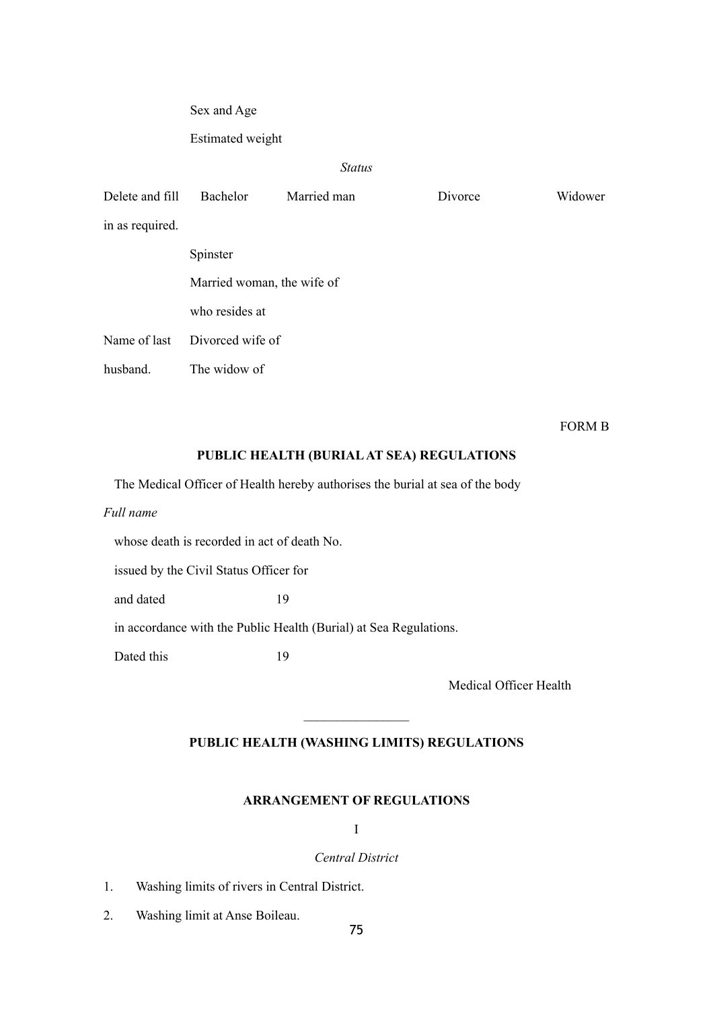Sex and Age

Estimated weight

# *Status*

| Delete and fill | Bachelor                   | Married man | Divorce | Widower |
|-----------------|----------------------------|-------------|---------|---------|
| in as required. |                            |             |         |         |
|                 | Spinster                   |             |         |         |
|                 | Married woman, the wife of |             |         |         |
|                 | who resides at             |             |         |         |
| Name of last    | Divorced wife of           |             |         |         |
| husband.        | The widow of               |             |         |         |

FORM B

# **PUBLIC HEALTH (BURIAL AT SEA) REGULATIONS**

The Medical Officer of Health hereby authorises the burial at sea of the body

*Full name*

whose death is recorded in act of death No.

issued by the Civil Status Officer for

and dated 19

in accordance with the Public Health (Burial) at Sea Regulations.

Dated this 19

Medical Officer Health

# **PUBLIC HEALTH (WASHING LIMITS) REGULATIONS**

 $\frac{1}{2}$ 

### **ARRANGEMENT OF REGULATIONS**

I

### *Central District*

- 1. Washing limits of rivers in Central District.
- 2. Washing limit at Anse Boileau.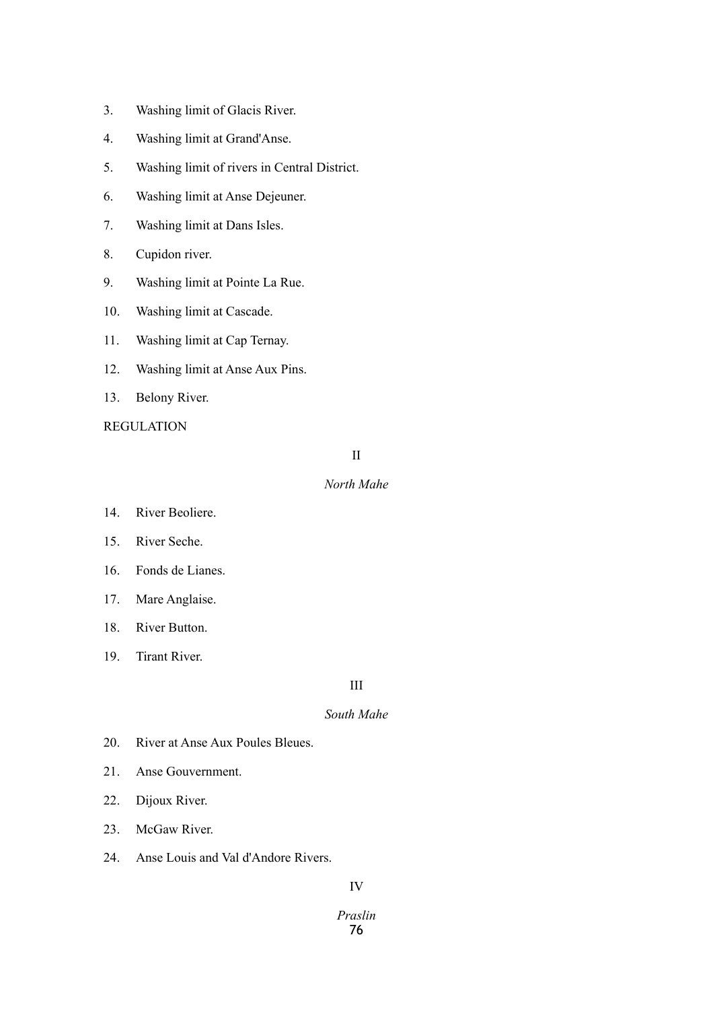- 3. Washing limit of Glacis River.
- 4. Washing limit at Grand'Anse.
- 5. Washing limit of rivers in Central District.
- 6. Washing limit at Anse Dejeuner.
- 7. Washing limit at Dans Isles.
- 8. Cupidon river.
- 9. Washing limit at Pointe La Rue.
- 10. Washing limit at Cascade.
- 11. Washing limit at Cap Ternay.
- 12. Washing limit at Anse Aux Pins.
- 13. Belony River.

REGULATION

II

## *North Mahe*

- 14. River Beoliere.
- 15. River Seche.
- 16. Fonds de Lianes.
- 17. Mare Anglaise.
- 18. River Button.
- 19. Tirant River.

# III

# *South Mahe*

- 20. River at Anse Aux Poules Bleues.
- 21. Anse Gouvernment.
- 22. Dijoux River.
- 23. McGaw River.
- 24. Anse Louis and Val d'Andore Rivers.

# IV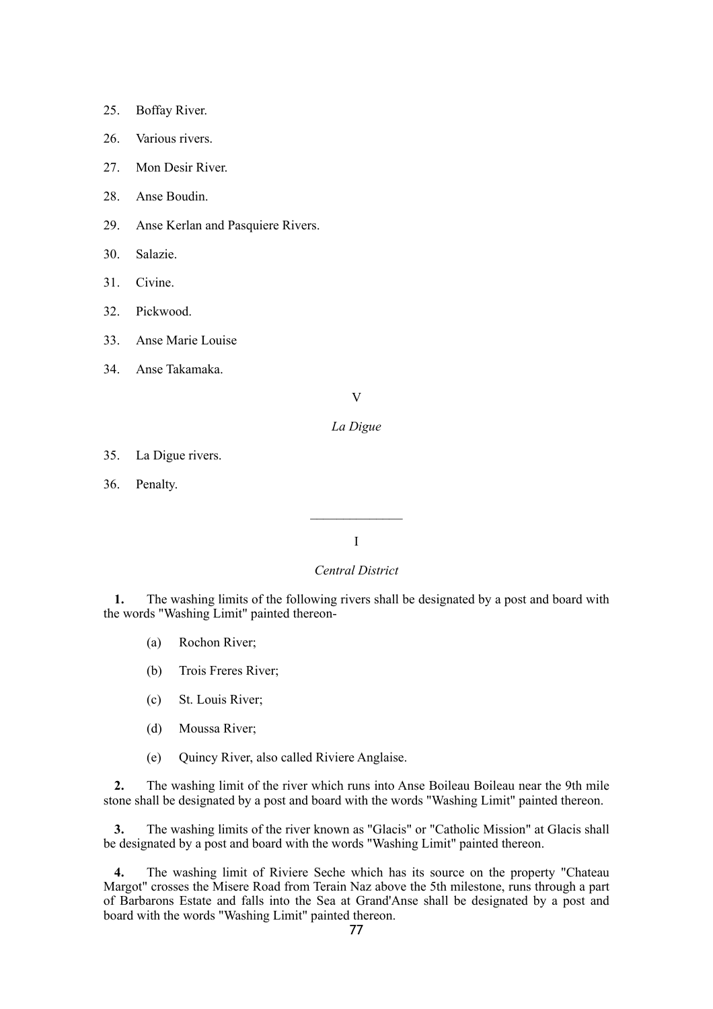- 25. Boffay River.
- 26. Various rivers.
- 27 Mon Desir River.
- 28. Anse Boudin.
- 29. Anse Kerlan and Pasquiere Rivers.
- 30. Salazie.
- 31. Civine.
- 32. Pickwood.
- 33. Anse Marie Louise
- 34. Anse Takamaka.

V

### *La Digue*

- 35. La Digue rivers.
- 36. Penalty.

### I

# *Central District*

**1.** The washing limits of the following rivers shall be designated by a post and board with the words "Washing Limit" painted thereon-

- (a) Rochon River;
- (b) Trois Freres River;
- (c) St. Louis River;
- (d) Moussa River;
- (e) Quincy River, also called Riviere Anglaise.

**2.** The washing limit of the river which runs into Anse Boileau Boileau near the 9th mile stone shall be designated by a post and board with the words "Washing Limit" painted thereon.

**3.** The washing limits of the river known as "Glacis" or "Catholic Mission" at Glacis shall be designated by a post and board with the words "Washing Limit" painted thereon.

**4.** The washing limit of Riviere Seche which has its source on the property "Chateau Margot" crosses the Misere Road from Terain Naz above the 5th milestone, runs through a part of Barbarons Estate and falls into the Sea at Grand'Anse shall be designated by a post and board with the words "Washing Limit" painted thereon.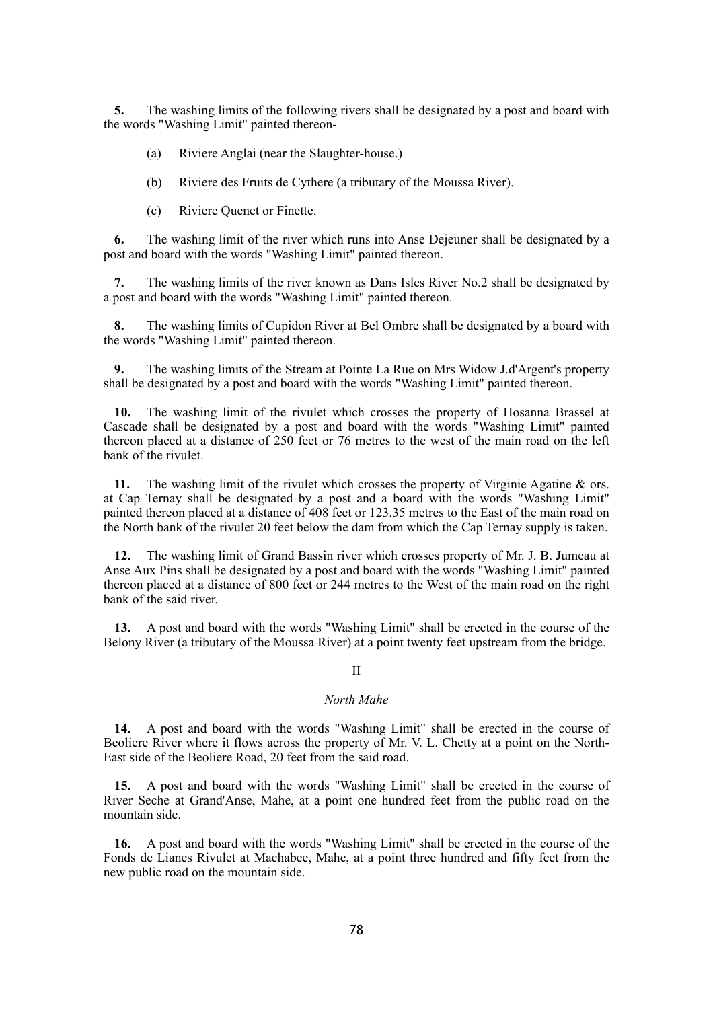**5.** The washing limits of the following rivers shall be designated by a post and board with the words "Washing Limit" painted thereon-

- (a) Riviere Anglai (near the Slaughter-house.)
- (b) Riviere des Fruits de Cythere (a tributary of the Moussa River).
- (c) Riviere Quenet or Finette.

**6.** The washing limit of the river which runs into Anse Dejeuner shall be designated by a post and board with the words "Washing Limit" painted thereon.

**7.** The washing limits of the river known as Dans Isles River No.2 shall be designated by a post and board with the words "Washing Limit" painted thereon.

**8.** The washing limits of Cupidon River at Bel Ombre shall be designated by a board with the words "Washing Limit" painted thereon.

**9.** The washing limits of the Stream at Pointe La Rue on Mrs Widow J.d'Argent's property shall be designated by a post and board with the words "Washing Limit" painted thereon.

**10.** The washing limit of the rivulet which crosses the property of Hosanna Brassel at Cascade shall be designated by a post and board with the words "Washing Limit" painted thereon placed at a distance of 250 feet or 76 metres to the west of the main road on the left bank of the rivulet.

**11.** The washing limit of the rivulet which crosses the property of Virginie Agatine & ors. at Cap Ternay shall be designated by a post and a board with the words "Washing Limit" painted thereon placed at a distance of 408 feet or 123.35 metres to the East of the main road on the North bank of the rivulet 20 feet below the dam from which the Cap Ternay supply is taken.

**12.** The washing limit of Grand Bassin river which crosses property of Mr. J. B. Jumeau at Anse Aux Pins shall be designated by a post and board with the words "Washing Limit" painted thereon placed at a distance of 800 feet or 244 metres to the West of the main road on the right bank of the said river.

**13.** A post and board with the words "Washing Limit" shall be erected in the course of the Belony River (a tributary of the Moussa River) at a point twenty feet upstream from the bridge.

#### II

### *North Mahe*

**14.** A post and board with the words "Washing Limit" shall be erected in the course of Beoliere River where it flows across the property of Mr. V. L. Chetty at a point on the North-East side of the Beoliere Road, 20 feet from the said road.

**15.** A post and board with the words "Washing Limit" shall be erected in the course of River Seche at Grand'Anse, Mahe, at a point one hundred feet from the public road on the mountain side.

**16.** A post and board with the words "Washing Limit" shall be erected in the course of the Fonds de Lianes Rivulet at Machabee, Mahe, at a point three hundred and fifty feet from the new public road on the mountain side.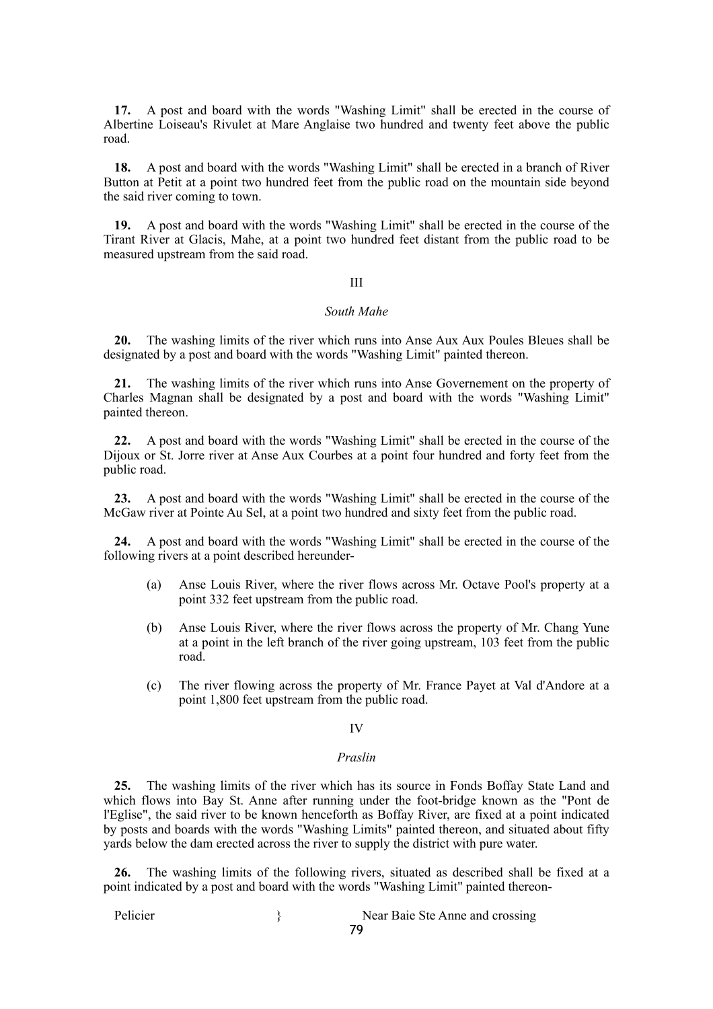**17.** A post and board with the words "Washing Limit" shall be erected in the course of Albertine Loiseau's Rivulet at Mare Anglaise two hundred and twenty feet above the public road.

**18.** A post and board with the words "Washing Limit" shall be erected in a branch of River Button at Petit at a point two hundred feet from the public road on the mountain side beyond the said river coming to town.

**19.** A post and board with the words "Washing Limit" shall be erected in the course of the Tirant River at Glacis, Mahe, at a point two hundred feet distant from the public road to be measured upstream from the said road.

#### III

### *South Mahe*

**20.** The washing limits of the river which runs into Anse Aux Aux Poules Bleues shall be designated by a post and board with the words "Washing Limit" painted thereon.

**21.** The washing limits of the river which runs into Anse Governement on the property of Charles Magnan shall be designated by a post and board with the words "Washing Limit" painted thereon.

**22.** A post and board with the words "Washing Limit" shall be erected in the course of the Dijoux or St. Jorre river at Anse Aux Courbes at a point four hundred and forty feet from the public road.

**23.** A post and board with the words "Washing Limit" shall be erected in the course of the McGaw river at Pointe Au Sel, at a point two hundred and sixty feet from the public road.

**24.** A post and board with the words "Washing Limit" shall be erected in the course of the following rivers at a point described hereunder-

- (a) Anse Louis River, where the river flows across Mr. Octave Pool's property at a point 332 feet upstream from the public road.
- (b) Anse Louis River, where the river flows across the property of Mr. Chang Yune at a point in the left branch of the river going upstream, 103 feet from the public road.
- (c) The river flowing across the property of Mr. France Payet at Val d'Andore at a point 1,800 feet upstream from the public road.

### IV

#### *Praslin*

**25.** The washing limits of the river which has its source in Fonds Boffay State Land and which flows into Bay St. Anne after running under the foot-bridge known as the "Pont de l'Eglise", the said river to be known henceforth as Boffay River, are fixed at a point indicated by posts and boards with the words "Washing Limits" painted thereon, and situated about fifty yards below the dam erected across the river to supply the district with pure water.

**26.** The washing limits of the following rivers, situated as described shall be fixed at a point indicated by a post and board with the words "Washing Limit" painted thereon-

Pelicier } Near Baie Ste Anne and crossing 79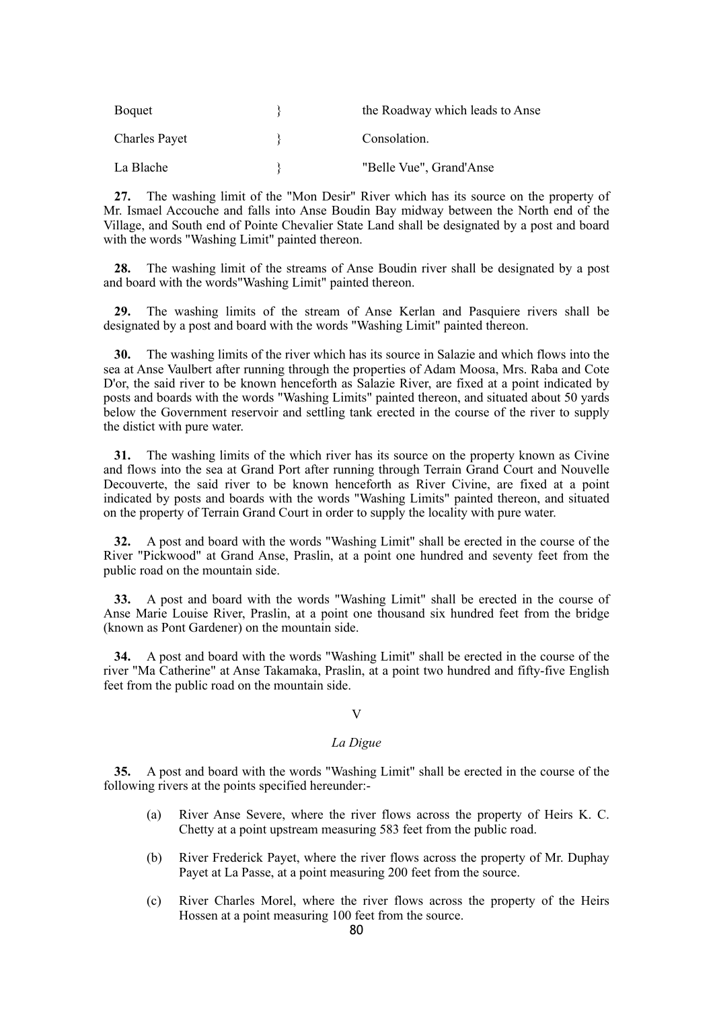| Boquet               | the Roadway which leads to Anse |
|----------------------|---------------------------------|
| <b>Charles Payet</b> | Consolation.                    |
| La Blache            | "Belle Vue", Grand'Anse         |

**27.** The washing limit of the "Mon Desir" River which has its source on the property of Mr. Ismael Accouche and falls into Anse Boudin Bay midway between the North end of the Village, and South end of Pointe Chevalier State Land shall be designated by a post and board with the words "Washing Limit" painted thereon.

**28.** The washing limit of the streams of Anse Boudin river shall be designated by a post and board with the words"Washing Limit" painted thereon.

**29.** The washing limits of the stream of Anse Kerlan and Pasquiere rivers shall be designated by a post and board with the words "Washing Limit" painted thereon.

**30.** The washing limits of the river which has its source in Salazie and which flows into the sea at Anse Vaulbert after running through the properties of Adam Moosa, Mrs. Raba and Cote D'or, the said river to be known henceforth as Salazie River, are fixed at a point indicated by posts and boards with the words "Washing Limits" painted thereon, and situated about 50 yards below the Government reservoir and settling tank erected in the course of the river to supply the distict with pure water.

**31.** The washing limits of the which river has its source on the property known as Civine and flows into the sea at Grand Port after running through Terrain Grand Court and Nouvelle Decouverte, the said river to be known henceforth as River Civine, are fixed at a point indicated by posts and boards with the words "Washing Limits" painted thereon, and situated on the property of Terrain Grand Court in order to supply the locality with pure water.

**32.** A post and board with the words "Washing Limit" shall be erected in the course of the River "Pickwood" at Grand Anse, Praslin, at a point one hundred and seventy feet from the public road on the mountain side.

**33.** A post and board with the words "Washing Limit" shall be erected in the course of Anse Marie Louise River, Praslin, at a point one thousand six hundred feet from the bridge (known as Pont Gardener) on the mountain side.

**34.** A post and board with the words "Washing Limit" shall be erected in the course of the river "Ma Catherine" at Anse Takamaka, Praslin, at a point two hundred and fifty-five English feet from the public road on the mountain side.

### V

### *La Digue*

**35.** A post and board with the words "Washing Limit" shall be erected in the course of the following rivers at the points specified hereunder:-

- (a) River Anse Severe, where the river flows across the property of Heirs K. C. Chetty at a point upstream measuring 583 feet from the public road.
- (b) River Frederick Payet, where the river flows across the property of Mr. Duphay Payet at La Passe, at a point measuring 200 feet from the source.
- (c) River Charles Morel, where the river flows across the property of the Heirs Hossen at a point measuring 100 feet from the source.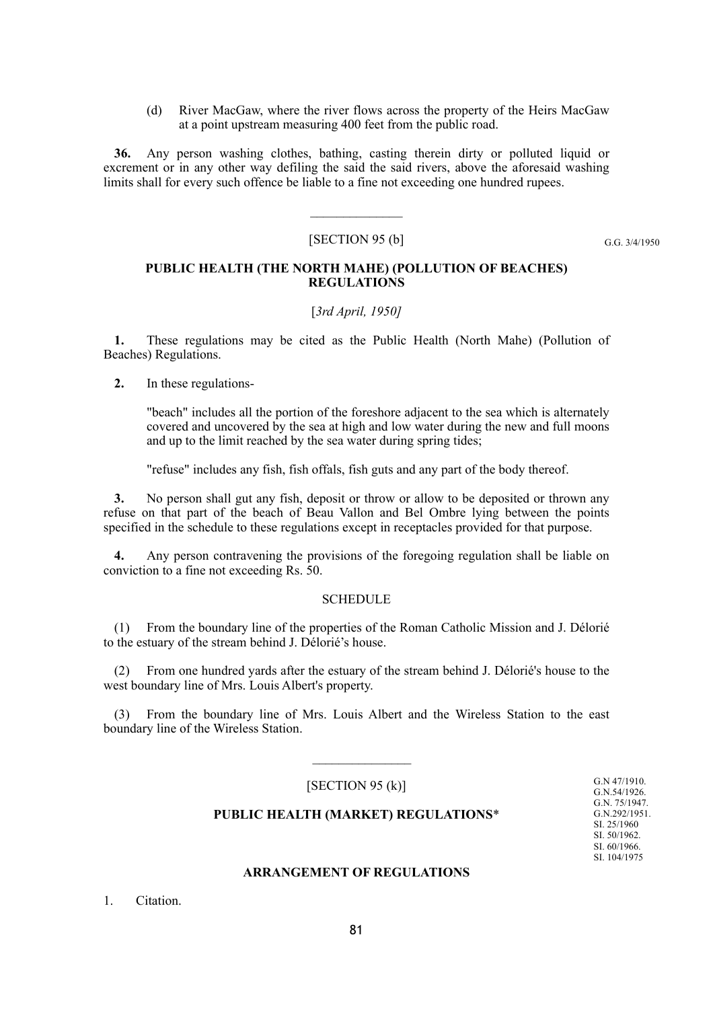(d) River MacGaw, where the river flows across the property of the Heirs MacGaw at a point upstream measuring 400 feet from the public road.

**36.** Any person washing clothes, bathing, casting therein dirty or polluted liquid or excrement or in any other way defiling the said the said rivers, above the aforesaid washing limits shall for every such offence be liable to a fine not exceeding one hundred rupees.

#### [SECTION 95 (b]

 $\mathcal{L}_\text{max}$ 

G.G. 3/4/1950

### **PUBLIC HEALTH (THE NORTH MAHE) (POLLUTION OF BEACHES) REGULATIONS**

### [*3rd April, 1950]*

**1.** These regulations may be cited as the Public Health (North Mahe) (Pollution of Beaches) Regulations.

**2.** In these regulations-

"beach" includes all the portion of the foreshore adjacent to the sea which is alternately covered and uncovered by the sea at high and low water during the new and full moons and up to the limit reached by the sea water during spring tides;

"refuse" includes any fish, fish offals, fish guts and any part of the body thereof.

**3.** No person shall gut any fish, deposit or throw or allow to be deposited or thrown any refuse on that part of the beach of Beau Vallon and Bel Ombre lying between the points specified in the schedule to these regulations except in receptacles provided for that purpose.

**4.** Any person contravening the provisions of the foregoing regulation shall be liable on conviction to a fine not exceeding Rs. 50.

### **SCHEDULE**

(1) From the boundary line of the properties of the Roman Catholic Mission and J. Délorié to the estuary of the stream behind J. Délorié's house.

(2) From one hundred yards after the estuary of the stream behind J. Délorié's house to the west boundary line of Mrs. Louis Albert's property.

(3) From the boundary line of Mrs. Louis Albert and the Wireless Station to the east boundary line of the Wireless Station.

 $[SECTION 95 (k)]$ 

 $\frac{1}{2}$ 

G.N 47/1910. G.N.54/1926. G.N. 75/1947. G.N.292/1951. SI. 25/1960 SI. 50/1962. SI. 60/1966. SI. 104/1975

### **PUBLIC HEALTH (MARKET) REGULATIONS**\*

#### **ARRANGEMENT OF REGULATIONS**

1. Citation.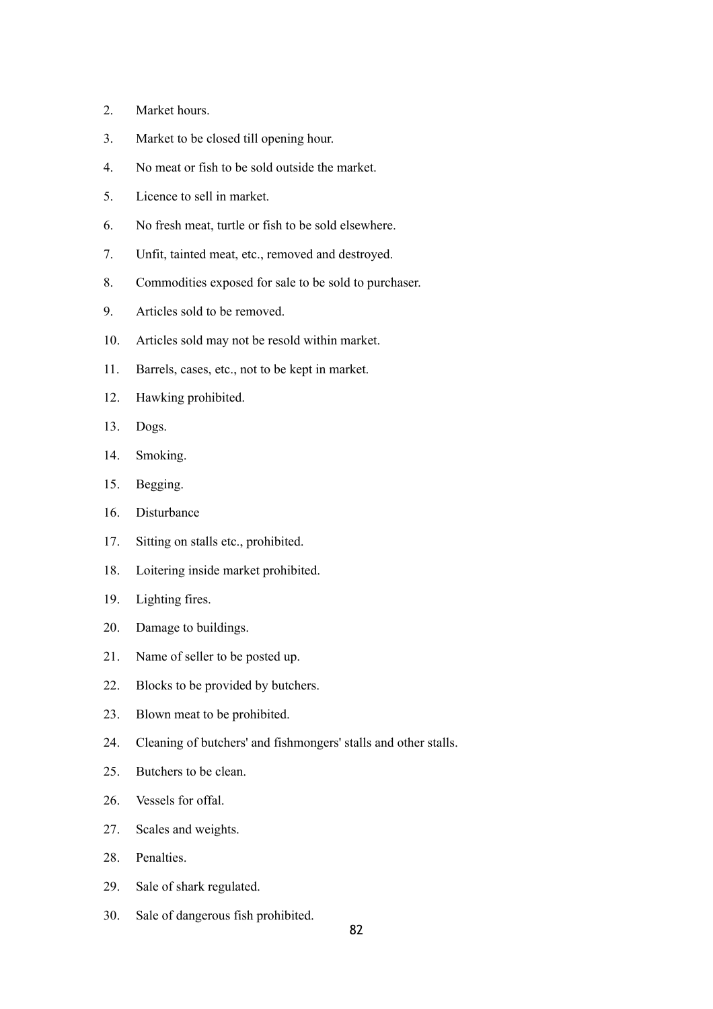- 2. Market hours.
- 3. Market to be closed till opening hour.
- 4. No meat or fish to be sold outside the market.
- 5. Licence to sell in market.
- 6. No fresh meat, turtle or fish to be sold elsewhere.
- 7. Unfit, tainted meat, etc., removed and destroyed.
- 8. Commodities exposed for sale to be sold to purchaser.
- 9. Articles sold to be removed.
- 10. Articles sold may not be resold within market.
- 11. Barrels, cases, etc., not to be kept in market.
- 12. Hawking prohibited.
- 13. Dogs.
- 14. Smoking.
- 15. Begging.
- 16. Disturbance
- 17. Sitting on stalls etc., prohibited.
- 18. Loitering inside market prohibited.
- 19. Lighting fires.
- 20. Damage to buildings.
- 21. Name of seller to be posted up.
- 22. Blocks to be provided by butchers.
- 23. Blown meat to be prohibited.
- 24. Cleaning of butchers' and fishmongers' stalls and other stalls.
- 25. Butchers to be clean.
- 26. Vessels for offal.
- 27. Scales and weights.
- 28. Penalties.
- 29. Sale of shark regulated.
- 30. Sale of dangerous fish prohibited.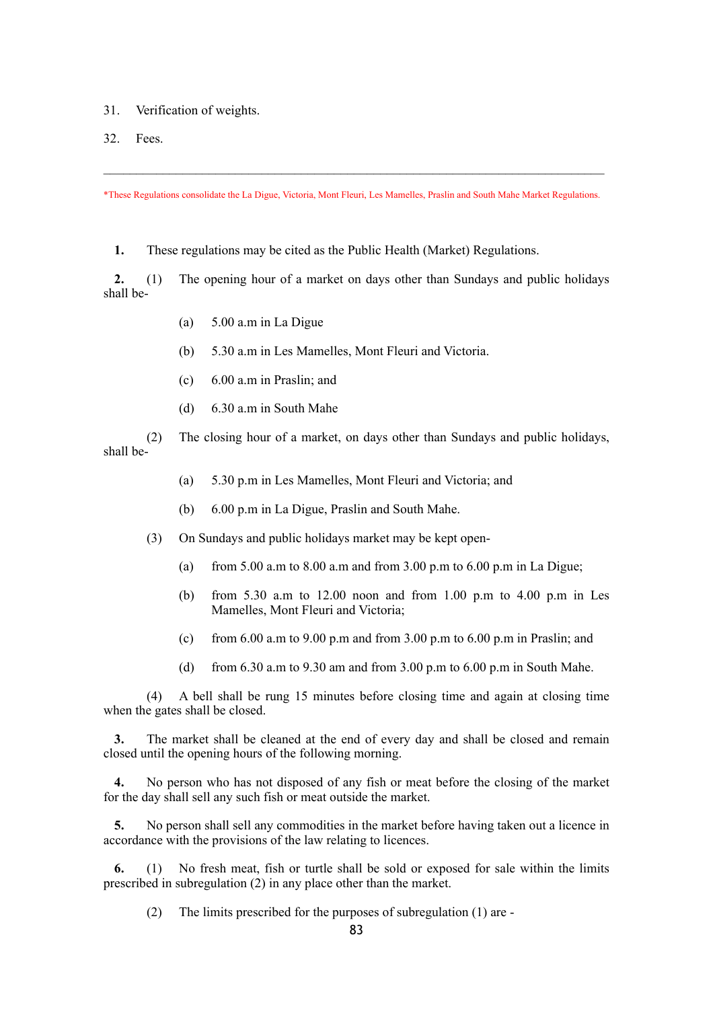- 31. Verification of weights.
- 32. Fees.

\*These Regulations consolidate the La Digue, Victoria, Mont Fleuri, Les Mamelles, Praslin and South Mahe Market Regulations.

 $\mathcal{L}_\mathcal{L} = \{ \mathcal{L}_\mathcal{L} = \{ \mathcal{L}_\mathcal{L} = \{ \mathcal{L}_\mathcal{L} = \{ \mathcal{L}_\mathcal{L} = \{ \mathcal{L}_\mathcal{L} = \{ \mathcal{L}_\mathcal{L} = \{ \mathcal{L}_\mathcal{L} = \{ \mathcal{L}_\mathcal{L} = \{ \mathcal{L}_\mathcal{L} = \{ \mathcal{L}_\mathcal{L} = \{ \mathcal{L}_\mathcal{L} = \{ \mathcal{L}_\mathcal{L} = \{ \mathcal{L}_\mathcal{L} = \{ \mathcal{L}_\mathcal{$ 

**1.** These regulations may be cited as the Public Health (Market) Regulations.

**2.** (1) The opening hour of a market on days other than Sundays and public holidays shall be-

- (a) 5.00 a.m in La Digue
- (b) 5.30 a.m in Les Mamelles, Mont Fleuri and Victoria.
- (c) 6.00 a.m in Praslin; and
- (d) 6.30 a.m in South Mahe

(2) The closing hour of a market, on days other than Sundays and public holidays, shall be-

- (a) 5.30 p.m in Les Mamelles, Mont Fleuri and Victoria; and
- (b) 6.00 p.m in La Digue, Praslin and South Mahe.
- (3) On Sundays and public holidays market may be kept open-
	- (a) from 5.00 a.m to 8.00 a.m and from 3.00 p.m to 6.00 p.m in La Digue;
	- (b) from 5.30 a.m to 12.00 noon and from 1.00 p.m to 4.00 p.m in Les Mamelles, Mont Fleuri and Victoria;
	- (c) from  $6.00$  a.m to  $9.00$  p.m and from  $3.00$  p.m to  $6.00$  p.m in Praslin; and
	- (d) from  $6.30$  a.m to  $9.30$  am and from  $3.00$  p.m to  $6.00$  p.m in South Mahe.

(4) A bell shall be rung 15 minutes before closing time and again at closing time when the gates shall be closed.

**3.** The market shall be cleaned at the end of every day and shall be closed and remain closed until the opening hours of the following morning.

**4.** No person who has not disposed of any fish or meat before the closing of the market for the day shall sell any such fish or meat outside the market.

**5.** No person shall sell any commodities in the market before having taken out a licence in accordance with the provisions of the law relating to licences.

**6.** (1) No fresh meat, fish or turtle shall be sold or exposed for sale within the limits prescribed in subregulation (2) in any place other than the market.

(2) The limits prescribed for the purposes of subregulation (1) are -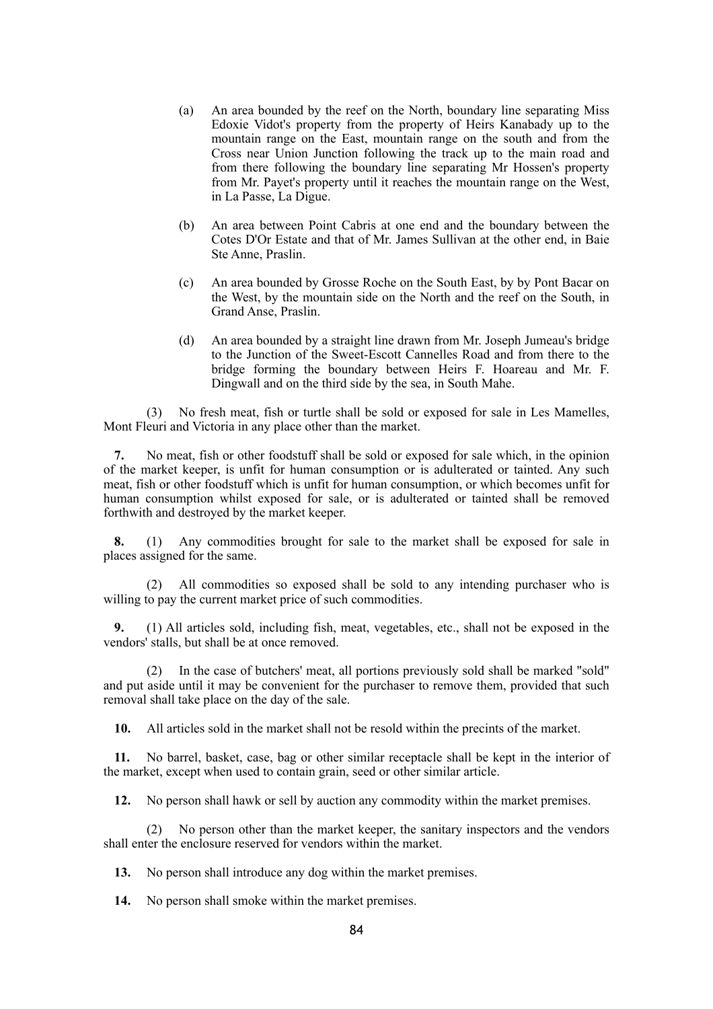- (a) An area bounded by the reef on the North, boundary line separating Miss Edoxie Vidot's property from the property of Heirs Kanabady up to the mountain range on the East, mountain range on the south and from the Cross near Union Junction following the track up to the main road and from there following the boundary line separating Mr Hossen's property from Mr. Payet's property until it reaches the mountain range on the West, in La Passe, La Digue.
- (b) An area between Point Cabris at one end and the boundary between the Cotes D'Or Estate and that of Mr. James Sullivan at the other end, in Baie Ste Anne, Praslin.
- (c) An area bounded by Grosse Roche on the South East, by by Pont Bacar on the West, by the mountain side on the North and the reef on the South, in Grand Anse, Praslin.
- (d) An area bounded by a straight line drawn from Mr. Joseph Jumeau's bridge to the Junction of the Sweet-Escott Cannelles Road and from there to the bridge forming the boundary between Heirs F. Hoareau and Mr. F. Dingwall and on the third side by the sea, in South Mahe.

(3) No fresh meat, fish or turtle shall be sold or exposed for sale in Les Mamelles, Mont Fleuri and Victoria in any place other than the market.

**7.** No meat, fish or other foodstuff shall be sold or exposed for sale which, in the opinion of the market keeper, is unfit for human consumption or is adulterated or tainted. Any such meat, fish or other foodstuff which is unfit for human consumption, or which becomes unfit for human consumption whilst exposed for sale, or is adulterated or tainted shall be removed forthwith and destroyed by the market keeper.

**8.** (1) Any commodities brought for sale to the market shall be exposed for sale in places assigned for the same.

(2) All commodities so exposed shall be sold to any intending purchaser who is willing to pay the current market price of such commodities.

**9.** (1) All articles sold, including fish, meat, vegetables, etc., shall not be exposed in the vendors' stalls, but shall be at once removed.

(2) In the case of butchers' meat, all portions previously sold shall be marked "sold" and put aside until it may be convenient for the purchaser to remove them, provided that such removal shall take place on the day of the sale.

**10.** All articles sold in the market shall not be resold within the precints of the market.

**11.** No barrel, basket, case, bag or other similar receptacle shall be kept in the interior of the market, except when used to contain grain, seed or other similar article.

**12.** No person shall hawk or sell by auction any commodity within the market premises.

No person other than the market keeper, the sanitary inspectors and the vendors shall enter the enclosure reserved for vendors within the market.

**13.** No person shall introduce any dog within the market premises.

**14.** No person shall smoke within the market premises.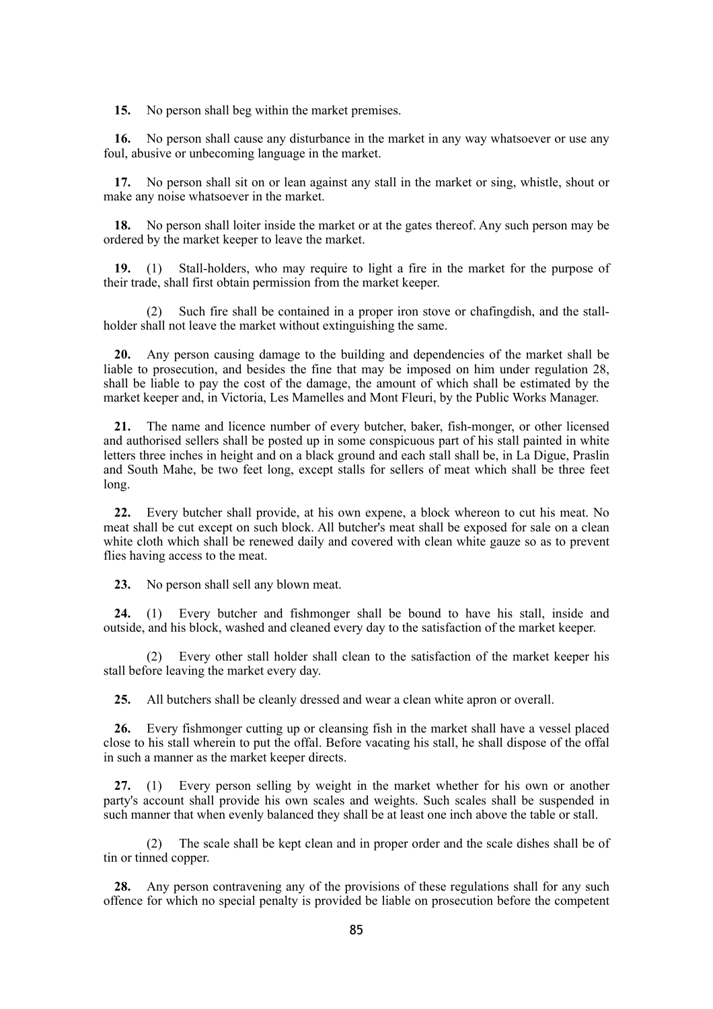**15.** No person shall beg within the market premises.

**16.** No person shall cause any disturbance in the market in any way whatsoever or use any foul, abusive or unbecoming language in the market.

**17.** No person shall sit on or lean against any stall in the market or sing, whistle, shout or make any noise whatsoever in the market.

**18.** No person shall loiter inside the market or at the gates thereof. Any such person may be ordered by the market keeper to leave the market.

**19.** (1) Stall-holders, who may require to light a fire in the market for the purpose of their trade, shall first obtain permission from the market keeper.

(2) Such fire shall be contained in a proper iron stove or chafingdish, and the stallholder shall not leave the market without extinguishing the same.

**20.** Any person causing damage to the building and dependencies of the market shall be liable to prosecution, and besides the fine that may be imposed on him under regulation 28, shall be liable to pay the cost of the damage, the amount of which shall be estimated by the market keeper and, in Victoria, Les Mamelles and Mont Fleuri, by the Public Works Manager.

**21.** The name and licence number of every butcher, baker, fish-monger, or other licensed and authorised sellers shall be posted up in some conspicuous part of his stall painted in white letters three inches in height and on a black ground and each stall shall be, in La Digue, Praslin and South Mahe, be two feet long, except stalls for sellers of meat which shall be three feet long.

**22.** Every butcher shall provide, at his own expene, a block whereon to cut his meat. No meat shall be cut except on such block. All butcher's meat shall be exposed for sale on a clean white cloth which shall be renewed daily and covered with clean white gauze so as to prevent flies having access to the meat.

**23.** No person shall sell any blown meat.

**24.** (1) Every butcher and fishmonger shall be bound to have his stall, inside and outside, and his block, washed and cleaned every day to the satisfaction of the market keeper.

(2) Every other stall holder shall clean to the satisfaction of the market keeper his stall before leaving the market every day.

**25.** All butchers shall be cleanly dressed and wear a clean white apron or overall.

**26.** Every fishmonger cutting up or cleansing fish in the market shall have a vessel placed close to his stall wherein to put the offal. Before vacating his stall, he shall dispose of the offal in such a manner as the market keeper directs.

**27.** (1) Every person selling by weight in the market whether for his own or another party's account shall provide his own scales and weights. Such scales shall be suspended in such manner that when evenly balanced they shall be at least one inch above the table or stall.

(2) The scale shall be kept clean and in proper order and the scale dishes shall be of tin or tinned copper.

**28.** Any person contravening any of the provisions of these regulations shall for any such offence for which no special penalty is provided be liable on prosecution before the competent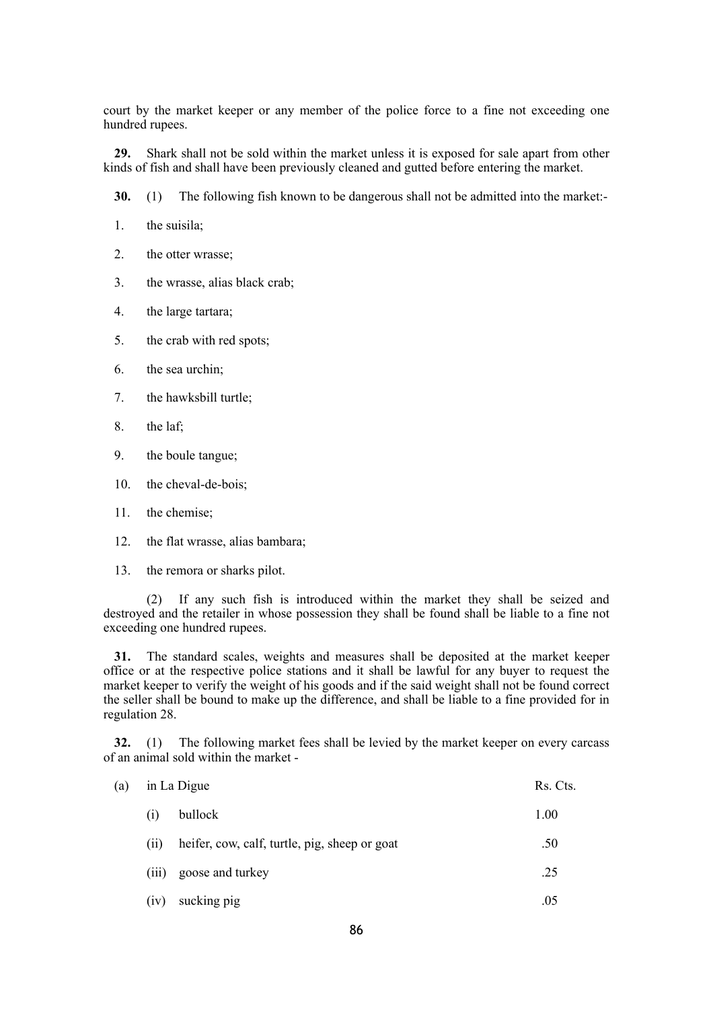court by the market keeper or any member of the police force to a fine not exceeding one hundred rupees.

**29.** Shark shall not be sold within the market unless it is exposed for sale apart from other kinds of fish and shall have been previously cleaned and gutted before entering the market.

**30.** (1) The following fish known to be dangerous shall not be admitted into the market:-

1. the suisila;

2. the otter wrasse;

3. the wrasse, alias black crab;

4. the large tartara;

5. the crab with red spots;

6. the sea urchin;

7. the hawksbill turtle;

8. the laf;

9. the boule tangue;

10. the cheval-de-bois;

11. the chemise;

12. the flat wrasse, alias bambara;

13. the remora or sharks pilot.

(2) If any such fish is introduced within the market they shall be seized and destroyed and the retailer in whose possession they shall be found shall be liable to a fine not exceeding one hundred rupees.

**31.** The standard scales, weights and measures shall be deposited at the market keeper office or at the respective police stations and it shall be lawful for any buyer to request the market keeper to verify the weight of his goods and if the said weight shall not be found correct the seller shall be bound to make up the difference, and shall be liable to a fine provided for in regulation 28.

**32.** (1) The following market fees shall be levied by the market keeper on every carcass of an animal sold within the market -

| (a) |       | in La Digue                                   |      |
|-----|-------|-----------------------------------------------|------|
|     | (i)   | bullock                                       | 1.00 |
|     | (11)  | heifer, cow, calf, turtle, pig, sheep or goat | .50  |
|     | (111) | goose and turkey                              | .25  |
|     | (iv)  | sucking pig                                   | .05  |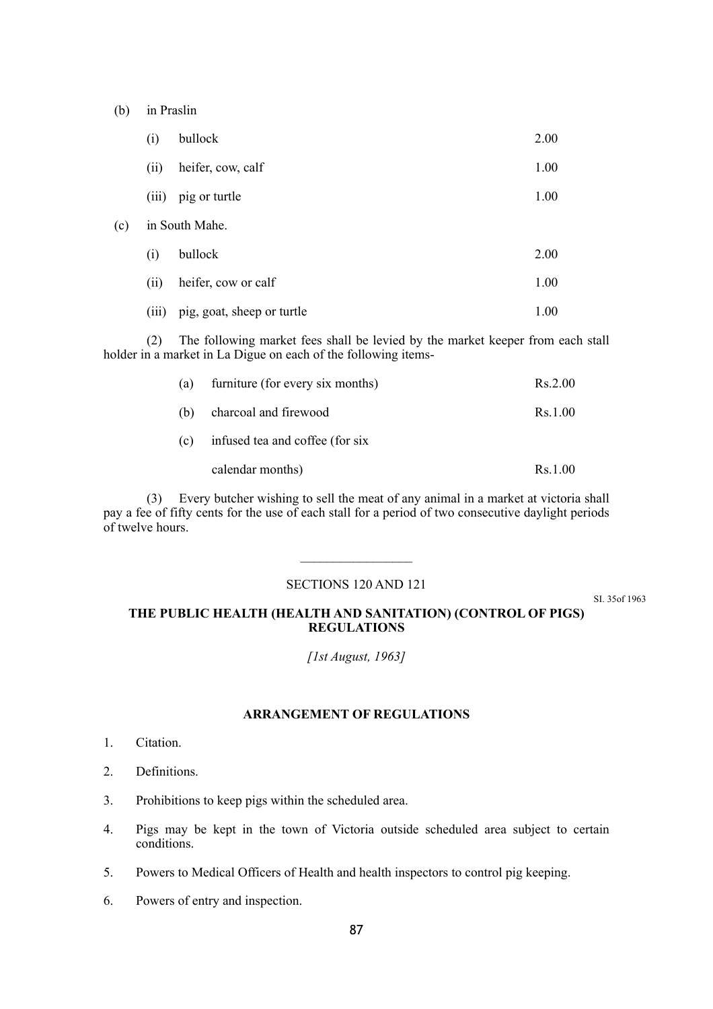(b) in Praslin

|     | (i)   | bullock                    | 2.00 |
|-----|-------|----------------------------|------|
|     | (ii)  | heifer, cow, calf          | 1.00 |
|     | (iii) | pig or turtle              | 1.00 |
| (c) |       | in South Mahe.             |      |
|     | (i)   | bullock                    | 2.00 |
|     | (ii)  | heifer, cow or calf        | 1.00 |
|     | (iii) | pig, goat, sheep or turtle | 1.00 |

(2) The following market fees shall be levied by the market keeper from each stall holder in a market in La Digue on each of the following items-

| (a) | furniture (for every six months) | Rs.2.00 |
|-----|----------------------------------|---------|
| (b) | charcoal and firewood            | Rs.1.00 |
| (c) | infused tea and coffee (for six  |         |
|     | calendar months)                 | Rs.1.00 |

(3) Every butcher wishing to sell the meat of any animal in a market at victoria shall pay a fee of fifty cents for the use of each stall for a period of two consecutive daylight periods of twelve hours.

# SECTIONS 120 AND 121

SI. 35of 1963

# **THE PUBLIC HEALTH (HEALTH AND SANITATION) (CONTROL OF PIGS) REGULATIONS**

*[1st August, 1963]*

# **ARRANGEMENT OF REGULATIONS**

- 1. Citation.
- 2. Definitions.
- 3. Prohibitions to keep pigs within the scheduled area.
- 4. Pigs may be kept in the town of Victoria outside scheduled area subject to certain conditions.
- 5. Powers to Medical Officers of Health and health inspectors to control pig keeping.
- 6. Powers of entry and inspection.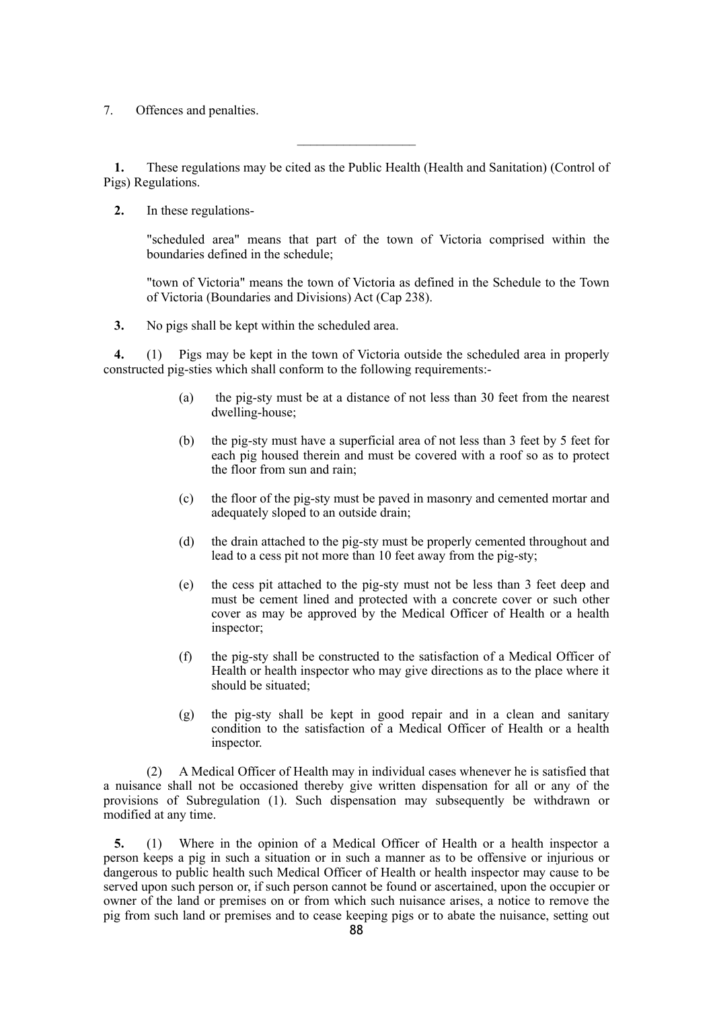7. Offences and penalties.

**1.** These regulations may be cited as the Public Health (Health and Sanitation) (Control of Pigs) Regulations.

 $\mathcal{L}_\text{max}$ 

**2.** In these regulations-

"scheduled area" means that part of the town of Victoria comprised within the boundaries defined in the schedule;

"town of Victoria" means the town of Victoria as defined in the Schedule to the Town of Victoria (Boundaries and Divisions) Act (Cap 238).

**3.** No pigs shall be kept within the scheduled area.

**4.** (1) Pigs may be kept in the town of Victoria outside the scheduled area in properly constructed pig-sties which shall conform to the following requirements:-

- (a) the pig-sty must be at a distance of not less than 30 feet from the nearest dwelling-house;
- (b) the pig-sty must have a superficial area of not less than 3 feet by 5 feet for each pig housed therein and must be covered with a roof so as to protect the floor from sun and rain;
- (c) the floor of the pig-sty must be paved in masonry and cemented mortar and adequately sloped to an outside drain;
- (d) the drain attached to the pig-sty must be properly cemented throughout and lead to a cess pit not more than 10 feet away from the pig-sty;
- (e) the cess pit attached to the pig-sty must not be less than 3 feet deep and must be cement lined and protected with a concrete cover or such other cover as may be approved by the Medical Officer of Health or a health inspector;
- (f) the pig-sty shall be constructed to the satisfaction of a Medical Officer of Health or health inspector who may give directions as to the place where it should be situated;
- (g) the pig-sty shall be kept in good repair and in a clean and sanitary condition to the satisfaction of a Medical Officer of Health or a health inspector.

(2) A Medical Officer of Health may in individual cases whenever he is satisfied that a nuisance shall not be occasioned thereby give written dispensation for all or any of the provisions of Subregulation (1). Such dispensation may subsequently be withdrawn or modified at any time.

**5.** (1) Where in the opinion of a Medical Officer of Health or a health inspector a person keeps a pig in such a situation or in such a manner as to be offensive or injurious or dangerous to public health such Medical Officer of Health or health inspector may cause to be served upon such person or, if such person cannot be found or ascertained, upon the occupier or owner of the land or premises on or from which such nuisance arises, a notice to remove the pig from such land or premises and to cease keeping pigs or to abate the nuisance, setting out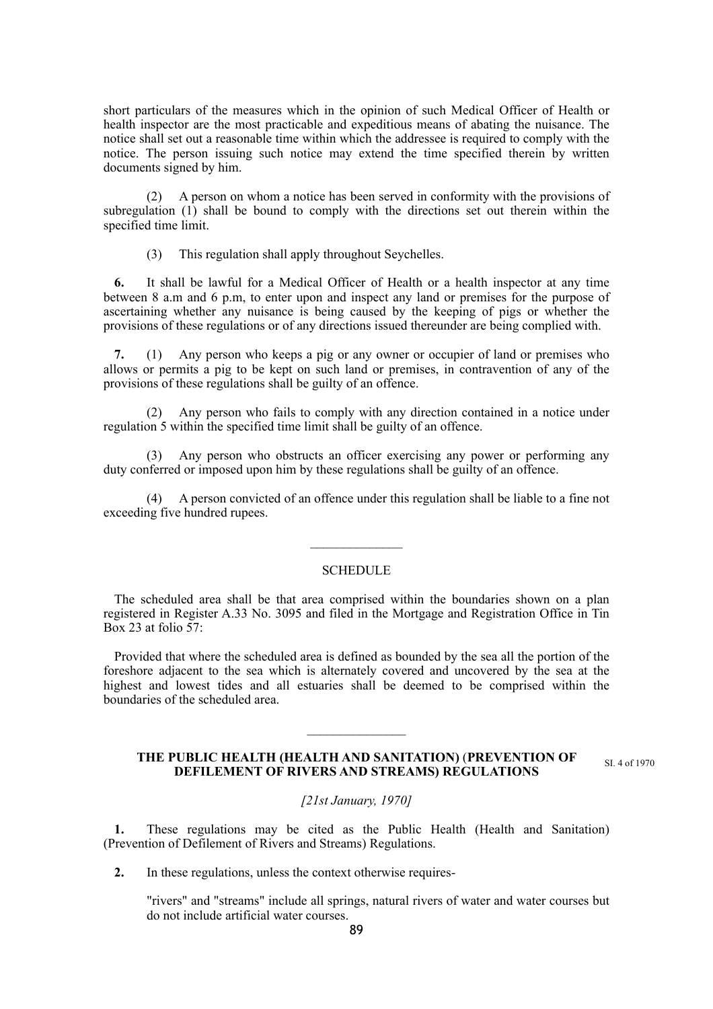short particulars of the measures which in the opinion of such Medical Officer of Health or health inspector are the most practicable and expeditious means of abating the nuisance. The notice shall set out a reasonable time within which the addressee is required to comply with the notice. The person issuing such notice may extend the time specified therein by written documents signed by him.

(2) A person on whom a notice has been served in conformity with the provisions of subregulation (1) shall be bound to comply with the directions set out therein within the specified time limit.

(3) This regulation shall apply throughout Seychelles.

**6.** It shall be lawful for a Medical Officer of Health or a health inspector at any time between 8 a.m and 6 p.m, to enter upon and inspect any land or premises for the purpose of ascertaining whether any nuisance is being caused by the keeping of pigs or whether the provisions of these regulations or of any directions issued thereunder are being complied with.

**7.** (1) Any person who keeps a pig or any owner or occupier of land or premises who allows or permits a pig to be kept on such land or premises, in contravention of any of the provisions of these regulations shall be guilty of an offence.

(2) Any person who fails to comply with any direction contained in a notice under regulation 5 within the specified time limit shall be guilty of an offence.

Any person who obstructs an officer exercising any power or performing any duty conferred or imposed upon him by these regulations shall be guilty of an offence.

(4) A person convicted of an offence under this regulation shall be liable to a fine not exceeding five hundred rupees.

# **SCHEDULE**

The scheduled area shall be that area comprised within the boundaries shown on a plan registered in Register A.33 No. 3095 and filed in the Mortgage and Registration Office in Tin Box 23 at folio 57:

Provided that where the scheduled area is defined as bounded by the sea all the portion of the foreshore adjacent to the sea which is alternately covered and uncovered by the sea at the highest and lowest tides and all estuaries shall be deemed to be comprised within the boundaries of the scheduled area.

 $\frac{1}{2}$ 

#### **THE PUBLIC HEALTH (HEALTH AND SANITATION)** (**PREVENTION OF DEFILEMENT OF RIVERS AND STREAMS) REGULATIONS** SI. 4 of 1970

*[21st January, 1970]*

**1.** These regulations may be cited as the Public Health (Health and Sanitation) (Prevention of Defilement of Rivers and Streams) Regulations.

**2.** In these regulations, unless the context otherwise requires-

"rivers" and "streams" include all springs, natural rivers of water and water courses but do not include artificial water courses.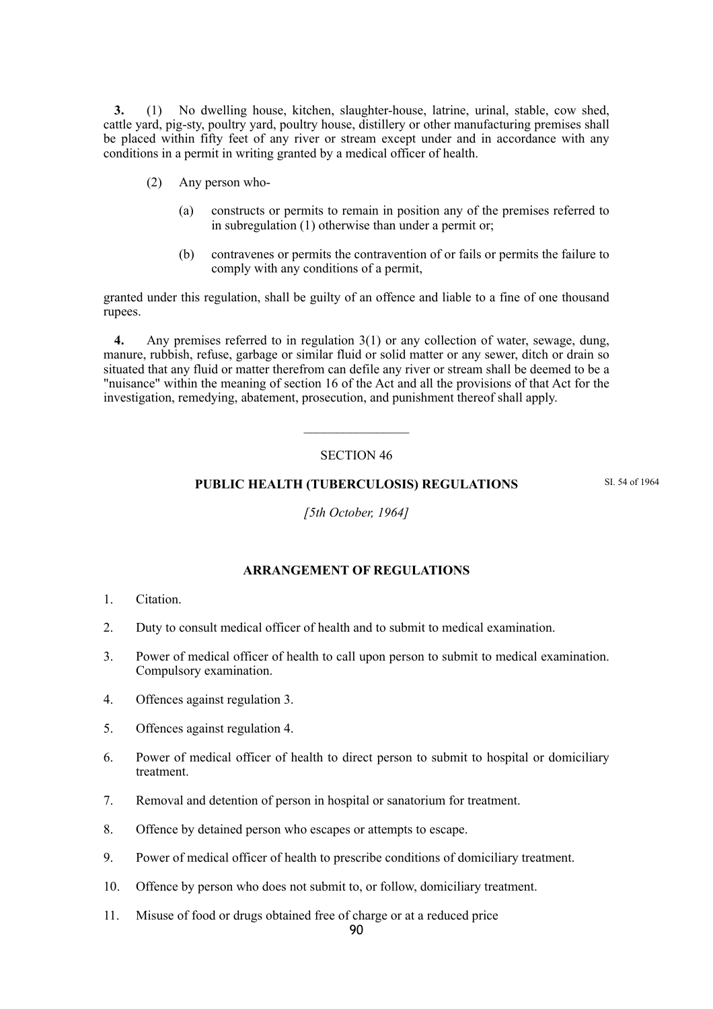**3.** (1) No dwelling house, kitchen, slaughter-house, latrine, urinal, stable, cow shed, cattle yard, pig-sty, poultry yard, poultry house, distillery or other manufacturing premises shall be placed within fifty feet of any river or stream except under and in accordance with any conditions in a permit in writing granted by a medical officer of health.

- (2) Any person who-
	- (a) constructs or permits to remain in position any of the premises referred to in subregulation (1) otherwise than under a permit or;
	- (b) contravenes or permits the contravention of or fails or permits the failure to comply with any conditions of a permit,

granted under this regulation, shall be guilty of an offence and liable to a fine of one thousand rupees.

**4.** Any premises referred to in regulation 3(1) or any collection of water, sewage, dung, manure, rubbish, refuse, garbage or similar fluid or solid matter or any sewer, ditch or drain so situated that any fluid or matter therefrom can defile any river or stream shall be deemed to be a "nuisance" within the meaning of section 16 of the Act and all the provisions of that Act for the investigation, remedying, abatement, prosecution, and punishment thereof shall apply.

# SECTION 46

# **PUBLIC HEALTH (TUBERCULOSIS) REGULATIONS**

SI. 54 of 1964

*[5th October, 1964]*

# **ARRANGEMENT OF REGULATIONS**

- 1. Citation.
- 2. Duty to consult medical officer of health and to submit to medical examination.
- 3. Power of medical officer of health to call upon person to submit to medical examination. Compulsory examination.
- 4. Offences against regulation 3.
- 5. Offences against regulation 4.
- 6. Power of medical officer of health to direct person to submit to hospital or domiciliary treatment.
- 7. Removal and detention of person in hospital or sanatorium for treatment.
- 8. Offence by detained person who escapes or attempts to escape.
- 9. Power of medical officer of health to prescribe conditions of domiciliary treatment.
- 10. Offence by person who does not submit to, or follow, domiciliary treatment.
- 11. Misuse of food or drugs obtained free of charge or at a reduced price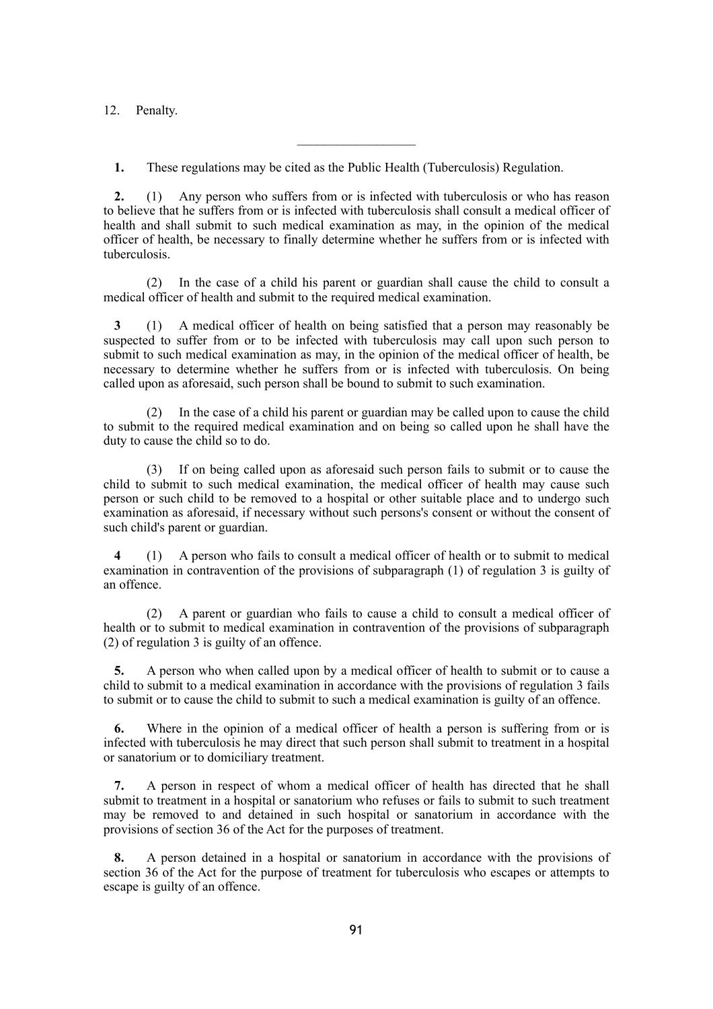12. Penalty.

**1.** These regulations may be cited as the Public Health (Tuberculosis) Regulation.

**2.** (1) Any person who suffers from or is infected with tuberculosis or who has reason to believe that he suffers from or is infected with tuberculosis shall consult a medical officer of health and shall submit to such medical examination as may, in the opinion of the medical officer of health, be necessary to finally determine whether he suffers from or is infected with tuberculosis.

 $\mathcal{L}_\text{max}$ 

(2) In the case of a child his parent or guardian shall cause the child to consult a medical officer of health and submit to the required medical examination.

**3** (1) A medical officer of health on being satisfied that a person may reasonably be suspected to suffer from or to be infected with tuberculosis may call upon such person to submit to such medical examination as may, in the opinion of the medical officer of health, be necessary to determine whether he suffers from or is infected with tuberculosis. On being called upon as aforesaid, such person shall be bound to submit to such examination.

(2) In the case of a child his parent or guardian may be called upon to cause the child to submit to the required medical examination and on being so called upon he shall have the duty to cause the child so to do.

(3) If on being called upon as aforesaid such person fails to submit or to cause the child to submit to such medical examination, the medical officer of health may cause such person or such child to be removed to a hospital or other suitable place and to undergo such examination as aforesaid, if necessary without such persons's consent or without the consent of such child's parent or guardian.

**4** (1) A person who fails to consult a medical officer of health or to submit to medical examination in contravention of the provisions of subparagraph (1) of regulation 3 is guilty of an offence.

(2) A parent or guardian who fails to cause a child to consult a medical officer of health or to submit to medical examination in contravention of the provisions of subparagraph (2) of regulation 3 is guilty of an offence.

**5.** A person who when called upon by a medical officer of health to submit or to cause a child to submit to a medical examination in accordance with the provisions of regulation 3 fails to submit or to cause the child to submit to such a medical examination is guilty of an offence.

**6.** Where in the opinion of a medical officer of health a person is suffering from or is infected with tuberculosis he may direct that such person shall submit to treatment in a hospital or sanatorium or to domiciliary treatment.

**7.** A person in respect of whom a medical officer of health has directed that he shall submit to treatment in a hospital or sanatorium who refuses or fails to submit to such treatment may be removed to and detained in such hospital or sanatorium in accordance with the provisions of section 36 of the Act for the purposes of treatment.

**8.** A person detained in a hospital or sanatorium in accordance with the provisions of section 36 of the Act for the purpose of treatment for tuberculosis who escapes or attempts to escape is guilty of an offence.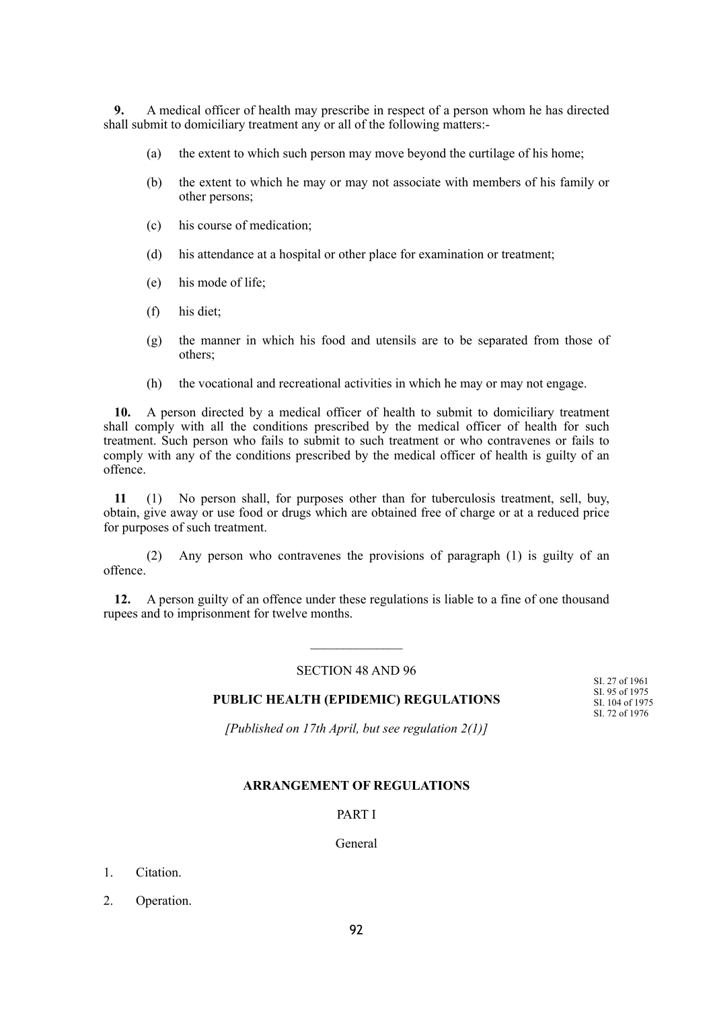**9.** A medical officer of health may prescribe in respect of a person whom he has directed shall submit to domiciliary treatment any or all of the following matters:-

- (a) the extent to which such person may move beyond the curtilage of his home;
- (b) the extent to which he may or may not associate with members of his family or other persons;
- (c) his course of medication;
- (d) his attendance at a hospital or other place for examination or treatment;
- (e) his mode of life;
- (f) his diet;
- (g) the manner in which his food and utensils are to be separated from those of others;
- (h) the vocational and recreational activities in which he may or may not engage.

**10.** A person directed by a medical officer of health to submit to domiciliary treatment shall comply with all the conditions prescribed by the medical officer of health for such treatment. Such person who fails to submit to such treatment or who contravenes or fails to comply with any of the conditions prescribed by the medical officer of health is guilty of an offence.

**11** (1) No person shall, for purposes other than for tuberculosis treatment, sell, buy, obtain, give away or use food or drugs which are obtained free of charge or at a reduced price for purposes of such treatment.

(2) Any person who contravenes the provisions of paragraph (1) is guilty of an offence.

**12.** A person guilty of an offence under these regulations is liable to a fine of one thousand rupees and to imprisonment for twelve months.

### SECTION 48 AND 96

#### **PUBLIC HEALTH (EPIDEMIC) REGULATIONS** SI. 27 of 1961 SI. 95 of 1975 SI. 104 of 1975 SI. 72 of 1976

*[Published on 17th April, but see regulation 2(1)]*

### **ARRANGEMENT OF REGULATIONS**

### PART I

### General

- 1. Citation.
- 2. Operation.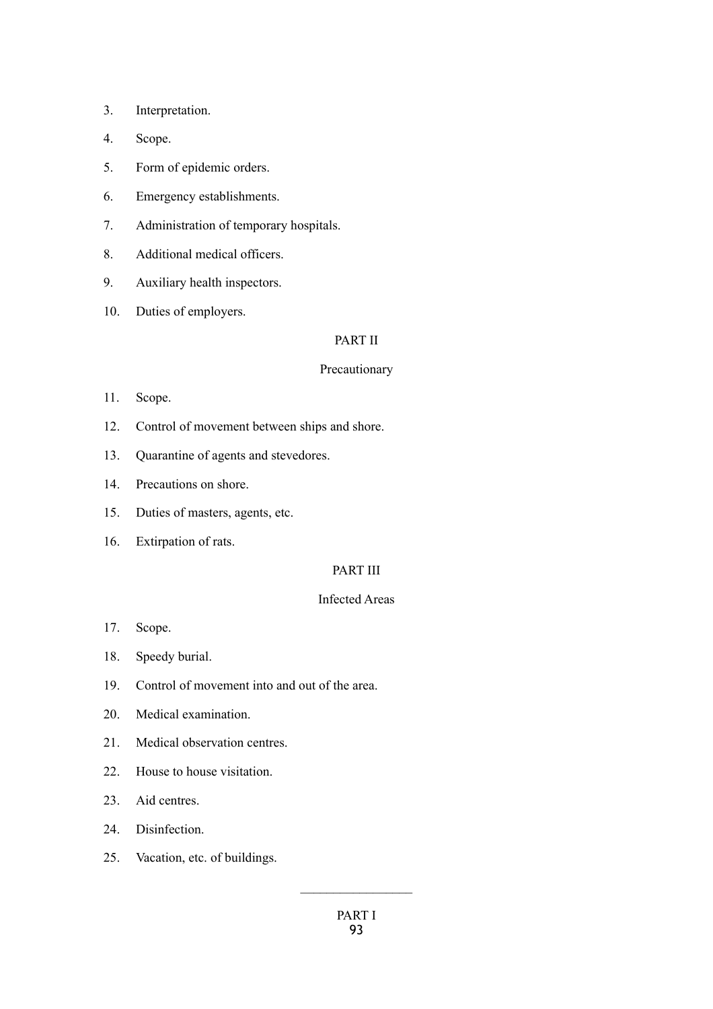- 3. Interpretation.
- 4. Scope.
- 5. Form of epidemic orders.
- 6. Emergency establishments.
- 7. Administration of temporary hospitals.
- 8. Additional medical officers.
- 9. Auxiliary health inspectors.
- 10. Duties of employers.

# PART II

#### Precautionary

- 11. Scope.
- 12. Control of movement between ships and shore.
- 13. Quarantine of agents and stevedores.
- 14. Precautions on shore.
- 15. Duties of masters, agents, etc.
- 16. Extirpation of rats.

# PART III

# Infected Areas

- 17. Scope.
- 18. Speedy burial.
- 19. Control of movement into and out of the area.
- 20. Medical examination.
- 21. Medical observation centres.
- 22. House to house visitation.
- 23. Aid centres.
- 24. Disinfection.
- 25. Vacation, etc. of buildings.

 $\frac{1}{2}$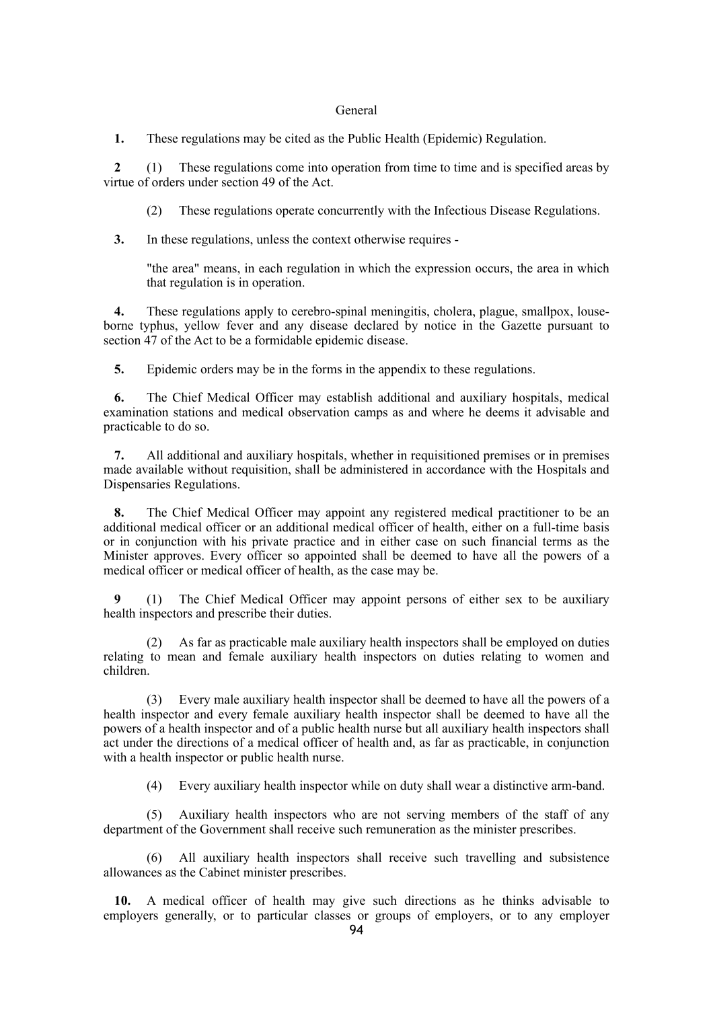#### General

**1.** These regulations may be cited as the Public Health (Epidemic) Regulation.

**2** (1) These regulations come into operation from time to time and is specified areas by virtue of orders under section 49 of the Act.

(2) These regulations operate concurrently with the Infectious Disease Regulations.

**3.** In these regulations, unless the context otherwise requires -

"the area" means, in each regulation in which the expression occurs, the area in which that regulation is in operation.

**4.** These regulations apply to cerebro-spinal meningitis, cholera, plague, smallpox, louseborne typhus, yellow fever and any disease declared by notice in the Gazette pursuant to section 47 of the Act to be a formidable epidemic disease.

**5.** Epidemic orders may be in the forms in the appendix to these regulations.

**6.** The Chief Medical Officer may establish additional and auxiliary hospitals, medical examination stations and medical observation camps as and where he deems it advisable and practicable to do so.

**7.** All additional and auxiliary hospitals, whether in requisitioned premises or in premises made available without requisition, shall be administered in accordance with the Hospitals and Dispensaries Regulations.

**8.** The Chief Medical Officer may appoint any registered medical practitioner to be an additional medical officer or an additional medical officer of health, either on a full-time basis or in conjunction with his private practice and in either case on such financial terms as the Minister approves. Every officer so appointed shall be deemed to have all the powers of a medical officer or medical officer of health, as the case may be.

**9** (1) The Chief Medical Officer may appoint persons of either sex to be auxiliary health inspectors and prescribe their duties.

As far as practicable male auxiliary health inspectors shall be employed on duties relating to mean and female auxiliary health inspectors on duties relating to women and children.

(3) Every male auxiliary health inspector shall be deemed to have all the powers of a health inspector and every female auxiliary health inspector shall be deemed to have all the powers of a health inspector and of a public health nurse but all auxiliary health inspectors shall act under the directions of a medical officer of health and, as far as practicable, in conjunction with a health inspector or public health nurse.

(4) Every auxiliary health inspector while on duty shall wear a distinctive arm-band.

(5) Auxiliary health inspectors who are not serving members of the staff of any department of the Government shall receive such remuneration as the minister prescribes.

(6) All auxiliary health inspectors shall receive such travelling and subsistence allowances as the Cabinet minister prescribes.

**10.** A medical officer of health may give such directions as he thinks advisable to employers generally, or to particular classes or groups of employers, or to any employer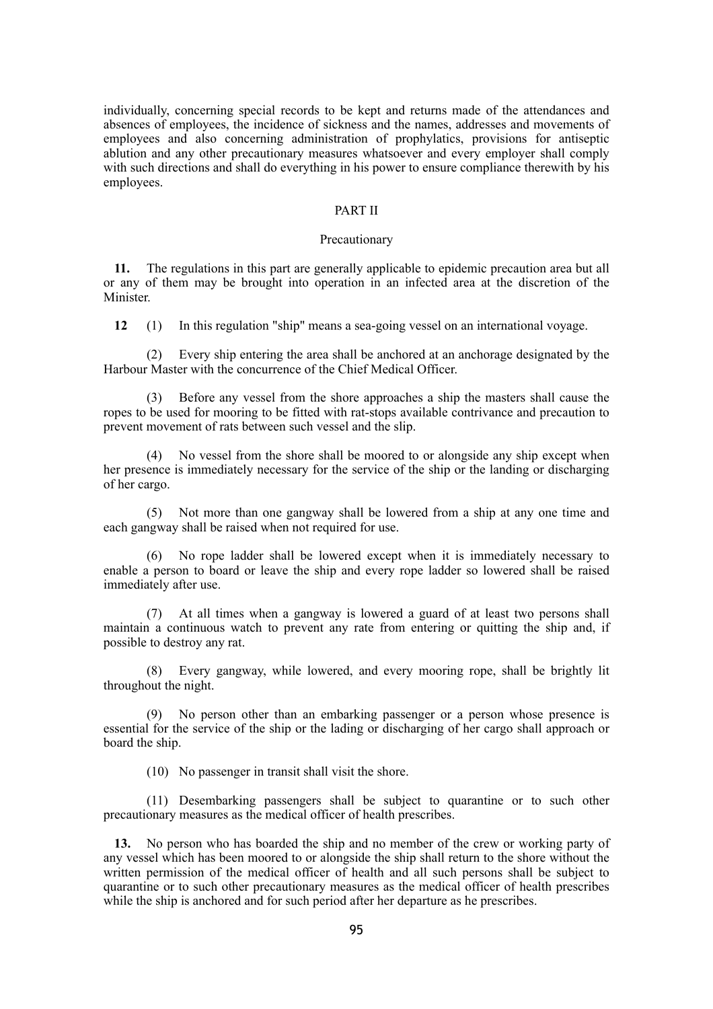individually, concerning special records to be kept and returns made of the attendances and absences of employees, the incidence of sickness and the names, addresses and movements of employees and also concerning administration of prophylatics, provisions for antiseptic ablution and any other precautionary measures whatsoever and every employer shall comply with such directions and shall do everything in his power to ensure compliance therewith by his employees.

### PART II

#### Precautionary

**11.** The regulations in this part are generally applicable to epidemic precaution area but all or any of them may be brought into operation in an infected area at the discretion of the Minister.

**12** (1) In this regulation "ship" means a sea-going vessel on an international voyage.

(2) Every ship entering the area shall be anchored at an anchorage designated by the Harbour Master with the concurrence of the Chief Medical Officer.

(3) Before any vessel from the shore approaches a ship the masters shall cause the ropes to be used for mooring to be fitted with rat-stops available contrivance and precaution to prevent movement of rats between such vessel and the slip.

(4) No vessel from the shore shall be moored to or alongside any ship except when her presence is immediately necessary for the service of the ship or the landing or discharging of her cargo.

(5) Not more than one gangway shall be lowered from a ship at any one time and each gangway shall be raised when not required for use.

(6) No rope ladder shall be lowered except when it is immediately necessary to enable a person to board or leave the ship and every rope ladder so lowered shall be raised immediately after use.

(7) At all times when a gangway is lowered a guard of at least two persons shall maintain a continuous watch to prevent any rate from entering or quitting the ship and, if possible to destroy any rat.

(8) Every gangway, while lowered, and every mooring rope, shall be brightly lit throughout the night.

(9) No person other than an embarking passenger or a person whose presence is essential for the service of the ship or the lading or discharging of her cargo shall approach or board the ship.

(10) No passenger in transit shall visit the shore.

(11) Desembarking passengers shall be subject to quarantine or to such other precautionary measures as the medical officer of health prescribes.

**13.** No person who has boarded the ship and no member of the crew or working party of any vessel which has been moored to or alongside the ship shall return to the shore without the written permission of the medical officer of health and all such persons shall be subject to quarantine or to such other precautionary measures as the medical officer of health prescribes while the ship is anchored and for such period after her departure as he prescribes.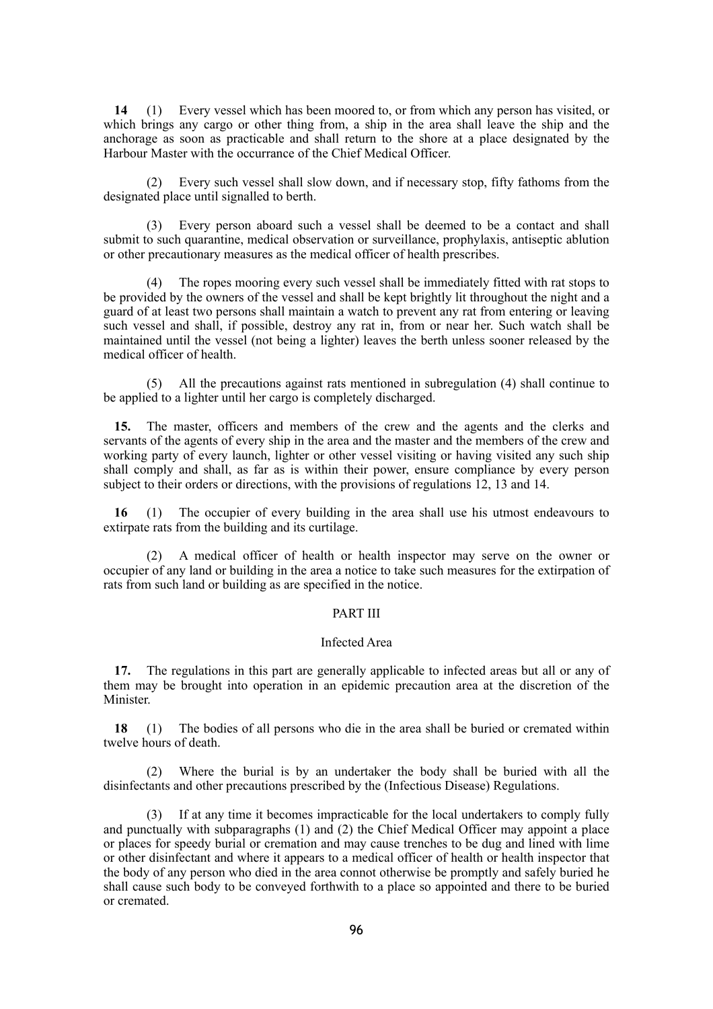**14** (1) Every vessel which has been moored to, or from which any person has visited, or which brings any cargo or other thing from, a ship in the area shall leave the ship and the anchorage as soon as practicable and shall return to the shore at a place designated by the Harbour Master with the occurrance of the Chief Medical Officer.

(2) Every such vessel shall slow down, and if necessary stop, fifty fathoms from the designated place until signalled to berth.

(3) Every person aboard such a vessel shall be deemed to be a contact and shall submit to such quarantine, medical observation or surveillance, prophylaxis, antiseptic ablution or other precautionary measures as the medical officer of health prescribes.

(4) The ropes mooring every such vessel shall be immediately fitted with rat stops to be provided by the owners of the vessel and shall be kept brightly lit throughout the night and a guard of at least two persons shall maintain a watch to prevent any rat from entering or leaving such vessel and shall, if possible, destroy any rat in, from or near her. Such watch shall be maintained until the vessel (not being a lighter) leaves the berth unless sooner released by the medical officer of health.

(5) All the precautions against rats mentioned in subregulation (4) shall continue to be applied to a lighter until her cargo is completely discharged.

**15.** The master, officers and members of the crew and the agents and the clerks and servants of the agents of every ship in the area and the master and the members of the crew and working party of every launch, lighter or other vessel visiting or having visited any such ship shall comply and shall, as far as is within their power, ensure compliance by every person subject to their orders or directions, with the provisions of regulations 12, 13 and 14.

**16** (1) The occupier of every building in the area shall use his utmost endeavours to extirpate rats from the building and its curtilage.

(2) A medical officer of health or health inspector may serve on the owner or occupier of any land or building in the area a notice to take such measures for the extirpation of rats from such land or building as are specified in the notice.

### PART III

#### Infected Area

**17.** The regulations in this part are generally applicable to infected areas but all or any of them may be brought into operation in an epidemic precaution area at the discretion of the Minister.

**18** (1) The bodies of all persons who die in the area shall be buried or cremated within twelve hours of death.

(2) Where the burial is by an undertaker the body shall be buried with all the disinfectants and other precautions prescribed by the (Infectious Disease) Regulations.

(3) If at any time it becomes impracticable for the local undertakers to comply fully and punctually with subparagraphs (1) and (2) the Chief Medical Officer may appoint a place or places for speedy burial or cremation and may cause trenches to be dug and lined with lime or other disinfectant and where it appears to a medical officer of health or health inspector that the body of any person who died in the area connot otherwise be promptly and safely buried he shall cause such body to be conveyed forthwith to a place so appointed and there to be buried or cremated.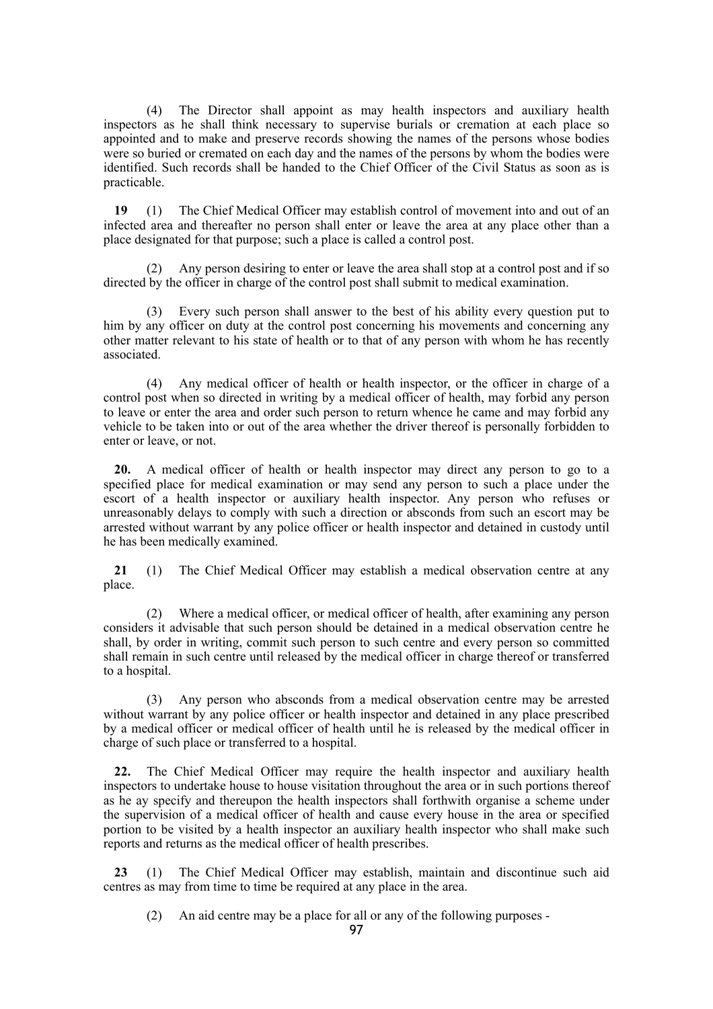(4) The Director shall appoint as may health inspectors and auxiliary health inspectors as he shall think necessary to supervise burials or cremation at each place so appointed and to make and preserve records showing the names of the persons whose bodies were so buried or cremated on each day and the names of the persons by whom the bodies were identified. Such records shall be handed to the Chief Officer of the Civil Status as soon as is practicable.

**19** (1) The Chief Medical Officer may establish control of movement into and out of an infected area and thereafter no person shall enter or leave the area at any place other than a place designated for that purpose; such a place is called a control post.

Any person desiring to enter or leave the area shall stop at a control post and if so directed by the officer in charge of the control post shall submit to medical examination.

(3) Every such person shall answer to the best of his ability every question put to him by any officer on duty at the control post concerning his movements and concerning any other matter relevant to his state of health or to that of any person with whom he has recently associated.

(4) Any medical officer of health or health inspector, or the officer in charge of a control post when so directed in writing by a medical officer of health, may forbid any person to leave or enter the area and order such person to return whence he came and may forbid any vehicle to be taken into or out of the area whether the driver thereof is personally forbidden to enter or leave, or not.

**20.** A medical officer of health or health inspector may direct any person to go to a specified place for medical examination or may send any person to such a place under the escort of a health inspector or auxiliary health inspector. Any person who refuses or unreasonably delays to comply with such a direction or absconds from such an escort may be arrested without warrant by any police officer or health inspector and detained in custody until he has been medically examined.

**21** (1) The Chief Medical Officer may establish a medical observation centre at any place.

(2) Where a medical officer, or medical officer of health, after examining any person considers it advisable that such person should be detained in a medical observation centre he shall, by order in writing, commit such person to such centre and every person so committed shall remain in such centre until released by the medical officer in charge thereof or transferred to a hospital.

(3) Any person who absconds from a medical observation centre may be arrested without warrant by any police officer or health inspector and detained in any place prescribed by a medical officer or medical officer of health until he is released by the medical officer in charge of such place or transferred to a hospital.

**22.** The Chief Medical Officer may require the health inspector and auxiliary health inspectors to undertake house to house visitation throughout the area or in such portions thereof as he ay specify and thereupon the health inspectors shall forthwith organise a scheme under the supervision of a medical officer of health and cause every house in the area or specified portion to be visited by a health inspector an auxiliary health inspector who shall make such reports and returns as the medical officer of health prescribes.

**23** (1) The Chief Medical Officer may establish, maintain and discontinue such aid centres as may from time to time be required at any place in the area.

(2) An aid centre may be a place for all or any of the following purposes -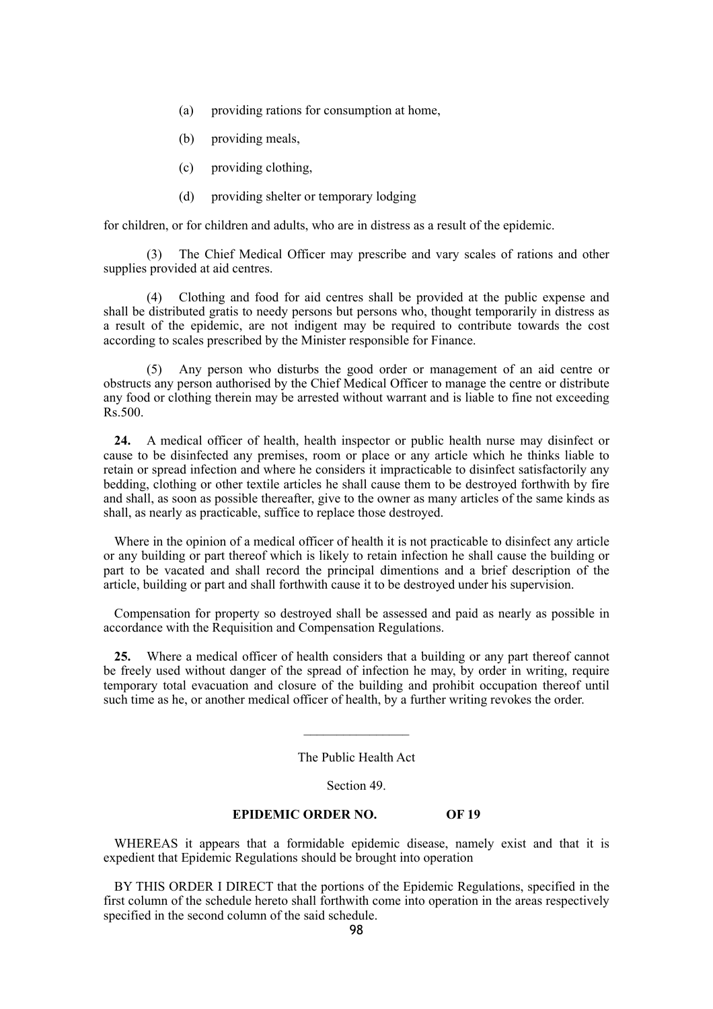- (a) providing rations for consumption at home,
- (b) providing meals,
- (c) providing clothing,
- (d) providing shelter or temporary lodging

for children, or for children and adults, who are in distress as a result of the epidemic.

(3) The Chief Medical Officer may prescribe and vary scales of rations and other supplies provided at aid centres.

(4) Clothing and food for aid centres shall be provided at the public expense and shall be distributed gratis to needy persons but persons who, thought temporarily in distress as a result of the epidemic, are not indigent may be required to contribute towards the cost according to scales prescribed by the Minister responsible for Finance.

(5) Any person who disturbs the good order or management of an aid centre or obstructs any person authorised by the Chief Medical Officer to manage the centre or distribute any food or clothing therein may be arrested without warrant and is liable to fine not exceeding Rs.500.

**24.** A medical officer of health, health inspector or public health nurse may disinfect or cause to be disinfected any premises, room or place or any article which he thinks liable to retain or spread infection and where he considers it impracticable to disinfect satisfactorily any bedding, clothing or other textile articles he shall cause them to be destroyed forthwith by fire and shall, as soon as possible thereafter, give to the owner as many articles of the same kinds as shall, as nearly as practicable, suffice to replace those destroyed.

Where in the opinion of a medical officer of health it is not practicable to disinfect any article or any building or part thereof which is likely to retain infection he shall cause the building or part to be vacated and shall record the principal dimentions and a brief description of the article, building or part and shall forthwith cause it to be destroyed under his supervision.

Compensation for property so destroyed shall be assessed and paid as nearly as possible in accordance with the Requisition and Compensation Regulations.

**25.** Where a medical officer of health considers that a building or any part thereof cannot be freely used without danger of the spread of infection he may, by order in writing, require temporary total evacuation and closure of the building and prohibit occupation thereof until such time as he, or another medical officer of health, by a further writing revokes the order.

The Public Health Act

 $\frac{1}{2}$ 

Section 49.

### **EPIDEMIC ORDER NO. OF 19**

WHEREAS it appears that a formidable epidemic disease, namely exist and that it is expedient that Epidemic Regulations should be brought into operation

BY THIS ORDER I DIRECT that the portions of the Epidemic Regulations, specified in the first column of the schedule hereto shall forthwith come into operation in the areas respectively specified in the second column of the said schedule.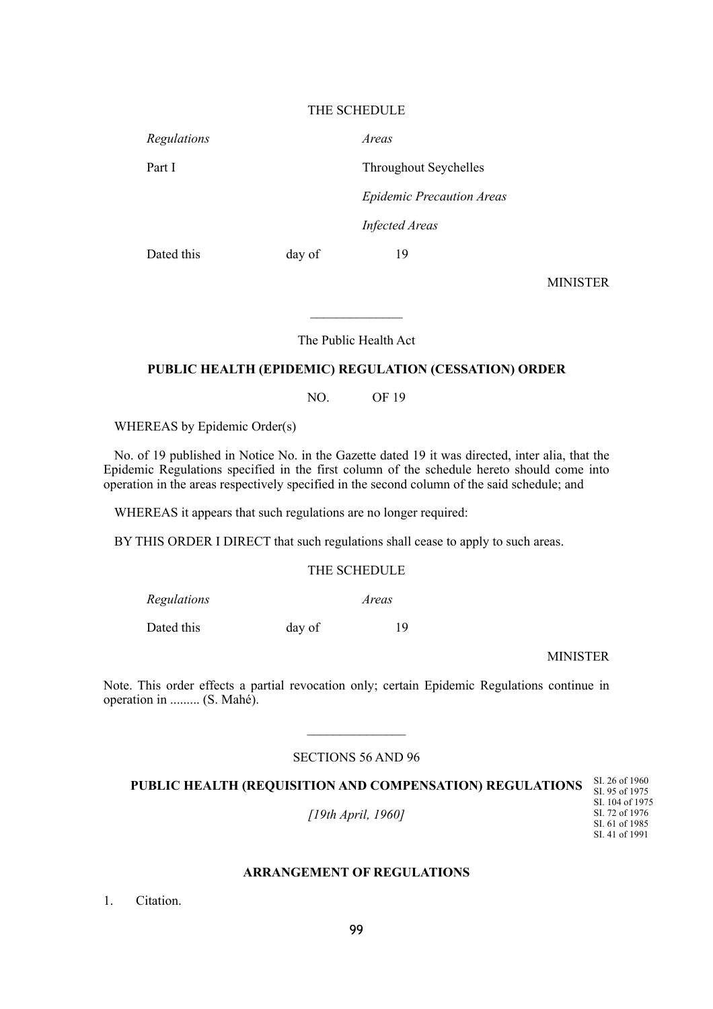### THE SCHEDULE

*Regulations Areas*

Part I Throughout Seychelles

*Epidemic Precaution Areas*

*Infected Areas*

Dated this day of 19

MINISTER

The Public Health Act

### **PUBLIC HEALTH (EPIDEMIC) REGULATION (CESSATION) ORDER**

NO. OF 19

WHEREAS by Epidemic Order(s)

No. of 19 published in Notice No. in the Gazette dated 19 it was directed, inter alia, that the Epidemic Regulations specified in the first column of the schedule hereto should come into operation in the areas respectively specified in the second column of the said schedule; and

WHEREAS it appears that such regulations are no longer required:

BY THIS ORDER I DIRECT that such regulations shall cease to apply to such areas.

# THE SCHEDULE

*Regulations Areas*

Dated this day of 19

MINISTER

Note. This order effects a partial revocation only; certain Epidemic Regulations continue in operation in ......... (S. Mahé).

# SECTIONS 56 AND 96

 $\frac{1}{2}$ 

**PUBLIC HEALTH (REQUISITION AND COMPENSATION) REGULATIONS**

*[19th April, 1960]*

SI. 95 of 1975 SI. 104 of 1975 SI. 72 of 1976 SI. 61 of 1985 SI. 41 of 1991

SI. 26 of 1960

### **ARRANGEMENT OF REGULATIONS**

1. Citation.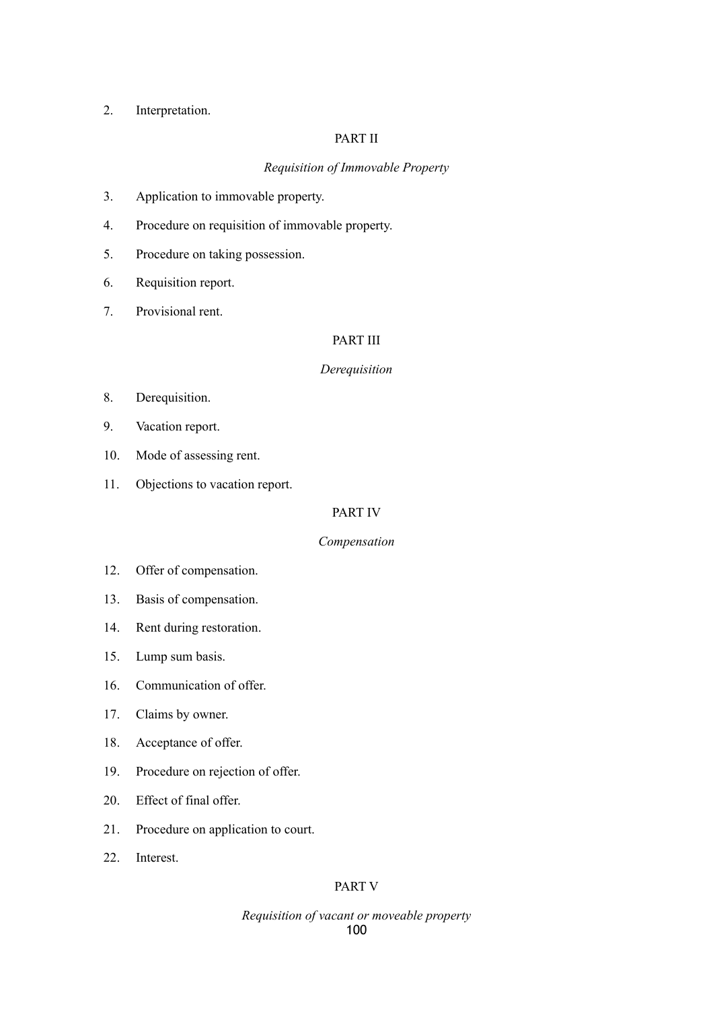# 2. Interpretation.

# PART II

# *Requisition of Immovable Property*

- 3. Application to immovable property.
- 4. Procedure on requisition of immovable property.
- 5. Procedure on taking possession.
- 6. Requisition report.
- 7. Provisional rent.

# PART III

### *Derequisition*

- 8. Derequisition.
- 9. Vacation report.
- 10. Mode of assessing rent.
- 11. Objections to vacation report.

## PART IV

### *Compensation*

- 12. Offer of compensation.
- 13. Basis of compensation.
- 14. Rent during restoration.
- 15. Lump sum basis.
- 16. Communication of offer.
- 17. Claims by owner.
- 18. Acceptance of offer.
- 19. Procedure on rejection of offer.
- 20. Effect of final offer.
- 21. Procedure on application to court.
- 22. Interest.

# PART V

### *Requisition of vacant or moveable property* 100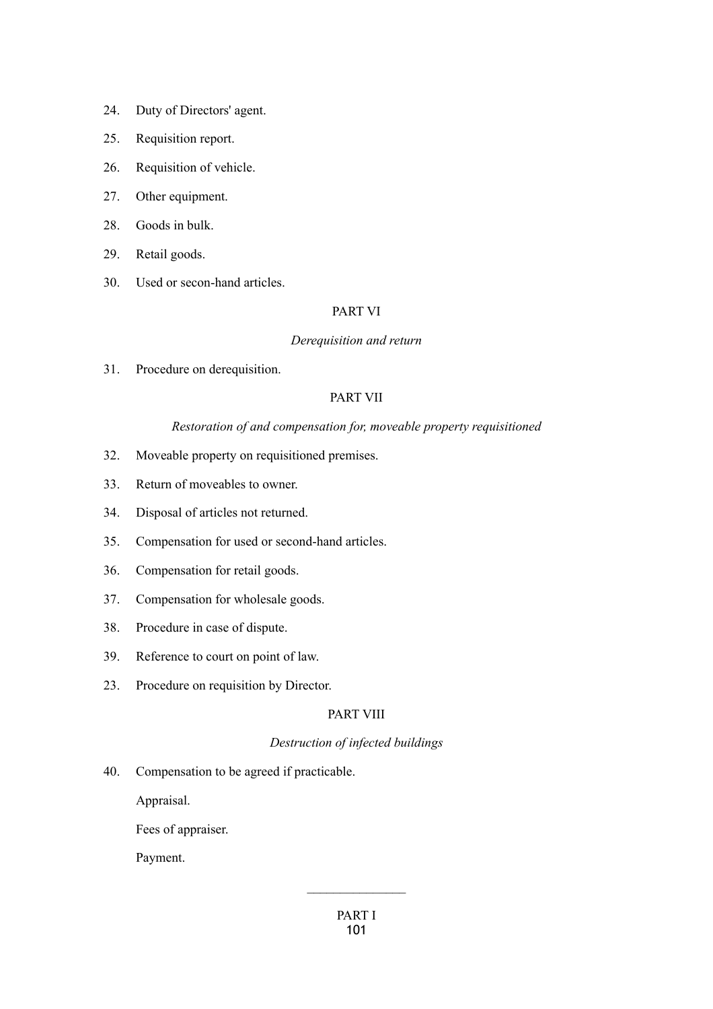- 24. Duty of Directors' agent.
- 25. Requisition report.
- 26. Requisition of vehicle.
- 27. Other equipment.
- 28. Goods in bulk.
- 29. Retail goods.
- 30. Used or secon-hand articles.

### PART VI

### *Derequisition and return*

31. Procedure on derequisition.

# PART VII

### *Restoration of and compensation for, moveable property requisitioned*

- 32. Moveable property on requisitioned premises.
- 33. Return of moveables to owner.
- 34. Disposal of articles not returned.
- 35. Compensation for used or second-hand articles.
- 36. Compensation for retail goods.
- 37. Compensation for wholesale goods.
- 38. Procedure in case of dispute.
- 39. Reference to court on point of law.
- 23. Procedure on requisition by Director.

### PART VIII

# *Destruction of infected buildings*

40. Compensation to be agreed if practicable.

Appraisal.

Fees of appraiser.

Payment.

 $\frac{1}{2}$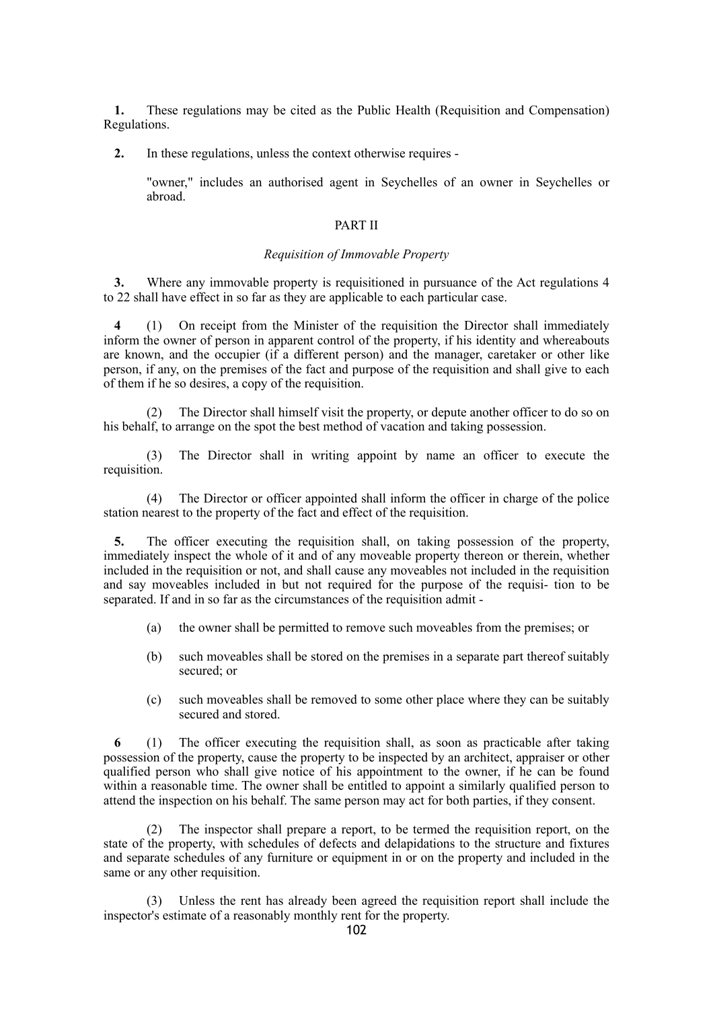**1.** These regulations may be cited as the Public Health (Requisition and Compensation) Regulations.

**2.** In these regulations, unless the context otherwise requires -

"owner," includes an authorised agent in Seychelles of an owner in Seychelles or abroad.

### PART II

#### *Requisition of Immovable Property*

**3.** Where any immovable property is requisitioned in pursuance of the Act regulations 4 to 22 shall have effect in so far as they are applicable to each particular case.

**4** (1) On receipt from the Minister of the requisition the Director shall immediately inform the owner of person in apparent control of the property, if his identity and whereabouts are known, and the occupier (if a different person) and the manager, caretaker or other like person, if any, on the premises of the fact and purpose of the requisition and shall give to each of them if he so desires, a copy of the requisition.

(2) The Director shall himself visit the property, or depute another officer to do so on his behalf, to arrange on the spot the best method of vacation and taking possession.

(3) The Director shall in writing appoint by name an officer to execute the requisition.

(4) The Director or officer appointed shall inform the officer in charge of the police station nearest to the property of the fact and effect of the requisition.

**5.** The officer executing the requisition shall, on taking possession of the property, immediately inspect the whole of it and of any moveable property thereon or therein, whether included in the requisition or not, and shall cause any moveables not included in the requisition and say moveables included in but not required for the purpose of the requisi- tion to be separated. If and in so far as the circumstances of the requisition admit -

- (a) the owner shall be permitted to remove such moveables from the premises; or
- (b) such moveables shall be stored on the premises in a separate part thereof suitably secured; or
- (c) such moveables shall be removed to some other place where they can be suitably secured and stored.

**6** (1) The officer executing the requisition shall, as soon as practicable after taking possession of the property, cause the property to be inspected by an architect, appraiser or other qualified person who shall give notice of his appointment to the owner, if he can be found within a reasonable time. The owner shall be entitled to appoint a similarly qualified person to attend the inspection on his behalf. The same person may act for both parties, if they consent.

The inspector shall prepare a report, to be termed the requisition report, on the state of the property, with schedules of defects and delapidations to the structure and fixtures and separate schedules of any furniture or equipment in or on the property and included in the same or any other requisition.

(3) Unless the rent has already been agreed the requisition report shall include the inspector's estimate of a reasonably monthly rent for the property.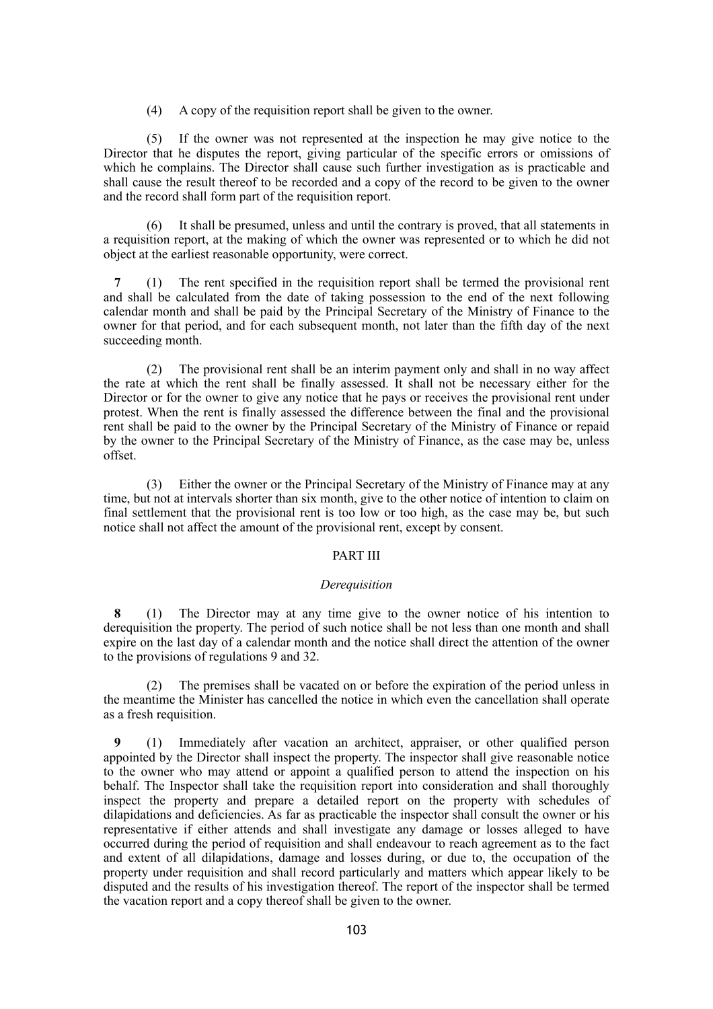(4) A copy of the requisition report shall be given to the owner.

(5) If the owner was not represented at the inspection he may give notice to the Director that he disputes the report, giving particular of the specific errors or omissions of which he complains. The Director shall cause such further investigation as is practicable and shall cause the result thereof to be recorded and a copy of the record to be given to the owner and the record shall form part of the requisition report.

(6) It shall be presumed, unless and until the contrary is proved, that all statements in a requisition report, at the making of which the owner was represented or to which he did not object at the earliest reasonable opportunity, were correct.

**7** (1) The rent specified in the requisition report shall be termed the provisional rent and shall be calculated from the date of taking possession to the end of the next following calendar month and shall be paid by the Principal Secretary of the Ministry of Finance to the owner for that period, and for each subsequent month, not later than the fifth day of the next succeeding month.

(2) The provisional rent shall be an interim payment only and shall in no way affect the rate at which the rent shall be finally assessed. It shall not be necessary either for the Director or for the owner to give any notice that he pays or receives the provisional rent under protest. When the rent is finally assessed the difference between the final and the provisional rent shall be paid to the owner by the Principal Secretary of the Ministry of Finance or repaid by the owner to the Principal Secretary of the Ministry of Finance, as the case may be, unless offset.

(3) Either the owner or the Principal Secretary of the Ministry of Finance may at any time, but not at intervals shorter than six month, give to the other notice of intention to claim on final settlement that the provisional rent is too low or too high, as the case may be, but such notice shall not affect the amount of the provisional rent, except by consent.

### PART III

### *Derequisition*

**8** (1) The Director may at any time give to the owner notice of his intention to derequisition the property. The period of such notice shall be not less than one month and shall expire on the last day of a calendar month and the notice shall direct the attention of the owner to the provisions of regulations 9 and 32.

(2) The premises shall be vacated on or before the expiration of the period unless in the meantime the Minister has cancelled the notice in which even the cancellation shall operate as a fresh requisition.

**9** (1) Immediately after vacation an architect, appraiser, or other qualified person appointed by the Director shall inspect the property. The inspector shall give reasonable notice to the owner who may attend or appoint a qualified person to attend the inspection on his behalf. The Inspector shall take the requisition report into consideration and shall thoroughly inspect the property and prepare a detailed report on the property with schedules of dilapidations and deficiencies. As far as practicable the inspector shall consult the owner or his representative if either attends and shall investigate any damage or losses alleged to have occurred during the period of requisition and shall endeavour to reach agreement as to the fact and extent of all dilapidations, damage and losses during, or due to, the occupation of the property under requisition and shall record particularly and matters which appear likely to be disputed and the results of his investigation thereof. The report of the inspector shall be termed the vacation report and a copy thereof shall be given to the owner.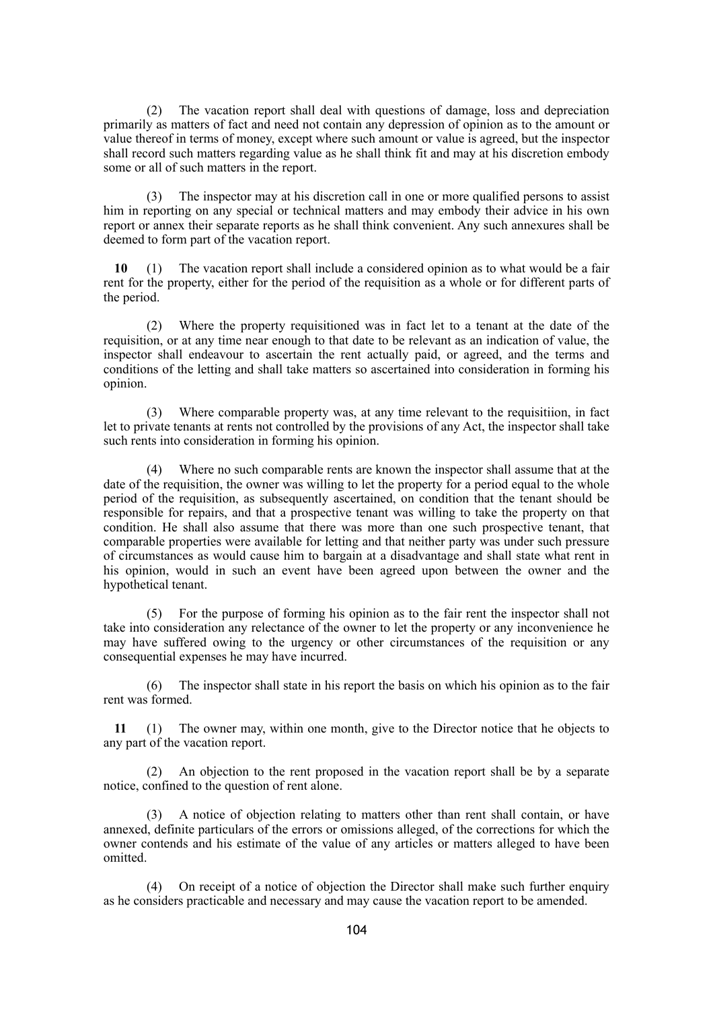(2) The vacation report shall deal with questions of damage, loss and depreciation primarily as matters of fact and need not contain any depression of opinion as to the amount or value thereof in terms of money, except where such amount or value is agreed, but the inspector shall record such matters regarding value as he shall think fit and may at his discretion embody some or all of such matters in the report.

(3) The inspector may at his discretion call in one or more qualified persons to assist him in reporting on any special or technical matters and may embody their advice in his own report or annex their separate reports as he shall think convenient. Any such annexures shall be deemed to form part of the vacation report.

**10** (1) The vacation report shall include a considered opinion as to what would be a fair rent for the property, either for the period of the requisition as a whole or for different parts of the period.

(2) Where the property requisitioned was in fact let to a tenant at the date of the requisition, or at any time near enough to that date to be relevant as an indication of value, the inspector shall endeavour to ascertain the rent actually paid, or agreed, and the terms and conditions of the letting and shall take matters so ascertained into consideration in forming his opinion.

(3) Where comparable property was, at any time relevant to the requisitiion, in fact let to private tenants at rents not controlled by the provisions of any Act, the inspector shall take such rents into consideration in forming his opinion.

(4) Where no such comparable rents are known the inspector shall assume that at the date of the requisition, the owner was willing to let the property for a period equal to the whole period of the requisition, as subsequently ascertained, on condition that the tenant should be responsible for repairs, and that a prospective tenant was willing to take the property on that condition. He shall also assume that there was more than one such prospective tenant, that comparable properties were available for letting and that neither party was under such pressure of circumstances as would cause him to bargain at a disadvantage and shall state what rent in his opinion, would in such an event have been agreed upon between the owner and the hypothetical tenant.

(5) For the purpose of forming his opinion as to the fair rent the inspector shall not take into consideration any relectance of the owner to let the property or any inconvenience he may have suffered owing to the urgency or other circumstances of the requisition or any consequential expenses he may have incurred.

(6) The inspector shall state in his report the basis on which his opinion as to the fair rent was formed.

**11** (1) The owner may, within one month, give to the Director notice that he objects to any part of the vacation report.

(2) An objection to the rent proposed in the vacation report shall be by a separate notice, confined to the question of rent alone.

(3) A notice of objection relating to matters other than rent shall contain, or have annexed, definite particulars of the errors or omissions alleged, of the corrections for which the owner contends and his estimate of the value of any articles or matters alleged to have been omitted.

(4) On receipt of a notice of objection the Director shall make such further enquiry as he considers practicable and necessary and may cause the vacation report to be amended.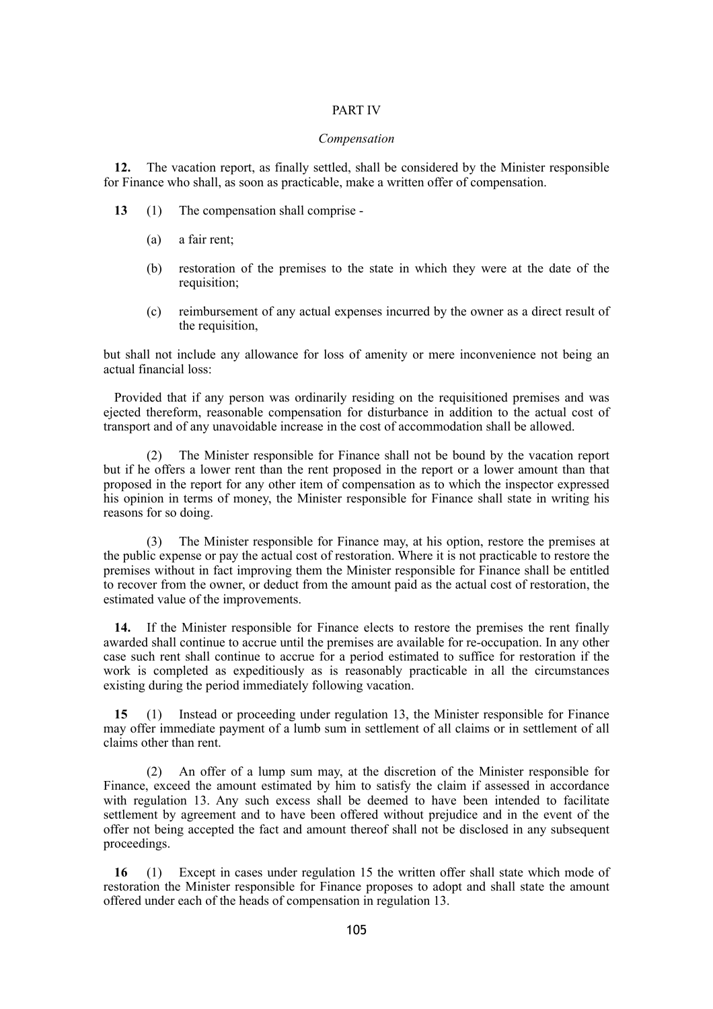### PART IV

#### *Compensation*

**12.** The vacation report, as finally settled, shall be considered by the Minister responsible for Finance who shall, as soon as practicable, make a written offer of compensation.

- **13** (1) The compensation shall comprise
	- (a) a fair rent;
	- (b) restoration of the premises to the state in which they were at the date of the requisition:
	- (c) reimbursement of any actual expenses incurred by the owner as a direct result of the requisition,

but shall not include any allowance for loss of amenity or mere inconvenience not being an actual financial loss:

Provided that if any person was ordinarily residing on the requisitioned premises and was ejected thereform, reasonable compensation for disturbance in addition to the actual cost of transport and of any unavoidable increase in the cost of accommodation shall be allowed.

(2) The Minister responsible for Finance shall not be bound by the vacation report but if he offers a lower rent than the rent proposed in the report or a lower amount than that proposed in the report for any other item of compensation as to which the inspector expressed his opinion in terms of money, the Minister responsible for Finance shall state in writing his reasons for so doing.

(3) The Minister responsible for Finance may, at his option, restore the premises at the public expense or pay the actual cost of restoration. Where it is not practicable to restore the premises without in fact improving them the Minister responsible for Finance shall be entitled to recover from the owner, or deduct from the amount paid as the actual cost of restoration, the estimated value of the improvements.

**14.** If the Minister responsible for Finance elects to restore the premises the rent finally awarded shall continue to accrue until the premises are available for re-occupation. In any other case such rent shall continue to accrue for a period estimated to suffice for restoration if the work is completed as expeditiously as is reasonably practicable in all the circumstances existing during the period immediately following vacation.

**15** (1) Instead or proceeding under regulation 13, the Minister responsible for Finance may offer immediate payment of a lumb sum in settlement of all claims or in settlement of all claims other than rent.

(2) An offer of a lump sum may, at the discretion of the Minister responsible for Finance, exceed the amount estimated by him to satisfy the claim if assessed in accordance with regulation 13. Any such excess shall be deemed to have been intended to facilitate settlement by agreement and to have been offered without prejudice and in the event of the offer not being accepted the fact and amount thereof shall not be disclosed in any subsequent proceedings.

**16** (1) Except in cases under regulation 15 the written offer shall state which mode of restoration the Minister responsible for Finance proposes to adopt and shall state the amount offered under each of the heads of compensation in regulation 13.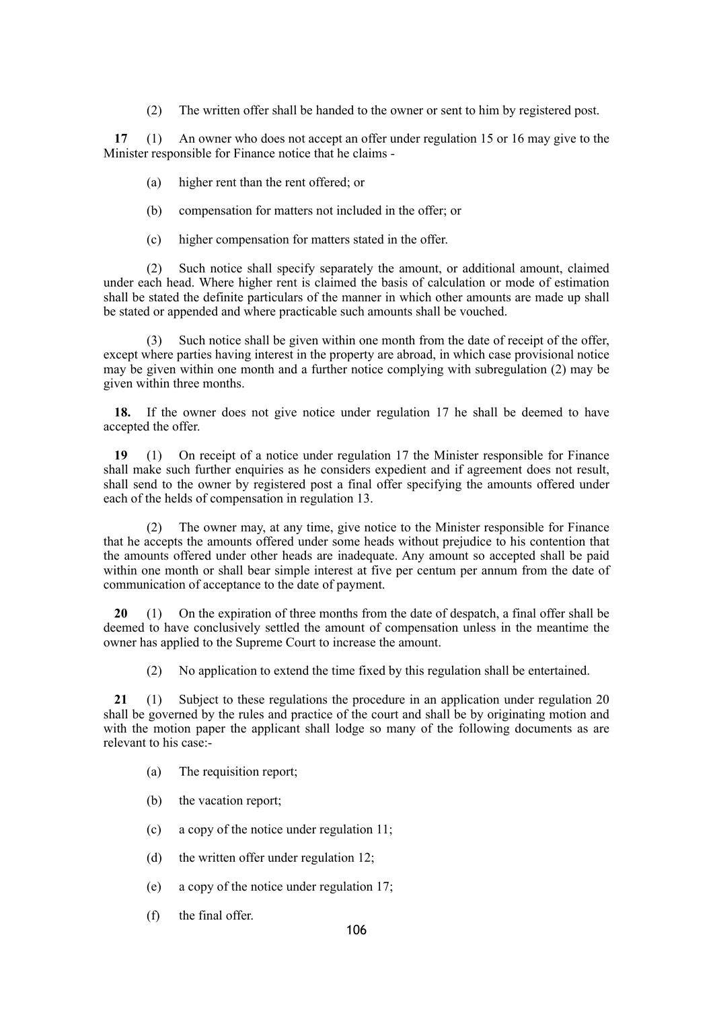(2) The written offer shall be handed to the owner or sent to him by registered post.

**17** (1) An owner who does not accept an offer under regulation 15 or 16 may give to the Minister responsible for Finance notice that he claims -

- (a) higher rent than the rent offered; or
- (b) compensation for matters not included in the offer; or
- (c) higher compensation for matters stated in the offer.

(2) Such notice shall specify separately the amount, or additional amount, claimed under each head. Where higher rent is claimed the basis of calculation or mode of estimation shall be stated the definite particulars of the manner in which other amounts are made up shall be stated or appended and where practicable such amounts shall be vouched.

(3) Such notice shall be given within one month from the date of receipt of the offer, except where parties having interest in the property are abroad, in which case provisional notice may be given within one month and a further notice complying with subregulation (2) may be given within three months.

**18.** If the owner does not give notice under regulation 17 he shall be deemed to have accepted the offer.

**19** (1) On receipt of a notice under regulation 17 the Minister responsible for Finance shall make such further enquiries as he considers expedient and if agreement does not result, shall send to the owner by registered post a final offer specifying the amounts offered under each of the helds of compensation in regulation 13.

(2) The owner may, at any time, give notice to the Minister responsible for Finance that he accepts the amounts offered under some heads without prejudice to his contention that the amounts offered under other heads are inadequate. Any amount so accepted shall be paid within one month or shall bear simple interest at five per centum per annum from the date of communication of acceptance to the date of payment.

**20** (1) On the expiration of three months from the date of despatch, a final offer shall be deemed to have conclusively settled the amount of compensation unless in the meantime the owner has applied to the Supreme Court to increase the amount.

(2) No application to extend the time fixed by this regulation shall be entertained.

**21** (1) Subject to these regulations the procedure in an application under regulation 20 shall be governed by the rules and practice of the court and shall be by originating motion and with the motion paper the applicant shall lodge so many of the following documents as are relevant to his case:-

- (a) The requisition report;
- (b) the vacation report;
- (c) a copy of the notice under regulation 11;
- (d) the written offer under regulation 12;
- (e) a copy of the notice under regulation 17;
- (f) the final offer.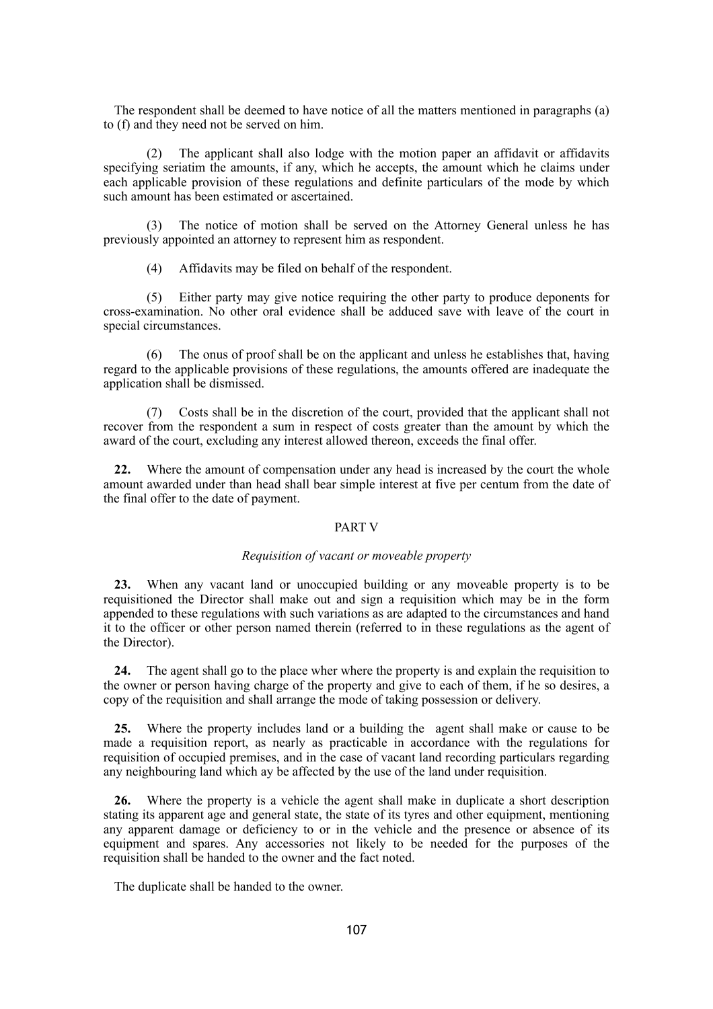The respondent shall be deemed to have notice of all the matters mentioned in paragraphs (a) to (f) and they need not be served on him.

(2) The applicant shall also lodge with the motion paper an affidavit or affidavits specifying seriatim the amounts, if any, which he accepts, the amount which he claims under each applicable provision of these regulations and definite particulars of the mode by which such amount has been estimated or ascertained.

(3) The notice of motion shall be served on the Attorney General unless he has previously appointed an attorney to represent him as respondent.

(4) Affidavits may be filed on behalf of the respondent.

(5) Either party may give notice requiring the other party to produce deponents for cross-examination. No other oral evidence shall be adduced save with leave of the court in special circumstances.

(6) The onus of proof shall be on the applicant and unless he establishes that, having regard to the applicable provisions of these regulations, the amounts offered are inadequate the application shall be dismissed.

(7) Costs shall be in the discretion of the court, provided that the applicant shall not recover from the respondent a sum in respect of costs greater than the amount by which the award of the court, excluding any interest allowed thereon, exceeds the final offer.

**22.** Where the amount of compensation under any head is increased by the court the whole amount awarded under than head shall bear simple interest at five per centum from the date of the final offer to the date of payment.

#### PART V

### *Requisition of vacant or moveable property*

**23.** When any vacant land or unoccupied building or any moveable property is to be requisitioned the Director shall make out and sign a requisition which may be in the form appended to these regulations with such variations as are adapted to the circumstances and hand it to the officer or other person named therein (referred to in these regulations as the agent of the Director).

**24.** The agent shall go to the place wher where the property is and explain the requisition to the owner or person having charge of the property and give to each of them, if he so desires, a copy of the requisition and shall arrange the mode of taking possession or delivery.

**25.** Where the property includes land or a building the agent shall make or cause to be made a requisition report, as nearly as practicable in accordance with the regulations for requisition of occupied premises, and in the case of vacant land recording particulars regarding any neighbouring land which ay be affected by the use of the land under requisition.

**26.** Where the property is a vehicle the agent shall make in duplicate a short description stating its apparent age and general state, the state of its tyres and other equipment, mentioning any apparent damage or deficiency to or in the vehicle and the presence or absence of its equipment and spares. Any accessories not likely to be needed for the purposes of the requisition shall be handed to the owner and the fact noted.

The duplicate shall be handed to the owner.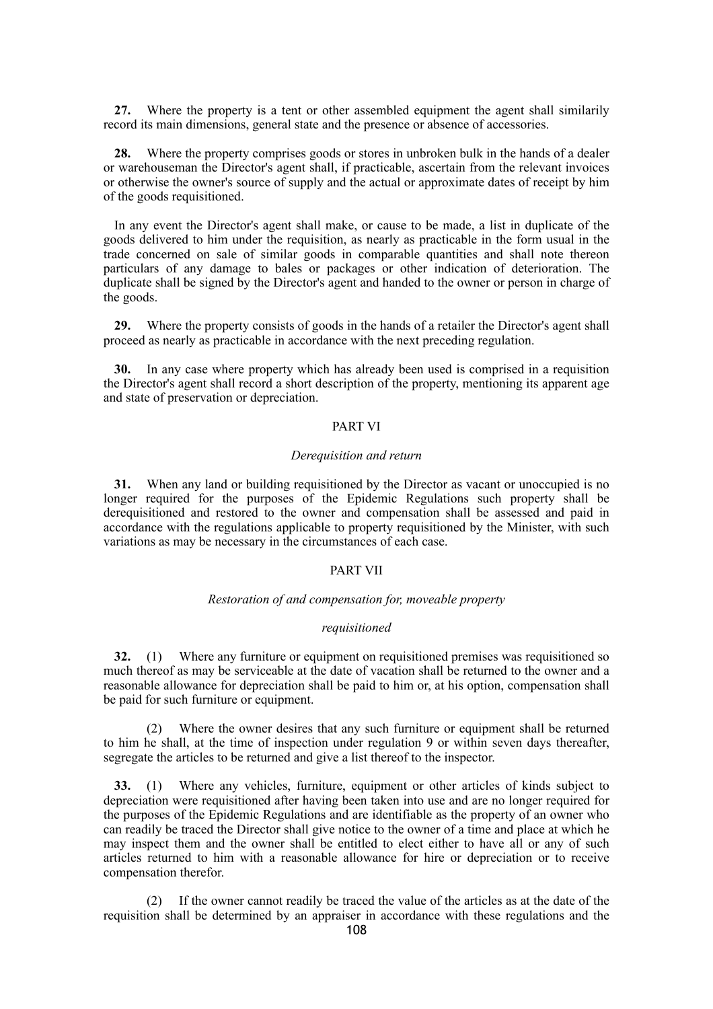**27.** Where the property is a tent or other assembled equipment the agent shall similarily record its main dimensions, general state and the presence or absence of accessories.

**28.** Where the property comprises goods or stores in unbroken bulk in the hands of a dealer or warehouseman the Director's agent shall, if practicable, ascertain from the relevant invoices or otherwise the owner's source of supply and the actual or approximate dates of receipt by him of the goods requisitioned.

In any event the Director's agent shall make, or cause to be made, a list in duplicate of the goods delivered to him under the requisition, as nearly as practicable in the form usual in the trade concerned on sale of similar goods in comparable quantities and shall note thereon particulars of any damage to bales or packages or other indication of deterioration. The duplicate shall be signed by the Director's agent and handed to the owner or person in charge of the goods.

**29.** Where the property consists of goods in the hands of a retailer the Director's agent shall proceed as nearly as practicable in accordance with the next preceding regulation.

**30.** In any case where property which has already been used is comprised in a requisition the Director's agent shall record a short description of the property, mentioning its apparent age and state of preservation or depreciation.

### PART VI

#### *Derequisition and return*

**31.** When any land or building requisitioned by the Director as vacant or unoccupied is no longer required for the purposes of the Epidemic Regulations such property shall be derequisitioned and restored to the owner and compensation shall be assessed and paid in accordance with the regulations applicable to property requisitioned by the Minister, with such variations as may be necessary in the circumstances of each case.

### PART VII

### *Restoration of and compensation for, moveable property*

#### *requisitioned*

**32.** (1) Where any furniture or equipment on requisitioned premises was requisitioned so much thereof as may be serviceable at the date of vacation shall be returned to the owner and a reasonable allowance for depreciation shall be paid to him or, at his option, compensation shall be paid for such furniture or equipment.

(2) Where the owner desires that any such furniture or equipment shall be returned to him he shall, at the time of inspection under regulation 9 or within seven days thereafter, segregate the articles to be returned and give a list thereof to the inspector.

**33.** (1) Where any vehicles, furniture, equipment or other articles of kinds subject to depreciation were requisitioned after having been taken into use and are no longer required for the purposes of the Epidemic Regulations and are identifiable as the property of an owner who can readily be traced the Director shall give notice to the owner of a time and place at which he may inspect them and the owner shall be entitled to elect either to have all or any of such articles returned to him with a reasonable allowance for hire or depreciation or to receive compensation therefor.

(2) If the owner cannot readily be traced the value of the articles as at the date of the requisition shall be determined by an appraiser in accordance with these regulations and the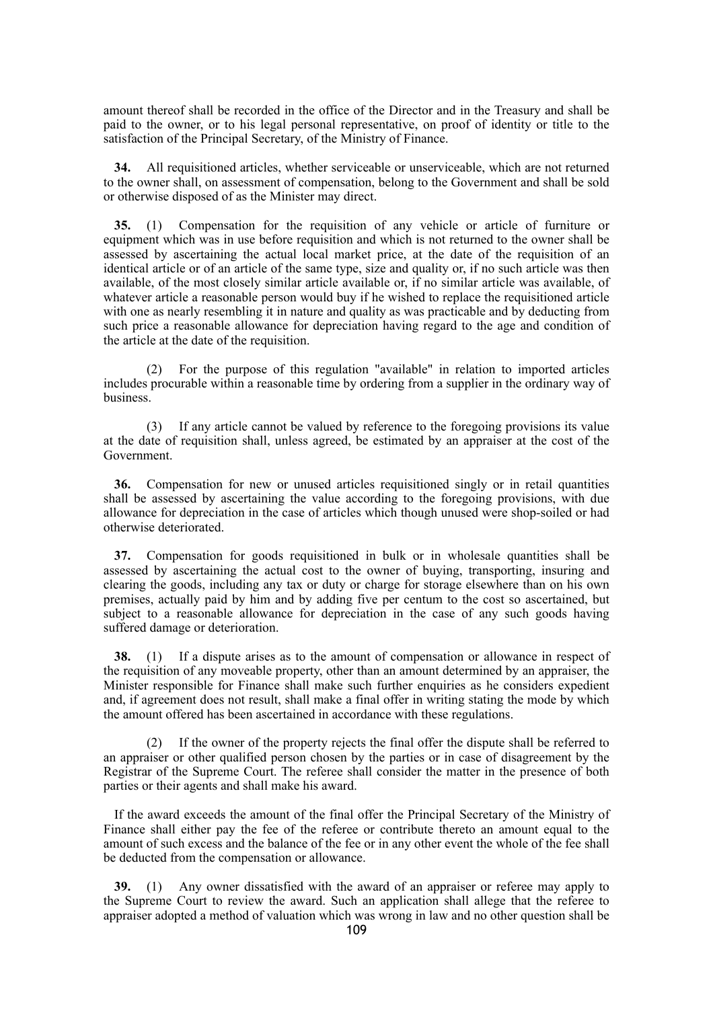amount thereof shall be recorded in the office of the Director and in the Treasury and shall be paid to the owner, or to his legal personal representative, on proof of identity or title to the satisfaction of the Principal Secretary, of the Ministry of Finance.

**34.** All requisitioned articles, whether serviceable or unserviceable, which are not returned to the owner shall, on assessment of compensation, belong to the Government and shall be sold or otherwise disposed of as the Minister may direct.

**35.** (1) Compensation for the requisition of any vehicle or article of furniture or equipment which was in use before requisition and which is not returned to the owner shall be assessed by ascertaining the actual local market price, at the date of the requisition of an identical article or of an article of the same type, size and quality or, if no such article was then available, of the most closely similar article available or, if no similar article was available, of whatever article a reasonable person would buy if he wished to replace the requisitioned article with one as nearly resembling it in nature and quality as was practicable and by deducting from such price a reasonable allowance for depreciation having regard to the age and condition of the article at the date of the requisition.

(2) For the purpose of this regulation "available" in relation to imported articles includes procurable within a reasonable time by ordering from a supplier in the ordinary way of business.

(3) If any article cannot be valued by reference to the foregoing provisions its value at the date of requisition shall, unless agreed, be estimated by an appraiser at the cost of the Government.

**36.** Compensation for new or unused articles requisitioned singly or in retail quantities shall be assessed by ascertaining the value according to the foregoing provisions, with due allowance for depreciation in the case of articles which though unused were shop-soiled or had otherwise deteriorated.

**37.** Compensation for goods requisitioned in bulk or in wholesale quantities shall be assessed by ascertaining the actual cost to the owner of buying, transporting, insuring and clearing the goods, including any tax or duty or charge for storage elsewhere than on his own premises, actually paid by him and by adding five per centum to the cost so ascertained, but subject to a reasonable allowance for depreciation in the case of any such goods having suffered damage or deterioration.

**38.** (1) If a dispute arises as to the amount of compensation or allowance in respect of the requisition of any moveable property, other than an amount determined by an appraiser, the Minister responsible for Finance shall make such further enquiries as he considers expedient and, if agreement does not result, shall make a final offer in writing stating the mode by which the amount offered has been ascertained in accordance with these regulations.

(2) If the owner of the property rejects the final offer the dispute shall be referred to an appraiser or other qualified person chosen by the parties or in case of disagreement by the Registrar of the Supreme Court. The referee shall consider the matter in the presence of both parties or their agents and shall make his award.

If the award exceeds the amount of the final offer the Principal Secretary of the Ministry of Finance shall either pay the fee of the referee or contribute thereto an amount equal to the amount of such excess and the balance of the fee or in any other event the whole of the fee shall be deducted from the compensation or allowance.

**39.** (1) Any owner dissatisfied with the award of an appraiser or referee may apply to the Supreme Court to review the award. Such an application shall allege that the referee to appraiser adopted a method of valuation which was wrong in law and no other question shall be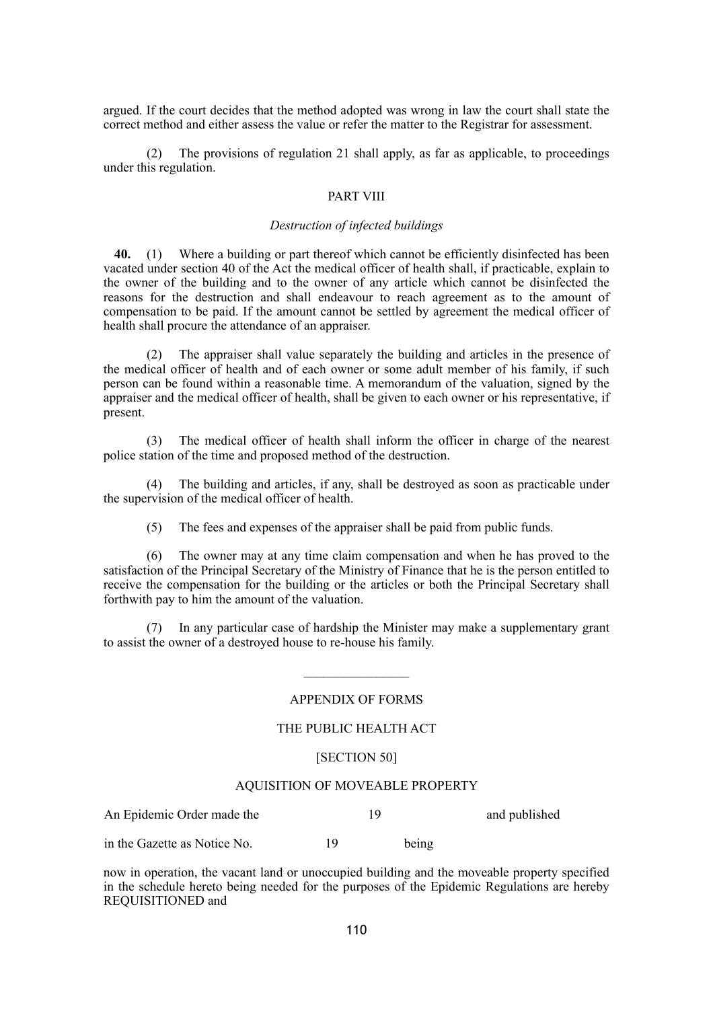argued. If the court decides that the method adopted was wrong in law the court shall state the correct method and either assess the value or refer the matter to the Registrar for assessment.

(2) The provisions of regulation 21 shall apply, as far as applicable, to proceedings under this regulation.

## PART VIII

#### *Destruction of infected buildings*

**40.** (1) Where a building or part thereof which cannot be efficiently disinfected has been vacated under section 40 of the Act the medical officer of health shall, if practicable, explain to the owner of the building and to the owner of any article which cannot be disinfected the reasons for the destruction and shall endeavour to reach agreement as to the amount of compensation to be paid. If the amount cannot be settled by agreement the medical officer of health shall procure the attendance of an appraiser.

(2) The appraiser shall value separately the building and articles in the presence of the medical officer of health and of each owner or some adult member of his family, if such person can be found within a reasonable time. A memorandum of the valuation, signed by the appraiser and the medical officer of health, shall be given to each owner or his representative, if present.

(3) The medical officer of health shall inform the officer in charge of the nearest police station of the time and proposed method of the destruction.

(4) The building and articles, if any, shall be destroyed as soon as practicable under the supervision of the medical officer of health.

(5) The fees and expenses of the appraiser shall be paid from public funds.

(6) The owner may at any time claim compensation and when he has proved to the satisfaction of the Principal Secretary of the Ministry of Finance that he is the person entitled to receive the compensation for the building or the articles or both the Principal Secretary shall forthwith pay to him the amount of the valuation.

In any particular case of hardship the Minister may make a supplementary grant to assist the owner of a destroyed house to re-house his family.

## APPENDIX OF FORMS

## THE PUBLIC HEALTH ACT

#### [SECTION 50]

#### AQUISITION OF MOVEABLE PROPERTY

An Epidemic Order made the 19 and published in the Gazette as Notice No. 19 being

now in operation, the vacant land or unoccupied building and the moveable property specified in the schedule hereto being needed for the purposes of the Epidemic Regulations are hereby REQUISITIONED and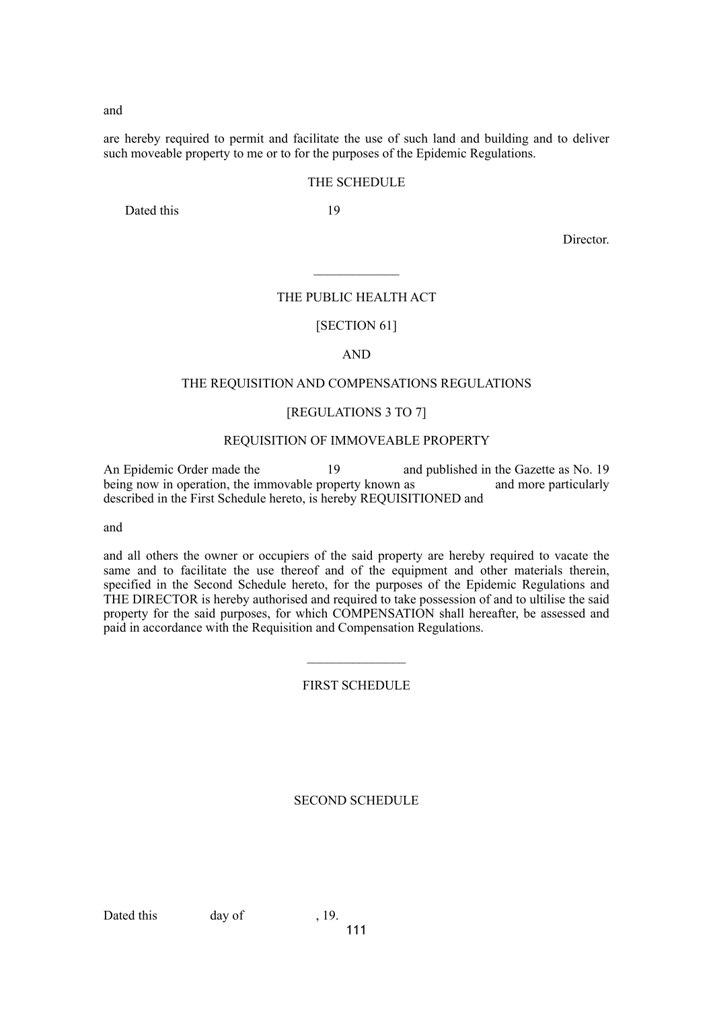and

are hereby required to permit and facilitate the use of such land and building and to deliver such moveable property to me or to for the purposes of the Epidemic Regulations.

## THE SCHEDULE

Dated this 19

Director.

## THE PUBLIC HEALTH ACT

 $\mathcal{L}_\text{max}$ 

#### [SECTION 61]

## AND

## THE REQUISITION AND COMPENSATIONS REGULATIONS

## [REGULATIONS 3 TO 7]

#### REQUISITION OF IMMOVEABLE PROPERTY

An Epidemic Order made the 19 and published in the Gazette as No. 19 being now in operation, the immovable property known as and more particularly described in the First Schedule hereto, is hereby REQUISITIONED and

and

and all others the owner or occupiers of the said property are hereby required to vacate the same and to facilitate the use thereof and of the equipment and other materials therein, specified in the Second Schedule hereto, for the purposes of the Epidemic Regulations and THE DIRECTOR is hereby authorised and required to take possession of and to ultilise the said property for the said purposes, for which COMPENSATION shall hereafter, be assessed and paid in accordance with the Requisition and Compensation Regulations.

#### FIRST SCHEDULE

#### SECOND SCHEDULE

Dated this day of , 19.

111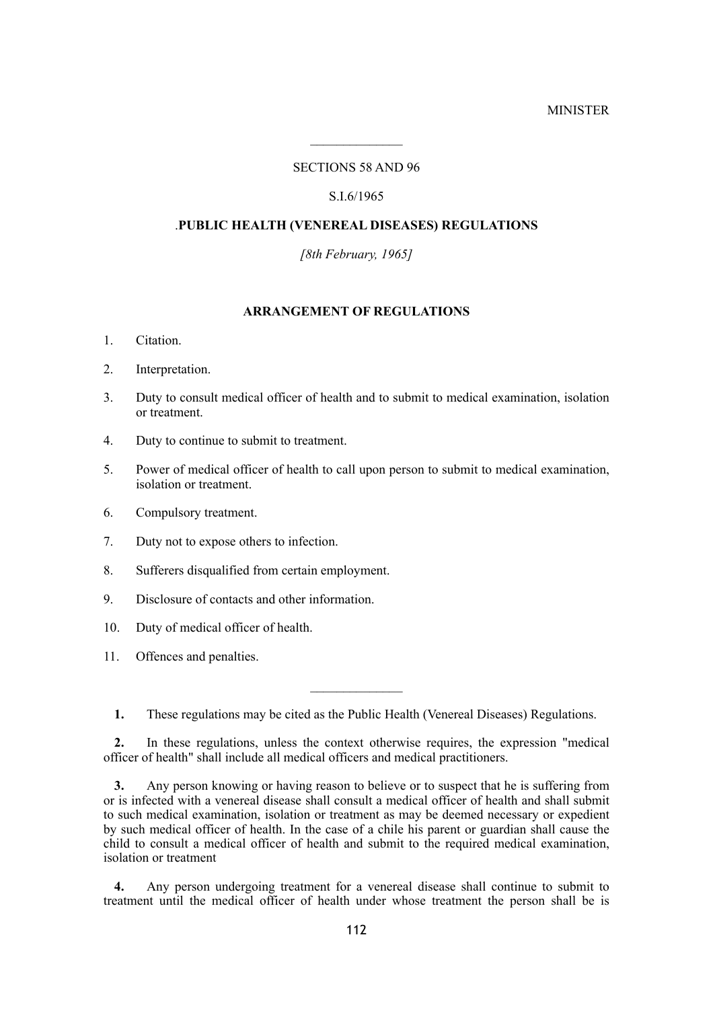## **MINISTER**

# SECTIONS 58 AND 96

 $\mathcal{L}_\text{max}$ 

## S.I.6/1965

## .**PUBLIC HEALTH (VENEREAL DISEASES) REGULATIONS**

*[8th February, 1965]*

# **ARRANGEMENT OF REGULATIONS**

- 1. Citation.
- 2. Interpretation.
- 3. Duty to consult medical officer of health and to submit to medical examination, isolation or treatment.
- 4. Duty to continue to submit to treatment.
- 5. Power of medical officer of health to call upon person to submit to medical examination, isolation or treatment.
- 6. Compulsory treatment.
- 7. Duty not to expose others to infection.
- 8. Sufferers disqualified from certain employment.
- 9. Disclosure of contacts and other information.
- 10. Duty of medical officer of health.
- 11. Offences and penalties.
	- **1.** These regulations may be cited as the Public Health (Venereal Diseases) Regulations.

**2.** In these regulations, unless the context otherwise requires, the expression "medical officer of health" shall include all medical officers and medical practitioners.

**3.** Any person knowing or having reason to believe or to suspect that he is suffering from or is infected with a venereal disease shall consult a medical officer of health and shall submit to such medical examination, isolation or treatment as may be deemed necessary or expedient by such medical officer of health. In the case of a chile his parent or guardian shall cause the child to consult a medical officer of health and submit to the required medical examination, isolation or treatment

**4.** Any person undergoing treatment for a venereal disease shall continue to submit to treatment until the medical officer of health under whose treatment the person shall be is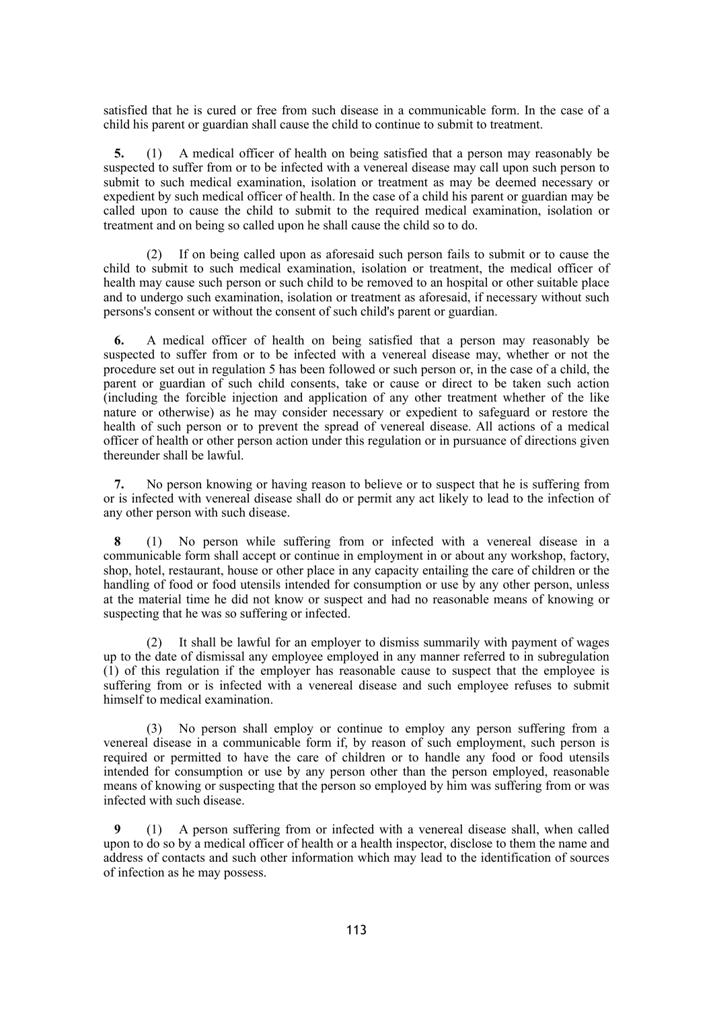satisfied that he is cured or free from such disease in a communicable form. In the case of a child his parent or guardian shall cause the child to continue to submit to treatment.

**5.** (1) A medical officer of health on being satisfied that a person may reasonably be suspected to suffer from or to be infected with a venereal disease may call upon such person to submit to such medical examination, isolation or treatment as may be deemed necessary or expedient by such medical officer of health. In the case of a child his parent or guardian may be called upon to cause the child to submit to the required medical examination, isolation or treatment and on being so called upon he shall cause the child so to do.

(2) If on being called upon as aforesaid such person fails to submit or to cause the child to submit to such medical examination, isolation or treatment, the medical officer of health may cause such person or such child to be removed to an hospital or other suitable place and to undergo such examination, isolation or treatment as aforesaid, if necessary without such persons's consent or without the consent of such child's parent or guardian.

**6.** A medical officer of health on being satisfied that a person may reasonably be suspected to suffer from or to be infected with a venereal disease may, whether or not the procedure set out in regulation 5 has been followed or such person or, in the case of a child, the parent or guardian of such child consents, take or cause or direct to be taken such action (including the forcible injection and application of any other treatment whether of the like nature or otherwise) as he may consider necessary or expedient to safeguard or restore the health of such person or to prevent the spread of venereal disease. All actions of a medical officer of health or other person action under this regulation or in pursuance of directions given thereunder shall be lawful.

**7.** No person knowing or having reason to believe or to suspect that he is suffering from or is infected with venereal disease shall do or permit any act likely to lead to the infection of any other person with such disease.

**8** (1) No person while suffering from or infected with a venereal disease in a communicable form shall accept or continue in employment in or about any workshop, factory, shop, hotel, restaurant, house or other place in any capacity entailing the care of children or the handling of food or food utensils intended for consumption or use by any other person, unless at the material time he did not know or suspect and had no reasonable means of knowing or suspecting that he was so suffering or infected.

(2) It shall be lawful for an employer to dismiss summarily with payment of wages up to the date of dismissal any employee employed in any manner referred to in subregulation (1) of this regulation if the employer has reasonable cause to suspect that the employee is suffering from or is infected with a venereal disease and such employee refuses to submit himself to medical examination.

(3) No person shall employ or continue to employ any person suffering from a venereal disease in a communicable form if, by reason of such employment, such person is required or permitted to have the care of children or to handle any food or food utensils intended for consumption or use by any person other than the person employed, reasonable means of knowing or suspecting that the person so employed by him was suffering from or was infected with such disease.

**9** (1) A person suffering from or infected with a venereal disease shall, when called upon to do so by a medical officer of health or a health inspector, disclose to them the name and address of contacts and such other information which may lead to the identification of sources of infection as he may possess.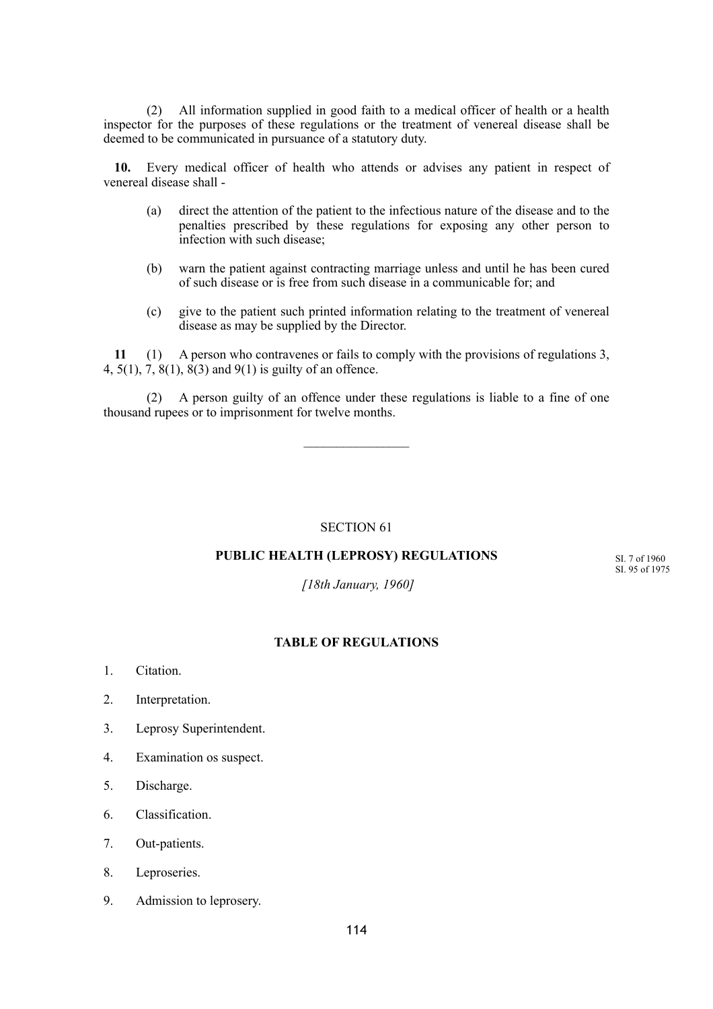(2) All information supplied in good faith to a medical officer of health or a health inspector for the purposes of these regulations or the treatment of venereal disease shall be deemed to be communicated in pursuance of a statutory duty.

**10.** Every medical officer of health who attends or advises any patient in respect of venereal disease shall -

- (a) direct the attention of the patient to the infectious nature of the disease and to the penalties prescribed by these regulations for exposing any other person to infection with such disease;
- (b) warn the patient against contracting marriage unless and until he has been cured of such disease or is free from such disease in a communicable for; and
- (c) give to the patient such printed information relating to the treatment of venereal disease as may be supplied by the Director.

**11** (1) A person who contravenes or fails to comply with the provisions of regulations 3, 4, 5(1), 7, 8(1), 8(3) and 9(1) is guilty of an offence.

(2) A person guilty of an offence under these regulations is liable to a fine of one thousand rupees or to imprisonment for twelve months.

SECTION 61

# **PUBLIC HEALTH (LEPROSY) REGULATIONS**

SI. 7 of 1960 SI. 95 of 1975

 *[18th January, 1960]*

#### **TABLE OF REGULATIONS**

- 1. Citation.
- 2. Interpretation.
- 3. Leprosy Superintendent.
- 4. Examination os suspect.
- 5. Discharge.
- 6. Classification.
- 7. Out-patients.
- 8. Leproseries.
- 9. Admission to leprosery.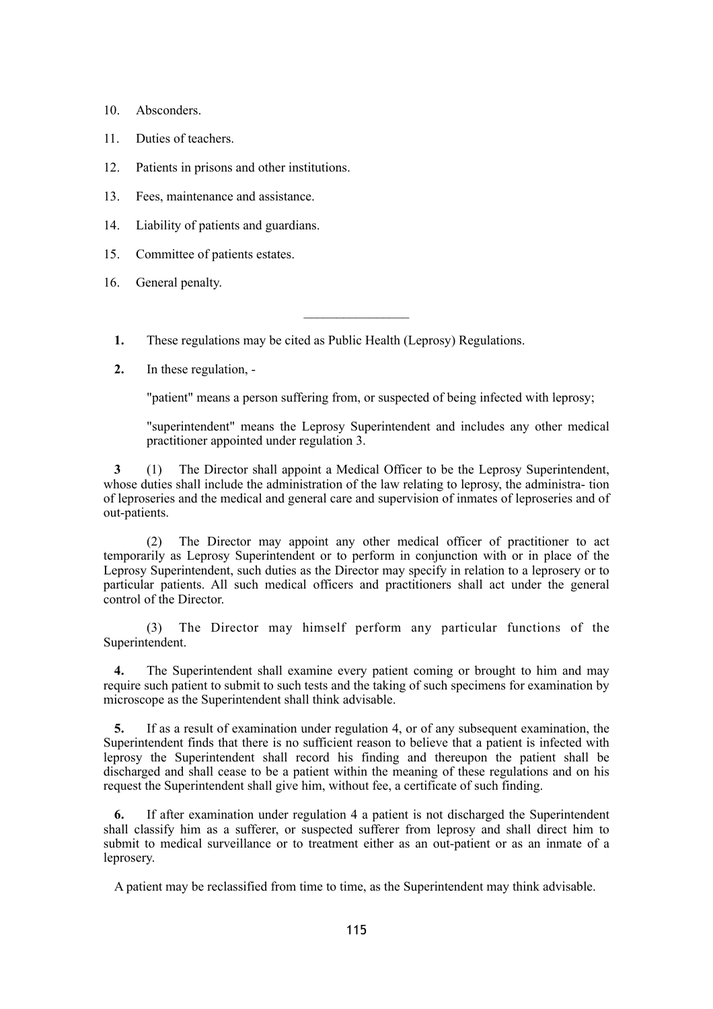- 10. Absconders.
- 11. Duties of teachers.
- 12. Patients in prisons and other institutions.
- 13. Fees, maintenance and assistance.
- 14. Liability of patients and guardians.
- 15. Committee of patients estates.
- 16. General penalty.
	- **1.** These regulations may be cited as Public Health (Leprosy) Regulations.
	- **2.** In these regulation, -

"patient" means a person suffering from, or suspected of being infected with leprosy;

"superintendent" means the Leprosy Superintendent and includes any other medical practitioner appointed under regulation 3.

**3** (1) The Director shall appoint a Medical Officer to be the Leprosy Superintendent, whose duties shall include the administration of the law relating to leprosy, the administra- tion of leproseries and the medical and general care and supervision of inmates of leproseries and of out-patients.

(2) The Director may appoint any other medical officer of practitioner to act temporarily as Leprosy Superintendent or to perform in conjunction with or in place of the Leprosy Superintendent, such duties as the Director may specify in relation to a leprosery or to particular patients. All such medical officers and practitioners shall act under the general control of the Director.

(3) The Director may himself perform any particular functions of the Superintendent.

**4.** The Superintendent shall examine every patient coming or brought to him and may require such patient to submit to such tests and the taking of such specimens for examination by microscope as the Superintendent shall think advisable.

**5.** If as a result of examination under regulation 4, or of any subsequent examination, the Superintendent finds that there is no sufficient reason to believe that a patient is infected with leprosy the Superintendent shall record his finding and thereupon the patient shall be discharged and shall cease to be a patient within the meaning of these regulations and on his request the Superintendent shall give him, without fee, a certificate of such finding.

**6.** If after examination under regulation 4 a patient is not discharged the Superintendent shall classify him as a sufferer, or suspected sufferer from leprosy and shall direct him to submit to medical surveillance or to treatment either as an out-patient or as an inmate of a leprosery.

A patient may be reclassified from time to time, as the Superintendent may think advisable.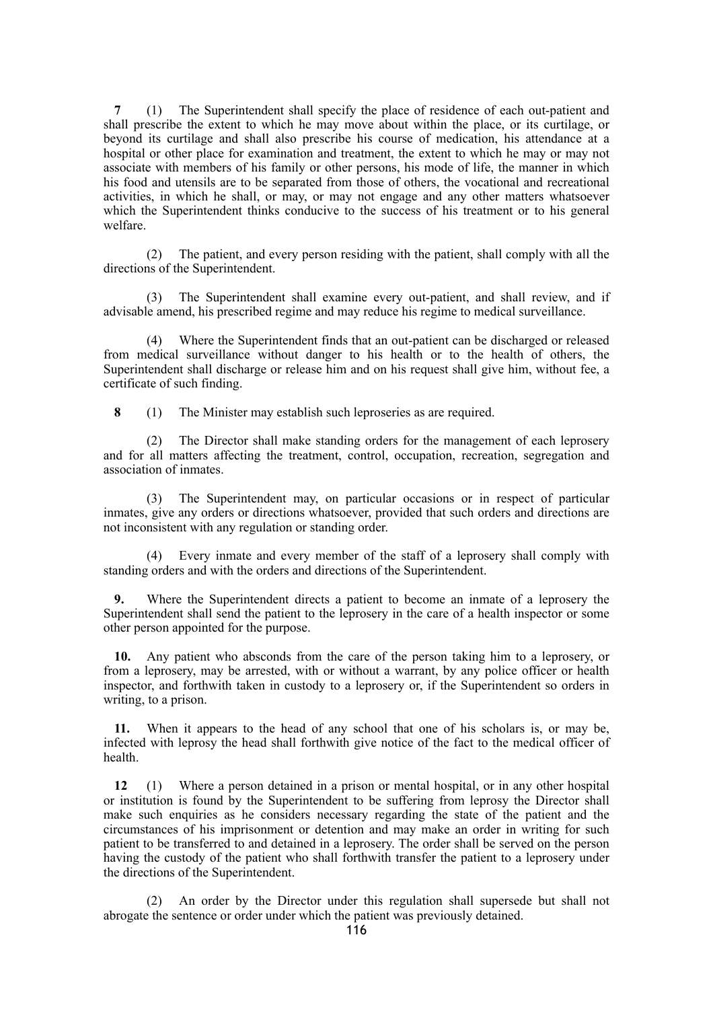**7** (1) The Superintendent shall specify the place of residence of each out-patient and shall prescribe the extent to which he may move about within the place, or its curtilage, or beyond its curtilage and shall also prescribe his course of medication, his attendance at a hospital or other place for examination and treatment, the extent to which he may or may not associate with members of his family or other persons, his mode of life, the manner in which his food and utensils are to be separated from those of others, the vocational and recreational activities, in which he shall, or may, or may not engage and any other matters whatsoever which the Superintendent thinks conducive to the success of his treatment or to his general welfare.

(2) The patient, and every person residing with the patient, shall comply with all the directions of the Superintendent.

(3) The Superintendent shall examine every out-patient, and shall review, and if advisable amend, his prescribed regime and may reduce his regime to medical surveillance.

(4) Where the Superintendent finds that an out-patient can be discharged or released from medical surveillance without danger to his health or to the health of others, the Superintendent shall discharge or release him and on his request shall give him, without fee, a certificate of such finding.

**8** (1) The Minister may establish such leproseries as are required.

(2) The Director shall make standing orders for the management of each leprosery and for all matters affecting the treatment, control, occupation, recreation, segregation and association of inmates.

(3) The Superintendent may, on particular occasions or in respect of particular inmates, give any orders or directions whatsoever, provided that such orders and directions are not inconsistent with any regulation or standing order.

(4) Every inmate and every member of the staff of a leprosery shall comply with standing orders and with the orders and directions of the Superintendent.

**9.** Where the Superintendent directs a patient to become an inmate of a leprosery the Superintendent shall send the patient to the leprosery in the care of a health inspector or some other person appointed for the purpose.

**10.** Any patient who absconds from the care of the person taking him to a leprosery, or from a leprosery, may be arrested, with or without a warrant, by any police officer or health inspector, and forthwith taken in custody to a leprosery or, if the Superintendent so orders in writing, to a prison.

**11.** When it appears to the head of any school that one of his scholars is, or may be, infected with leprosy the head shall forthwith give notice of the fact to the medical officer of health.

**12** (1) Where a person detained in a prison or mental hospital, or in any other hospital or institution is found by the Superintendent to be suffering from leprosy the Director shall make such enquiries as he considers necessary regarding the state of the patient and the circumstances of his imprisonment or detention and may make an order in writing for such patient to be transferred to and detained in a leprosery. The order shall be served on the person having the custody of the patient who shall forthwith transfer the patient to a leprosery under the directions of the Superintendent.

(2) An order by the Director under this regulation shall supersede but shall not abrogate the sentence or order under which the patient was previously detained.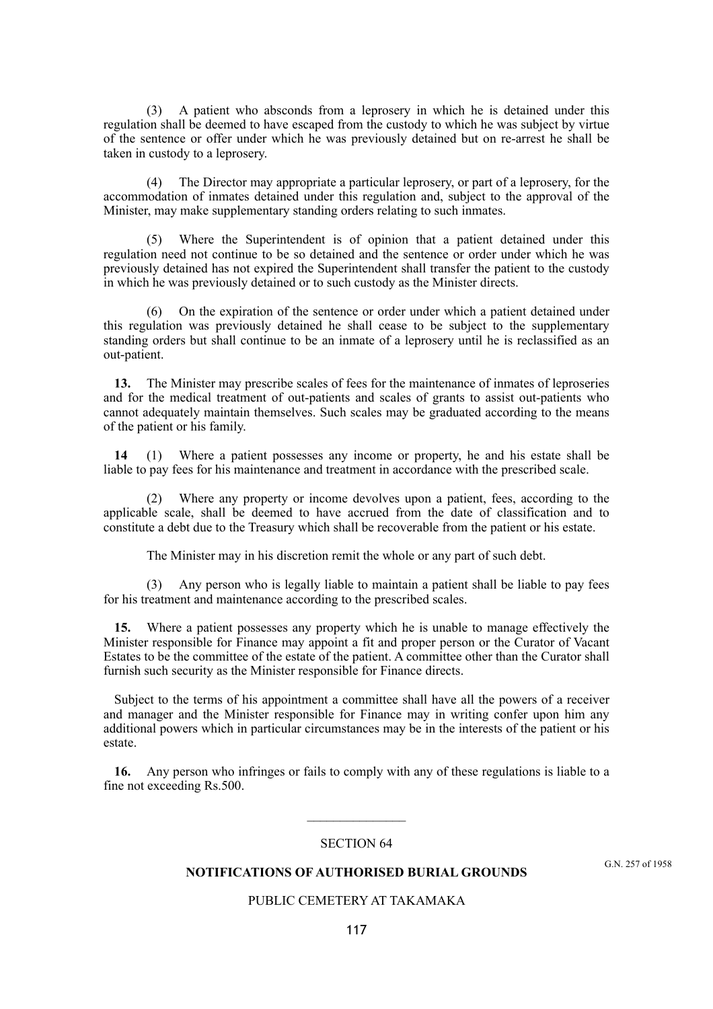(3) A patient who absconds from a leprosery in which he is detained under this regulation shall be deemed to have escaped from the custody to which he was subject by virtue of the sentence or offer under which he was previously detained but on re-arrest he shall be taken in custody to a leprosery.

(4) The Director may appropriate a particular leprosery, or part of a leprosery, for the accommodation of inmates detained under this regulation and, subject to the approval of the Minister, may make supplementary standing orders relating to such inmates.

Where the Superintendent is of opinion that a patient detained under this regulation need not continue to be so detained and the sentence or order under which he was previously detained has not expired the Superintendent shall transfer the patient to the custody in which he was previously detained or to such custody as the Minister directs.

(6) On the expiration of the sentence or order under which a patient detained under this regulation was previously detained he shall cease to be subject to the supplementary standing orders but shall continue to be an inmate of a leprosery until he is reclassified as an out-patient.

**13.** The Minister may prescribe scales of fees for the maintenance of inmates of leproseries and for the medical treatment of out-patients and scales of grants to assist out-patients who cannot adequately maintain themselves. Such scales may be graduated according to the means of the patient or his family.

**14** (1) Where a patient possesses any income or property, he and his estate shall be liable to pay fees for his maintenance and treatment in accordance with the prescribed scale.

(2) Where any property or income devolves upon a patient, fees, according to the applicable scale, shall be deemed to have accrued from the date of classification and to constitute a debt due to the Treasury which shall be recoverable from the patient or his estate.

The Minister may in his discretion remit the whole or any part of such debt.

Any person who is legally liable to maintain a patient shall be liable to pay fees for his treatment and maintenance according to the prescribed scales.

**15.** Where a patient possesses any property which he is unable to manage effectively the Minister responsible for Finance may appoint a fit and proper person or the Curator of Vacant Estates to be the committee of the estate of the patient. A committee other than the Curator shall furnish such security as the Minister responsible for Finance directs.

Subject to the terms of his appointment a committee shall have all the powers of a receiver and manager and the Minister responsible for Finance may in writing confer upon him any additional powers which in particular circumstances may be in the interests of the patient or his estate.

**16.** Any person who infringes or fails to comply with any of these regulations is liable to a fine not exceeding Rs.500.

#### SECTION 64

 $\frac{1}{2}$ 

## **NOTIFICATIONS OF AUTHORISED BURIAL GROUNDS**

# PUBLIC CEMETERY AT TAKAMAKA

G.N. 257 of 1958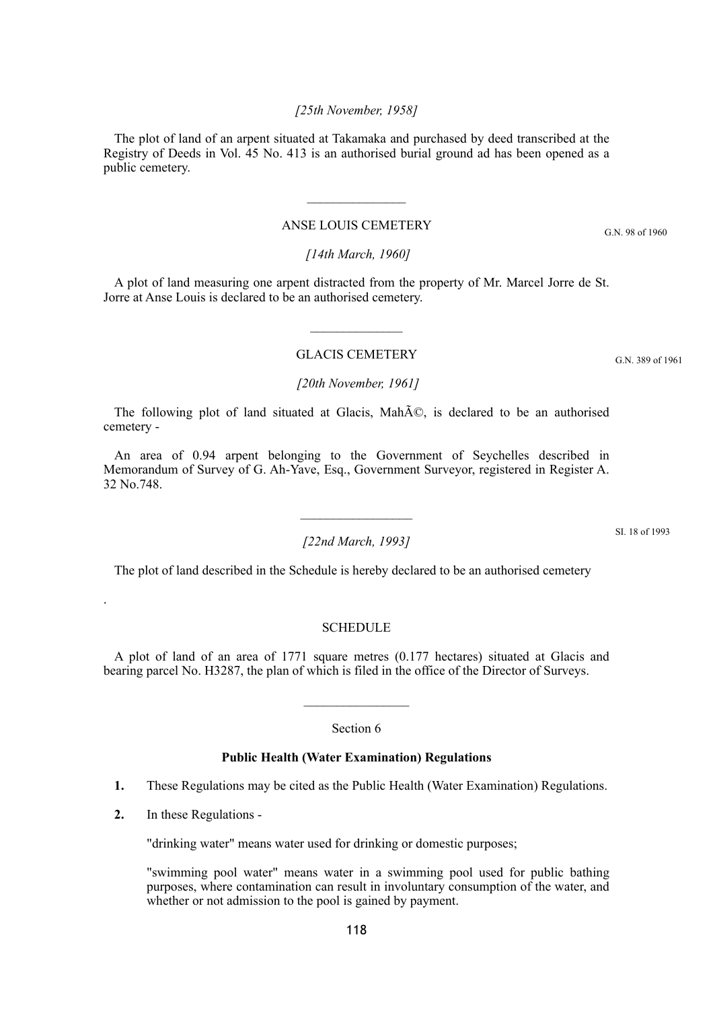# 118

# *[25th November, 1958]*

The plot of land of an arpent situated at Takamaka and purchased by deed transcribed at the Registry of Deeds in Vol. 45 No. 413 is an authorised burial ground ad has been opened as a public cemetery.

# ANSE LOUIS CEMETERY

 $\mathcal{L}_\text{max}$ 

# *[14th March, 1960]*

A plot of land measuring one arpent distracted from the property of Mr. Marcel Jorre de St. Jorre at Anse Louis is declared to be an authorised cemetery.

# GLACIS CEMETERY

# *[20th November, 1961]*

The following plot of land situated at Glacis, MahÃ $\mathbb{C}$ , is declared to be an authorised cemetery -

An area of 0.94 arpent belonging to the Government of Seychelles described in Memorandum of Survey of G. Ah-Yave, Esq., Government Surveyor, registered in Register A. 32 No.748.

# *[22nd March, 1993]*

The plot of land described in the Schedule is hereby declared to be an authorised cemetery

# **SCHEDULE**

A plot of land of an area of 1771 square metres (0.177 hectares) situated at Glacis and bearing parcel No. H3287, the plan of which is filed in the office of the Director of Surveys.

## Section 6

# **Public Health (Water Examination) Regulations**

- **1.** These Regulations may be cited as the Public Health (Water Examination) Regulations.
- **2.** In these Regulations -

.

"drinking water" means water used for drinking or domestic purposes;

"swimming pool water" means water in a swimming pool used for public bathing purposes, where contamination can result in involuntary consumption of the water, and whether or not admission to the pool is gained by payment.

G.N. 389 of 1961

SI. 18 of 1993

G.N. 98 of 1960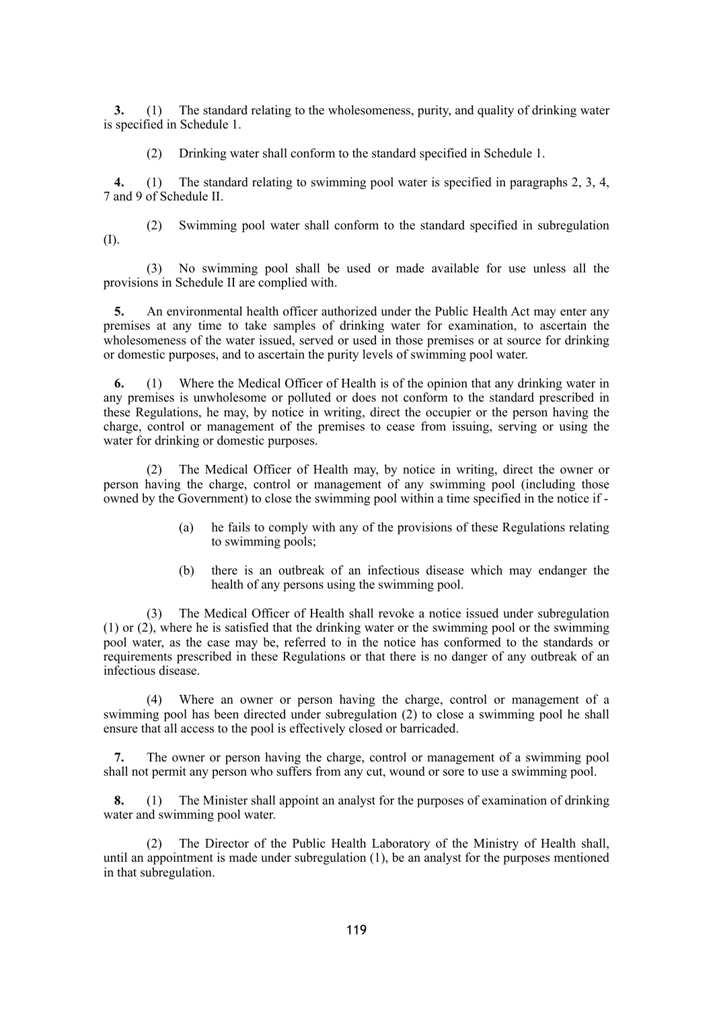**3.** (1) The standard relating to the wholesomeness, purity, and quality of drinking water is specified in Schedule 1.

(2) Drinking water shall conform to the standard specified in Schedule 1.

**4.** (1) The standard relating to swimming pool water is specified in paragraphs 2, 3, 4, 7 and 9 of Schedule II.

(2) Swimming pool water shall conform to the standard specified in subregulation (I).

(3) No swimming pool shall be used or made available for use unless all the provisions in Schedule II are complied with.

**5.** An environmental health officer authorized under the Public Health Act may enter any premises at any time to take samples of drinking water for examination, to ascertain the wholesomeness of the water issued, served or used in those premises or at source for drinking or domestic purposes, and to ascertain the purity levels of swimming pool water.

**6.** (1) Where the Medical Officer of Health is of the opinion that any drinking water in any premises is unwholesome or polluted or does not conform to the standard prescribed in these Regulations, he may, by notice in writing, direct the occupier or the person having the charge, control or management of the premises to cease from issuing, serving or using the water for drinking or domestic purposes.

(2) The Medical Officer of Health may, by notice in writing, direct the owner or person having the charge, control or management of any swimming pool (including those owned by the Government) to close the swimming pool within a time specified in the notice if -

- (a) he fails to comply with any of the provisions of these Regulations relating to swimming pools;
- (b) there is an outbreak of an infectious disease which may endanger the health of any persons using the swimming pool.

(3) The Medical Officer of Health shall revoke a notice issued under subregulation (1) or (2), where he is satisfied that the drinking water or the swimming pool or the swimming pool water, as the case may be, referred to in the notice has conformed to the standards or requirements prescribed in these Regulations or that there is no danger of any outbreak of an infectious disease.

(4) Where an owner or person having the charge, control or management of a swimming pool has been directed under subregulation (2) to close a swimming pool he shall ensure that all access to the pool is effectively closed or barricaded.

**7.** The owner or person having the charge, control or management of a swimming pool shall not permit any person who suffers from any cut, wound or sore to use a swimming pool.

**8.** (1) The Minister shall appoint an analyst for the purposes of examination of drinking water and swimming pool water.

(2) The Director of the Public Health Laboratory of the Ministry of Health shall, until an appointment is made under subregulation (1), be an analyst for the purposes mentioned in that subregulation.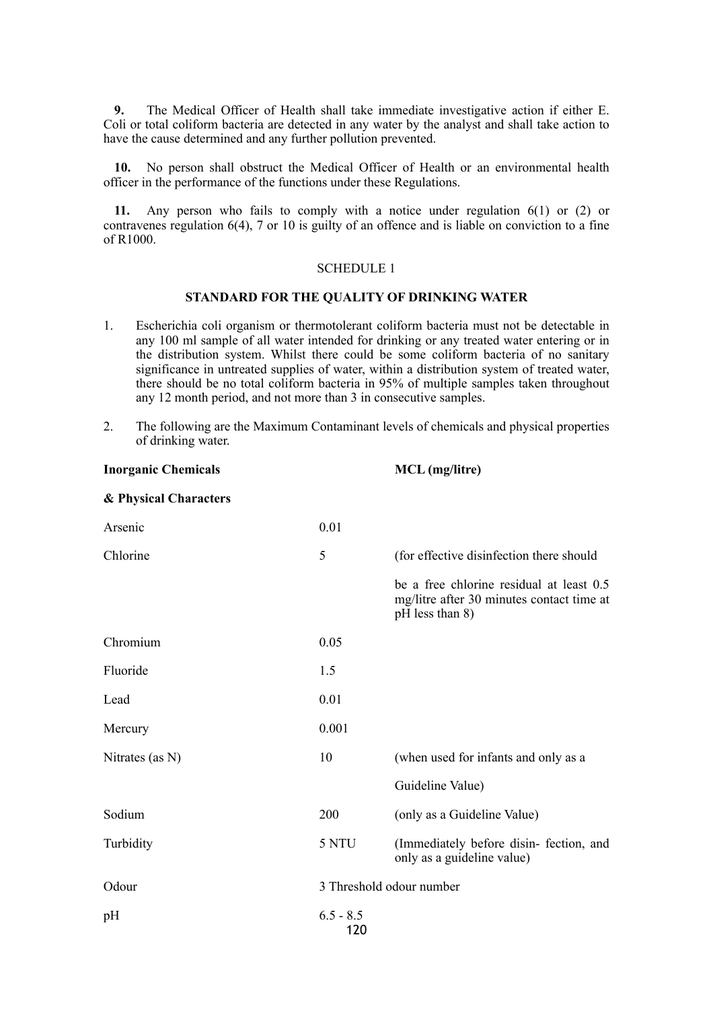**9.** The Medical Officer of Health shall take immediate investigative action if either E. Coli or total coliform bacteria are detected in any water by the analyst and shall take action to have the cause determined and any further pollution prevented.

**10.** No person shall obstruct the Medical Officer of Health or an environmental health officer in the performance of the functions under these Regulations.

**11.** Any person who fails to comply with a notice under regulation 6(1) or (2) or contravenes regulation 6(4), 7 or 10 is guilty of an offence and is liable on conviction to a fine of R1000.

#### SCHEDULE 1

# **STANDARD FOR THE QUALITY OF DRINKING WATER**

- 1. Escherichia coli organism or thermotolerant coliform bacteria must not be detectable in any 100 ml sample of all water intended for drinking or any treated water entering or in the distribution system. Whilst there could be some coliform bacteria of no sanitary significance in untreated supplies of water, within a distribution system of treated water, there should be no total coliform bacteria in 95% of multiple samples taken throughout any 12 month period, and not more than 3 in consecutive samples.
- 2. The following are the Maximum Contaminant levels of chemicals and physical properties of drinking water.

| <b>Inorganic Chemicals</b> |                    | MCL (mg/litre)                                                                                           |
|----------------------------|--------------------|----------------------------------------------------------------------------------------------------------|
| & Physical Characters      |                    |                                                                                                          |
| Arsenic                    | 0.01               |                                                                                                          |
| Chlorine                   | 5                  | (for effective disinfection there should                                                                 |
|                            |                    | be a free chlorine residual at least 0.5<br>mg/litre after 30 minutes contact time at<br>pH less than 8) |
| Chromium                   | 0.05               |                                                                                                          |
| Fluoride                   | 1.5                |                                                                                                          |
| Lead                       | 0.01               |                                                                                                          |
| Mercury                    | 0.001              |                                                                                                          |
| Nitrates (as N)            | 10                 | (when used for infants and only as a                                                                     |
|                            |                    | Guideline Value)                                                                                         |
| Sodium                     | 200                | (only as a Guideline Value)                                                                              |
| Turbidity                  | 5 NTU              | (Immediately before disin-fection, and<br>only as a guideline value)                                     |
| Odour                      |                    | 3 Threshold odour number                                                                                 |
| pH                         | $6.5 - 8.5$<br>120 |                                                                                                          |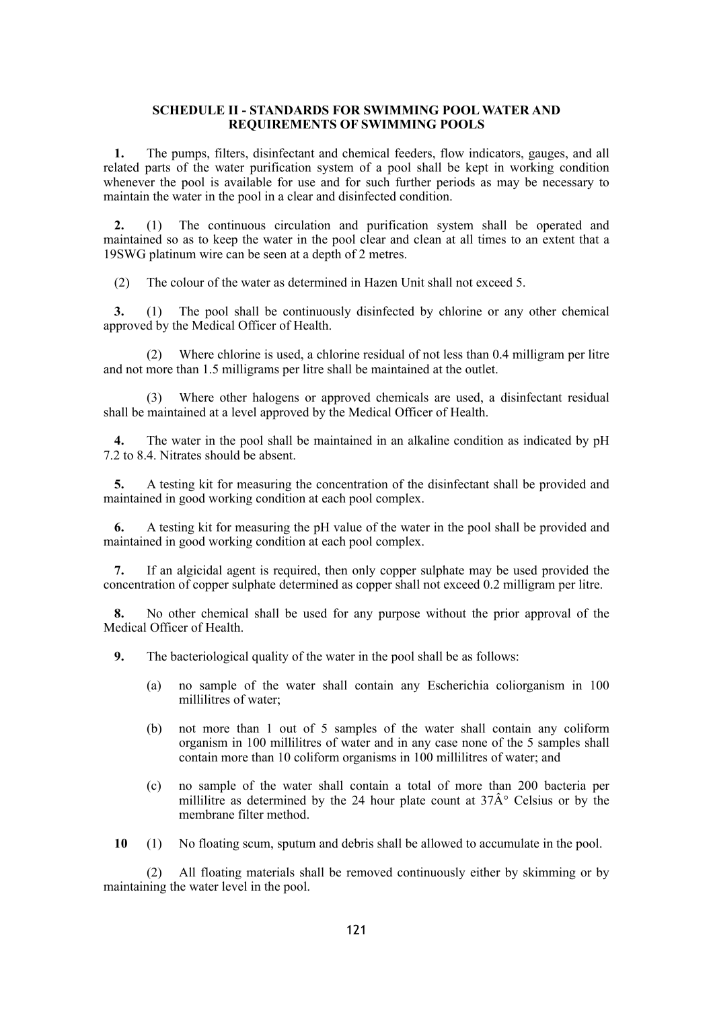#### **SCHEDULE II - STANDARDS FOR SWIMMING POOL WATER AND REQUIREMENTS OF SWIMMING POOLS**

**1.** The pumps, filters, disinfectant and chemical feeders, flow indicators, gauges, and all related parts of the water purification system of a pool shall be kept in working condition whenever the pool is available for use and for such further periods as may be necessary to maintain the water in the pool in a clear and disinfected condition.

**2.** (1) The continuous circulation and purification system shall be operated and maintained so as to keep the water in the pool clear and clean at all times to an extent that a 19SWG platinum wire can be seen at a depth of 2 metres.

(2) The colour of the water as determined in Hazen Unit shall not exceed 5.

**3.** (1) The pool shall be continuously disinfected by chlorine or any other chemical approved by the Medical Officer of Health.

(2) Where chlorine is used, a chlorine residual of not less than 0.4 milligram per litre and not more than 1.5 milligrams per litre shall be maintained at the outlet.

(3) Where other halogens or approved chemicals are used, a disinfectant residual shall be maintained at a level approved by the Medical Officer of Health.

**4.** The water in the pool shall be maintained in an alkaline condition as indicated by pH 7.2 to 8.4. Nitrates should be absent.

**5.** A testing kit for measuring the concentration of the disinfectant shall be provided and maintained in good working condition at each pool complex.

**6.** A testing kit for measuring the pH value of the water in the pool shall be provided and maintained in good working condition at each pool complex.

**7.** If an algicidal agent is required, then only copper sulphate may be used provided the concentration of copper sulphate determined as copper shall not exceed 0.2 milligram per litre.

**8.** No other chemical shall be used for any purpose without the prior approval of the Medical Officer of Health.

**9.** The bacteriological quality of the water in the pool shall be as follows:

- (a) no sample of the water shall contain any Escherichia coliorganism in 100 millilitres of water;
- (b) not more than 1 out of 5 samples of the water shall contain any coliform organism in 100 millilitres of water and in any case none of the 5 samples shall contain more than 10 coliform organisms in 100 millilitres of water; and
- (c) no sample of the water shall contain a total of more than 200 bacteria per millilitive as determined by the 24 hour plate count at  $37\text{\AA}^{\circ}$  Celsius or by the membrane filter method.

**10** (1) No floating scum, sputum and debris shall be allowed to accumulate in the pool.

(2) All floating materials shall be removed continuously either by skimming or by maintaining the water level in the pool.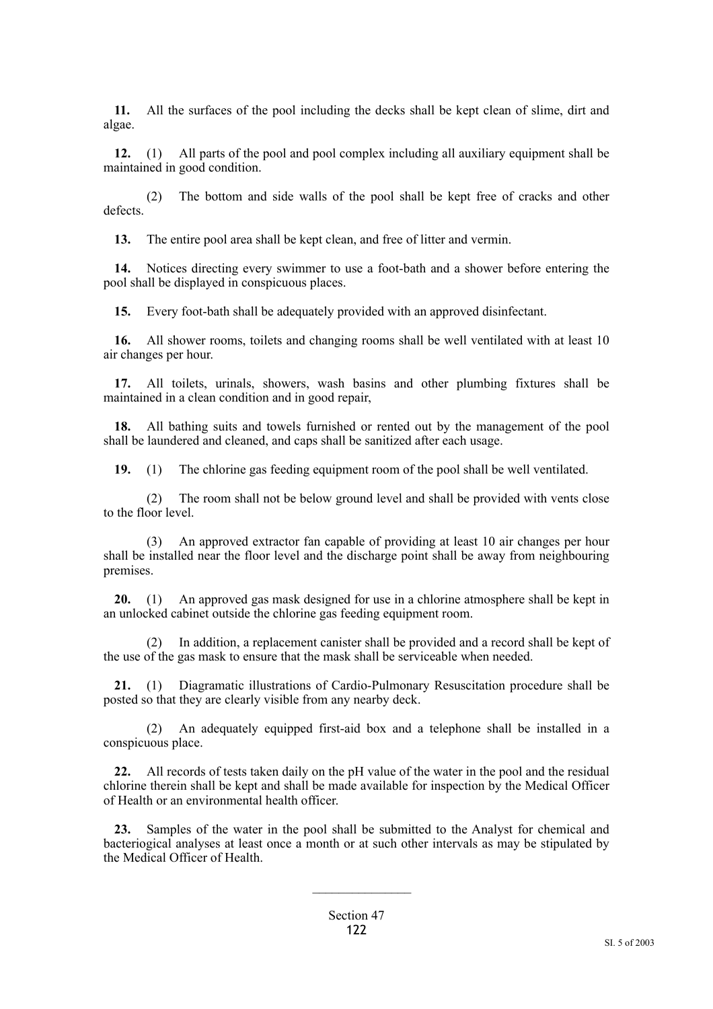**11.** All the surfaces of the pool including the decks shall be kept clean of slime, dirt and algae.

**12.** (1) All parts of the pool and pool complex including all auxiliary equipment shall be maintained in good condition.

(2) The bottom and side walls of the pool shall be kept free of cracks and other defects.

**13.** The entire pool area shall be kept clean, and free of litter and vermin.

**14.** Notices directing every swimmer to use a foot-bath and a shower before entering the pool shall be displayed in conspicuous places.

**15.** Every foot-bath shall be adequately provided with an approved disinfectant.

**16.** All shower rooms, toilets and changing rooms shall be well ventilated with at least 10 air changes per hour.

**17.** All toilets, urinals, showers, wash basins and other plumbing fixtures shall be maintained in a clean condition and in good repair,

**18.** All bathing suits and towels furnished or rented out by the management of the pool shall be laundered and cleaned, and caps shall be sanitized after each usage.

**19.** (1) The chlorine gas feeding equipment room of the pool shall be well ventilated.

(2) The room shall not be below ground level and shall be provided with vents close to the floor level.

(3) An approved extractor fan capable of providing at least 10 air changes per hour shall be installed near the floor level and the discharge point shall be away from neighbouring premises.

**20.** (1) An approved gas mask designed for use in a chlorine atmosphere shall be kept in an unlocked cabinet outside the chlorine gas feeding equipment room.

(2) In addition, a replacement canister shall be provided and a record shall be kept of the use of the gas mask to ensure that the mask shall be serviceable when needed.

**21.** (1) Diagramatic illustrations of Cardio-Pulmonary Resuscitation procedure shall be posted so that they are clearly visible from any nearby deck.

(2) An adequately equipped first-aid box and a telephone shall be installed in a conspicuous place.

**22.** All records of tests taken daily on the pH value of the water in the pool and the residual chlorine therein shall be kept and shall be made available for inspection by the Medical Officer of Health or an environmental health officer.

**23.** Samples of the water in the pool shall be submitted to the Analyst for chemical and bacteriogical analyses at least once a month or at such other intervals as may be stipulated by the Medical Officer of Health.

 $\frac{1}{2}$